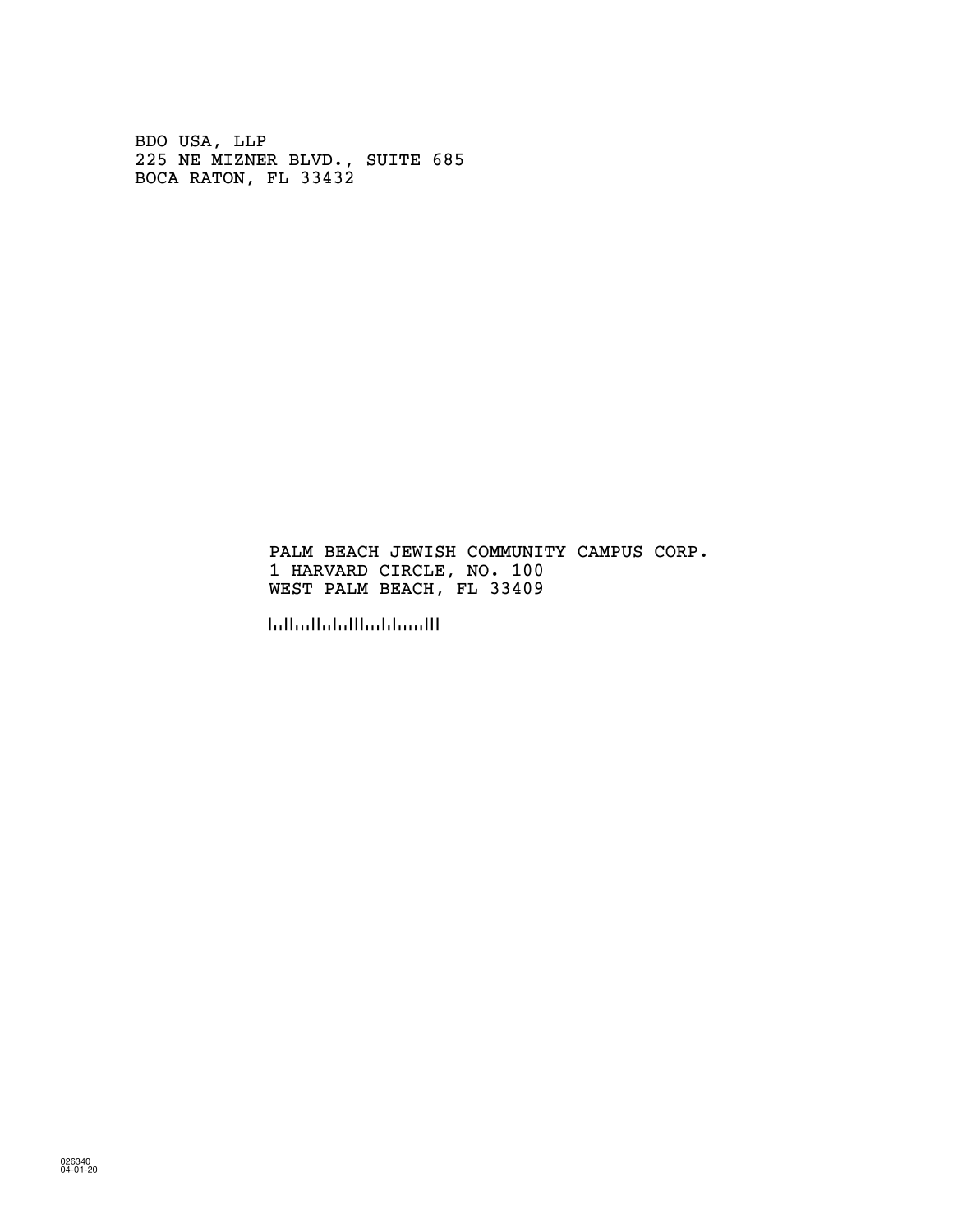BDO USA, LLP 225 NE MIZNER BLVD., SUITE 685 BOCA RATON, FL 33432

> PALM BEACH JEWISH COMMUNITY CAMPUS CORP. 1 HARVARD CIRCLE, NO. 100 WEST PALM BEACH, FL 33409

!334091!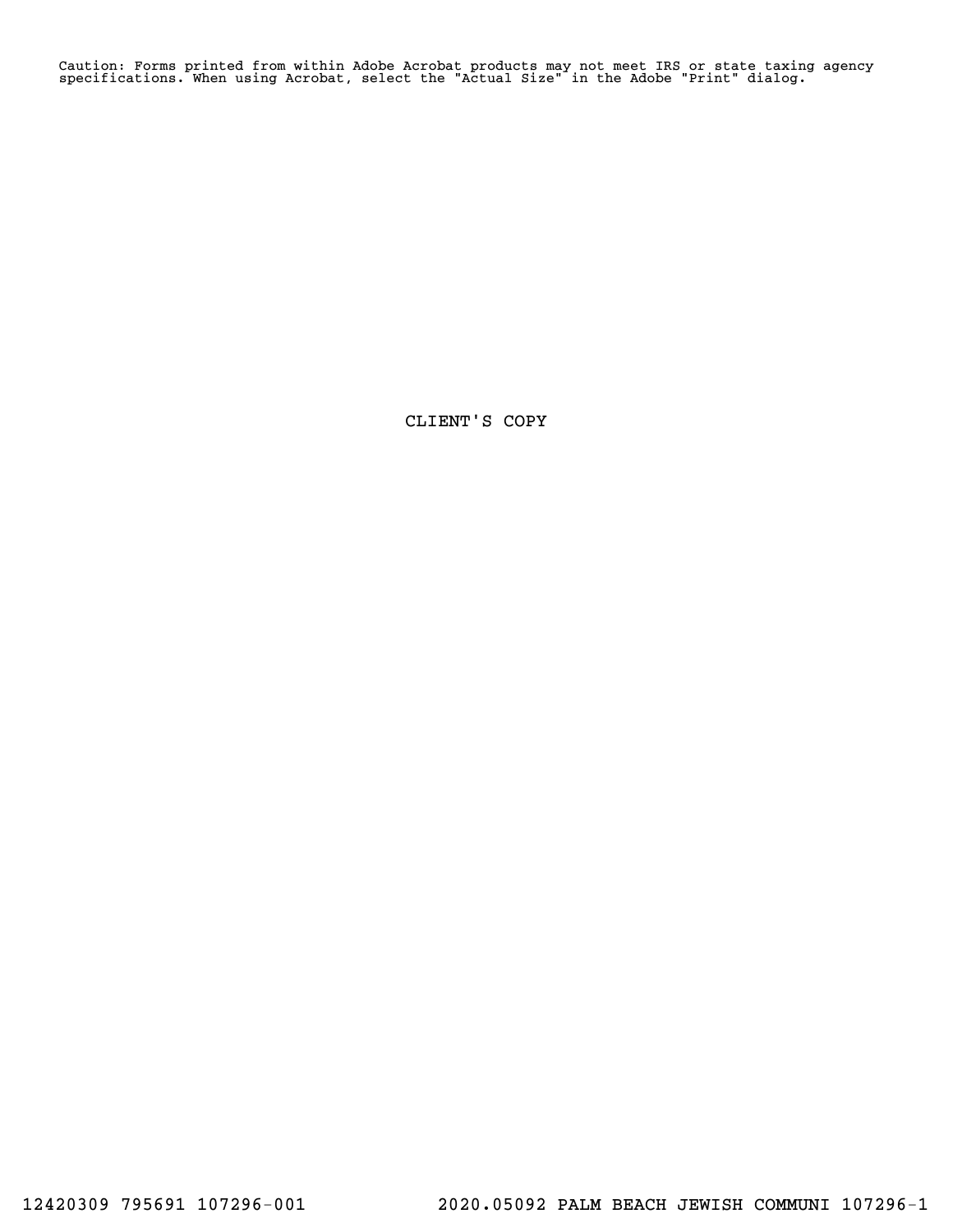Caution: Forms printed from within Adobe Acrobat products may not meet IRS or state taxing agency specifications. When using Acrobat, select the "Actual Size" in the Adobe "Print" dialog.

CLIENT'S COPY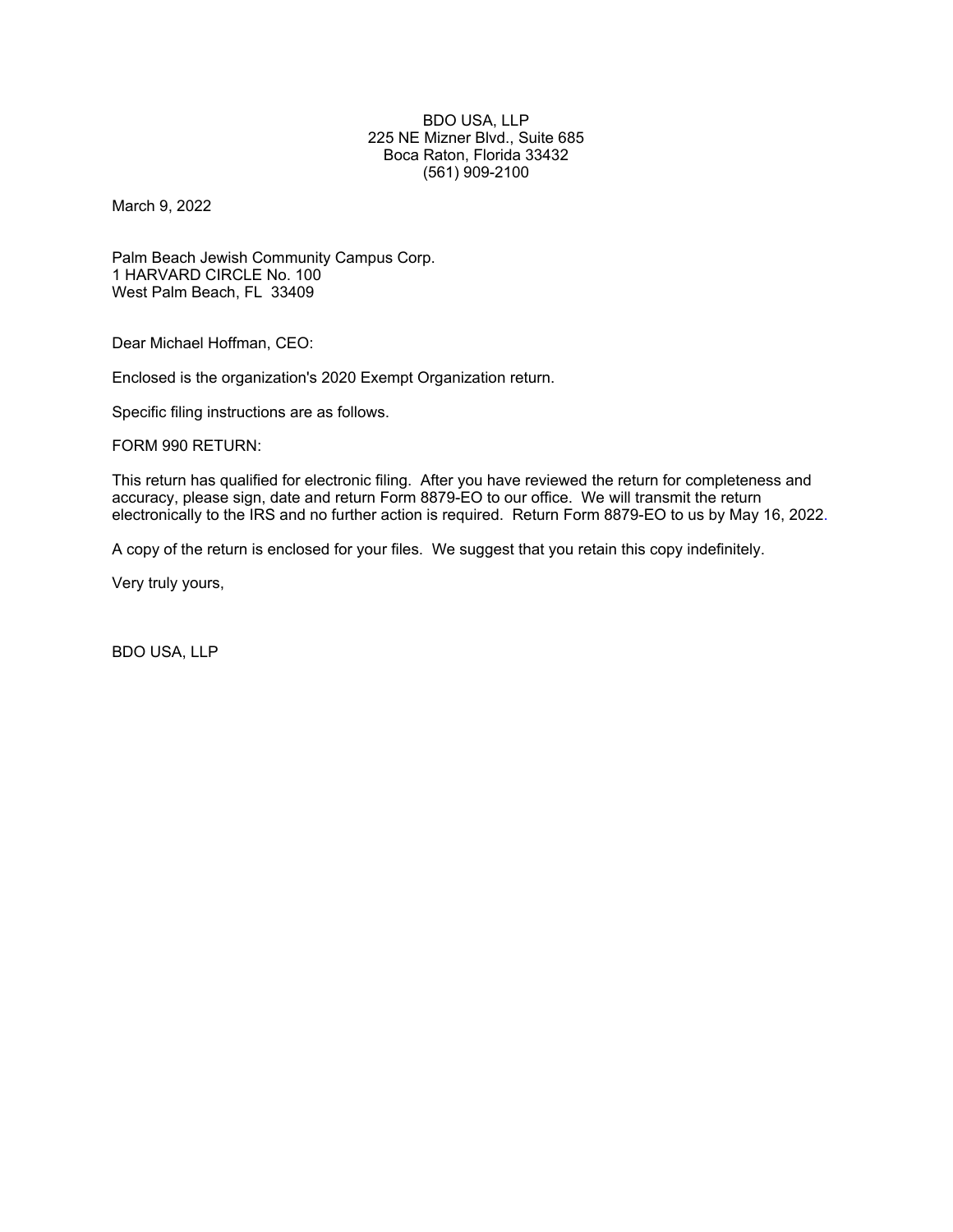#### BDO USA, LLP 225 NE Mizner Blvd., Suite 685 Boca Raton, Florida 33432 (561) 909-2100

March 9, 2022

Palm Beach Jewish Community Campus Corp. 1 HARVARD CIRCLE No. 100 West Palm Beach, FL 33409

Dear Michael Hoffman, CEO:

Enclosed is the organization's 2020 Exempt Organization return.

Specific filing instructions are as follows.

FORM 990 RETURN:

This return has qualified for electronic filing. After you have reviewed the return for completeness and accuracy, please sign, date and return Form 8879-EO to our office. We will transmit the return electronically to the IRS and no further action is required. Return Form 8879-EO to us by May 16, 2022.

A copy of the return is enclosed for your files. We suggest that you retain this copy indefinitely.

Very truly yours,

BDO USA, LLP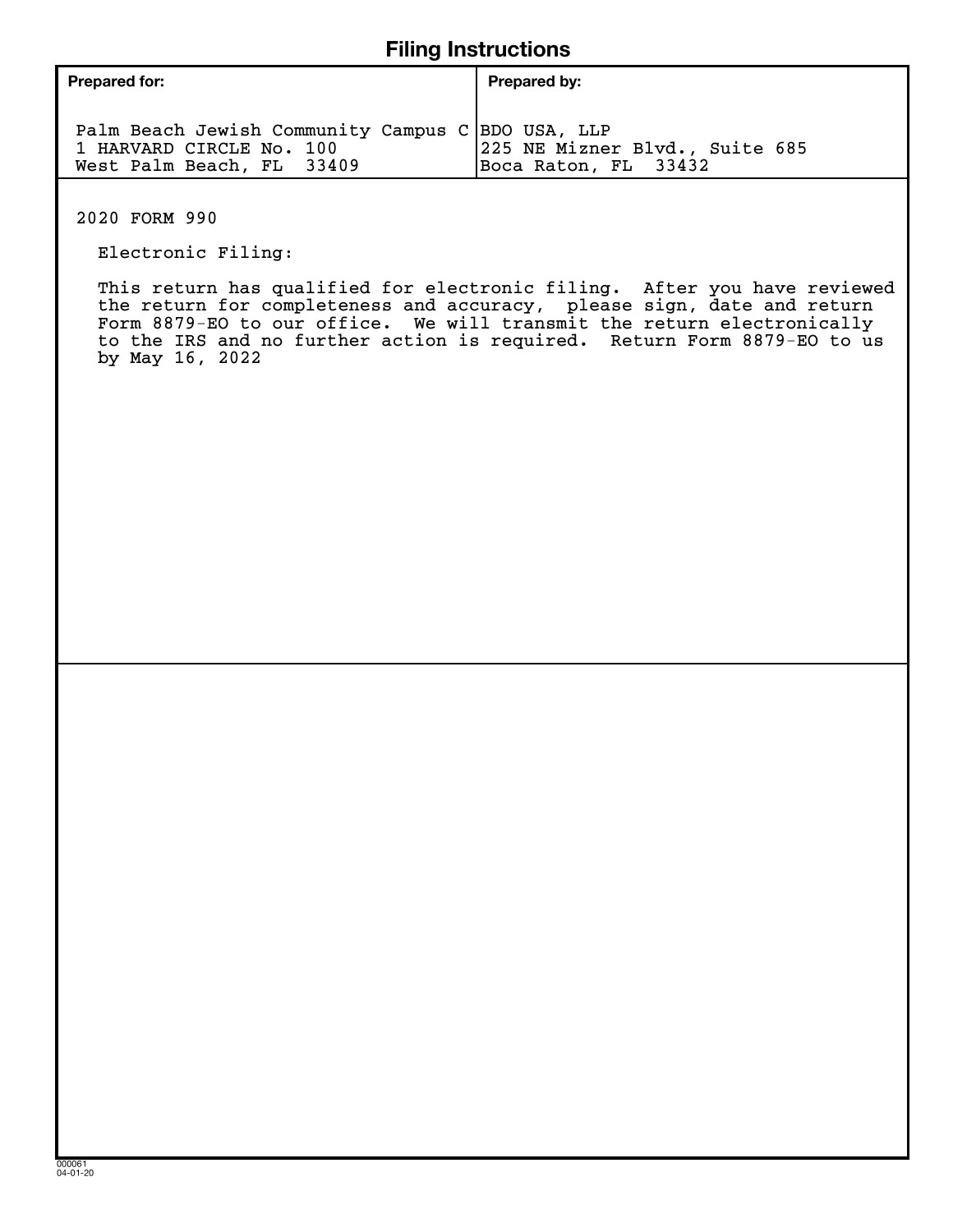| <b>Prepared for:</b>                                                                                       | Prepared by:                                           |
|------------------------------------------------------------------------------------------------------------|--------------------------------------------------------|
| Palm Beach Jewish Community Campus C BDO USA, LLP<br>1 HARVARD CIRCLE No. 100<br>West Palm Beach, FL 33409 | 225 NE Mizner Blvd., Suite 685<br>Boca Raton, FL 33432 |

2020 FORM 990

Electronic Filing:

 This return has qualified for electronic filing. After you have reviewed the return for completeness and accuracy, please sign, date and return Form 8879-EO to our office. We will transmit the return electronically to the IRS and no further action is required. Return Form 8879-EO to us by May 16, 2022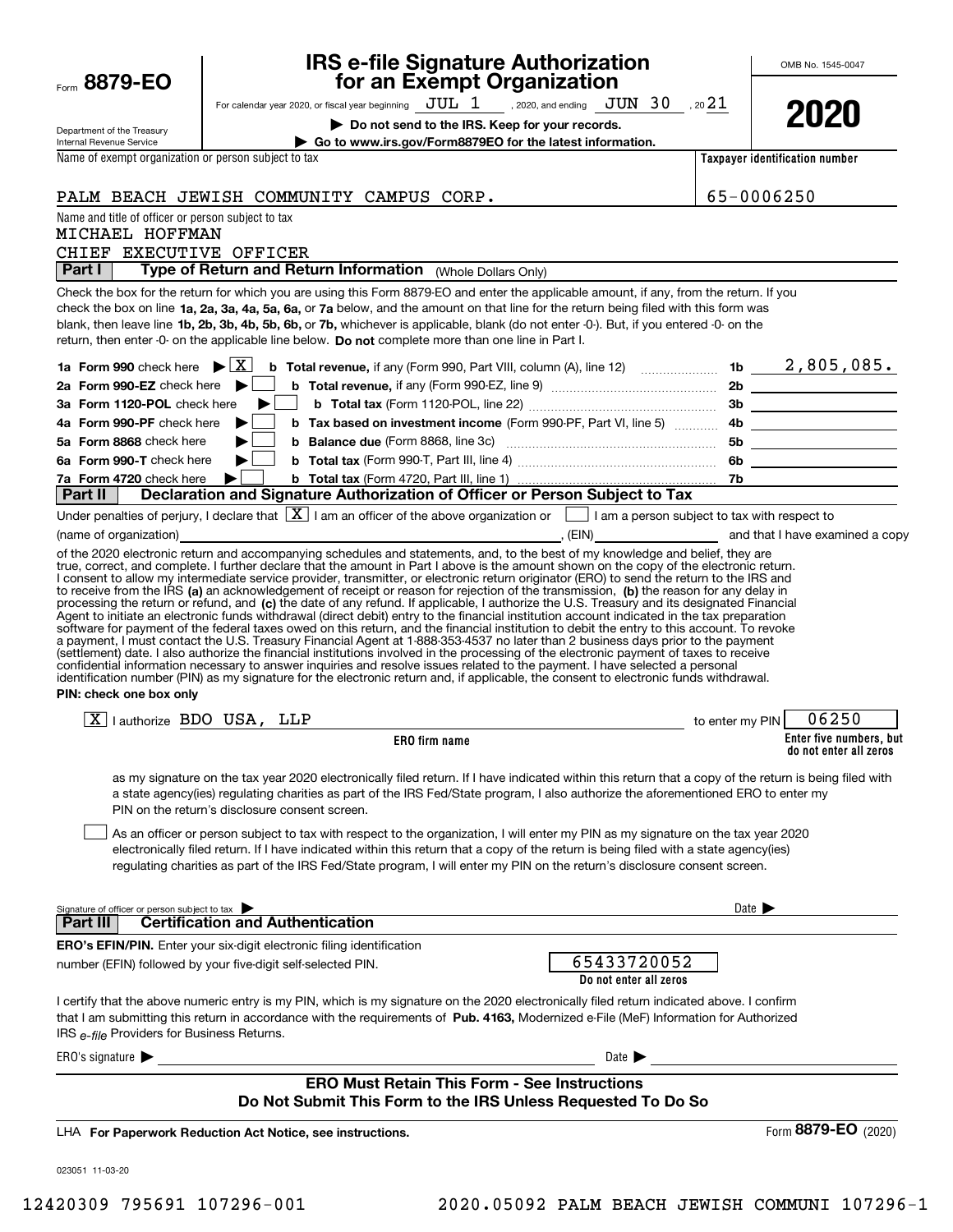| Form 8879-EO                                           | <b>IRS e-file Signature Authorization<br/>for an Exempt Organization</b>                                                                                                                                                                                                                                                                                                                                                                                                                                                                                                                                                                                                                                                                                                                                                                                                                                                                                                                        |                            | OMB No. 1545-0047              |
|--------------------------------------------------------|-------------------------------------------------------------------------------------------------------------------------------------------------------------------------------------------------------------------------------------------------------------------------------------------------------------------------------------------------------------------------------------------------------------------------------------------------------------------------------------------------------------------------------------------------------------------------------------------------------------------------------------------------------------------------------------------------------------------------------------------------------------------------------------------------------------------------------------------------------------------------------------------------------------------------------------------------------------------------------------------------|----------------------------|--------------------------------|
|                                                        | For calendar year 2020, or fiscal year beginning $JUL$ $1$ , 2020, and ending $JUN$ $30$ , 20 $21$                                                                                                                                                                                                                                                                                                                                                                                                                                                                                                                                                                                                                                                                                                                                                                                                                                                                                              |                            |                                |
|                                                        | Do not send to the IRS. Keep for your records.                                                                                                                                                                                                                                                                                                                                                                                                                                                                                                                                                                                                                                                                                                                                                                                                                                                                                                                                                  |                            | 2020                           |
| Department of the Treasury<br>Internal Revenue Service | Go to www.irs.gov/Form8879EO for the latest information.                                                                                                                                                                                                                                                                                                                                                                                                                                                                                                                                                                                                                                                                                                                                                                                                                                                                                                                                        |                            |                                |
| Name of exempt organization or person subject to tax   |                                                                                                                                                                                                                                                                                                                                                                                                                                                                                                                                                                                                                                                                                                                                                                                                                                                                                                                                                                                                 |                            | Taxpayer identification number |
|                                                        | PALM BEACH JEWISH COMMUNITY CAMPUS CORP.                                                                                                                                                                                                                                                                                                                                                                                                                                                                                                                                                                                                                                                                                                                                                                                                                                                                                                                                                        |                            | 65-0006250                     |
| Name and title of officer or person subject to tax     |                                                                                                                                                                                                                                                                                                                                                                                                                                                                                                                                                                                                                                                                                                                                                                                                                                                                                                                                                                                                 |                            |                                |
| MICHAEL HOFFMAN                                        |                                                                                                                                                                                                                                                                                                                                                                                                                                                                                                                                                                                                                                                                                                                                                                                                                                                                                                                                                                                                 |                            |                                |
| CHIEF EXECUTIVE OFFICER                                |                                                                                                                                                                                                                                                                                                                                                                                                                                                                                                                                                                                                                                                                                                                                                                                                                                                                                                                                                                                                 |                            |                                |
| Part I                                                 | Type of Return and Return Information (Whole Dollars Only)                                                                                                                                                                                                                                                                                                                                                                                                                                                                                                                                                                                                                                                                                                                                                                                                                                                                                                                                      |                            |                                |
|                                                        | Check the box for the return for which you are using this Form 8879-EO and enter the applicable amount, if any, from the return. If you<br>check the box on line 1a, 2a, 3a, 4a, 5a, 6a, or 7a below, and the amount on that line for the return being filed with this form was<br>blank, then leave line 1b, 2b, 3b, 4b, 5b, 6b, or 7b, whichever is applicable, blank (do not enter -0-). But, if you entered -0- on the<br>return, then enter -0- on the applicable line below. Do not complete more than one line in Part I.                                                                                                                                                                                                                                                                                                                                                                                                                                                                |                            |                                |
|                                                        |                                                                                                                                                                                                                                                                                                                                                                                                                                                                                                                                                                                                                                                                                                                                                                                                                                                                                                                                                                                                 |                            |                                |
| 2a Form 990-EZ check here $\blacktriangleright$        |                                                                                                                                                                                                                                                                                                                                                                                                                                                                                                                                                                                                                                                                                                                                                                                                                                                                                                                                                                                                 |                            |                                |
| 3a Form 1120-POL check here                            | ▶                                                                                                                                                                                                                                                                                                                                                                                                                                                                                                                                                                                                                                                                                                                                                                                                                                                                                                                                                                                               |                            |                                |
| 4a Form 990-PF check here                              | ▶                                                                                                                                                                                                                                                                                                                                                                                                                                                                                                                                                                                                                                                                                                                                                                                                                                                                                                                                                                                               |                            |                                |
| 5a Form 8868 check here                                | ▶                                                                                                                                                                                                                                                                                                                                                                                                                                                                                                                                                                                                                                                                                                                                                                                                                                                                                                                                                                                               |                            |                                |
| 6a Form 990-T check here                               | ▶∣                                                                                                                                                                                                                                                                                                                                                                                                                                                                                                                                                                                                                                                                                                                                                                                                                                                                                                                                                                                              |                            |                                |
| 7a Form 4720 check here<br>Part II                     | ▶<br>Declaration and Signature Authorization of Officer or Person Subject to Tax                                                                                                                                                                                                                                                                                                                                                                                                                                                                                                                                                                                                                                                                                                                                                                                                                                                                                                                |                            |                                |
|                                                        | Under penalties of perjury, I declare that $\boxed{\mathbf{X}}$ I am an officer of the above organization or $\boxed{\phantom{\mathbf{X}}}$ I am a person subject to tax with respect to                                                                                                                                                                                                                                                                                                                                                                                                                                                                                                                                                                                                                                                                                                                                                                                                        |                            |                                |
|                                                        |                                                                                                                                                                                                                                                                                                                                                                                                                                                                                                                                                                                                                                                                                                                                                                                                                                                                                                                                                                                                 |                            |                                |
| PIN: check one box only                                | processing the return or refund, and (c) the date of any refund. If applicable, I authorize the U.S. Treasury and its designated Financial<br>Agent to initiate an electronic funds withdrawal (direct debit) entry to the financial institution account indicated in the tax preparation<br>software for payment of the federal taxes owed on this return, and the financial institution to debit the entry to this account. To revoke<br>a payment, I must contact the U.S. Treasury Financial Agent at 1-888-353-4537 no later than 2 business days prior to the payment<br>(settlement) date. I also authorize the financial institutions involved in the processing of the electronic payment of taxes to receive<br>confidential information necessary to answer inquiries and resolve issues related to the payment. I have selected a personal<br>identification number (PIN) as my signature for the electronic return and, if applicable, the consent to electronic funds withdrawal. |                            | 06250                          |
| $\boxed{\text{X}}$   authorize BDO USA, LLP            | to enter my PIN                                                                                                                                                                                                                                                                                                                                                                                                                                                                                                                                                                                                                                                                                                                                                                                                                                                                                                                                                                                 |                            | Enter five numbers, but        |
|                                                        | ERO firm name                                                                                                                                                                                                                                                                                                                                                                                                                                                                                                                                                                                                                                                                                                                                                                                                                                                                                                                                                                                   |                            | do not enter all zeros         |
|                                                        | as my signature on the tax year 2020 electronically filed return. If I have indicated within this return that a copy of the return is being filed with<br>a state agency(ies) regulating charities as part of the IRS Fed/State program, I also authorize the aforementioned ERO to enter my<br>PIN on the return's disclosure consent screen.<br>As an officer or person subject to tax with respect to the organization, I will enter my PIN as my signature on the tax year 2020<br>electronically filed return. If I have indicated within this return that a copy of the return is being filed with a state agency(ies)<br>regulating charities as part of the IRS Fed/State program, I will enter my PIN on the return's disclosure consent screen.                                                                                                                                                                                                                                       |                            |                                |
| Signature of officer or person subject to tax          |                                                                                                                                                                                                                                                                                                                                                                                                                                                                                                                                                                                                                                                                                                                                                                                                                                                                                                                                                                                                 | Date $\blacktriangleright$ |                                |
| Part III                                               | <b>Certification and Authentication</b>                                                                                                                                                                                                                                                                                                                                                                                                                                                                                                                                                                                                                                                                                                                                                                                                                                                                                                                                                         |                            |                                |
|                                                        | <b>ERO's EFIN/PIN.</b> Enter your six-digit electronic filing identification                                                                                                                                                                                                                                                                                                                                                                                                                                                                                                                                                                                                                                                                                                                                                                                                                                                                                                                    |                            |                                |
|                                                        | 65433720052<br>number (EFIN) followed by your five-digit self-selected PIN.<br>Do not enter all zeros                                                                                                                                                                                                                                                                                                                                                                                                                                                                                                                                                                                                                                                                                                                                                                                                                                                                                           |                            |                                |
| IRS e-file Providers for Business Returns.             | I certify that the above numeric entry is my PIN, which is my signature on the 2020 electronically filed return indicated above. I confirm<br>that I am submitting this return in accordance with the requirements of Pub. 4163, Modernized e-File (MeF) Information for Authorized                                                                                                                                                                                                                                                                                                                                                                                                                                                                                                                                                                                                                                                                                                             |                            |                                |
| ERO's signature $\blacktriangleright$                  | Date $\blacktriangleright$                                                                                                                                                                                                                                                                                                                                                                                                                                                                                                                                                                                                                                                                                                                                                                                                                                                                                                                                                                      |                            |                                |
|                                                        | <b>ERO Must Retain This Form - See Instructions</b><br>Do Not Submit This Form to the IRS Unless Requested To Do So                                                                                                                                                                                                                                                                                                                                                                                                                                                                                                                                                                                                                                                                                                                                                                                                                                                                             |                            |                                |
|                                                        | LHA For Paperwork Reduction Act Notice, see instructions.                                                                                                                                                                                                                                                                                                                                                                                                                                                                                                                                                                                                                                                                                                                                                                                                                                                                                                                                       |                            | Form 8879-EO (2020)            |
| 023051 11-03-20                                        |                                                                                                                                                                                                                                                                                                                                                                                                                                                                                                                                                                                                                                                                                                                                                                                                                                                                                                                                                                                                 |                            |                                |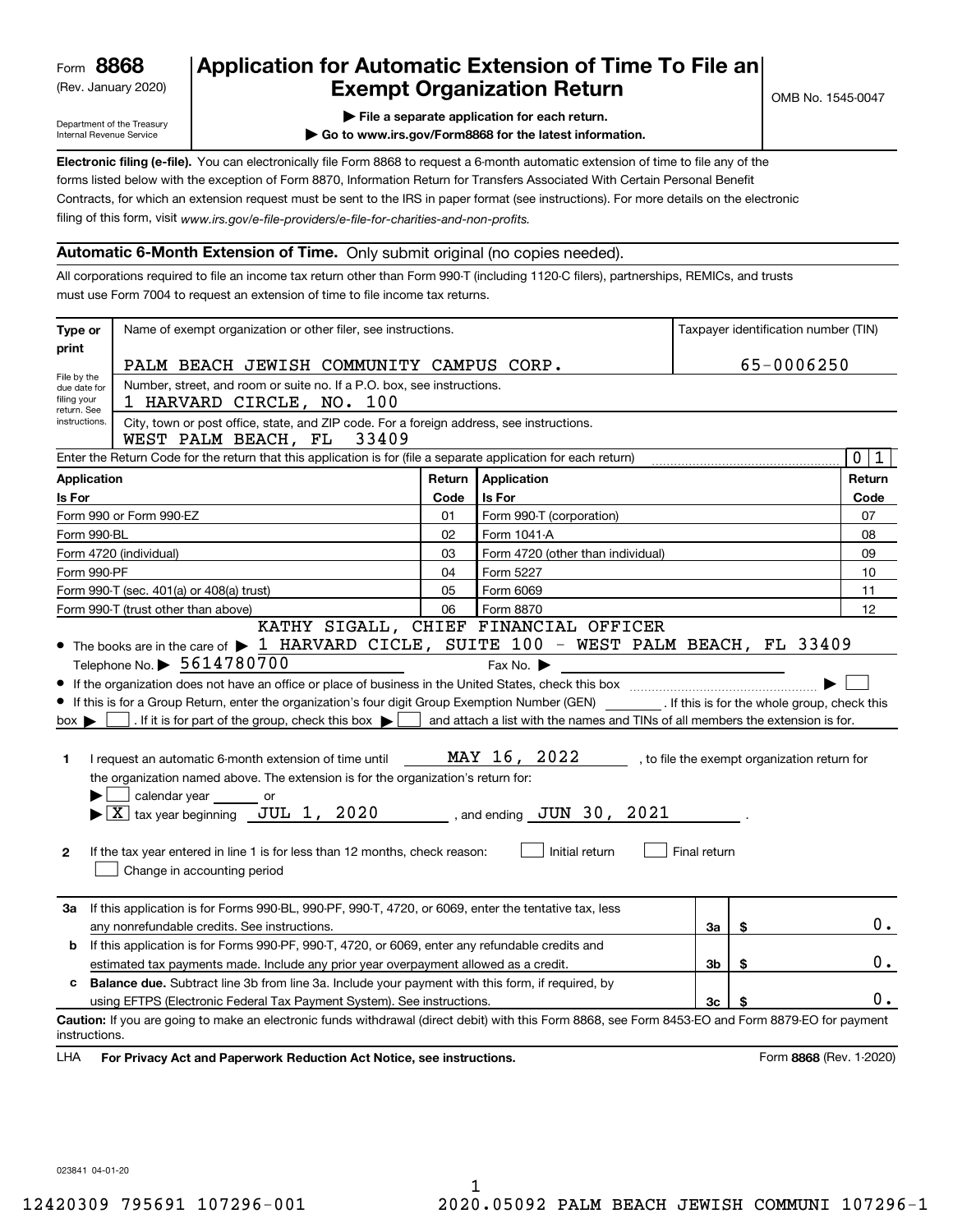(Rev. January 2020)

#### **Application for Automatic Extension of Time To File an Exempt Organization Return**

Department of the Treasury Internal Revenue Service

**| Go to www.irs.gov/Form8868 for the latest information.**

**Electronic filing (e-file).**  You can electronically file Form 8868 to request a 6-month automatic extension of time to file any of the filing of this form, visit www.irs.gov/e-file-providers/e-file-for-charities-and-non-profits. forms listed below with the exception of Form 8870, Information Return for Transfers Associated With Certain Personal Benefit Contracts, for which an extension request must be sent to the IRS in paper format (see instructions). For more details on the electronic

#### **Automatic 6-Month Extension of Time.** Only submit original (no copies needed).

All corporations required to file an income tax return other than Form 990-T (including 1120-C filers), partnerships, REMICs, and trusts must use Form 7004 to request an extension of time to file income tax returns.

| Type or                                        | Name of exempt organization or other filer, see instructions.                                                                                                                                                                                                                                                                                                                                                                                                                                                                                                                                                                                                                                                                         |        |                                                                                                                                                                                    |              |    | Taxpayer identification number (TIN)         |
|------------------------------------------------|---------------------------------------------------------------------------------------------------------------------------------------------------------------------------------------------------------------------------------------------------------------------------------------------------------------------------------------------------------------------------------------------------------------------------------------------------------------------------------------------------------------------------------------------------------------------------------------------------------------------------------------------------------------------------------------------------------------------------------------|--------|------------------------------------------------------------------------------------------------------------------------------------------------------------------------------------|--------------|----|----------------------------------------------|
| print                                          | PALM BEACH JEWISH COMMUNITY CAMPUS CORP.                                                                                                                                                                                                                                                                                                                                                                                                                                                                                                                                                                                                                                                                                              |        |                                                                                                                                                                                    |              |    |                                              |
| File by the<br>due date for                    | 65-0006250<br>Number, street, and room or suite no. If a P.O. box, see instructions.                                                                                                                                                                                                                                                                                                                                                                                                                                                                                                                                                                                                                                                  |        |                                                                                                                                                                                    |              |    |                                              |
| filing your                                    | 1 HARVARD CIRCLE, NO. 100                                                                                                                                                                                                                                                                                                                                                                                                                                                                                                                                                                                                                                                                                                             |        |                                                                                                                                                                                    |              |    |                                              |
| return. See<br>instructions.                   | City, town or post office, state, and ZIP code. For a foreign address, see instructions.                                                                                                                                                                                                                                                                                                                                                                                                                                                                                                                                                                                                                                              |        |                                                                                                                                                                                    |              |    |                                              |
|                                                | WEST PALM BEACH, FL<br>33409                                                                                                                                                                                                                                                                                                                                                                                                                                                                                                                                                                                                                                                                                                          |        |                                                                                                                                                                                    |              |    |                                              |
|                                                | Enter the Return Code for the return that this application is for (file a separate application for each return)                                                                                                                                                                                                                                                                                                                                                                                                                                                                                                                                                                                                                       |        |                                                                                                                                                                                    |              |    | $\overline{0}$<br>1                          |
| <b>Application</b>                             |                                                                                                                                                                                                                                                                                                                                                                                                                                                                                                                                                                                                                                                                                                                                       | Return | Application                                                                                                                                                                        |              |    | Return                                       |
| Is For                                         |                                                                                                                                                                                                                                                                                                                                                                                                                                                                                                                                                                                                                                                                                                                                       | Code   | Is For                                                                                                                                                                             |              |    | Code                                         |
|                                                | Form 990 or Form 990-EZ                                                                                                                                                                                                                                                                                                                                                                                                                                                                                                                                                                                                                                                                                                               | 01     | Form 990-T (corporation)                                                                                                                                                           |              |    | 07                                           |
| Form 990-BL                                    |                                                                                                                                                                                                                                                                                                                                                                                                                                                                                                                                                                                                                                                                                                                                       | 02     | Form 1041-A                                                                                                                                                                        |              |    | 08                                           |
|                                                | Form 4720 (individual)                                                                                                                                                                                                                                                                                                                                                                                                                                                                                                                                                                                                                                                                                                                | 03     | Form 4720 (other than individual)                                                                                                                                                  |              |    | 09                                           |
| Form 990-PF                                    |                                                                                                                                                                                                                                                                                                                                                                                                                                                                                                                                                                                                                                                                                                                                       | 04     | Form 5227                                                                                                                                                                          |              |    | 10                                           |
|                                                | Form 990-T (sec. 401(a) or 408(a) trust)                                                                                                                                                                                                                                                                                                                                                                                                                                                                                                                                                                                                                                                                                              | 05     | Form 6069                                                                                                                                                                          |              |    | 11                                           |
|                                                | Form 990-T (trust other than above)                                                                                                                                                                                                                                                                                                                                                                                                                                                                                                                                                                                                                                                                                                   | 06     | Form 8870<br>KATHY SIGALL, CHIEF FINANCIAL OFFICER                                                                                                                                 |              |    | 12                                           |
| $box \blacktriangleright$<br>1<br>$\mathbf{2}$ | • The books are in the care of > 1 HARVARD CICLE, SUITE 100 - WEST PALM BEACH, FL 33409<br>Telephone No. > 5614780700<br>If this is for a Group Return, enter the organization's four digit Group Exemption Number (GEN) __________. If this is for the whole group, check this<br>. If it is for part of the group, check this box $\blacktriangleright$<br>I request an automatic 6-month extension of time until<br>the organization named above. The extension is for the organization's return for:<br>calendar year<br>or<br>$\blacktriangleright$ $ \underline{X} $ tax year beginning $\underline{JUL}$ 1, 2020<br>If the tax year entered in line 1 is for less than 12 months, check reason:<br>Change in accounting period |        | Fax No. $\blacktriangleright$<br>and attach a list with the names and TINs of all members the extension is for.<br>MAY 16, 2022<br>, and ending $JUN$ 30, $2021$<br>Initial return | Final return |    | , to file the exempt organization return for |
| За                                             | If this application is for Forms 990-BL, 990-PF, 990-T, 4720, or 6069, enter the tentative tax, less<br>any nonrefundable credits. See instructions.                                                                                                                                                                                                                                                                                                                                                                                                                                                                                                                                                                                  |        |                                                                                                                                                                                    | За           | \$ | $0$ .                                        |
| b                                              | If this application is for Forms 990-PF, 990-T, 4720, or 6069, enter any refundable credits and                                                                                                                                                                                                                                                                                                                                                                                                                                                                                                                                                                                                                                       |        |                                                                                                                                                                                    |              |    |                                              |
|                                                | estimated tax payments made. Include any prior year overpayment allowed as a credit.                                                                                                                                                                                                                                                                                                                                                                                                                                                                                                                                                                                                                                                  |        |                                                                                                                                                                                    | Зb           | \$ | 0.                                           |
| c                                              | <b>Balance due.</b> Subtract line 3b from line 3a. Include your payment with this form, if required, by                                                                                                                                                                                                                                                                                                                                                                                                                                                                                                                                                                                                                               |        |                                                                                                                                                                                    |              |    |                                              |
|                                                | using EFTPS (Electronic Federal Tax Payment System). See instructions.                                                                                                                                                                                                                                                                                                                                                                                                                                                                                                                                                                                                                                                                |        |                                                                                                                                                                                    | Зc           | \$ | 0.                                           |
| instructions.                                  | Caution: If you are going to make an electronic funds withdrawal (direct debit) with this Form 8868, see Form 8453-EO and Form 8879-EO for payment                                                                                                                                                                                                                                                                                                                                                                                                                                                                                                                                                                                    |        |                                                                                                                                                                                    |              |    |                                              |
| LHA                                            | For Privacy Act and Paperwork Reduction Act Notice, see instructions.                                                                                                                                                                                                                                                                                                                                                                                                                                                                                                                                                                                                                                                                 |        |                                                                                                                                                                                    |              |    | Form 8868 (Rev. 1-2020)                      |

023841 04-01-20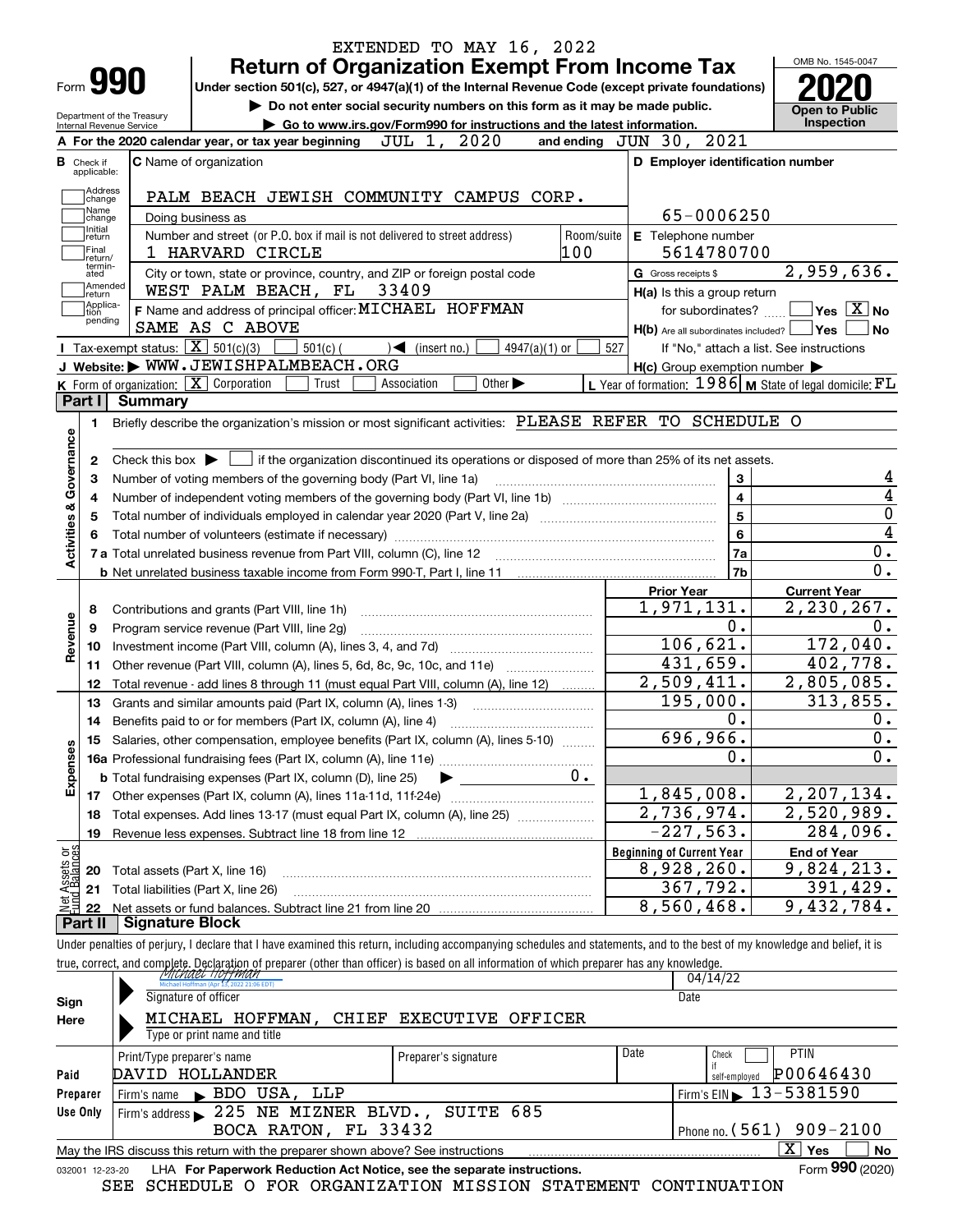| <b>Return of Organization Exempt From Income Tax</b><br>Form 990<br>Under section 501(c), 527, or 4947(a)(1) of the Internal Revenue Code (except private foundations)<br>Do not enter social security numbers on this form as it may be made public.<br>Department of the Treasury<br>Go to www.irs.gov/Form990 for instructions and the latest information.<br>Internal Revenue Service<br>JUL 1, 2020<br>A For the 2020 calendar year, or tax year beginning<br><b>C</b> Name of organization<br>PALM BEACH JEWISH COMMUNITY CAMPUS CORP.<br>Doing business as<br>Number and street (or P.O. box if mail is not delivered to street address)<br>1 HARVARD CIRCLE<br>City or town, state or province, country, and ZIP or foreign postal code<br>WEST PALM BEACH, FL<br>33409<br>F Name and address of principal officer: MICHAEL HOFFMAN<br>SAME AS C ABOVE<br><b>I</b> Tax-exempt status: $\boxed{\mathbf{X}}$ 501(c)(3)<br>$501(c)$ (<br>$4947(a)(1)$ or<br>$\leq$ (insert no.)<br>J Website: WWW.JEWISHPALMBEACH.ORG<br>K Form of organization: X Corporation<br>Other $\blacktriangleright$<br>Trust<br>Association<br><b>Summary</b><br>Briefly describe the organization's mission or most significant activities: PLEASE REFER TO SCHEDULE O<br>Check this box $\triangleright$ $\blacksquare$ if the organization discontinued its operations or disposed of more than 25% of its net assets. | Room/suite<br>100                                                                                                                                                                                                                          | and ending JUN 30, 2021<br>D Employer identification number<br>65-0006250<br>E Telephone number<br>5614780700<br>G Gross receipts \$<br>H(a) Is this a group return<br>for subordinates?<br>$H(b)$ Are all subordinates included? $\Box$ Yes<br>527<br>$H(c)$ Group exemption number $\blacktriangleright$<br>L Year of formation: $1986$ M State of legal domicile: $FL$ | OMB No. 1545-0047<br><b>Open to Public</b><br>Inspection<br>2,959,636.<br>$\sqrt{}$ Yes $\sqrt{}$ $\overline{\text{X}}$ No<br>∣No<br>If "No," attach a list. See instructions                                                                                                                                                                                                                                                                                                                                                                                                                                                                               |
|----------------------------------------------------------------------------------------------------------------------------------------------------------------------------------------------------------------------------------------------------------------------------------------------------------------------------------------------------------------------------------------------------------------------------------------------------------------------------------------------------------------------------------------------------------------------------------------------------------------------------------------------------------------------------------------------------------------------------------------------------------------------------------------------------------------------------------------------------------------------------------------------------------------------------------------------------------------------------------------------------------------------------------------------------------------------------------------------------------------------------------------------------------------------------------------------------------------------------------------------------------------------------------------------------------------------------------------------------------------------------------------------------------|--------------------------------------------------------------------------------------------------------------------------------------------------------------------------------------------------------------------------------------------|---------------------------------------------------------------------------------------------------------------------------------------------------------------------------------------------------------------------------------------------------------------------------------------------------------------------------------------------------------------------------|-------------------------------------------------------------------------------------------------------------------------------------------------------------------------------------------------------------------------------------------------------------------------------------------------------------------------------------------------------------------------------------------------------------------------------------------------------------------------------------------------------------------------------------------------------------------------------------------------------------------------------------------------------------|
|                                                                                                                                                                                                                                                                                                                                                                                                                                                                                                                                                                                                                                                                                                                                                                                                                                                                                                                                                                                                                                                                                                                                                                                                                                                                                                                                                                                                          |                                                                                                                                                                                                                                            |                                                                                                                                                                                                                                                                                                                                                                           |                                                                                                                                                                                                                                                                                                                                                                                                                                                                                                                                                                                                                                                             |
|                                                                                                                                                                                                                                                                                                                                                                                                                                                                                                                                                                                                                                                                                                                                                                                                                                                                                                                                                                                                                                                                                                                                                                                                                                                                                                                                                                                                          |                                                                                                                                                                                                                                            |                                                                                                                                                                                                                                                                                                                                                                           |                                                                                                                                                                                                                                                                                                                                                                                                                                                                                                                                                                                                                                                             |
|                                                                                                                                                                                                                                                                                                                                                                                                                                                                                                                                                                                                                                                                                                                                                                                                                                                                                                                                                                                                                                                                                                                                                                                                                                                                                                                                                                                                          |                                                                                                                                                                                                                                            |                                                                                                                                                                                                                                                                                                                                                                           |                                                                                                                                                                                                                                                                                                                                                                                                                                                                                                                                                                                                                                                             |
|                                                                                                                                                                                                                                                                                                                                                                                                                                                                                                                                                                                                                                                                                                                                                                                                                                                                                                                                                                                                                                                                                                                                                                                                                                                                                                                                                                                                          |                                                                                                                                                                                                                                            |                                                                                                                                                                                                                                                                                                                                                                           |                                                                                                                                                                                                                                                                                                                                                                                                                                                                                                                                                                                                                                                             |
|                                                                                                                                                                                                                                                                                                                                                                                                                                                                                                                                                                                                                                                                                                                                                                                                                                                                                                                                                                                                                                                                                                                                                                                                                                                                                                                                                                                                          |                                                                                                                                                                                                                                            |                                                                                                                                                                                                                                                                                                                                                                           |                                                                                                                                                                                                                                                                                                                                                                                                                                                                                                                                                                                                                                                             |
|                                                                                                                                                                                                                                                                                                                                                                                                                                                                                                                                                                                                                                                                                                                                                                                                                                                                                                                                                                                                                                                                                                                                                                                                                                                                                                                                                                                                          |                                                                                                                                                                                                                                            |                                                                                                                                                                                                                                                                                                                                                                           |                                                                                                                                                                                                                                                                                                                                                                                                                                                                                                                                                                                                                                                             |
|                                                                                                                                                                                                                                                                                                                                                                                                                                                                                                                                                                                                                                                                                                                                                                                                                                                                                                                                                                                                                                                                                                                                                                                                                                                                                                                                                                                                          |                                                                                                                                                                                                                                            |                                                                                                                                                                                                                                                                                                                                                                           |                                                                                                                                                                                                                                                                                                                                                                                                                                                                                                                                                                                                                                                             |
|                                                                                                                                                                                                                                                                                                                                                                                                                                                                                                                                                                                                                                                                                                                                                                                                                                                                                                                                                                                                                                                                                                                                                                                                                                                                                                                                                                                                          |                                                                                                                                                                                                                                            |                                                                                                                                                                                                                                                                                                                                                                           |                                                                                                                                                                                                                                                                                                                                                                                                                                                                                                                                                                                                                                                             |
|                                                                                                                                                                                                                                                                                                                                                                                                                                                                                                                                                                                                                                                                                                                                                                                                                                                                                                                                                                                                                                                                                                                                                                                                                                                                                                                                                                                                          |                                                                                                                                                                                                                                            |                                                                                                                                                                                                                                                                                                                                                                           |                                                                                                                                                                                                                                                                                                                                                                                                                                                                                                                                                                                                                                                             |
|                                                                                                                                                                                                                                                                                                                                                                                                                                                                                                                                                                                                                                                                                                                                                                                                                                                                                                                                                                                                                                                                                                                                                                                                                                                                                                                                                                                                          |                                                                                                                                                                                                                                            |                                                                                                                                                                                                                                                                                                                                                                           |                                                                                                                                                                                                                                                                                                                                                                                                                                                                                                                                                                                                                                                             |
|                                                                                                                                                                                                                                                                                                                                                                                                                                                                                                                                                                                                                                                                                                                                                                                                                                                                                                                                                                                                                                                                                                                                                                                                                                                                                                                                                                                                          |                                                                                                                                                                                                                                            |                                                                                                                                                                                                                                                                                                                                                                           |                                                                                                                                                                                                                                                                                                                                                                                                                                                                                                                                                                                                                                                             |
|                                                                                                                                                                                                                                                                                                                                                                                                                                                                                                                                                                                                                                                                                                                                                                                                                                                                                                                                                                                                                                                                                                                                                                                                                                                                                                                                                                                                          |                                                                                                                                                                                                                                            |                                                                                                                                                                                                                                                                                                                                                                           |                                                                                                                                                                                                                                                                                                                                                                                                                                                                                                                                                                                                                                                             |
|                                                                                                                                                                                                                                                                                                                                                                                                                                                                                                                                                                                                                                                                                                                                                                                                                                                                                                                                                                                                                                                                                                                                                                                                                                                                                                                                                                                                          |                                                                                                                                                                                                                                            |                                                                                                                                                                                                                                                                                                                                                                           |                                                                                                                                                                                                                                                                                                                                                                                                                                                                                                                                                                                                                                                             |
|                                                                                                                                                                                                                                                                                                                                                                                                                                                                                                                                                                                                                                                                                                                                                                                                                                                                                                                                                                                                                                                                                                                                                                                                                                                                                                                                                                                                          |                                                                                                                                                                                                                                            |                                                                                                                                                                                                                                                                                                                                                                           |                                                                                                                                                                                                                                                                                                                                                                                                                                                                                                                                                                                                                                                             |
|                                                                                                                                                                                                                                                                                                                                                                                                                                                                                                                                                                                                                                                                                                                                                                                                                                                                                                                                                                                                                                                                                                                                                                                                                                                                                                                                                                                                          |                                                                                                                                                                                                                                            |                                                                                                                                                                                                                                                                                                                                                                           |                                                                                                                                                                                                                                                                                                                                                                                                                                                                                                                                                                                                                                                             |
|                                                                                                                                                                                                                                                                                                                                                                                                                                                                                                                                                                                                                                                                                                                                                                                                                                                                                                                                                                                                                                                                                                                                                                                                                                                                                                                                                                                                          |                                                                                                                                                                                                                                            |                                                                                                                                                                                                                                                                                                                                                                           |                                                                                                                                                                                                                                                                                                                                                                                                                                                                                                                                                                                                                                                             |
|                                                                                                                                                                                                                                                                                                                                                                                                                                                                                                                                                                                                                                                                                                                                                                                                                                                                                                                                                                                                                                                                                                                                                                                                                                                                                                                                                                                                          |                                                                                                                                                                                                                                            |                                                                                                                                                                                                                                                                                                                                                                           |                                                                                                                                                                                                                                                                                                                                                                                                                                                                                                                                                                                                                                                             |
|                                                                                                                                                                                                                                                                                                                                                                                                                                                                                                                                                                                                                                                                                                                                                                                                                                                                                                                                                                                                                                                                                                                                                                                                                                                                                                                                                                                                          |                                                                                                                                                                                                                                            |                                                                                                                                                                                                                                                                                                                                                                           |                                                                                                                                                                                                                                                                                                                                                                                                                                                                                                                                                                                                                                                             |
|                                                                                                                                                                                                                                                                                                                                                                                                                                                                                                                                                                                                                                                                                                                                                                                                                                                                                                                                                                                                                                                                                                                                                                                                                                                                                                                                                                                                          |                                                                                                                                                                                                                                            |                                                                                                                                                                                                                                                                                                                                                                           |                                                                                                                                                                                                                                                                                                                                                                                                                                                                                                                                                                                                                                                             |
|                                                                                                                                                                                                                                                                                                                                                                                                                                                                                                                                                                                                                                                                                                                                                                                                                                                                                                                                                                                                                                                                                                                                                                                                                                                                                                                                                                                                          |                                                                                                                                                                                                                                            |                                                                                                                                                                                                                                                                                                                                                                           |                                                                                                                                                                                                                                                                                                                                                                                                                                                                                                                                                                                                                                                             |
|                                                                                                                                                                                                                                                                                                                                                                                                                                                                                                                                                                                                                                                                                                                                                                                                                                                                                                                                                                                                                                                                                                                                                                                                                                                                                                                                                                                                          |                                                                                                                                                                                                                                            | 5<br>$\bf{6}$<br>7a                                                                                                                                                                                                                                                                                                                                                       |                                                                                                                                                                                                                                                                                                                                                                                                                                                                                                                                                                                                                                                             |
|                                                                                                                                                                                                                                                                                                                                                                                                                                                                                                                                                                                                                                                                                                                                                                                                                                                                                                                                                                                                                                                                                                                                                                                                                                                                                                                                                                                                          |                                                                                                                                                                                                                                            | 7b                                                                                                                                                                                                                                                                                                                                                                        |                                                                                                                                                                                                                                                                                                                                                                                                                                                                                                                                                                                                                                                             |
|                                                                                                                                                                                                                                                                                                                                                                                                                                                                                                                                                                                                                                                                                                                                                                                                                                                                                                                                                                                                                                                                                                                                                                                                                                                                                                                                                                                                          |                                                                                                                                                                                                                                            | <b>Prior Year</b>                                                                                                                                                                                                                                                                                                                                                         | <b>Current Year</b>                                                                                                                                                                                                                                                                                                                                                                                                                                                                                                                                                                                                                                         |
| Contributions and grants (Part VIII, line 1h)                                                                                                                                                                                                                                                                                                                                                                                                                                                                                                                                                                                                                                                                                                                                                                                                                                                                                                                                                                                                                                                                                                                                                                                                                                                                                                                                                            |                                                                                                                                                                                                                                            |                                                                                                                                                                                                                                                                                                                                                                           | 2,230,267.                                                                                                                                                                                                                                                                                                                                                                                                                                                                                                                                                                                                                                                  |
| Program service revenue (Part VIII, line 2g)                                                                                                                                                                                                                                                                                                                                                                                                                                                                                                                                                                                                                                                                                                                                                                                                                                                                                                                                                                                                                                                                                                                                                                                                                                                                                                                                                             |                                                                                                                                                                                                                                            |                                                                                                                                                                                                                                                                                                                                                                           |                                                                                                                                                                                                                                                                                                                                                                                                                                                                                                                                                                                                                                                             |
|                                                                                                                                                                                                                                                                                                                                                                                                                                                                                                                                                                                                                                                                                                                                                                                                                                                                                                                                                                                                                                                                                                                                                                                                                                                                                                                                                                                                          |                                                                                                                                                                                                                                            |                                                                                                                                                                                                                                                                                                                                                                           | 172,040.                                                                                                                                                                                                                                                                                                                                                                                                                                                                                                                                                                                                                                                    |
| Other revenue (Part VIII, column (A), lines 5, 6d, 8c, 9c, 10c, and 11e)                                                                                                                                                                                                                                                                                                                                                                                                                                                                                                                                                                                                                                                                                                                                                                                                                                                                                                                                                                                                                                                                                                                                                                                                                                                                                                                                 |                                                                                                                                                                                                                                            |                                                                                                                                                                                                                                                                                                                                                                           | 402,778.                                                                                                                                                                                                                                                                                                                                                                                                                                                                                                                                                                                                                                                    |
|                                                                                                                                                                                                                                                                                                                                                                                                                                                                                                                                                                                                                                                                                                                                                                                                                                                                                                                                                                                                                                                                                                                                                                                                                                                                                                                                                                                                          |                                                                                                                                                                                                                                            |                                                                                                                                                                                                                                                                                                                                                                           | 2,805,085.                                                                                                                                                                                                                                                                                                                                                                                                                                                                                                                                                                                                                                                  |
| Grants and similar amounts paid (Part IX, column (A), lines 1-3)                                                                                                                                                                                                                                                                                                                                                                                                                                                                                                                                                                                                                                                                                                                                                                                                                                                                                                                                                                                                                                                                                                                                                                                                                                                                                                                                         |                                                                                                                                                                                                                                            |                                                                                                                                                                                                                                                                                                                                                                           | 313,855.                                                                                                                                                                                                                                                                                                                                                                                                                                                                                                                                                                                                                                                    |
| Benefits paid to or for members (Part IX, column (A), line 4)                                                                                                                                                                                                                                                                                                                                                                                                                                                                                                                                                                                                                                                                                                                                                                                                                                                                                                                                                                                                                                                                                                                                                                                                                                                                                                                                            |                                                                                                                                                                                                                                            |                                                                                                                                                                                                                                                                                                                                                                           |                                                                                                                                                                                                                                                                                                                                                                                                                                                                                                                                                                                                                                                             |
|                                                                                                                                                                                                                                                                                                                                                                                                                                                                                                                                                                                                                                                                                                                                                                                                                                                                                                                                                                                                                                                                                                                                                                                                                                                                                                                                                                                                          |                                                                                                                                                                                                                                            |                                                                                                                                                                                                                                                                                                                                                                           |                                                                                                                                                                                                                                                                                                                                                                                                                                                                                                                                                                                                                                                             |
|                                                                                                                                                                                                                                                                                                                                                                                                                                                                                                                                                                                                                                                                                                                                                                                                                                                                                                                                                                                                                                                                                                                                                                                                                                                                                                                                                                                                          |                                                                                                                                                                                                                                            |                                                                                                                                                                                                                                                                                                                                                                           |                                                                                                                                                                                                                                                                                                                                                                                                                                                                                                                                                                                                                                                             |
|                                                                                                                                                                                                                                                                                                                                                                                                                                                                                                                                                                                                                                                                                                                                                                                                                                                                                                                                                                                                                                                                                                                                                                                                                                                                                                                                                                                                          |                                                                                                                                                                                                                                            |                                                                                                                                                                                                                                                                                                                                                                           |                                                                                                                                                                                                                                                                                                                                                                                                                                                                                                                                                                                                                                                             |
|                                                                                                                                                                                                                                                                                                                                                                                                                                                                                                                                                                                                                                                                                                                                                                                                                                                                                                                                                                                                                                                                                                                                                                                                                                                                                                                                                                                                          |                                                                                                                                                                                                                                            |                                                                                                                                                                                                                                                                                                                                                                           | 2,207,134.                                                                                                                                                                                                                                                                                                                                                                                                                                                                                                                                                                                                                                                  |
|                                                                                                                                                                                                                                                                                                                                                                                                                                                                                                                                                                                                                                                                                                                                                                                                                                                                                                                                                                                                                                                                                                                                                                                                                                                                                                                                                                                                          |                                                                                                                                                                                                                                            |                                                                                                                                                                                                                                                                                                                                                                           | 2,520,989.                                                                                                                                                                                                                                                                                                                                                                                                                                                                                                                                                                                                                                                  |
|                                                                                                                                                                                                                                                                                                                                                                                                                                                                                                                                                                                                                                                                                                                                                                                                                                                                                                                                                                                                                                                                                                                                                                                                                                                                                                                                                                                                          |                                                                                                                                                                                                                                            |                                                                                                                                                                                                                                                                                                                                                                           | 284,096.                                                                                                                                                                                                                                                                                                                                                                                                                                                                                                                                                                                                                                                    |
|                                                                                                                                                                                                                                                                                                                                                                                                                                                                                                                                                                                                                                                                                                                                                                                                                                                                                                                                                                                                                                                                                                                                                                                                                                                                                                                                                                                                          |                                                                                                                                                                                                                                            |                                                                                                                                                                                                                                                                                                                                                                           | <b>End of Year</b>                                                                                                                                                                                                                                                                                                                                                                                                                                                                                                                                                                                                                                          |
|                                                                                                                                                                                                                                                                                                                                                                                                                                                                                                                                                                                                                                                                                                                                                                                                                                                                                                                                                                                                                                                                                                                                                                                                                                                                                                                                                                                                          |                                                                                                                                                                                                                                            |                                                                                                                                                                                                                                                                                                                                                                           | 9,824,213.                                                                                                                                                                                                                                                                                                                                                                                                                                                                                                                                                                                                                                                  |
|                                                                                                                                                                                                                                                                                                                                                                                                                                                                                                                                                                                                                                                                                                                                                                                                                                                                                                                                                                                                                                                                                                                                                                                                                                                                                                                                                                                                          |                                                                                                                                                                                                                                            |                                                                                                                                                                                                                                                                                                                                                                           | 391,429.                                                                                                                                                                                                                                                                                                                                                                                                                                                                                                                                                                                                                                                    |
|                                                                                                                                                                                                                                                                                                                                                                                                                                                                                                                                                                                                                                                                                                                                                                                                                                                                                                                                                                                                                                                                                                                                                                                                                                                                                                                                                                                                          |                                                                                                                                                                                                                                            |                                                                                                                                                                                                                                                                                                                                                                           | 9,432,784.                                                                                                                                                                                                                                                                                                                                                                                                                                                                                                                                                                                                                                                  |
|                                                                                                                                                                                                                                                                                                                                                                                                                                                                                                                                                                                                                                                                                                                                                                                                                                                                                                                                                                                                                                                                                                                                                                                                                                                                                                                                                                                                          |                                                                                                                                                                                                                                            |                                                                                                                                                                                                                                                                                                                                                                           |                                                                                                                                                                                                                                                                                                                                                                                                                                                                                                                                                                                                                                                             |
|                                                                                                                                                                                                                                                                                                                                                                                                                                                                                                                                                                                                                                                                                                                                                                                                                                                                                                                                                                                                                                                                                                                                                                                                                                                                                                                                                                                                          | Number of voting members of the governing body (Part VI, line 1a)<br><b>b</b> Total fundraising expenses (Part IX, column (D), line 25)<br>Total assets (Part X, line 16)<br>Total liabilities (Part X, line 26)<br><b>Signature Block</b> | Total revenue - add lines 8 through 11 (must equal Part VIII, column (A), line 12)<br>Salaries, other compensation, employee benefits (Part IX, column (A), lines 5-10)<br>0.<br>Total expenses. Add lines 13-17 (must equal Part IX, column (A), line 25)                                                                                                                | 3<br>$\overline{\mathbf{4}}$<br>1,971,131.<br>0.<br>106,621.<br>431,659.<br>2,509,411.<br>195,000.<br>0.<br>696,966.<br>0.<br>1,845,008.<br>2,736,974.<br>$-227,563.$<br><b>Beginning of Current Year</b><br>8,928,260.<br>367,792.<br>8,560,468.<br>Under penalties of perjury, I declare that I have examined this return, including accompanying schedules and statements, and to the best of my knowledge and belief, it is<br>true, correct, and complete. Declaration of preparer (other than officer) is based on all information of which preparer has any knowledge.<br>MICMACL (1077MAN)<br>Michael Hoffman (Apr. 13, 2022, 21:06 ED)<br>04/14/22 |

|          | Michael Hoffman (Apr 13, 2022 21:06 EDT)                                                                       |                         |                            | 04/14/22                                     |  |  |  |
|----------|----------------------------------------------------------------------------------------------------------------|-------------------------|----------------------------|----------------------------------------------|--|--|--|
| Sign     | Signature of officer                                                                                           |                         |                            | Date                                         |  |  |  |
| Here     | MICHAEL HOFFMAN.                                                                                               | CHIEF EXECUTIVE OFFICER |                            |                                              |  |  |  |
|          | Type or print name and title                                                                                   |                         |                            |                                              |  |  |  |
|          | Print/Type preparer's name                                                                                     | Preparer's signature    | Date                       | <b>PTIN</b><br>Check                         |  |  |  |
| Paid     | DAVID HOLLANDER                                                                                                |                         |                            | P00646430<br>self-emploved                   |  |  |  |
| Preparer | BDO USA, LLP<br>Firm's name                                                                                    |                         |                            | $\frac{1}{2}$ Firm's EIN $\geq 13 - 5381590$ |  |  |  |
| Use Only | Firm's address > 225 NE MIZNER BLVD., SUITE 685                                                                |                         |                            |                                              |  |  |  |
|          | BOCA RATON, FL 33432                                                                                           |                         | Phone no. $(561)$ 909-2100 |                                              |  |  |  |
|          | $\mathbf{X}$<br>∣ Yes<br>No<br>May the IRS discuss this return with the preparer shown above? See instructions |                         |                            |                                              |  |  |  |
|          | Form 990 (2020)<br>LHA For Paperwork Reduction Act Notice, see the separate instructions.<br>032001 12-23-20   |                         |                            |                                              |  |  |  |

SEE SCHEDULE O FOR ORGANIZATION MISSION STATEMENT CONTINUATION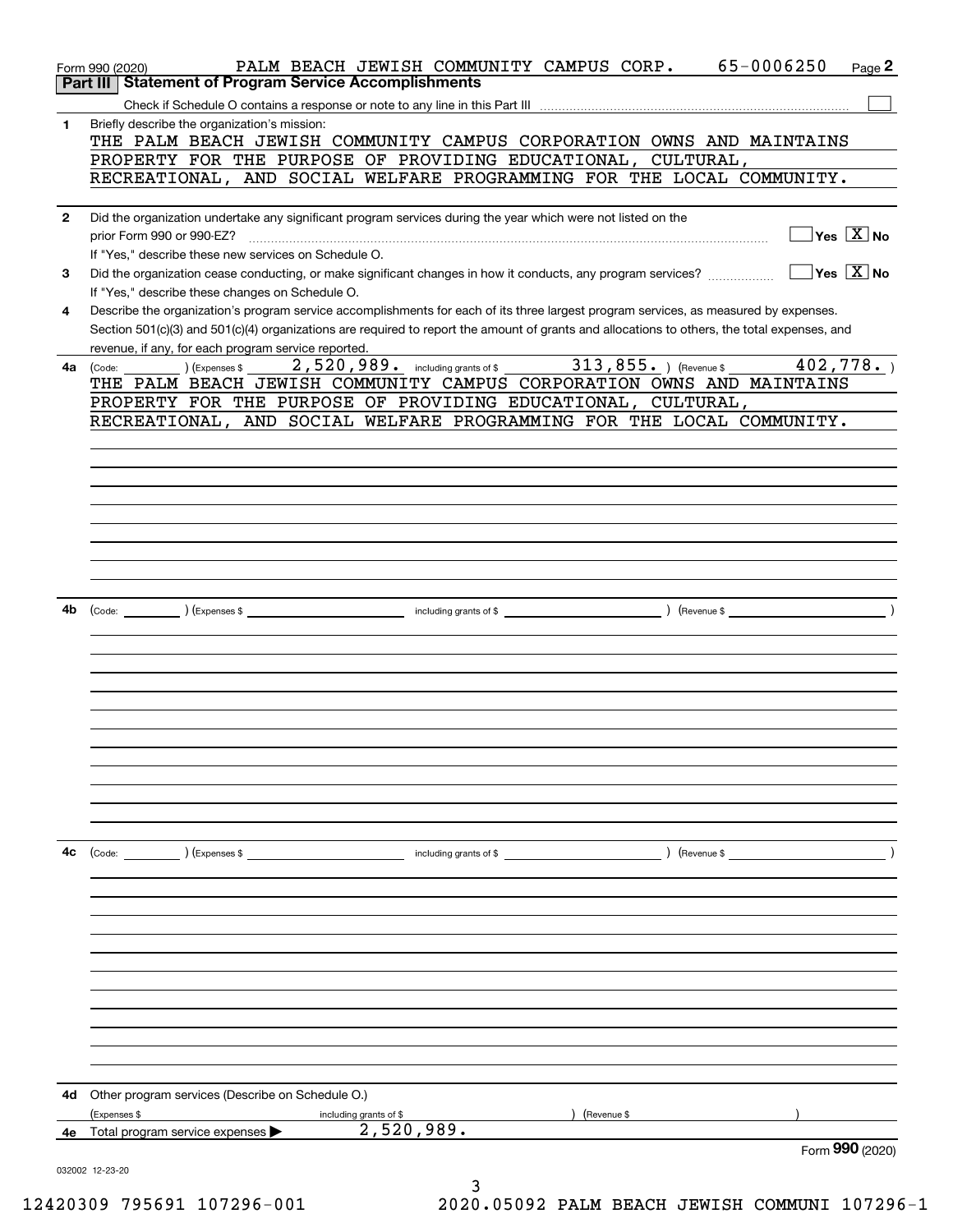|              | PALM BEACH JEWISH COMMUNITY CAMPUS CORP.<br>Form 990 (2020)                                                                                                     | 65-0006250                                      | Page 2          |
|--------------|-----------------------------------------------------------------------------------------------------------------------------------------------------------------|-------------------------------------------------|-----------------|
|              | Part III   Statement of Program Service Accomplishments                                                                                                         |                                                 |                 |
|              |                                                                                                                                                                 |                                                 |                 |
| 1            | Briefly describe the organization's mission:<br>THE PALM BEACH JEWISH COMMUNITY CAMPUS CORPORATION OWNS AND MAINTAINS                                           |                                                 |                 |
|              | PROPERTY FOR THE PURPOSE OF PROVIDING EDUCATIONAL, CULTURAL,                                                                                                    |                                                 |                 |
|              | RECREATIONAL, AND SOCIAL WELFARE PROGRAMMING FOR THE LOCAL COMMUNITY.                                                                                           |                                                 |                 |
|              |                                                                                                                                                                 |                                                 |                 |
| $\mathbf{2}$ | Did the organization undertake any significant program services during the year which were not listed on the                                                    |                                                 |                 |
|              | prior Form 990 or 990-EZ?                                                                                                                                       | $\boxed{\phantom{1}}$ Yes $\boxed{\text{X}}$ No |                 |
|              | If "Yes," describe these new services on Schedule O.                                                                                                            | $\Box$ Yes $\boxed{X}$ No                       |                 |
| 3            | Did the organization cease conducting, or make significant changes in how it conducts, any program services?<br>If "Yes," describe these changes on Schedule O. |                                                 |                 |
| 4            | Describe the organization's program service accomplishments for each of its three largest program services, as measured by expenses.                            |                                                 |                 |
|              | Section 501(c)(3) and 501(c)(4) organizations are required to report the amount of grants and allocations to others, the total expenses, and                    |                                                 |                 |
|              | revenue, if any, for each program service reported.                                                                                                             |                                                 |                 |
| 4a           | 2,520,989. including grants of \$ 313,855. (Revenue \$ 402,778.)<br>(Expenses \$<br>(Code:                                                                      |                                                 |                 |
|              | THE PALM BEACH JEWISH COMMUNITY CAMPUS CORPORATION OWNS AND MAINTAINS                                                                                           |                                                 |                 |
|              | PROPERTY FOR THE PURPOSE OF PROVIDING EDUCATIONAL, CULTURAL,                                                                                                    |                                                 |                 |
|              | RECREATIONAL, AND SOCIAL WELFARE PROGRAMMING FOR THE LOCAL COMMUNITY.                                                                                           |                                                 |                 |
|              |                                                                                                                                                                 |                                                 |                 |
|              |                                                                                                                                                                 |                                                 |                 |
|              |                                                                                                                                                                 |                                                 |                 |
|              |                                                                                                                                                                 |                                                 |                 |
|              |                                                                                                                                                                 |                                                 |                 |
|              |                                                                                                                                                                 |                                                 |                 |
|              |                                                                                                                                                                 |                                                 |                 |
|              |                                                                                                                                                                 |                                                 |                 |
| 4b           |                                                                                                                                                                 |                                                 |                 |
|              |                                                                                                                                                                 |                                                 |                 |
|              |                                                                                                                                                                 |                                                 |                 |
|              |                                                                                                                                                                 |                                                 |                 |
|              |                                                                                                                                                                 |                                                 |                 |
|              |                                                                                                                                                                 |                                                 |                 |
|              |                                                                                                                                                                 |                                                 |                 |
|              |                                                                                                                                                                 |                                                 |                 |
|              |                                                                                                                                                                 |                                                 |                 |
|              |                                                                                                                                                                 |                                                 |                 |
|              |                                                                                                                                                                 |                                                 |                 |
| 4c           | (Code: ) (Expenses \$<br>including grants of \$                                                                                                                 | $\sqrt{$ (Revenue \$                            |                 |
|              |                                                                                                                                                                 |                                                 |                 |
|              |                                                                                                                                                                 |                                                 |                 |
|              |                                                                                                                                                                 |                                                 |                 |
|              |                                                                                                                                                                 |                                                 |                 |
|              |                                                                                                                                                                 |                                                 |                 |
|              |                                                                                                                                                                 |                                                 |                 |
|              |                                                                                                                                                                 |                                                 |                 |
|              |                                                                                                                                                                 |                                                 |                 |
|              |                                                                                                                                                                 |                                                 |                 |
|              |                                                                                                                                                                 |                                                 |                 |
|              |                                                                                                                                                                 |                                                 |                 |
| 4d           | Other program services (Describe on Schedule O.)                                                                                                                |                                                 |                 |
|              | (Expenses \$<br>(Revenue \$<br>including grants of \$                                                                                                           |                                                 |                 |
| 4e           | 2,520,989.<br>Total program service expenses >                                                                                                                  |                                                 |                 |
|              |                                                                                                                                                                 |                                                 | Form 990 (2020) |
|              | 032002 12-23-20<br>3                                                                                                                                            |                                                 |                 |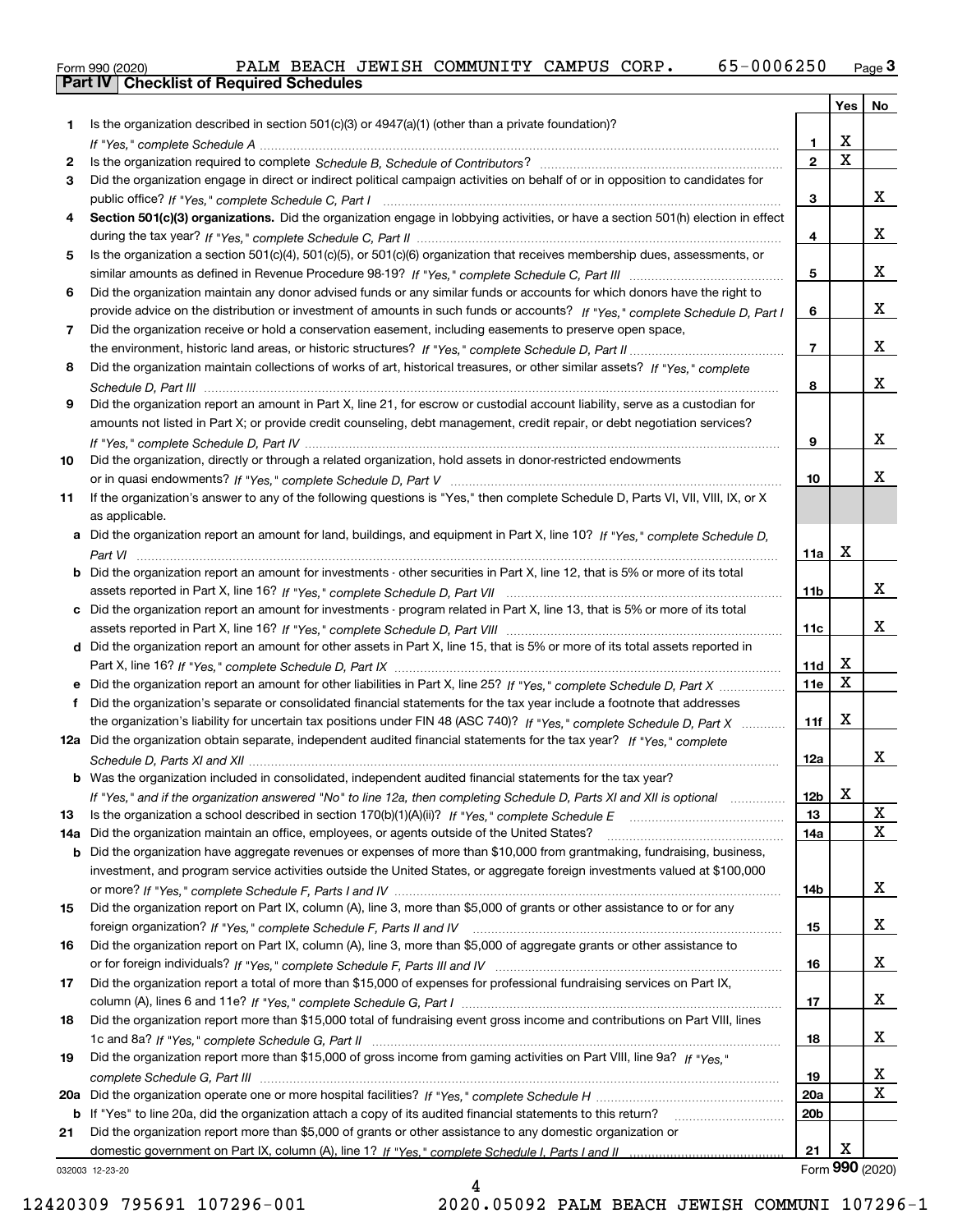|  | Form 990 (2020) |
|--|-----------------|
|  |                 |

| Is the organization described in section $501(c)(3)$ or $4947(a)(1)$ (other than a private foundation)?<br>1<br>X<br>1.<br>$\overline{\mathbf{x}}$<br>$\overline{2}$<br>2<br>Did the organization engage in direct or indirect political campaign activities on behalf of or in opposition to candidates for<br>3<br>x<br>3<br>Section 501(c)(3) organizations. Did the organization engage in lobbying activities, or have a section 501(h) election in effect<br>4<br>х<br>4<br>Is the organization a section 501(c)(4), 501(c)(5), or 501(c)(6) organization that receives membership dues, assessments, or<br>5<br>x<br>5<br>Did the organization maintain any donor advised funds or any similar funds or accounts for which donors have the right to<br>6<br>x<br>provide advice on the distribution or investment of amounts in such funds or accounts? If "Yes," complete Schedule D, Part I<br>6<br>Did the organization receive or hold a conservation easement, including easements to preserve open space,<br>7<br>x<br>$\overline{7}$<br>Did the organization maintain collections of works of art, historical treasures, or other similar assets? If "Yes," complete<br>8<br>x<br>8<br>Did the organization report an amount in Part X, line 21, for escrow or custodial account liability, serve as a custodian for<br>9<br>amounts not listed in Part X; or provide credit counseling, debt management, credit repair, or debt negotiation services?<br>x<br>9<br>Did the organization, directly or through a related organization, hold assets in donor-restricted endowments<br>10<br>x.<br>10<br>If the organization's answer to any of the following questions is "Yes," then complete Schedule D, Parts VI, VII, VIII, IX, or X<br>11<br>as applicable.<br>a Did the organization report an amount for land, buildings, and equipment in Part X, line 10? If "Yes," complete Schedule D,<br>X<br>11a<br>Did the organization report an amount for investments - other securities in Part X, line 12, that is 5% or more of its total<br>b<br>x<br>11b<br>Did the organization report an amount for investments - program related in Part X, line 13, that is 5% or more of its total<br>c<br>x<br>11c<br>d Did the organization report an amount for other assets in Part X, line 15, that is 5% or more of its total assets reported in<br>х<br>11d<br>$\mathbf X$<br>11e<br>Did the organization's separate or consolidated financial statements for the tax year include a footnote that addresses<br>f<br>Х<br>the organization's liability for uncertain tax positions under FIN 48 (ASC 740)? If "Yes," complete Schedule D, Part X<br>11f<br>12a Did the organization obtain separate, independent audited financial statements for the tax year? If "Yes," complete<br>x<br>12a<br><b>b</b> Was the organization included in consolidated, independent audited financial statements for the tax year?<br>X<br>If "Yes," and if the organization answered "No" to line 12a, then completing Schedule D, Parts XI and XII is optional<br>12b<br>X<br>13<br>13<br>X<br>Did the organization maintain an office, employees, or agents outside of the United States?<br>14a<br>14a<br>Did the organization have aggregate revenues or expenses of more than \$10,000 from grantmaking, fundraising, business,<br>b<br>investment, and program service activities outside the United States, or aggregate foreign investments valued at \$100,000<br>x<br>14b<br>Did the organization report on Part IX, column (A), line 3, more than \$5,000 of grants or other assistance to or for any<br>15<br>x<br>15<br>Did the organization report on Part IX, column (A), line 3, more than \$5,000 of aggregate grants or other assistance to<br>16<br>x<br>16<br>Did the organization report a total of more than \$15,000 of expenses for professional fundraising services on Part IX,<br>17<br>x<br>17<br>Did the organization report more than \$15,000 total of fundraising event gross income and contributions on Part VIII, lines<br>18<br>x<br>18<br>Did the organization report more than \$15,000 of gross income from gaming activities on Part VIII, line 9a? If "Yes."<br>19<br>x<br>19<br>х<br>20a<br>20a<br>20 <sub>b</sub><br>If "Yes" to line 20a, did the organization attach a copy of its audited financial statements to this return?<br>b<br>Did the organization report more than \$5,000 of grants or other assistance to any domestic organization or<br>21<br>Х<br>21<br>Form 990 (2020)<br>032003 12-23-20 |  | Yes | No |
|----------------------------------------------------------------------------------------------------------------------------------------------------------------------------------------------------------------------------------------------------------------------------------------------------------------------------------------------------------------------------------------------------------------------------------------------------------------------------------------------------------------------------------------------------------------------------------------------------------------------------------------------------------------------------------------------------------------------------------------------------------------------------------------------------------------------------------------------------------------------------------------------------------------------------------------------------------------------------------------------------------------------------------------------------------------------------------------------------------------------------------------------------------------------------------------------------------------------------------------------------------------------------------------------------------------------------------------------------------------------------------------------------------------------------------------------------------------------------------------------------------------------------------------------------------------------------------------------------------------------------------------------------------------------------------------------------------------------------------------------------------------------------------------------------------------------------------------------------------------------------------------------------------------------------------------------------------------------------------------------------------------------------------------------------------------------------------------------------------------------------------------------------------------------------------------------------------------------------------------------------------------------------------------------------------------------------------------------------------------------------------------------------------------------------------------------------------------------------------------------------------------------------------------------------------------------------------------------------------------------------------------------------------------------------------------------------------------------------------------------------------------------------------------------------------------------------------------------------------------------------------------------------------------------------------------------------------------------------------------------------------------------------------------------------------------------------------------------------------------------------------------------------------------------------------------------------------------------------------------------------------------------------------------------------------------------------------------------------------------------------------------------------------------------------------------------------------------------------------------------------------------------------------------------------------------------------------------------------------------------------------------------------------------------------------------------------------------------------------------------------------------------------------------------------------------------------------------------------------------------------------------------------------------------------------------------------------------------------------------------------------------------------------------------------------------------------------------------------------------------------------------------------------------------------------------------------------------------------------------------------------------------------------------------------------------------------------------------------------------------------------------------------------------------------------------------------------------------------------------------------------------------------------------------------------|--|-----|----|
|                                                                                                                                                                                                                                                                                                                                                                                                                                                                                                                                                                                                                                                                                                                                                                                                                                                                                                                                                                                                                                                                                                                                                                                                                                                                                                                                                                                                                                                                                                                                                                                                                                                                                                                                                                                                                                                                                                                                                                                                                                                                                                                                                                                                                                                                                                                                                                                                                                                                                                                                                                                                                                                                                                                                                                                                                                                                                                                                                                                                                                                                                                                                                                                                                                                                                                                                                                                                                                                                                                                                                                                                                                                                                                                                                                                                                                                                                                                                                                                                                                                                                                                                                                                                                                                                                                                                                                                                                                                                                                                                                          |  |     |    |
|                                                                                                                                                                                                                                                                                                                                                                                                                                                                                                                                                                                                                                                                                                                                                                                                                                                                                                                                                                                                                                                                                                                                                                                                                                                                                                                                                                                                                                                                                                                                                                                                                                                                                                                                                                                                                                                                                                                                                                                                                                                                                                                                                                                                                                                                                                                                                                                                                                                                                                                                                                                                                                                                                                                                                                                                                                                                                                                                                                                                                                                                                                                                                                                                                                                                                                                                                                                                                                                                                                                                                                                                                                                                                                                                                                                                                                                                                                                                                                                                                                                                                                                                                                                                                                                                                                                                                                                                                                                                                                                                                          |  |     |    |
|                                                                                                                                                                                                                                                                                                                                                                                                                                                                                                                                                                                                                                                                                                                                                                                                                                                                                                                                                                                                                                                                                                                                                                                                                                                                                                                                                                                                                                                                                                                                                                                                                                                                                                                                                                                                                                                                                                                                                                                                                                                                                                                                                                                                                                                                                                                                                                                                                                                                                                                                                                                                                                                                                                                                                                                                                                                                                                                                                                                                                                                                                                                                                                                                                                                                                                                                                                                                                                                                                                                                                                                                                                                                                                                                                                                                                                                                                                                                                                                                                                                                                                                                                                                                                                                                                                                                                                                                                                                                                                                                                          |  |     |    |
|                                                                                                                                                                                                                                                                                                                                                                                                                                                                                                                                                                                                                                                                                                                                                                                                                                                                                                                                                                                                                                                                                                                                                                                                                                                                                                                                                                                                                                                                                                                                                                                                                                                                                                                                                                                                                                                                                                                                                                                                                                                                                                                                                                                                                                                                                                                                                                                                                                                                                                                                                                                                                                                                                                                                                                                                                                                                                                                                                                                                                                                                                                                                                                                                                                                                                                                                                                                                                                                                                                                                                                                                                                                                                                                                                                                                                                                                                                                                                                                                                                                                                                                                                                                                                                                                                                                                                                                                                                                                                                                                                          |  |     |    |
|                                                                                                                                                                                                                                                                                                                                                                                                                                                                                                                                                                                                                                                                                                                                                                                                                                                                                                                                                                                                                                                                                                                                                                                                                                                                                                                                                                                                                                                                                                                                                                                                                                                                                                                                                                                                                                                                                                                                                                                                                                                                                                                                                                                                                                                                                                                                                                                                                                                                                                                                                                                                                                                                                                                                                                                                                                                                                                                                                                                                                                                                                                                                                                                                                                                                                                                                                                                                                                                                                                                                                                                                                                                                                                                                                                                                                                                                                                                                                                                                                                                                                                                                                                                                                                                                                                                                                                                                                                                                                                                                                          |  |     |    |
|                                                                                                                                                                                                                                                                                                                                                                                                                                                                                                                                                                                                                                                                                                                                                                                                                                                                                                                                                                                                                                                                                                                                                                                                                                                                                                                                                                                                                                                                                                                                                                                                                                                                                                                                                                                                                                                                                                                                                                                                                                                                                                                                                                                                                                                                                                                                                                                                                                                                                                                                                                                                                                                                                                                                                                                                                                                                                                                                                                                                                                                                                                                                                                                                                                                                                                                                                                                                                                                                                                                                                                                                                                                                                                                                                                                                                                                                                                                                                                                                                                                                                                                                                                                                                                                                                                                                                                                                                                                                                                                                                          |  |     |    |
|                                                                                                                                                                                                                                                                                                                                                                                                                                                                                                                                                                                                                                                                                                                                                                                                                                                                                                                                                                                                                                                                                                                                                                                                                                                                                                                                                                                                                                                                                                                                                                                                                                                                                                                                                                                                                                                                                                                                                                                                                                                                                                                                                                                                                                                                                                                                                                                                                                                                                                                                                                                                                                                                                                                                                                                                                                                                                                                                                                                                                                                                                                                                                                                                                                                                                                                                                                                                                                                                                                                                                                                                                                                                                                                                                                                                                                                                                                                                                                                                                                                                                                                                                                                                                                                                                                                                                                                                                                                                                                                                                          |  |     |    |
|                                                                                                                                                                                                                                                                                                                                                                                                                                                                                                                                                                                                                                                                                                                                                                                                                                                                                                                                                                                                                                                                                                                                                                                                                                                                                                                                                                                                                                                                                                                                                                                                                                                                                                                                                                                                                                                                                                                                                                                                                                                                                                                                                                                                                                                                                                                                                                                                                                                                                                                                                                                                                                                                                                                                                                                                                                                                                                                                                                                                                                                                                                                                                                                                                                                                                                                                                                                                                                                                                                                                                                                                                                                                                                                                                                                                                                                                                                                                                                                                                                                                                                                                                                                                                                                                                                                                                                                                                                                                                                                                                          |  |     |    |
|                                                                                                                                                                                                                                                                                                                                                                                                                                                                                                                                                                                                                                                                                                                                                                                                                                                                                                                                                                                                                                                                                                                                                                                                                                                                                                                                                                                                                                                                                                                                                                                                                                                                                                                                                                                                                                                                                                                                                                                                                                                                                                                                                                                                                                                                                                                                                                                                                                                                                                                                                                                                                                                                                                                                                                                                                                                                                                                                                                                                                                                                                                                                                                                                                                                                                                                                                                                                                                                                                                                                                                                                                                                                                                                                                                                                                                                                                                                                                                                                                                                                                                                                                                                                                                                                                                                                                                                                                                                                                                                                                          |  |     |    |
|                                                                                                                                                                                                                                                                                                                                                                                                                                                                                                                                                                                                                                                                                                                                                                                                                                                                                                                                                                                                                                                                                                                                                                                                                                                                                                                                                                                                                                                                                                                                                                                                                                                                                                                                                                                                                                                                                                                                                                                                                                                                                                                                                                                                                                                                                                                                                                                                                                                                                                                                                                                                                                                                                                                                                                                                                                                                                                                                                                                                                                                                                                                                                                                                                                                                                                                                                                                                                                                                                                                                                                                                                                                                                                                                                                                                                                                                                                                                                                                                                                                                                                                                                                                                                                                                                                                                                                                                                                                                                                                                                          |  |     |    |
|                                                                                                                                                                                                                                                                                                                                                                                                                                                                                                                                                                                                                                                                                                                                                                                                                                                                                                                                                                                                                                                                                                                                                                                                                                                                                                                                                                                                                                                                                                                                                                                                                                                                                                                                                                                                                                                                                                                                                                                                                                                                                                                                                                                                                                                                                                                                                                                                                                                                                                                                                                                                                                                                                                                                                                                                                                                                                                                                                                                                                                                                                                                                                                                                                                                                                                                                                                                                                                                                                                                                                                                                                                                                                                                                                                                                                                                                                                                                                                                                                                                                                                                                                                                                                                                                                                                                                                                                                                                                                                                                                          |  |     |    |
|                                                                                                                                                                                                                                                                                                                                                                                                                                                                                                                                                                                                                                                                                                                                                                                                                                                                                                                                                                                                                                                                                                                                                                                                                                                                                                                                                                                                                                                                                                                                                                                                                                                                                                                                                                                                                                                                                                                                                                                                                                                                                                                                                                                                                                                                                                                                                                                                                                                                                                                                                                                                                                                                                                                                                                                                                                                                                                                                                                                                                                                                                                                                                                                                                                                                                                                                                                                                                                                                                                                                                                                                                                                                                                                                                                                                                                                                                                                                                                                                                                                                                                                                                                                                                                                                                                                                                                                                                                                                                                                                                          |  |     |    |
|                                                                                                                                                                                                                                                                                                                                                                                                                                                                                                                                                                                                                                                                                                                                                                                                                                                                                                                                                                                                                                                                                                                                                                                                                                                                                                                                                                                                                                                                                                                                                                                                                                                                                                                                                                                                                                                                                                                                                                                                                                                                                                                                                                                                                                                                                                                                                                                                                                                                                                                                                                                                                                                                                                                                                                                                                                                                                                                                                                                                                                                                                                                                                                                                                                                                                                                                                                                                                                                                                                                                                                                                                                                                                                                                                                                                                                                                                                                                                                                                                                                                                                                                                                                                                                                                                                                                                                                                                                                                                                                                                          |  |     |    |
|                                                                                                                                                                                                                                                                                                                                                                                                                                                                                                                                                                                                                                                                                                                                                                                                                                                                                                                                                                                                                                                                                                                                                                                                                                                                                                                                                                                                                                                                                                                                                                                                                                                                                                                                                                                                                                                                                                                                                                                                                                                                                                                                                                                                                                                                                                                                                                                                                                                                                                                                                                                                                                                                                                                                                                                                                                                                                                                                                                                                                                                                                                                                                                                                                                                                                                                                                                                                                                                                                                                                                                                                                                                                                                                                                                                                                                                                                                                                                                                                                                                                                                                                                                                                                                                                                                                                                                                                                                                                                                                                                          |  |     |    |
|                                                                                                                                                                                                                                                                                                                                                                                                                                                                                                                                                                                                                                                                                                                                                                                                                                                                                                                                                                                                                                                                                                                                                                                                                                                                                                                                                                                                                                                                                                                                                                                                                                                                                                                                                                                                                                                                                                                                                                                                                                                                                                                                                                                                                                                                                                                                                                                                                                                                                                                                                                                                                                                                                                                                                                                                                                                                                                                                                                                                                                                                                                                                                                                                                                                                                                                                                                                                                                                                                                                                                                                                                                                                                                                                                                                                                                                                                                                                                                                                                                                                                                                                                                                                                                                                                                                                                                                                                                                                                                                                                          |  |     |    |
|                                                                                                                                                                                                                                                                                                                                                                                                                                                                                                                                                                                                                                                                                                                                                                                                                                                                                                                                                                                                                                                                                                                                                                                                                                                                                                                                                                                                                                                                                                                                                                                                                                                                                                                                                                                                                                                                                                                                                                                                                                                                                                                                                                                                                                                                                                                                                                                                                                                                                                                                                                                                                                                                                                                                                                                                                                                                                                                                                                                                                                                                                                                                                                                                                                                                                                                                                                                                                                                                                                                                                                                                                                                                                                                                                                                                                                                                                                                                                                                                                                                                                                                                                                                                                                                                                                                                                                                                                                                                                                                                                          |  |     |    |
|                                                                                                                                                                                                                                                                                                                                                                                                                                                                                                                                                                                                                                                                                                                                                                                                                                                                                                                                                                                                                                                                                                                                                                                                                                                                                                                                                                                                                                                                                                                                                                                                                                                                                                                                                                                                                                                                                                                                                                                                                                                                                                                                                                                                                                                                                                                                                                                                                                                                                                                                                                                                                                                                                                                                                                                                                                                                                                                                                                                                                                                                                                                                                                                                                                                                                                                                                                                                                                                                                                                                                                                                                                                                                                                                                                                                                                                                                                                                                                                                                                                                                                                                                                                                                                                                                                                                                                                                                                                                                                                                                          |  |     |    |
|                                                                                                                                                                                                                                                                                                                                                                                                                                                                                                                                                                                                                                                                                                                                                                                                                                                                                                                                                                                                                                                                                                                                                                                                                                                                                                                                                                                                                                                                                                                                                                                                                                                                                                                                                                                                                                                                                                                                                                                                                                                                                                                                                                                                                                                                                                                                                                                                                                                                                                                                                                                                                                                                                                                                                                                                                                                                                                                                                                                                                                                                                                                                                                                                                                                                                                                                                                                                                                                                                                                                                                                                                                                                                                                                                                                                                                                                                                                                                                                                                                                                                                                                                                                                                                                                                                                                                                                                                                                                                                                                                          |  |     |    |
|                                                                                                                                                                                                                                                                                                                                                                                                                                                                                                                                                                                                                                                                                                                                                                                                                                                                                                                                                                                                                                                                                                                                                                                                                                                                                                                                                                                                                                                                                                                                                                                                                                                                                                                                                                                                                                                                                                                                                                                                                                                                                                                                                                                                                                                                                                                                                                                                                                                                                                                                                                                                                                                                                                                                                                                                                                                                                                                                                                                                                                                                                                                                                                                                                                                                                                                                                                                                                                                                                                                                                                                                                                                                                                                                                                                                                                                                                                                                                                                                                                                                                                                                                                                                                                                                                                                                                                                                                                                                                                                                                          |  |     |    |
|                                                                                                                                                                                                                                                                                                                                                                                                                                                                                                                                                                                                                                                                                                                                                                                                                                                                                                                                                                                                                                                                                                                                                                                                                                                                                                                                                                                                                                                                                                                                                                                                                                                                                                                                                                                                                                                                                                                                                                                                                                                                                                                                                                                                                                                                                                                                                                                                                                                                                                                                                                                                                                                                                                                                                                                                                                                                                                                                                                                                                                                                                                                                                                                                                                                                                                                                                                                                                                                                                                                                                                                                                                                                                                                                                                                                                                                                                                                                                                                                                                                                                                                                                                                                                                                                                                                                                                                                                                                                                                                                                          |  |     |    |
|                                                                                                                                                                                                                                                                                                                                                                                                                                                                                                                                                                                                                                                                                                                                                                                                                                                                                                                                                                                                                                                                                                                                                                                                                                                                                                                                                                                                                                                                                                                                                                                                                                                                                                                                                                                                                                                                                                                                                                                                                                                                                                                                                                                                                                                                                                                                                                                                                                                                                                                                                                                                                                                                                                                                                                                                                                                                                                                                                                                                                                                                                                                                                                                                                                                                                                                                                                                                                                                                                                                                                                                                                                                                                                                                                                                                                                                                                                                                                                                                                                                                                                                                                                                                                                                                                                                                                                                                                                                                                                                                                          |  |     |    |
|                                                                                                                                                                                                                                                                                                                                                                                                                                                                                                                                                                                                                                                                                                                                                                                                                                                                                                                                                                                                                                                                                                                                                                                                                                                                                                                                                                                                                                                                                                                                                                                                                                                                                                                                                                                                                                                                                                                                                                                                                                                                                                                                                                                                                                                                                                                                                                                                                                                                                                                                                                                                                                                                                                                                                                                                                                                                                                                                                                                                                                                                                                                                                                                                                                                                                                                                                                                                                                                                                                                                                                                                                                                                                                                                                                                                                                                                                                                                                                                                                                                                                                                                                                                                                                                                                                                                                                                                                                                                                                                                                          |  |     |    |
|                                                                                                                                                                                                                                                                                                                                                                                                                                                                                                                                                                                                                                                                                                                                                                                                                                                                                                                                                                                                                                                                                                                                                                                                                                                                                                                                                                                                                                                                                                                                                                                                                                                                                                                                                                                                                                                                                                                                                                                                                                                                                                                                                                                                                                                                                                                                                                                                                                                                                                                                                                                                                                                                                                                                                                                                                                                                                                                                                                                                                                                                                                                                                                                                                                                                                                                                                                                                                                                                                                                                                                                                                                                                                                                                                                                                                                                                                                                                                                                                                                                                                                                                                                                                                                                                                                                                                                                                                                                                                                                                                          |  |     |    |
|                                                                                                                                                                                                                                                                                                                                                                                                                                                                                                                                                                                                                                                                                                                                                                                                                                                                                                                                                                                                                                                                                                                                                                                                                                                                                                                                                                                                                                                                                                                                                                                                                                                                                                                                                                                                                                                                                                                                                                                                                                                                                                                                                                                                                                                                                                                                                                                                                                                                                                                                                                                                                                                                                                                                                                                                                                                                                                                                                                                                                                                                                                                                                                                                                                                                                                                                                                                                                                                                                                                                                                                                                                                                                                                                                                                                                                                                                                                                                                                                                                                                                                                                                                                                                                                                                                                                                                                                                                                                                                                                                          |  |     |    |
|                                                                                                                                                                                                                                                                                                                                                                                                                                                                                                                                                                                                                                                                                                                                                                                                                                                                                                                                                                                                                                                                                                                                                                                                                                                                                                                                                                                                                                                                                                                                                                                                                                                                                                                                                                                                                                                                                                                                                                                                                                                                                                                                                                                                                                                                                                                                                                                                                                                                                                                                                                                                                                                                                                                                                                                                                                                                                                                                                                                                                                                                                                                                                                                                                                                                                                                                                                                                                                                                                                                                                                                                                                                                                                                                                                                                                                                                                                                                                                                                                                                                                                                                                                                                                                                                                                                                                                                                                                                                                                                                                          |  |     |    |
|                                                                                                                                                                                                                                                                                                                                                                                                                                                                                                                                                                                                                                                                                                                                                                                                                                                                                                                                                                                                                                                                                                                                                                                                                                                                                                                                                                                                                                                                                                                                                                                                                                                                                                                                                                                                                                                                                                                                                                                                                                                                                                                                                                                                                                                                                                                                                                                                                                                                                                                                                                                                                                                                                                                                                                                                                                                                                                                                                                                                                                                                                                                                                                                                                                                                                                                                                                                                                                                                                                                                                                                                                                                                                                                                                                                                                                                                                                                                                                                                                                                                                                                                                                                                                                                                                                                                                                                                                                                                                                                                                          |  |     |    |
|                                                                                                                                                                                                                                                                                                                                                                                                                                                                                                                                                                                                                                                                                                                                                                                                                                                                                                                                                                                                                                                                                                                                                                                                                                                                                                                                                                                                                                                                                                                                                                                                                                                                                                                                                                                                                                                                                                                                                                                                                                                                                                                                                                                                                                                                                                                                                                                                                                                                                                                                                                                                                                                                                                                                                                                                                                                                                                                                                                                                                                                                                                                                                                                                                                                                                                                                                                                                                                                                                                                                                                                                                                                                                                                                                                                                                                                                                                                                                                                                                                                                                                                                                                                                                                                                                                                                                                                                                                                                                                                                                          |  |     |    |
|                                                                                                                                                                                                                                                                                                                                                                                                                                                                                                                                                                                                                                                                                                                                                                                                                                                                                                                                                                                                                                                                                                                                                                                                                                                                                                                                                                                                                                                                                                                                                                                                                                                                                                                                                                                                                                                                                                                                                                                                                                                                                                                                                                                                                                                                                                                                                                                                                                                                                                                                                                                                                                                                                                                                                                                                                                                                                                                                                                                                                                                                                                                                                                                                                                                                                                                                                                                                                                                                                                                                                                                                                                                                                                                                                                                                                                                                                                                                                                                                                                                                                                                                                                                                                                                                                                                                                                                                                                                                                                                                                          |  |     |    |
|                                                                                                                                                                                                                                                                                                                                                                                                                                                                                                                                                                                                                                                                                                                                                                                                                                                                                                                                                                                                                                                                                                                                                                                                                                                                                                                                                                                                                                                                                                                                                                                                                                                                                                                                                                                                                                                                                                                                                                                                                                                                                                                                                                                                                                                                                                                                                                                                                                                                                                                                                                                                                                                                                                                                                                                                                                                                                                                                                                                                                                                                                                                                                                                                                                                                                                                                                                                                                                                                                                                                                                                                                                                                                                                                                                                                                                                                                                                                                                                                                                                                                                                                                                                                                                                                                                                                                                                                                                                                                                                                                          |  |     |    |
|                                                                                                                                                                                                                                                                                                                                                                                                                                                                                                                                                                                                                                                                                                                                                                                                                                                                                                                                                                                                                                                                                                                                                                                                                                                                                                                                                                                                                                                                                                                                                                                                                                                                                                                                                                                                                                                                                                                                                                                                                                                                                                                                                                                                                                                                                                                                                                                                                                                                                                                                                                                                                                                                                                                                                                                                                                                                                                                                                                                                                                                                                                                                                                                                                                                                                                                                                                                                                                                                                                                                                                                                                                                                                                                                                                                                                                                                                                                                                                                                                                                                                                                                                                                                                                                                                                                                                                                                                                                                                                                                                          |  |     |    |
|                                                                                                                                                                                                                                                                                                                                                                                                                                                                                                                                                                                                                                                                                                                                                                                                                                                                                                                                                                                                                                                                                                                                                                                                                                                                                                                                                                                                                                                                                                                                                                                                                                                                                                                                                                                                                                                                                                                                                                                                                                                                                                                                                                                                                                                                                                                                                                                                                                                                                                                                                                                                                                                                                                                                                                                                                                                                                                                                                                                                                                                                                                                                                                                                                                                                                                                                                                                                                                                                                                                                                                                                                                                                                                                                                                                                                                                                                                                                                                                                                                                                                                                                                                                                                                                                                                                                                                                                                                                                                                                                                          |  |     |    |
|                                                                                                                                                                                                                                                                                                                                                                                                                                                                                                                                                                                                                                                                                                                                                                                                                                                                                                                                                                                                                                                                                                                                                                                                                                                                                                                                                                                                                                                                                                                                                                                                                                                                                                                                                                                                                                                                                                                                                                                                                                                                                                                                                                                                                                                                                                                                                                                                                                                                                                                                                                                                                                                                                                                                                                                                                                                                                                                                                                                                                                                                                                                                                                                                                                                                                                                                                                                                                                                                                                                                                                                                                                                                                                                                                                                                                                                                                                                                                                                                                                                                                                                                                                                                                                                                                                                                                                                                                                                                                                                                                          |  |     |    |
|                                                                                                                                                                                                                                                                                                                                                                                                                                                                                                                                                                                                                                                                                                                                                                                                                                                                                                                                                                                                                                                                                                                                                                                                                                                                                                                                                                                                                                                                                                                                                                                                                                                                                                                                                                                                                                                                                                                                                                                                                                                                                                                                                                                                                                                                                                                                                                                                                                                                                                                                                                                                                                                                                                                                                                                                                                                                                                                                                                                                                                                                                                                                                                                                                                                                                                                                                                                                                                                                                                                                                                                                                                                                                                                                                                                                                                                                                                                                                                                                                                                                                                                                                                                                                                                                                                                                                                                                                                                                                                                                                          |  |     |    |
|                                                                                                                                                                                                                                                                                                                                                                                                                                                                                                                                                                                                                                                                                                                                                                                                                                                                                                                                                                                                                                                                                                                                                                                                                                                                                                                                                                                                                                                                                                                                                                                                                                                                                                                                                                                                                                                                                                                                                                                                                                                                                                                                                                                                                                                                                                                                                                                                                                                                                                                                                                                                                                                                                                                                                                                                                                                                                                                                                                                                                                                                                                                                                                                                                                                                                                                                                                                                                                                                                                                                                                                                                                                                                                                                                                                                                                                                                                                                                                                                                                                                                                                                                                                                                                                                                                                                                                                                                                                                                                                                                          |  |     |    |
|                                                                                                                                                                                                                                                                                                                                                                                                                                                                                                                                                                                                                                                                                                                                                                                                                                                                                                                                                                                                                                                                                                                                                                                                                                                                                                                                                                                                                                                                                                                                                                                                                                                                                                                                                                                                                                                                                                                                                                                                                                                                                                                                                                                                                                                                                                                                                                                                                                                                                                                                                                                                                                                                                                                                                                                                                                                                                                                                                                                                                                                                                                                                                                                                                                                                                                                                                                                                                                                                                                                                                                                                                                                                                                                                                                                                                                                                                                                                                                                                                                                                                                                                                                                                                                                                                                                                                                                                                                                                                                                                                          |  |     |    |
|                                                                                                                                                                                                                                                                                                                                                                                                                                                                                                                                                                                                                                                                                                                                                                                                                                                                                                                                                                                                                                                                                                                                                                                                                                                                                                                                                                                                                                                                                                                                                                                                                                                                                                                                                                                                                                                                                                                                                                                                                                                                                                                                                                                                                                                                                                                                                                                                                                                                                                                                                                                                                                                                                                                                                                                                                                                                                                                                                                                                                                                                                                                                                                                                                                                                                                                                                                                                                                                                                                                                                                                                                                                                                                                                                                                                                                                                                                                                                                                                                                                                                                                                                                                                                                                                                                                                                                                                                                                                                                                                                          |  |     |    |
|                                                                                                                                                                                                                                                                                                                                                                                                                                                                                                                                                                                                                                                                                                                                                                                                                                                                                                                                                                                                                                                                                                                                                                                                                                                                                                                                                                                                                                                                                                                                                                                                                                                                                                                                                                                                                                                                                                                                                                                                                                                                                                                                                                                                                                                                                                                                                                                                                                                                                                                                                                                                                                                                                                                                                                                                                                                                                                                                                                                                                                                                                                                                                                                                                                                                                                                                                                                                                                                                                                                                                                                                                                                                                                                                                                                                                                                                                                                                                                                                                                                                                                                                                                                                                                                                                                                                                                                                                                                                                                                                                          |  |     |    |
|                                                                                                                                                                                                                                                                                                                                                                                                                                                                                                                                                                                                                                                                                                                                                                                                                                                                                                                                                                                                                                                                                                                                                                                                                                                                                                                                                                                                                                                                                                                                                                                                                                                                                                                                                                                                                                                                                                                                                                                                                                                                                                                                                                                                                                                                                                                                                                                                                                                                                                                                                                                                                                                                                                                                                                                                                                                                                                                                                                                                                                                                                                                                                                                                                                                                                                                                                                                                                                                                                                                                                                                                                                                                                                                                                                                                                                                                                                                                                                                                                                                                                                                                                                                                                                                                                                                                                                                                                                                                                                                                                          |  |     |    |
|                                                                                                                                                                                                                                                                                                                                                                                                                                                                                                                                                                                                                                                                                                                                                                                                                                                                                                                                                                                                                                                                                                                                                                                                                                                                                                                                                                                                                                                                                                                                                                                                                                                                                                                                                                                                                                                                                                                                                                                                                                                                                                                                                                                                                                                                                                                                                                                                                                                                                                                                                                                                                                                                                                                                                                                                                                                                                                                                                                                                                                                                                                                                                                                                                                                                                                                                                                                                                                                                                                                                                                                                                                                                                                                                                                                                                                                                                                                                                                                                                                                                                                                                                                                                                                                                                                                                                                                                                                                                                                                                                          |  |     |    |
|                                                                                                                                                                                                                                                                                                                                                                                                                                                                                                                                                                                                                                                                                                                                                                                                                                                                                                                                                                                                                                                                                                                                                                                                                                                                                                                                                                                                                                                                                                                                                                                                                                                                                                                                                                                                                                                                                                                                                                                                                                                                                                                                                                                                                                                                                                                                                                                                                                                                                                                                                                                                                                                                                                                                                                                                                                                                                                                                                                                                                                                                                                                                                                                                                                                                                                                                                                                                                                                                                                                                                                                                                                                                                                                                                                                                                                                                                                                                                                                                                                                                                                                                                                                                                                                                                                                                                                                                                                                                                                                                                          |  |     |    |
|                                                                                                                                                                                                                                                                                                                                                                                                                                                                                                                                                                                                                                                                                                                                                                                                                                                                                                                                                                                                                                                                                                                                                                                                                                                                                                                                                                                                                                                                                                                                                                                                                                                                                                                                                                                                                                                                                                                                                                                                                                                                                                                                                                                                                                                                                                                                                                                                                                                                                                                                                                                                                                                                                                                                                                                                                                                                                                                                                                                                                                                                                                                                                                                                                                                                                                                                                                                                                                                                                                                                                                                                                                                                                                                                                                                                                                                                                                                                                                                                                                                                                                                                                                                                                                                                                                                                                                                                                                                                                                                                                          |  |     |    |
|                                                                                                                                                                                                                                                                                                                                                                                                                                                                                                                                                                                                                                                                                                                                                                                                                                                                                                                                                                                                                                                                                                                                                                                                                                                                                                                                                                                                                                                                                                                                                                                                                                                                                                                                                                                                                                                                                                                                                                                                                                                                                                                                                                                                                                                                                                                                                                                                                                                                                                                                                                                                                                                                                                                                                                                                                                                                                                                                                                                                                                                                                                                                                                                                                                                                                                                                                                                                                                                                                                                                                                                                                                                                                                                                                                                                                                                                                                                                                                                                                                                                                                                                                                                                                                                                                                                                                                                                                                                                                                                                                          |  |     |    |
|                                                                                                                                                                                                                                                                                                                                                                                                                                                                                                                                                                                                                                                                                                                                                                                                                                                                                                                                                                                                                                                                                                                                                                                                                                                                                                                                                                                                                                                                                                                                                                                                                                                                                                                                                                                                                                                                                                                                                                                                                                                                                                                                                                                                                                                                                                                                                                                                                                                                                                                                                                                                                                                                                                                                                                                                                                                                                                                                                                                                                                                                                                                                                                                                                                                                                                                                                                                                                                                                                                                                                                                                                                                                                                                                                                                                                                                                                                                                                                                                                                                                                                                                                                                                                                                                                                                                                                                                                                                                                                                                                          |  |     |    |
|                                                                                                                                                                                                                                                                                                                                                                                                                                                                                                                                                                                                                                                                                                                                                                                                                                                                                                                                                                                                                                                                                                                                                                                                                                                                                                                                                                                                                                                                                                                                                                                                                                                                                                                                                                                                                                                                                                                                                                                                                                                                                                                                                                                                                                                                                                                                                                                                                                                                                                                                                                                                                                                                                                                                                                                                                                                                                                                                                                                                                                                                                                                                                                                                                                                                                                                                                                                                                                                                                                                                                                                                                                                                                                                                                                                                                                                                                                                                                                                                                                                                                                                                                                                                                                                                                                                                                                                                                                                                                                                                                          |  |     |    |
|                                                                                                                                                                                                                                                                                                                                                                                                                                                                                                                                                                                                                                                                                                                                                                                                                                                                                                                                                                                                                                                                                                                                                                                                                                                                                                                                                                                                                                                                                                                                                                                                                                                                                                                                                                                                                                                                                                                                                                                                                                                                                                                                                                                                                                                                                                                                                                                                                                                                                                                                                                                                                                                                                                                                                                                                                                                                                                                                                                                                                                                                                                                                                                                                                                                                                                                                                                                                                                                                                                                                                                                                                                                                                                                                                                                                                                                                                                                                                                                                                                                                                                                                                                                                                                                                                                                                                                                                                                                                                                                                                          |  |     |    |
|                                                                                                                                                                                                                                                                                                                                                                                                                                                                                                                                                                                                                                                                                                                                                                                                                                                                                                                                                                                                                                                                                                                                                                                                                                                                                                                                                                                                                                                                                                                                                                                                                                                                                                                                                                                                                                                                                                                                                                                                                                                                                                                                                                                                                                                                                                                                                                                                                                                                                                                                                                                                                                                                                                                                                                                                                                                                                                                                                                                                                                                                                                                                                                                                                                                                                                                                                                                                                                                                                                                                                                                                                                                                                                                                                                                                                                                                                                                                                                                                                                                                                                                                                                                                                                                                                                                                                                                                                                                                                                                                                          |  |     |    |
|                                                                                                                                                                                                                                                                                                                                                                                                                                                                                                                                                                                                                                                                                                                                                                                                                                                                                                                                                                                                                                                                                                                                                                                                                                                                                                                                                                                                                                                                                                                                                                                                                                                                                                                                                                                                                                                                                                                                                                                                                                                                                                                                                                                                                                                                                                                                                                                                                                                                                                                                                                                                                                                                                                                                                                                                                                                                                                                                                                                                                                                                                                                                                                                                                                                                                                                                                                                                                                                                                                                                                                                                                                                                                                                                                                                                                                                                                                                                                                                                                                                                                                                                                                                                                                                                                                                                                                                                                                                                                                                                                          |  |     |    |
|                                                                                                                                                                                                                                                                                                                                                                                                                                                                                                                                                                                                                                                                                                                                                                                                                                                                                                                                                                                                                                                                                                                                                                                                                                                                                                                                                                                                                                                                                                                                                                                                                                                                                                                                                                                                                                                                                                                                                                                                                                                                                                                                                                                                                                                                                                                                                                                                                                                                                                                                                                                                                                                                                                                                                                                                                                                                                                                                                                                                                                                                                                                                                                                                                                                                                                                                                                                                                                                                                                                                                                                                                                                                                                                                                                                                                                                                                                                                                                                                                                                                                                                                                                                                                                                                                                                                                                                                                                                                                                                                                          |  |     |    |
|                                                                                                                                                                                                                                                                                                                                                                                                                                                                                                                                                                                                                                                                                                                                                                                                                                                                                                                                                                                                                                                                                                                                                                                                                                                                                                                                                                                                                                                                                                                                                                                                                                                                                                                                                                                                                                                                                                                                                                                                                                                                                                                                                                                                                                                                                                                                                                                                                                                                                                                                                                                                                                                                                                                                                                                                                                                                                                                                                                                                                                                                                                                                                                                                                                                                                                                                                                                                                                                                                                                                                                                                                                                                                                                                                                                                                                                                                                                                                                                                                                                                                                                                                                                                                                                                                                                                                                                                                                                                                                                                                          |  |     |    |
|                                                                                                                                                                                                                                                                                                                                                                                                                                                                                                                                                                                                                                                                                                                                                                                                                                                                                                                                                                                                                                                                                                                                                                                                                                                                                                                                                                                                                                                                                                                                                                                                                                                                                                                                                                                                                                                                                                                                                                                                                                                                                                                                                                                                                                                                                                                                                                                                                                                                                                                                                                                                                                                                                                                                                                                                                                                                                                                                                                                                                                                                                                                                                                                                                                                                                                                                                                                                                                                                                                                                                                                                                                                                                                                                                                                                                                                                                                                                                                                                                                                                                                                                                                                                                                                                                                                                                                                                                                                                                                                                                          |  |     |    |
|                                                                                                                                                                                                                                                                                                                                                                                                                                                                                                                                                                                                                                                                                                                                                                                                                                                                                                                                                                                                                                                                                                                                                                                                                                                                                                                                                                                                                                                                                                                                                                                                                                                                                                                                                                                                                                                                                                                                                                                                                                                                                                                                                                                                                                                                                                                                                                                                                                                                                                                                                                                                                                                                                                                                                                                                                                                                                                                                                                                                                                                                                                                                                                                                                                                                                                                                                                                                                                                                                                                                                                                                                                                                                                                                                                                                                                                                                                                                                                                                                                                                                                                                                                                                                                                                                                                                                                                                                                                                                                                                                          |  |     |    |
|                                                                                                                                                                                                                                                                                                                                                                                                                                                                                                                                                                                                                                                                                                                                                                                                                                                                                                                                                                                                                                                                                                                                                                                                                                                                                                                                                                                                                                                                                                                                                                                                                                                                                                                                                                                                                                                                                                                                                                                                                                                                                                                                                                                                                                                                                                                                                                                                                                                                                                                                                                                                                                                                                                                                                                                                                                                                                                                                                                                                                                                                                                                                                                                                                                                                                                                                                                                                                                                                                                                                                                                                                                                                                                                                                                                                                                                                                                                                                                                                                                                                                                                                                                                                                                                                                                                                                                                                                                                                                                                                                          |  |     |    |
|                                                                                                                                                                                                                                                                                                                                                                                                                                                                                                                                                                                                                                                                                                                                                                                                                                                                                                                                                                                                                                                                                                                                                                                                                                                                                                                                                                                                                                                                                                                                                                                                                                                                                                                                                                                                                                                                                                                                                                                                                                                                                                                                                                                                                                                                                                                                                                                                                                                                                                                                                                                                                                                                                                                                                                                                                                                                                                                                                                                                                                                                                                                                                                                                                                                                                                                                                                                                                                                                                                                                                                                                                                                                                                                                                                                                                                                                                                                                                                                                                                                                                                                                                                                                                                                                                                                                                                                                                                                                                                                                                          |  |     |    |
|                                                                                                                                                                                                                                                                                                                                                                                                                                                                                                                                                                                                                                                                                                                                                                                                                                                                                                                                                                                                                                                                                                                                                                                                                                                                                                                                                                                                                                                                                                                                                                                                                                                                                                                                                                                                                                                                                                                                                                                                                                                                                                                                                                                                                                                                                                                                                                                                                                                                                                                                                                                                                                                                                                                                                                                                                                                                                                                                                                                                                                                                                                                                                                                                                                                                                                                                                                                                                                                                                                                                                                                                                                                                                                                                                                                                                                                                                                                                                                                                                                                                                                                                                                                                                                                                                                                                                                                                                                                                                                                                                          |  |     |    |
|                                                                                                                                                                                                                                                                                                                                                                                                                                                                                                                                                                                                                                                                                                                                                                                                                                                                                                                                                                                                                                                                                                                                                                                                                                                                                                                                                                                                                                                                                                                                                                                                                                                                                                                                                                                                                                                                                                                                                                                                                                                                                                                                                                                                                                                                                                                                                                                                                                                                                                                                                                                                                                                                                                                                                                                                                                                                                                                                                                                                                                                                                                                                                                                                                                                                                                                                                                                                                                                                                                                                                                                                                                                                                                                                                                                                                                                                                                                                                                                                                                                                                                                                                                                                                                                                                                                                                                                                                                                                                                                                                          |  |     |    |

4

032003 12-23-20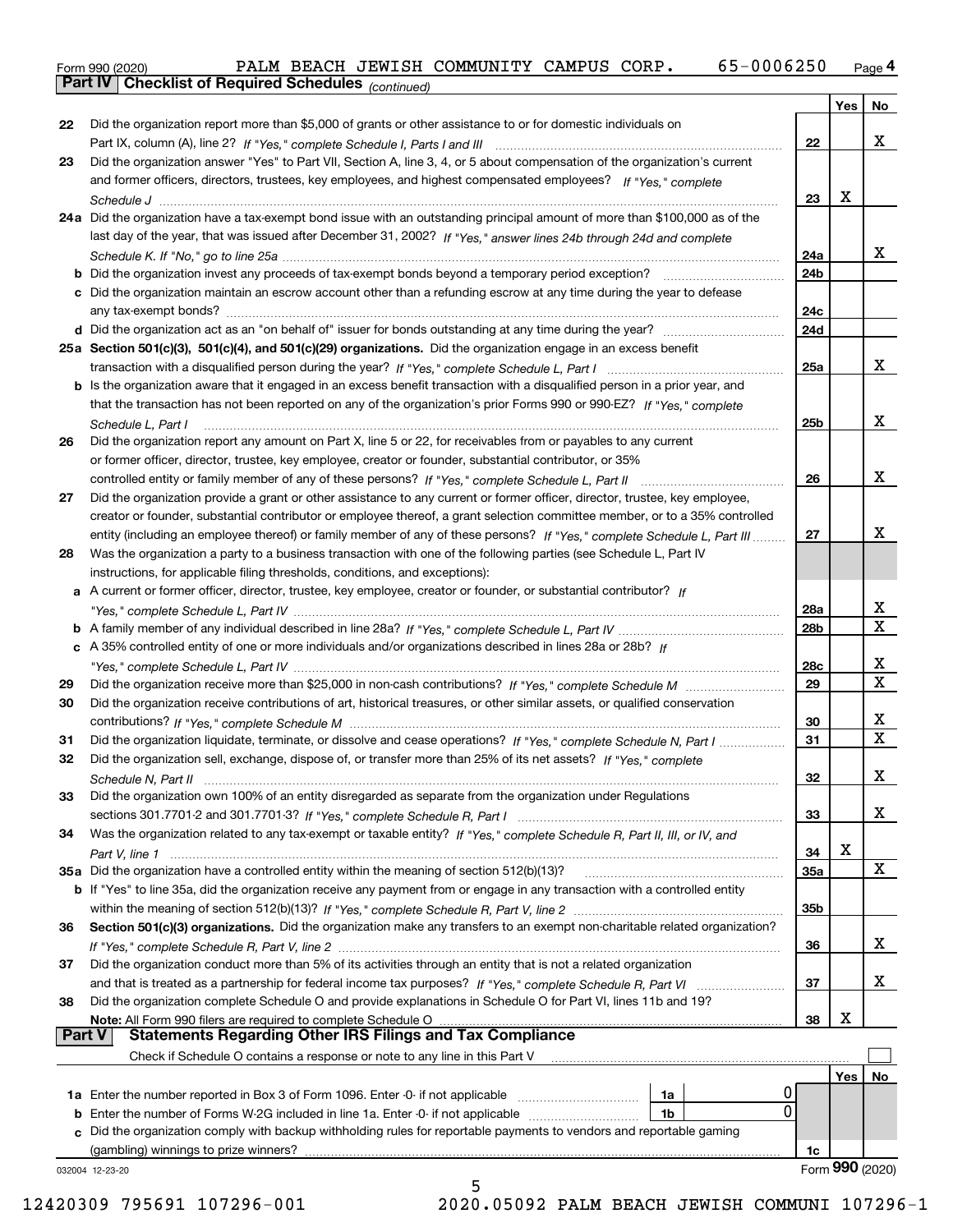Form 990 (2020) PALM BEACH JEWISH COMMUNITY CAMPUS CORP <sub>•</sub> 65-0 0 0 6 250 <sub>Page</sub> 4<br>**Part IV | Checklist of Required Schedules** <sub>(continued)</sub>

*(continued)*

|               |                                                                                                                                                                                                                                                       | 24b             |     |             |
|---------------|-------------------------------------------------------------------------------------------------------------------------------------------------------------------------------------------------------------------------------------------------------|-----------------|-----|-------------|
|               | c Did the organization maintain an escrow account other than a refunding escrow at any time during the year to defease                                                                                                                                |                 |     |             |
|               |                                                                                                                                                                                                                                                       | 24c             |     |             |
|               |                                                                                                                                                                                                                                                       | 24d             |     |             |
|               | 25a Section 501(c)(3), 501(c)(4), and 501(c)(29) organizations. Did the organization engage in an excess benefit                                                                                                                                      |                 |     | x           |
|               |                                                                                                                                                                                                                                                       | 25a             |     |             |
|               | b Is the organization aware that it engaged in an excess benefit transaction with a disqualified person in a prior year, and<br>that the transaction has not been reported on any of the organization's prior Forms 990 or 990-EZ? If "Yes." complete |                 |     |             |
|               |                                                                                                                                                                                                                                                       | 25 <sub>b</sub> |     | X           |
| 26            | Schedule L, Part I<br>Did the organization report any amount on Part X, line 5 or 22, for receivables from or payables to any current                                                                                                                 |                 |     |             |
|               | or former officer, director, trustee, key employee, creator or founder, substantial contributor, or 35%                                                                                                                                               |                 |     |             |
|               |                                                                                                                                                                                                                                                       | 26              |     | x           |
| 27            | Did the organization provide a grant or other assistance to any current or former officer, director, trustee, key employee,                                                                                                                           |                 |     |             |
|               | creator or founder, substantial contributor or employee thereof, a grant selection committee member, or to a 35% controlled                                                                                                                           |                 |     |             |
|               | entity (including an employee thereof) or family member of any of these persons? If "Yes," complete Schedule L, Part III                                                                                                                              | 27              |     | x           |
| 28            | Was the organization a party to a business transaction with one of the following parties (see Schedule L, Part IV                                                                                                                                     |                 |     |             |
|               | instructions, for applicable filing thresholds, conditions, and exceptions):                                                                                                                                                                          |                 |     |             |
|               | a A current or former officer, director, trustee, key employee, creator or founder, or substantial contributor? If                                                                                                                                    |                 |     |             |
|               |                                                                                                                                                                                                                                                       | 28a             |     | X           |
|               |                                                                                                                                                                                                                                                       | 28b             |     | $\mathbf X$ |
|               | c A 35% controlled entity of one or more individuals and/or organizations described in lines 28a or 28b? If                                                                                                                                           |                 |     |             |
|               |                                                                                                                                                                                                                                                       | 28c<br>29       |     | х<br>х      |
| 29<br>30      |                                                                                                                                                                                                                                                       |                 |     |             |
|               | Did the organization receive contributions of art, historical treasures, or other similar assets, or qualified conservation                                                                                                                           | 30              |     | x           |
| 31            | Did the organization liquidate, terminate, or dissolve and cease operations? If "Yes," complete Schedule N, Part I                                                                                                                                    | 31              |     | $\mathbf X$ |
| 32            | Did the organization sell, exchange, dispose of, or transfer more than 25% of its net assets? If "Yes," complete                                                                                                                                      |                 |     |             |
|               |                                                                                                                                                                                                                                                       | 32              |     | x           |
| 33            | Did the organization own 100% of an entity disregarded as separate from the organization under Regulations                                                                                                                                            |                 |     |             |
|               |                                                                                                                                                                                                                                                       | 33              |     | х           |
| 34            | Was the organization related to any tax-exempt or taxable entity? If "Yes," complete Schedule R, Part II, III, or IV, and                                                                                                                             |                 |     |             |
|               |                                                                                                                                                                                                                                                       | 34              | Х   |             |
|               | 35a Did the organization have a controlled entity within the meaning of section 512(b)(13)?                                                                                                                                                           | <b>35a</b>      |     | X           |
|               | b If "Yes" to line 35a, did the organization receive any payment from or engage in any transaction with a controlled entity                                                                                                                           |                 |     |             |
|               |                                                                                                                                                                                                                                                       | 35b             |     |             |
| 36            | Section 501(c)(3) organizations. Did the organization make any transfers to an exempt non-charitable related organization?                                                                                                                            |                 |     |             |
|               |                                                                                                                                                                                                                                                       | 36              |     | х           |
|               |                                                                                                                                                                                                                                                       |                 |     |             |
| 37            | Did the organization conduct more than 5% of its activities through an entity that is not a related organization                                                                                                                                      |                 |     |             |
|               |                                                                                                                                                                                                                                                       | 37              |     | х           |
| 38            | Did the organization complete Schedule O and provide explanations in Schedule O for Part VI, lines 11b and 19?                                                                                                                                        |                 |     |             |
|               | Note: All Form 990 filers are required to complete Schedule O                                                                                                                                                                                         | 38              | х   |             |
| <b>Part V</b> | المساعدة المساعدة المساعدة المساعدة المساعدة المساعدة المساعدة المساعدة المساعدة المساعدة المساعدة المساعدة ال<br>Statements Regarding Other IRS Filings and Tax Compliance                                                                           |                 |     |             |
|               | Check if Schedule O contains a response or note to any line in this Part V                                                                                                                                                                            |                 |     |             |
|               |                                                                                                                                                                                                                                                       |                 | Yes | No          |
|               | 1a                                                                                                                                                                                                                                                    | 0<br>0          |     |             |
| b             | Enter the number of Forms W-2G included in line 1a. Enter -0- if not applicable<br>1 <sub>b</sub>                                                                                                                                                     |                 |     |             |
|               | c Did the organization comply with backup withholding rules for reportable payments to vendors and reportable gaming<br>(gambling) winnings to prize winners?                                                                                         | 1c              |     |             |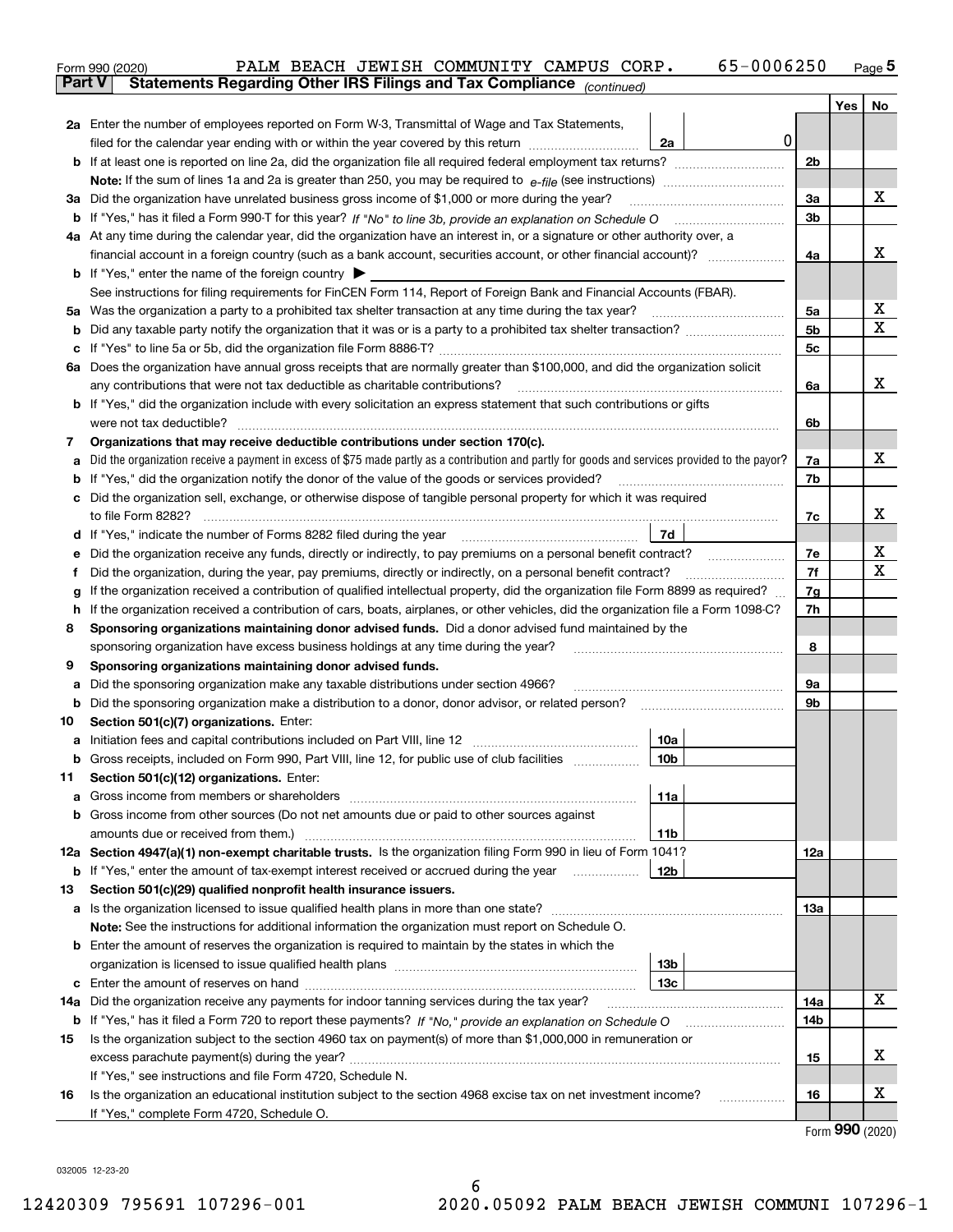| <b>Part V</b><br>Yes  <br>2a Enter the number of employees reported on Form W-3, Transmittal of Wage and Tax Statements,<br>0<br>filed for the calendar year ending with or within the year covered by this return<br>2a<br>2 <sub>b</sub><br>х<br>3a<br>3a Did the organization have unrelated business gross income of \$1,000 or more during the year?<br>3b<br>4a At any time during the calendar year, did the organization have an interest in, or a signature or other authority over, a<br>x<br>4a<br><b>b</b> If "Yes," enter the name of the foreign country $\blacktriangleright$<br>See instructions for filing requirements for FinCEN Form 114, Report of Foreign Bank and Financial Accounts (FBAR).<br>х<br>5a Was the organization a party to a prohibited tax shelter transaction at any time during the tax year?<br>5a<br>X<br>5 <sub>b</sub><br>5c<br>6a Does the organization have annual gross receipts that are normally greater than \$100,000, and did the organization solicit<br>x<br>any contributions that were not tax deductible as charitable contributions?<br>6a<br><b>b</b> If "Yes," did the organization include with every solicitation an express statement that such contributions or gifts<br>were not tax deductible? www.communication.com/www.communication.com/www.communication.com/www.communication.com<br>6b<br>Organizations that may receive deductible contributions under section 170(c).<br>7<br>х<br>Did the organization receive a payment in excess of \$75 made partly as a contribution and partly for goods and services provided to the payor?<br>7a<br>а<br>If "Yes," did the organization notify the donor of the value of the goods or services provided?<br>7b<br>b<br>c Did the organization sell, exchange, or otherwise dispose of tangible personal property for which it was required<br>х<br>7c<br>7d<br>d If "Yes," indicate the number of Forms 8282 filed during the year [11,111] The Section of Holder and The Year<br>х<br>7e<br>Did the organization receive any funds, directly or indirectly, to pay premiums on a personal benefit contract?<br>е<br>X<br>7f<br>Did the organization, during the year, pay premiums, directly or indirectly, on a personal benefit contract?<br>f<br>If the organization received a contribution of qualified intellectual property, did the organization file Form 8899 as required?<br>7g<br>g<br>If the organization received a contribution of cars, boats, airplanes, or other vehicles, did the organization file a Form 1098-C?<br>7h<br>h.<br>Sponsoring organizations maintaining donor advised funds. Did a donor advised fund maintained by the<br>8<br>8<br>sponsoring organization have excess business holdings at any time during the year?<br>Sponsoring organizations maintaining donor advised funds.<br>9<br>Did the sponsoring organization make any taxable distributions under section 4966?<br>9a<br>а<br>9b<br>b<br>Section 501(c)(7) organizations. Enter:<br>10<br>10a<br> 10b<br>Gross receipts, included on Form 990, Part VIII, line 12, for public use of club facilities<br>Section 501(c)(12) organizations. Enter:<br>11<br>Gross income from members or shareholders<br>11a<br>a<br>b Gross income from other sources (Do not net amounts due or paid to other sources against<br>11b<br>12a Section 4947(a)(1) non-exempt charitable trusts. Is the organization filing Form 990 in lieu of Form 1041?<br>12a<br><b>b</b> If "Yes," enter the amount of tax-exempt interest received or accrued during the year <i>manument</i><br>12b<br>Section 501(c)(29) qualified nonprofit health insurance issuers.<br>13<br>a Is the organization licensed to issue qualified health plans in more than one state?<br>13а<br>Note: See the instructions for additional information the organization must report on Schedule O.<br><b>b</b> Enter the amount of reserves the organization is required to maintain by the states in which the<br>13b<br>13 <sub>c</sub><br>с<br>х<br>14a Did the organization receive any payments for indoor tanning services during the tax year?<br>14a<br><b>b</b> If "Yes," has it filed a Form 720 to report these payments? If "No," provide an explanation on Schedule O<br>14b<br>Is the organization subject to the section 4960 tax on payment(s) of more than \$1,000,000 in remuneration or<br>15<br>х<br>15<br>If "Yes," see instructions and file Form 4720, Schedule N.<br>х<br>Is the organization an educational institution subject to the section 4968 excise tax on net investment income?<br>16<br>16<br>If "Yes," complete Form 4720, Schedule O.<br><u>nnn …</u> | 65-0006250<br>PALM BEACH JEWISH COMMUNITY CAMPUS CORP.<br>Form 990 (2020) |  | <u>Page</u> 5 |
|---------------------------------------------------------------------------------------------------------------------------------------------------------------------------------------------------------------------------------------------------------------------------------------------------------------------------------------------------------------------------------------------------------------------------------------------------------------------------------------------------------------------------------------------------------------------------------------------------------------------------------------------------------------------------------------------------------------------------------------------------------------------------------------------------------------------------------------------------------------------------------------------------------------------------------------------------------------------------------------------------------------------------------------------------------------------------------------------------------------------------------------------------------------------------------------------------------------------------------------------------------------------------------------------------------------------------------------------------------------------------------------------------------------------------------------------------------------------------------------------------------------------------------------------------------------------------------------------------------------------------------------------------------------------------------------------------------------------------------------------------------------------------------------------------------------------------------------------------------------------------------------------------------------------------------------------------------------------------------------------------------------------------------------------------------------------------------------------------------------------------------------------------------------------------------------------------------------------------------------------------------------------------------------------------------------------------------------------------------------------------------------------------------------------------------------------------------------------------------------------------------------------------------------------------------------------------------------------------------------------------------------------------------------------------------------------------------------------------------------------------------------------------------------------------------------------------------------------------------------------------------------------------------------------------------------------------------------------------------------------------------------------------------------------------------------------------------------------------------------------------------------------------------------------------------------------------------------------------------------------------------------------------------------------------------------------------------------------------------------------------------------------------------------------------------------------------------------------------------------------------------------------------------------------------------------------------------------------------------------------------------------------------------------------------------------------------------------------------------------------------------------------------------------------------------------------------------------------------------------------------------------------------------------------------------------------------------------------------------------------------------------------------------------------------------------------------------------------------------------------------------------------------------------------------------------------------------------------------------------------------------------------------------------------------------------------------------------------------------------------------------------------------------------------------------------------------------------------------------------------------------------------------------------------------------------------------------------------------------------------------------------------------------------------|---------------------------------------------------------------------------|--|---------------|
|                                                                                                                                                                                                                                                                                                                                                                                                                                                                                                                                                                                                                                                                                                                                                                                                                                                                                                                                                                                                                                                                                                                                                                                                                                                                                                                                                                                                                                                                                                                                                                                                                                                                                                                                                                                                                                                                                                                                                                                                                                                                                                                                                                                                                                                                                                                                                                                                                                                                                                                                                                                                                                                                                                                                                                                                                                                                                                                                                                                                                                                                                                                                                                                                                                                                                                                                                                                                                                                                                                                                                                                                                                                                                                                                                                                                                                                                                                                                                                                                                                                                                                                                                                                                                                                                                                                                                                                                                                                                                                                                                                                                                                                                     | Statements Regarding Other IRS Filings and Tax Compliance (continued)     |  |               |
|                                                                                                                                                                                                                                                                                                                                                                                                                                                                                                                                                                                                                                                                                                                                                                                                                                                                                                                                                                                                                                                                                                                                                                                                                                                                                                                                                                                                                                                                                                                                                                                                                                                                                                                                                                                                                                                                                                                                                                                                                                                                                                                                                                                                                                                                                                                                                                                                                                                                                                                                                                                                                                                                                                                                                                                                                                                                                                                                                                                                                                                                                                                                                                                                                                                                                                                                                                                                                                                                                                                                                                                                                                                                                                                                                                                                                                                                                                                                                                                                                                                                                                                                                                                                                                                                                                                                                                                                                                                                                                                                                                                                                                                                     |                                                                           |  | No            |
|                                                                                                                                                                                                                                                                                                                                                                                                                                                                                                                                                                                                                                                                                                                                                                                                                                                                                                                                                                                                                                                                                                                                                                                                                                                                                                                                                                                                                                                                                                                                                                                                                                                                                                                                                                                                                                                                                                                                                                                                                                                                                                                                                                                                                                                                                                                                                                                                                                                                                                                                                                                                                                                                                                                                                                                                                                                                                                                                                                                                                                                                                                                                                                                                                                                                                                                                                                                                                                                                                                                                                                                                                                                                                                                                                                                                                                                                                                                                                                                                                                                                                                                                                                                                                                                                                                                                                                                                                                                                                                                                                                                                                                                                     |                                                                           |  |               |
|                                                                                                                                                                                                                                                                                                                                                                                                                                                                                                                                                                                                                                                                                                                                                                                                                                                                                                                                                                                                                                                                                                                                                                                                                                                                                                                                                                                                                                                                                                                                                                                                                                                                                                                                                                                                                                                                                                                                                                                                                                                                                                                                                                                                                                                                                                                                                                                                                                                                                                                                                                                                                                                                                                                                                                                                                                                                                                                                                                                                                                                                                                                                                                                                                                                                                                                                                                                                                                                                                                                                                                                                                                                                                                                                                                                                                                                                                                                                                                                                                                                                                                                                                                                                                                                                                                                                                                                                                                                                                                                                                                                                                                                                     |                                                                           |  |               |
|                                                                                                                                                                                                                                                                                                                                                                                                                                                                                                                                                                                                                                                                                                                                                                                                                                                                                                                                                                                                                                                                                                                                                                                                                                                                                                                                                                                                                                                                                                                                                                                                                                                                                                                                                                                                                                                                                                                                                                                                                                                                                                                                                                                                                                                                                                                                                                                                                                                                                                                                                                                                                                                                                                                                                                                                                                                                                                                                                                                                                                                                                                                                                                                                                                                                                                                                                                                                                                                                                                                                                                                                                                                                                                                                                                                                                                                                                                                                                                                                                                                                                                                                                                                                                                                                                                                                                                                                                                                                                                                                                                                                                                                                     |                                                                           |  |               |
|                                                                                                                                                                                                                                                                                                                                                                                                                                                                                                                                                                                                                                                                                                                                                                                                                                                                                                                                                                                                                                                                                                                                                                                                                                                                                                                                                                                                                                                                                                                                                                                                                                                                                                                                                                                                                                                                                                                                                                                                                                                                                                                                                                                                                                                                                                                                                                                                                                                                                                                                                                                                                                                                                                                                                                                                                                                                                                                                                                                                                                                                                                                                                                                                                                                                                                                                                                                                                                                                                                                                                                                                                                                                                                                                                                                                                                                                                                                                                                                                                                                                                                                                                                                                                                                                                                                                                                                                                                                                                                                                                                                                                                                                     |                                                                           |  |               |
|                                                                                                                                                                                                                                                                                                                                                                                                                                                                                                                                                                                                                                                                                                                                                                                                                                                                                                                                                                                                                                                                                                                                                                                                                                                                                                                                                                                                                                                                                                                                                                                                                                                                                                                                                                                                                                                                                                                                                                                                                                                                                                                                                                                                                                                                                                                                                                                                                                                                                                                                                                                                                                                                                                                                                                                                                                                                                                                                                                                                                                                                                                                                                                                                                                                                                                                                                                                                                                                                                                                                                                                                                                                                                                                                                                                                                                                                                                                                                                                                                                                                                                                                                                                                                                                                                                                                                                                                                                                                                                                                                                                                                                                                     |                                                                           |  |               |
|                                                                                                                                                                                                                                                                                                                                                                                                                                                                                                                                                                                                                                                                                                                                                                                                                                                                                                                                                                                                                                                                                                                                                                                                                                                                                                                                                                                                                                                                                                                                                                                                                                                                                                                                                                                                                                                                                                                                                                                                                                                                                                                                                                                                                                                                                                                                                                                                                                                                                                                                                                                                                                                                                                                                                                                                                                                                                                                                                                                                                                                                                                                                                                                                                                                                                                                                                                                                                                                                                                                                                                                                                                                                                                                                                                                                                                                                                                                                                                                                                                                                                                                                                                                                                                                                                                                                                                                                                                                                                                                                                                                                                                                                     |                                                                           |  |               |
|                                                                                                                                                                                                                                                                                                                                                                                                                                                                                                                                                                                                                                                                                                                                                                                                                                                                                                                                                                                                                                                                                                                                                                                                                                                                                                                                                                                                                                                                                                                                                                                                                                                                                                                                                                                                                                                                                                                                                                                                                                                                                                                                                                                                                                                                                                                                                                                                                                                                                                                                                                                                                                                                                                                                                                                                                                                                                                                                                                                                                                                                                                                                                                                                                                                                                                                                                                                                                                                                                                                                                                                                                                                                                                                                                                                                                                                                                                                                                                                                                                                                                                                                                                                                                                                                                                                                                                                                                                                                                                                                                                                                                                                                     |                                                                           |  |               |
|                                                                                                                                                                                                                                                                                                                                                                                                                                                                                                                                                                                                                                                                                                                                                                                                                                                                                                                                                                                                                                                                                                                                                                                                                                                                                                                                                                                                                                                                                                                                                                                                                                                                                                                                                                                                                                                                                                                                                                                                                                                                                                                                                                                                                                                                                                                                                                                                                                                                                                                                                                                                                                                                                                                                                                                                                                                                                                                                                                                                                                                                                                                                                                                                                                                                                                                                                                                                                                                                                                                                                                                                                                                                                                                                                                                                                                                                                                                                                                                                                                                                                                                                                                                                                                                                                                                                                                                                                                                                                                                                                                                                                                                                     |                                                                           |  |               |
|                                                                                                                                                                                                                                                                                                                                                                                                                                                                                                                                                                                                                                                                                                                                                                                                                                                                                                                                                                                                                                                                                                                                                                                                                                                                                                                                                                                                                                                                                                                                                                                                                                                                                                                                                                                                                                                                                                                                                                                                                                                                                                                                                                                                                                                                                                                                                                                                                                                                                                                                                                                                                                                                                                                                                                                                                                                                                                                                                                                                                                                                                                                                                                                                                                                                                                                                                                                                                                                                                                                                                                                                                                                                                                                                                                                                                                                                                                                                                                                                                                                                                                                                                                                                                                                                                                                                                                                                                                                                                                                                                                                                                                                                     |                                                                           |  |               |
|                                                                                                                                                                                                                                                                                                                                                                                                                                                                                                                                                                                                                                                                                                                                                                                                                                                                                                                                                                                                                                                                                                                                                                                                                                                                                                                                                                                                                                                                                                                                                                                                                                                                                                                                                                                                                                                                                                                                                                                                                                                                                                                                                                                                                                                                                                                                                                                                                                                                                                                                                                                                                                                                                                                                                                                                                                                                                                                                                                                                                                                                                                                                                                                                                                                                                                                                                                                                                                                                                                                                                                                                                                                                                                                                                                                                                                                                                                                                                                                                                                                                                                                                                                                                                                                                                                                                                                                                                                                                                                                                                                                                                                                                     |                                                                           |  |               |
|                                                                                                                                                                                                                                                                                                                                                                                                                                                                                                                                                                                                                                                                                                                                                                                                                                                                                                                                                                                                                                                                                                                                                                                                                                                                                                                                                                                                                                                                                                                                                                                                                                                                                                                                                                                                                                                                                                                                                                                                                                                                                                                                                                                                                                                                                                                                                                                                                                                                                                                                                                                                                                                                                                                                                                                                                                                                                                                                                                                                                                                                                                                                                                                                                                                                                                                                                                                                                                                                                                                                                                                                                                                                                                                                                                                                                                                                                                                                                                                                                                                                                                                                                                                                                                                                                                                                                                                                                                                                                                                                                                                                                                                                     |                                                                           |  |               |
|                                                                                                                                                                                                                                                                                                                                                                                                                                                                                                                                                                                                                                                                                                                                                                                                                                                                                                                                                                                                                                                                                                                                                                                                                                                                                                                                                                                                                                                                                                                                                                                                                                                                                                                                                                                                                                                                                                                                                                                                                                                                                                                                                                                                                                                                                                                                                                                                                                                                                                                                                                                                                                                                                                                                                                                                                                                                                                                                                                                                                                                                                                                                                                                                                                                                                                                                                                                                                                                                                                                                                                                                                                                                                                                                                                                                                                                                                                                                                                                                                                                                                                                                                                                                                                                                                                                                                                                                                                                                                                                                                                                                                                                                     |                                                                           |  |               |
|                                                                                                                                                                                                                                                                                                                                                                                                                                                                                                                                                                                                                                                                                                                                                                                                                                                                                                                                                                                                                                                                                                                                                                                                                                                                                                                                                                                                                                                                                                                                                                                                                                                                                                                                                                                                                                                                                                                                                                                                                                                                                                                                                                                                                                                                                                                                                                                                                                                                                                                                                                                                                                                                                                                                                                                                                                                                                                                                                                                                                                                                                                                                                                                                                                                                                                                                                                                                                                                                                                                                                                                                                                                                                                                                                                                                                                                                                                                                                                                                                                                                                                                                                                                                                                                                                                                                                                                                                                                                                                                                                                                                                                                                     |                                                                           |  |               |
|                                                                                                                                                                                                                                                                                                                                                                                                                                                                                                                                                                                                                                                                                                                                                                                                                                                                                                                                                                                                                                                                                                                                                                                                                                                                                                                                                                                                                                                                                                                                                                                                                                                                                                                                                                                                                                                                                                                                                                                                                                                                                                                                                                                                                                                                                                                                                                                                                                                                                                                                                                                                                                                                                                                                                                                                                                                                                                                                                                                                                                                                                                                                                                                                                                                                                                                                                                                                                                                                                                                                                                                                                                                                                                                                                                                                                                                                                                                                                                                                                                                                                                                                                                                                                                                                                                                                                                                                                                                                                                                                                                                                                                                                     |                                                                           |  |               |
|                                                                                                                                                                                                                                                                                                                                                                                                                                                                                                                                                                                                                                                                                                                                                                                                                                                                                                                                                                                                                                                                                                                                                                                                                                                                                                                                                                                                                                                                                                                                                                                                                                                                                                                                                                                                                                                                                                                                                                                                                                                                                                                                                                                                                                                                                                                                                                                                                                                                                                                                                                                                                                                                                                                                                                                                                                                                                                                                                                                                                                                                                                                                                                                                                                                                                                                                                                                                                                                                                                                                                                                                                                                                                                                                                                                                                                                                                                                                                                                                                                                                                                                                                                                                                                                                                                                                                                                                                                                                                                                                                                                                                                                                     |                                                                           |  |               |
|                                                                                                                                                                                                                                                                                                                                                                                                                                                                                                                                                                                                                                                                                                                                                                                                                                                                                                                                                                                                                                                                                                                                                                                                                                                                                                                                                                                                                                                                                                                                                                                                                                                                                                                                                                                                                                                                                                                                                                                                                                                                                                                                                                                                                                                                                                                                                                                                                                                                                                                                                                                                                                                                                                                                                                                                                                                                                                                                                                                                                                                                                                                                                                                                                                                                                                                                                                                                                                                                                                                                                                                                                                                                                                                                                                                                                                                                                                                                                                                                                                                                                                                                                                                                                                                                                                                                                                                                                                                                                                                                                                                                                                                                     |                                                                           |  |               |
|                                                                                                                                                                                                                                                                                                                                                                                                                                                                                                                                                                                                                                                                                                                                                                                                                                                                                                                                                                                                                                                                                                                                                                                                                                                                                                                                                                                                                                                                                                                                                                                                                                                                                                                                                                                                                                                                                                                                                                                                                                                                                                                                                                                                                                                                                                                                                                                                                                                                                                                                                                                                                                                                                                                                                                                                                                                                                                                                                                                                                                                                                                                                                                                                                                                                                                                                                                                                                                                                                                                                                                                                                                                                                                                                                                                                                                                                                                                                                                                                                                                                                                                                                                                                                                                                                                                                                                                                                                                                                                                                                                                                                                                                     |                                                                           |  |               |
|                                                                                                                                                                                                                                                                                                                                                                                                                                                                                                                                                                                                                                                                                                                                                                                                                                                                                                                                                                                                                                                                                                                                                                                                                                                                                                                                                                                                                                                                                                                                                                                                                                                                                                                                                                                                                                                                                                                                                                                                                                                                                                                                                                                                                                                                                                                                                                                                                                                                                                                                                                                                                                                                                                                                                                                                                                                                                                                                                                                                                                                                                                                                                                                                                                                                                                                                                                                                                                                                                                                                                                                                                                                                                                                                                                                                                                                                                                                                                                                                                                                                                                                                                                                                                                                                                                                                                                                                                                                                                                                                                                                                                                                                     |                                                                           |  |               |
|                                                                                                                                                                                                                                                                                                                                                                                                                                                                                                                                                                                                                                                                                                                                                                                                                                                                                                                                                                                                                                                                                                                                                                                                                                                                                                                                                                                                                                                                                                                                                                                                                                                                                                                                                                                                                                                                                                                                                                                                                                                                                                                                                                                                                                                                                                                                                                                                                                                                                                                                                                                                                                                                                                                                                                                                                                                                                                                                                                                                                                                                                                                                                                                                                                                                                                                                                                                                                                                                                                                                                                                                                                                                                                                                                                                                                                                                                                                                                                                                                                                                                                                                                                                                                                                                                                                                                                                                                                                                                                                                                                                                                                                                     |                                                                           |  |               |
|                                                                                                                                                                                                                                                                                                                                                                                                                                                                                                                                                                                                                                                                                                                                                                                                                                                                                                                                                                                                                                                                                                                                                                                                                                                                                                                                                                                                                                                                                                                                                                                                                                                                                                                                                                                                                                                                                                                                                                                                                                                                                                                                                                                                                                                                                                                                                                                                                                                                                                                                                                                                                                                                                                                                                                                                                                                                                                                                                                                                                                                                                                                                                                                                                                                                                                                                                                                                                                                                                                                                                                                                                                                                                                                                                                                                                                                                                                                                                                                                                                                                                                                                                                                                                                                                                                                                                                                                                                                                                                                                                                                                                                                                     |                                                                           |  |               |
|                                                                                                                                                                                                                                                                                                                                                                                                                                                                                                                                                                                                                                                                                                                                                                                                                                                                                                                                                                                                                                                                                                                                                                                                                                                                                                                                                                                                                                                                                                                                                                                                                                                                                                                                                                                                                                                                                                                                                                                                                                                                                                                                                                                                                                                                                                                                                                                                                                                                                                                                                                                                                                                                                                                                                                                                                                                                                                                                                                                                                                                                                                                                                                                                                                                                                                                                                                                                                                                                                                                                                                                                                                                                                                                                                                                                                                                                                                                                                                                                                                                                                                                                                                                                                                                                                                                                                                                                                                                                                                                                                                                                                                                                     |                                                                           |  |               |
|                                                                                                                                                                                                                                                                                                                                                                                                                                                                                                                                                                                                                                                                                                                                                                                                                                                                                                                                                                                                                                                                                                                                                                                                                                                                                                                                                                                                                                                                                                                                                                                                                                                                                                                                                                                                                                                                                                                                                                                                                                                                                                                                                                                                                                                                                                                                                                                                                                                                                                                                                                                                                                                                                                                                                                                                                                                                                                                                                                                                                                                                                                                                                                                                                                                                                                                                                                                                                                                                                                                                                                                                                                                                                                                                                                                                                                                                                                                                                                                                                                                                                                                                                                                                                                                                                                                                                                                                                                                                                                                                                                                                                                                                     |                                                                           |  |               |
|                                                                                                                                                                                                                                                                                                                                                                                                                                                                                                                                                                                                                                                                                                                                                                                                                                                                                                                                                                                                                                                                                                                                                                                                                                                                                                                                                                                                                                                                                                                                                                                                                                                                                                                                                                                                                                                                                                                                                                                                                                                                                                                                                                                                                                                                                                                                                                                                                                                                                                                                                                                                                                                                                                                                                                                                                                                                                                                                                                                                                                                                                                                                                                                                                                                                                                                                                                                                                                                                                                                                                                                                                                                                                                                                                                                                                                                                                                                                                                                                                                                                                                                                                                                                                                                                                                                                                                                                                                                                                                                                                                                                                                                                     |                                                                           |  |               |
|                                                                                                                                                                                                                                                                                                                                                                                                                                                                                                                                                                                                                                                                                                                                                                                                                                                                                                                                                                                                                                                                                                                                                                                                                                                                                                                                                                                                                                                                                                                                                                                                                                                                                                                                                                                                                                                                                                                                                                                                                                                                                                                                                                                                                                                                                                                                                                                                                                                                                                                                                                                                                                                                                                                                                                                                                                                                                                                                                                                                                                                                                                                                                                                                                                                                                                                                                                                                                                                                                                                                                                                                                                                                                                                                                                                                                                                                                                                                                                                                                                                                                                                                                                                                                                                                                                                                                                                                                                                                                                                                                                                                                                                                     |                                                                           |  |               |
|                                                                                                                                                                                                                                                                                                                                                                                                                                                                                                                                                                                                                                                                                                                                                                                                                                                                                                                                                                                                                                                                                                                                                                                                                                                                                                                                                                                                                                                                                                                                                                                                                                                                                                                                                                                                                                                                                                                                                                                                                                                                                                                                                                                                                                                                                                                                                                                                                                                                                                                                                                                                                                                                                                                                                                                                                                                                                                                                                                                                                                                                                                                                                                                                                                                                                                                                                                                                                                                                                                                                                                                                                                                                                                                                                                                                                                                                                                                                                                                                                                                                                                                                                                                                                                                                                                                                                                                                                                                                                                                                                                                                                                                                     |                                                                           |  |               |
|                                                                                                                                                                                                                                                                                                                                                                                                                                                                                                                                                                                                                                                                                                                                                                                                                                                                                                                                                                                                                                                                                                                                                                                                                                                                                                                                                                                                                                                                                                                                                                                                                                                                                                                                                                                                                                                                                                                                                                                                                                                                                                                                                                                                                                                                                                                                                                                                                                                                                                                                                                                                                                                                                                                                                                                                                                                                                                                                                                                                                                                                                                                                                                                                                                                                                                                                                                                                                                                                                                                                                                                                                                                                                                                                                                                                                                                                                                                                                                                                                                                                                                                                                                                                                                                                                                                                                                                                                                                                                                                                                                                                                                                                     |                                                                           |  |               |
|                                                                                                                                                                                                                                                                                                                                                                                                                                                                                                                                                                                                                                                                                                                                                                                                                                                                                                                                                                                                                                                                                                                                                                                                                                                                                                                                                                                                                                                                                                                                                                                                                                                                                                                                                                                                                                                                                                                                                                                                                                                                                                                                                                                                                                                                                                                                                                                                                                                                                                                                                                                                                                                                                                                                                                                                                                                                                                                                                                                                                                                                                                                                                                                                                                                                                                                                                                                                                                                                                                                                                                                                                                                                                                                                                                                                                                                                                                                                                                                                                                                                                                                                                                                                                                                                                                                                                                                                                                                                                                                                                                                                                                                                     |                                                                           |  |               |
|                                                                                                                                                                                                                                                                                                                                                                                                                                                                                                                                                                                                                                                                                                                                                                                                                                                                                                                                                                                                                                                                                                                                                                                                                                                                                                                                                                                                                                                                                                                                                                                                                                                                                                                                                                                                                                                                                                                                                                                                                                                                                                                                                                                                                                                                                                                                                                                                                                                                                                                                                                                                                                                                                                                                                                                                                                                                                                                                                                                                                                                                                                                                                                                                                                                                                                                                                                                                                                                                                                                                                                                                                                                                                                                                                                                                                                                                                                                                                                                                                                                                                                                                                                                                                                                                                                                                                                                                                                                                                                                                                                                                                                                                     |                                                                           |  |               |
|                                                                                                                                                                                                                                                                                                                                                                                                                                                                                                                                                                                                                                                                                                                                                                                                                                                                                                                                                                                                                                                                                                                                                                                                                                                                                                                                                                                                                                                                                                                                                                                                                                                                                                                                                                                                                                                                                                                                                                                                                                                                                                                                                                                                                                                                                                                                                                                                                                                                                                                                                                                                                                                                                                                                                                                                                                                                                                                                                                                                                                                                                                                                                                                                                                                                                                                                                                                                                                                                                                                                                                                                                                                                                                                                                                                                                                                                                                                                                                                                                                                                                                                                                                                                                                                                                                                                                                                                                                                                                                                                                                                                                                                                     |                                                                           |  |               |
|                                                                                                                                                                                                                                                                                                                                                                                                                                                                                                                                                                                                                                                                                                                                                                                                                                                                                                                                                                                                                                                                                                                                                                                                                                                                                                                                                                                                                                                                                                                                                                                                                                                                                                                                                                                                                                                                                                                                                                                                                                                                                                                                                                                                                                                                                                                                                                                                                                                                                                                                                                                                                                                                                                                                                                                                                                                                                                                                                                                                                                                                                                                                                                                                                                                                                                                                                                                                                                                                                                                                                                                                                                                                                                                                                                                                                                                                                                                                                                                                                                                                                                                                                                                                                                                                                                                                                                                                                                                                                                                                                                                                                                                                     |                                                                           |  |               |
|                                                                                                                                                                                                                                                                                                                                                                                                                                                                                                                                                                                                                                                                                                                                                                                                                                                                                                                                                                                                                                                                                                                                                                                                                                                                                                                                                                                                                                                                                                                                                                                                                                                                                                                                                                                                                                                                                                                                                                                                                                                                                                                                                                                                                                                                                                                                                                                                                                                                                                                                                                                                                                                                                                                                                                                                                                                                                                                                                                                                                                                                                                                                                                                                                                                                                                                                                                                                                                                                                                                                                                                                                                                                                                                                                                                                                                                                                                                                                                                                                                                                                                                                                                                                                                                                                                                                                                                                                                                                                                                                                                                                                                                                     |                                                                           |  |               |
|                                                                                                                                                                                                                                                                                                                                                                                                                                                                                                                                                                                                                                                                                                                                                                                                                                                                                                                                                                                                                                                                                                                                                                                                                                                                                                                                                                                                                                                                                                                                                                                                                                                                                                                                                                                                                                                                                                                                                                                                                                                                                                                                                                                                                                                                                                                                                                                                                                                                                                                                                                                                                                                                                                                                                                                                                                                                                                                                                                                                                                                                                                                                                                                                                                                                                                                                                                                                                                                                                                                                                                                                                                                                                                                                                                                                                                                                                                                                                                                                                                                                                                                                                                                                                                                                                                                                                                                                                                                                                                                                                                                                                                                                     |                                                                           |  |               |
|                                                                                                                                                                                                                                                                                                                                                                                                                                                                                                                                                                                                                                                                                                                                                                                                                                                                                                                                                                                                                                                                                                                                                                                                                                                                                                                                                                                                                                                                                                                                                                                                                                                                                                                                                                                                                                                                                                                                                                                                                                                                                                                                                                                                                                                                                                                                                                                                                                                                                                                                                                                                                                                                                                                                                                                                                                                                                                                                                                                                                                                                                                                                                                                                                                                                                                                                                                                                                                                                                                                                                                                                                                                                                                                                                                                                                                                                                                                                                                                                                                                                                                                                                                                                                                                                                                                                                                                                                                                                                                                                                                                                                                                                     |                                                                           |  |               |
|                                                                                                                                                                                                                                                                                                                                                                                                                                                                                                                                                                                                                                                                                                                                                                                                                                                                                                                                                                                                                                                                                                                                                                                                                                                                                                                                                                                                                                                                                                                                                                                                                                                                                                                                                                                                                                                                                                                                                                                                                                                                                                                                                                                                                                                                                                                                                                                                                                                                                                                                                                                                                                                                                                                                                                                                                                                                                                                                                                                                                                                                                                                                                                                                                                                                                                                                                                                                                                                                                                                                                                                                                                                                                                                                                                                                                                                                                                                                                                                                                                                                                                                                                                                                                                                                                                                                                                                                                                                                                                                                                                                                                                                                     |                                                                           |  |               |
|                                                                                                                                                                                                                                                                                                                                                                                                                                                                                                                                                                                                                                                                                                                                                                                                                                                                                                                                                                                                                                                                                                                                                                                                                                                                                                                                                                                                                                                                                                                                                                                                                                                                                                                                                                                                                                                                                                                                                                                                                                                                                                                                                                                                                                                                                                                                                                                                                                                                                                                                                                                                                                                                                                                                                                                                                                                                                                                                                                                                                                                                                                                                                                                                                                                                                                                                                                                                                                                                                                                                                                                                                                                                                                                                                                                                                                                                                                                                                                                                                                                                                                                                                                                                                                                                                                                                                                                                                                                                                                                                                                                                                                                                     |                                                                           |  |               |
|                                                                                                                                                                                                                                                                                                                                                                                                                                                                                                                                                                                                                                                                                                                                                                                                                                                                                                                                                                                                                                                                                                                                                                                                                                                                                                                                                                                                                                                                                                                                                                                                                                                                                                                                                                                                                                                                                                                                                                                                                                                                                                                                                                                                                                                                                                                                                                                                                                                                                                                                                                                                                                                                                                                                                                                                                                                                                                                                                                                                                                                                                                                                                                                                                                                                                                                                                                                                                                                                                                                                                                                                                                                                                                                                                                                                                                                                                                                                                                                                                                                                                                                                                                                                                                                                                                                                                                                                                                                                                                                                                                                                                                                                     |                                                                           |  |               |
|                                                                                                                                                                                                                                                                                                                                                                                                                                                                                                                                                                                                                                                                                                                                                                                                                                                                                                                                                                                                                                                                                                                                                                                                                                                                                                                                                                                                                                                                                                                                                                                                                                                                                                                                                                                                                                                                                                                                                                                                                                                                                                                                                                                                                                                                                                                                                                                                                                                                                                                                                                                                                                                                                                                                                                                                                                                                                                                                                                                                                                                                                                                                                                                                                                                                                                                                                                                                                                                                                                                                                                                                                                                                                                                                                                                                                                                                                                                                                                                                                                                                                                                                                                                                                                                                                                                                                                                                                                                                                                                                                                                                                                                                     |                                                                           |  |               |
|                                                                                                                                                                                                                                                                                                                                                                                                                                                                                                                                                                                                                                                                                                                                                                                                                                                                                                                                                                                                                                                                                                                                                                                                                                                                                                                                                                                                                                                                                                                                                                                                                                                                                                                                                                                                                                                                                                                                                                                                                                                                                                                                                                                                                                                                                                                                                                                                                                                                                                                                                                                                                                                                                                                                                                                                                                                                                                                                                                                                                                                                                                                                                                                                                                                                                                                                                                                                                                                                                                                                                                                                                                                                                                                                                                                                                                                                                                                                                                                                                                                                                                                                                                                                                                                                                                                                                                                                                                                                                                                                                                                                                                                                     |                                                                           |  |               |
|                                                                                                                                                                                                                                                                                                                                                                                                                                                                                                                                                                                                                                                                                                                                                                                                                                                                                                                                                                                                                                                                                                                                                                                                                                                                                                                                                                                                                                                                                                                                                                                                                                                                                                                                                                                                                                                                                                                                                                                                                                                                                                                                                                                                                                                                                                                                                                                                                                                                                                                                                                                                                                                                                                                                                                                                                                                                                                                                                                                                                                                                                                                                                                                                                                                                                                                                                                                                                                                                                                                                                                                                                                                                                                                                                                                                                                                                                                                                                                                                                                                                                                                                                                                                                                                                                                                                                                                                                                                                                                                                                                                                                                                                     |                                                                           |  |               |
|                                                                                                                                                                                                                                                                                                                                                                                                                                                                                                                                                                                                                                                                                                                                                                                                                                                                                                                                                                                                                                                                                                                                                                                                                                                                                                                                                                                                                                                                                                                                                                                                                                                                                                                                                                                                                                                                                                                                                                                                                                                                                                                                                                                                                                                                                                                                                                                                                                                                                                                                                                                                                                                                                                                                                                                                                                                                                                                                                                                                                                                                                                                                                                                                                                                                                                                                                                                                                                                                                                                                                                                                                                                                                                                                                                                                                                                                                                                                                                                                                                                                                                                                                                                                                                                                                                                                                                                                                                                                                                                                                                                                                                                                     |                                                                           |  |               |
|                                                                                                                                                                                                                                                                                                                                                                                                                                                                                                                                                                                                                                                                                                                                                                                                                                                                                                                                                                                                                                                                                                                                                                                                                                                                                                                                                                                                                                                                                                                                                                                                                                                                                                                                                                                                                                                                                                                                                                                                                                                                                                                                                                                                                                                                                                                                                                                                                                                                                                                                                                                                                                                                                                                                                                                                                                                                                                                                                                                                                                                                                                                                                                                                                                                                                                                                                                                                                                                                                                                                                                                                                                                                                                                                                                                                                                                                                                                                                                                                                                                                                                                                                                                                                                                                                                                                                                                                                                                                                                                                                                                                                                                                     |                                                                           |  |               |
|                                                                                                                                                                                                                                                                                                                                                                                                                                                                                                                                                                                                                                                                                                                                                                                                                                                                                                                                                                                                                                                                                                                                                                                                                                                                                                                                                                                                                                                                                                                                                                                                                                                                                                                                                                                                                                                                                                                                                                                                                                                                                                                                                                                                                                                                                                                                                                                                                                                                                                                                                                                                                                                                                                                                                                                                                                                                                                                                                                                                                                                                                                                                                                                                                                                                                                                                                                                                                                                                                                                                                                                                                                                                                                                                                                                                                                                                                                                                                                                                                                                                                                                                                                                                                                                                                                                                                                                                                                                                                                                                                                                                                                                                     |                                                                           |  |               |
|                                                                                                                                                                                                                                                                                                                                                                                                                                                                                                                                                                                                                                                                                                                                                                                                                                                                                                                                                                                                                                                                                                                                                                                                                                                                                                                                                                                                                                                                                                                                                                                                                                                                                                                                                                                                                                                                                                                                                                                                                                                                                                                                                                                                                                                                                                                                                                                                                                                                                                                                                                                                                                                                                                                                                                                                                                                                                                                                                                                                                                                                                                                                                                                                                                                                                                                                                                                                                                                                                                                                                                                                                                                                                                                                                                                                                                                                                                                                                                                                                                                                                                                                                                                                                                                                                                                                                                                                                                                                                                                                                                                                                                                                     |                                                                           |  |               |
|                                                                                                                                                                                                                                                                                                                                                                                                                                                                                                                                                                                                                                                                                                                                                                                                                                                                                                                                                                                                                                                                                                                                                                                                                                                                                                                                                                                                                                                                                                                                                                                                                                                                                                                                                                                                                                                                                                                                                                                                                                                                                                                                                                                                                                                                                                                                                                                                                                                                                                                                                                                                                                                                                                                                                                                                                                                                                                                                                                                                                                                                                                                                                                                                                                                                                                                                                                                                                                                                                                                                                                                                                                                                                                                                                                                                                                                                                                                                                                                                                                                                                                                                                                                                                                                                                                                                                                                                                                                                                                                                                                                                                                                                     |                                                                           |  |               |
|                                                                                                                                                                                                                                                                                                                                                                                                                                                                                                                                                                                                                                                                                                                                                                                                                                                                                                                                                                                                                                                                                                                                                                                                                                                                                                                                                                                                                                                                                                                                                                                                                                                                                                                                                                                                                                                                                                                                                                                                                                                                                                                                                                                                                                                                                                                                                                                                                                                                                                                                                                                                                                                                                                                                                                                                                                                                                                                                                                                                                                                                                                                                                                                                                                                                                                                                                                                                                                                                                                                                                                                                                                                                                                                                                                                                                                                                                                                                                                                                                                                                                                                                                                                                                                                                                                                                                                                                                                                                                                                                                                                                                                                                     |                                                                           |  |               |
|                                                                                                                                                                                                                                                                                                                                                                                                                                                                                                                                                                                                                                                                                                                                                                                                                                                                                                                                                                                                                                                                                                                                                                                                                                                                                                                                                                                                                                                                                                                                                                                                                                                                                                                                                                                                                                                                                                                                                                                                                                                                                                                                                                                                                                                                                                                                                                                                                                                                                                                                                                                                                                                                                                                                                                                                                                                                                                                                                                                                                                                                                                                                                                                                                                                                                                                                                                                                                                                                                                                                                                                                                                                                                                                                                                                                                                                                                                                                                                                                                                                                                                                                                                                                                                                                                                                                                                                                                                                                                                                                                                                                                                                                     |                                                                           |  |               |
|                                                                                                                                                                                                                                                                                                                                                                                                                                                                                                                                                                                                                                                                                                                                                                                                                                                                                                                                                                                                                                                                                                                                                                                                                                                                                                                                                                                                                                                                                                                                                                                                                                                                                                                                                                                                                                                                                                                                                                                                                                                                                                                                                                                                                                                                                                                                                                                                                                                                                                                                                                                                                                                                                                                                                                                                                                                                                                                                                                                                                                                                                                                                                                                                                                                                                                                                                                                                                                                                                                                                                                                                                                                                                                                                                                                                                                                                                                                                                                                                                                                                                                                                                                                                                                                                                                                                                                                                                                                                                                                                                                                                                                                                     |                                                                           |  |               |
|                                                                                                                                                                                                                                                                                                                                                                                                                                                                                                                                                                                                                                                                                                                                                                                                                                                                                                                                                                                                                                                                                                                                                                                                                                                                                                                                                                                                                                                                                                                                                                                                                                                                                                                                                                                                                                                                                                                                                                                                                                                                                                                                                                                                                                                                                                                                                                                                                                                                                                                                                                                                                                                                                                                                                                                                                                                                                                                                                                                                                                                                                                                                                                                                                                                                                                                                                                                                                                                                                                                                                                                                                                                                                                                                                                                                                                                                                                                                                                                                                                                                                                                                                                                                                                                                                                                                                                                                                                                                                                                                                                                                                                                                     |                                                                           |  |               |
|                                                                                                                                                                                                                                                                                                                                                                                                                                                                                                                                                                                                                                                                                                                                                                                                                                                                                                                                                                                                                                                                                                                                                                                                                                                                                                                                                                                                                                                                                                                                                                                                                                                                                                                                                                                                                                                                                                                                                                                                                                                                                                                                                                                                                                                                                                                                                                                                                                                                                                                                                                                                                                                                                                                                                                                                                                                                                                                                                                                                                                                                                                                                                                                                                                                                                                                                                                                                                                                                                                                                                                                                                                                                                                                                                                                                                                                                                                                                                                                                                                                                                                                                                                                                                                                                                                                                                                                                                                                                                                                                                                                                                                                                     |                                                                           |  |               |
|                                                                                                                                                                                                                                                                                                                                                                                                                                                                                                                                                                                                                                                                                                                                                                                                                                                                                                                                                                                                                                                                                                                                                                                                                                                                                                                                                                                                                                                                                                                                                                                                                                                                                                                                                                                                                                                                                                                                                                                                                                                                                                                                                                                                                                                                                                                                                                                                                                                                                                                                                                                                                                                                                                                                                                                                                                                                                                                                                                                                                                                                                                                                                                                                                                                                                                                                                                                                                                                                                                                                                                                                                                                                                                                                                                                                                                                                                                                                                                                                                                                                                                                                                                                                                                                                                                                                                                                                                                                                                                                                                                                                                                                                     |                                                                           |  |               |
|                                                                                                                                                                                                                                                                                                                                                                                                                                                                                                                                                                                                                                                                                                                                                                                                                                                                                                                                                                                                                                                                                                                                                                                                                                                                                                                                                                                                                                                                                                                                                                                                                                                                                                                                                                                                                                                                                                                                                                                                                                                                                                                                                                                                                                                                                                                                                                                                                                                                                                                                                                                                                                                                                                                                                                                                                                                                                                                                                                                                                                                                                                                                                                                                                                                                                                                                                                                                                                                                                                                                                                                                                                                                                                                                                                                                                                                                                                                                                                                                                                                                                                                                                                                                                                                                                                                                                                                                                                                                                                                                                                                                                                                                     |                                                                           |  |               |
|                                                                                                                                                                                                                                                                                                                                                                                                                                                                                                                                                                                                                                                                                                                                                                                                                                                                                                                                                                                                                                                                                                                                                                                                                                                                                                                                                                                                                                                                                                                                                                                                                                                                                                                                                                                                                                                                                                                                                                                                                                                                                                                                                                                                                                                                                                                                                                                                                                                                                                                                                                                                                                                                                                                                                                                                                                                                                                                                                                                                                                                                                                                                                                                                                                                                                                                                                                                                                                                                                                                                                                                                                                                                                                                                                                                                                                                                                                                                                                                                                                                                                                                                                                                                                                                                                                                                                                                                                                                                                                                                                                                                                                                                     |                                                                           |  |               |
|                                                                                                                                                                                                                                                                                                                                                                                                                                                                                                                                                                                                                                                                                                                                                                                                                                                                                                                                                                                                                                                                                                                                                                                                                                                                                                                                                                                                                                                                                                                                                                                                                                                                                                                                                                                                                                                                                                                                                                                                                                                                                                                                                                                                                                                                                                                                                                                                                                                                                                                                                                                                                                                                                                                                                                                                                                                                                                                                                                                                                                                                                                                                                                                                                                                                                                                                                                                                                                                                                                                                                                                                                                                                                                                                                                                                                                                                                                                                                                                                                                                                                                                                                                                                                                                                                                                                                                                                                                                                                                                                                                                                                                                                     |                                                                           |  |               |

Form (2020) **990**

032005 12-23-20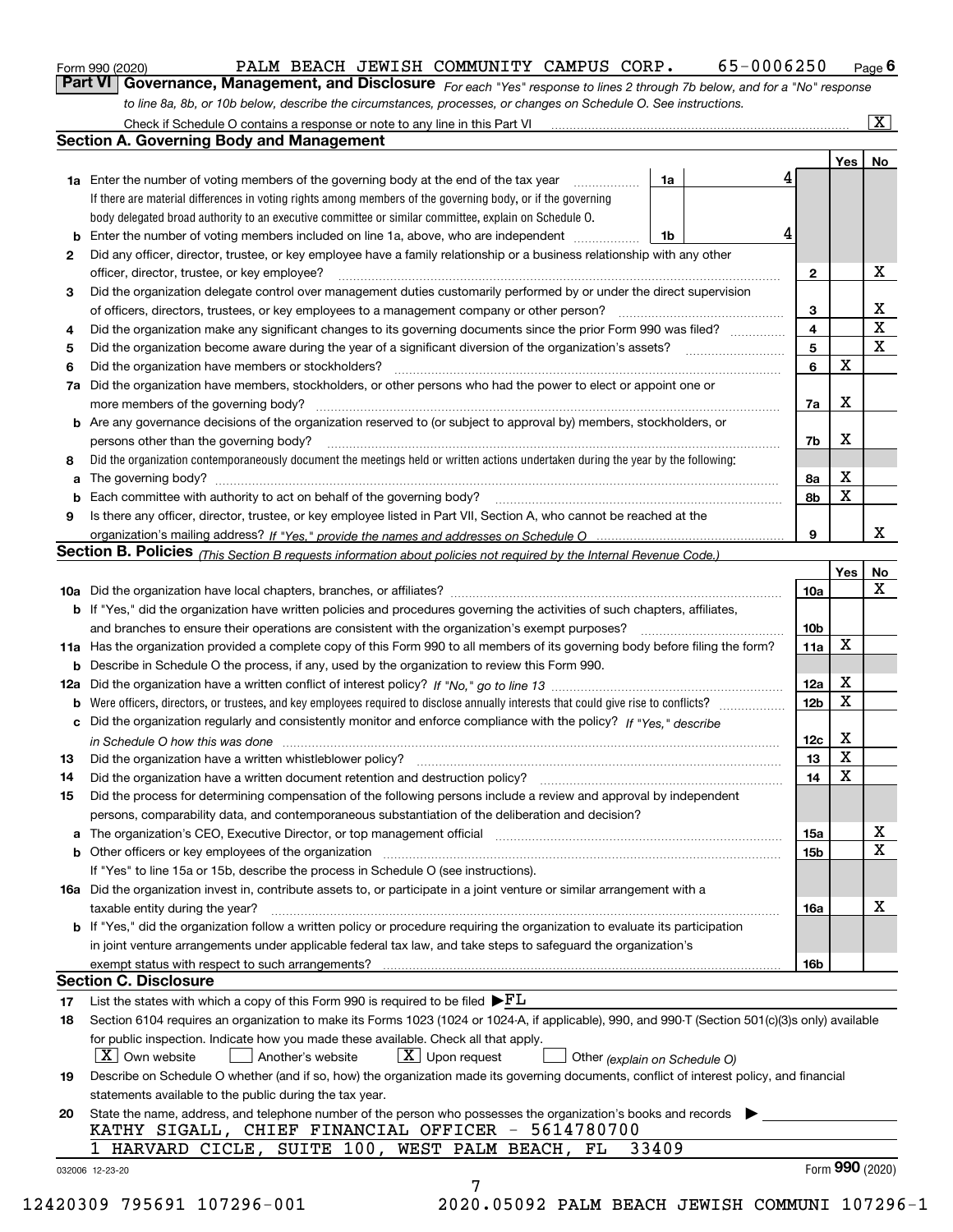|  | Form 990 (2020) |
|--|-----------------|
|  |                 |

#### Form 990 (2020) PALM BEACH JEWISH COMMUNITY CAMPUS CORP. 65-0006250 <sub>Page</sub>

*For each "Yes" response to lines 2 through 7b below, and for a "No" response* **6Part VI Governance, Management, and Disclosure**  *to line 8a, 8b, or 10b below, describe the circumstances, processes, or changes on Schedule O. See instructions.*

|              |                                                                                                                                                                               |                               |   |                     | Yes             | No                      |
|--------------|-------------------------------------------------------------------------------------------------------------------------------------------------------------------------------|-------------------------------|---|---------------------|-----------------|-------------------------|
|              | <b>1a</b> Enter the number of voting members of the governing body at the end of the tax year                                                                                 | 1a                            | 4 |                     |                 |                         |
|              | If there are material differences in voting rights among members of the governing body, or if the governing                                                                   |                               |   |                     |                 |                         |
|              | body delegated broad authority to an executive committee or similar committee, explain on Schedule O.                                                                         |                               | 4 |                     |                 |                         |
|              |                                                                                                                                                                               | 1b                            |   |                     |                 |                         |
| $\mathbf{2}$ | Did any officer, director, trustee, or key employee have a family relationship or a business relationship with any other                                                      |                               |   |                     |                 | X                       |
|              | officer, director, trustee, or key employee?                                                                                                                                  |                               |   | $\mathbf{2}$        |                 |                         |
| 3            | Did the organization delegate control over management duties customarily performed by or under the direct supervision                                                         |                               |   |                     |                 | X                       |
|              |                                                                                                                                                                               |                               |   | 3<br>$\overline{4}$ |                 | $\overline{\mathbf{x}}$ |
| 4            | Did the organization make any significant changes to its governing documents since the prior Form 990 was filed?                                                              |                               |   |                     |                 | X                       |
| 5            |                                                                                                                                                                               |                               |   | 5                   | X               |                         |
| 6            | Did the organization have members or stockholders?                                                                                                                            |                               |   | 6                   |                 |                         |
|              | 7a Did the organization have members, stockholders, or other persons who had the power to elect or appoint one or                                                             |                               |   |                     |                 |                         |
|              |                                                                                                                                                                               |                               |   | 7a                  | x               |                         |
|              | <b>b</b> Are any governance decisions of the organization reserved to (or subject to approval by) members, stockholders, or                                                   |                               |   |                     |                 |                         |
|              | persons other than the governing body?                                                                                                                                        |                               |   | 7b                  | X               |                         |
| 8            | Did the organization contemporaneously document the meetings held or written actions undertaken during the year by the following:                                             |                               |   |                     |                 |                         |
| a            |                                                                                                                                                                               |                               |   | 8a                  | X               |                         |
|              |                                                                                                                                                                               |                               |   | 8b                  | X               |                         |
| 9            | Is there any officer, director, trustee, or key employee listed in Part VII, Section A, who cannot be reached at the                                                          |                               |   |                     |                 |                         |
|              |                                                                                                                                                                               |                               |   | 9                   |                 | х                       |
|              | Section B. Policies (This Section B requests information about policies not required by the Internal Revenue Code.)                                                           |                               |   |                     |                 |                         |
|              |                                                                                                                                                                               |                               |   |                     | Yes             | No                      |
|              |                                                                                                                                                                               |                               |   | 10a                 |                 | X                       |
|              | <b>b</b> If "Yes," did the organization have written policies and procedures governing the activities of such chapters, affiliates,                                           |                               |   |                     |                 |                         |
|              |                                                                                                                                                                               |                               |   | 10 <sub>b</sub>     |                 |                         |
|              | 11a Has the organization provided a complete copy of this Form 990 to all members of its governing body before filing the form?                                               |                               |   | 11a                 | X               |                         |
|              | <b>b</b> Describe in Schedule O the process, if any, used by the organization to review this Form 990.                                                                        |                               |   |                     |                 |                         |
|              |                                                                                                                                                                               |                               |   | 12a                 | X               |                         |
| b            |                                                                                                                                                                               |                               |   | 12b                 | X               |                         |
|              | c Did the organization regularly and consistently monitor and enforce compliance with the policy? If "Yes," describe                                                          |                               |   |                     |                 |                         |
|              | in Schedule O how this was done manufactured and continuum control of the Schedule O how this was done manufactured and continuum control of the Schedule O how this was done |                               |   | 12c                 | х               |                         |
| 13           |                                                                                                                                                                               |                               |   | 13                  | X               |                         |
| 14           | Did the organization have a written document retention and destruction policy? manufactured and the organization have a written document retention and destruction policy?    |                               |   | 14                  | X               |                         |
| 15           | Did the process for determining compensation of the following persons include a review and approval by independent                                                            |                               |   |                     |                 |                         |
|              | persons, comparability data, and contemporaneous substantiation of the deliberation and decision?                                                                             |                               |   |                     |                 |                         |
|              |                                                                                                                                                                               |                               |   | 15a                 |                 | X                       |
|              |                                                                                                                                                                               |                               |   | 15 <sub>b</sub>     |                 | $\mathbf X$             |
|              | If "Yes" to line 15a or 15b, describe the process in Schedule O (see instructions).                                                                                           |                               |   |                     |                 |                         |
|              | 16a Did the organization invest in, contribute assets to, or participate in a joint venture or similar arrangement with a                                                     |                               |   |                     |                 |                         |
|              | taxable entity during the year?                                                                                                                                               |                               |   | 16a                 |                 | X                       |
|              | <b>b</b> If "Yes," did the organization follow a written policy or procedure requiring the organization to evaluate its participation                                         |                               |   |                     |                 |                         |
|              | in joint venture arrangements under applicable federal tax law, and take steps to safeguard the organization's                                                                |                               |   |                     |                 |                         |
|              |                                                                                                                                                                               |                               |   | 16b                 |                 |                         |
|              | <b>Section C. Disclosure</b>                                                                                                                                                  |                               |   |                     |                 |                         |
| 17           | List the states with which a copy of this Form 990 is required to be filed $\blacktriangleright$ $FL$                                                                         |                               |   |                     |                 |                         |
| 18           | Section 6104 requires an organization to make its Forms 1023 (1024 or 1024-A, if applicable), 990, and 990-T (Section 501(c)(3)s only) available                              |                               |   |                     |                 |                         |
|              | for public inspection. Indicate how you made these available. Check all that apply.                                                                                           |                               |   |                     |                 |                         |
|              | $\lfloor X \rfloor$ Own website<br>$X$ Upon request<br>Another's website                                                                                                      | Other (explain on Schedule O) |   |                     |                 |                         |
| 19           | Describe on Schedule O whether (and if so, how) the organization made its governing documents, conflict of interest policy, and financial                                     |                               |   |                     |                 |                         |
|              | statements available to the public during the tax year.                                                                                                                       |                               |   |                     |                 |                         |
| 20           | State the name, address, and telephone number of the person who possesses the organization's books and records                                                                |                               |   |                     |                 |                         |
|              | KATHY SIGALL, CHIEF FINANCIAL OFFICER - 5614780700                                                                                                                            |                               |   |                     |                 |                         |
|              | 1 HARVARD CICLE, SUITE 100, WEST PALM BEACH, FL                                                                                                                               | 33409                         |   |                     |                 |                         |
|              |                                                                                                                                                                               |                               |   |                     | Form 990 (2020) |                         |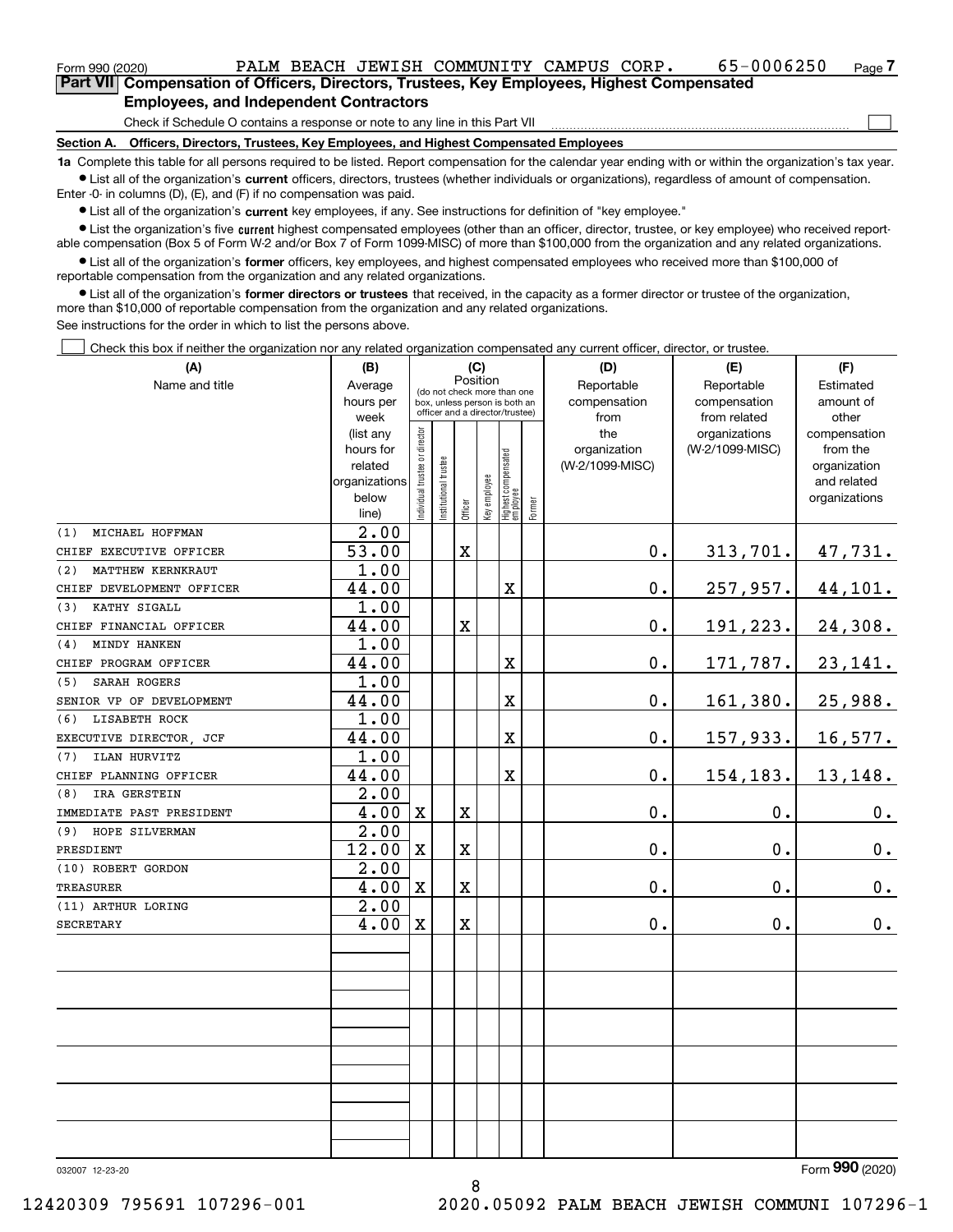$\mathcal{L}^{\text{max}}$ 

**7Part VII Compensation of Officers, Directors, Trustees, Key Employees, Highest Compensated Employees, and Independent Contractors**

Check if Schedule O contains a response or note to any line in this Part VII

**Section A. Officers, Directors, Trustees, Key Employees, and Highest Compensated Employees**

**1a**  Complete this table for all persons required to be listed. Report compensation for the calendar year ending with or within the organization's tax year. **•** List all of the organization's current officers, directors, trustees (whether individuals or organizations), regardless of amount of compensation.

Enter -0- in columns (D), (E), and (F) if no compensation was paid.

 $\bullet$  List all of the organization's  $\,$ current key employees, if any. See instructions for definition of "key employee."

**•** List the organization's five current highest compensated employees (other than an officer, director, trustee, or key employee) who received reportable compensation (Box 5 of Form W-2 and/or Box 7 of Form 1099-MISC) of more than \$100,000 from the organization and any related organizations.

**•** List all of the organization's former officers, key employees, and highest compensated employees who received more than \$100,000 of reportable compensation from the organization and any related organizations.

**former directors or trustees**  ¥ List all of the organization's that received, in the capacity as a former director or trustee of the organization, more than \$10,000 of reportable compensation from the organization and any related organizations.

See instructions for the order in which to list the persons above.

Check this box if neither the organization nor any related organization compensated any current officer, director, or trustee.  $\mathcal{L}^{\text{max}}$ 

| (A)                       | (B)            | (C)                                     |                                                                  | (D)                     | (E)                          | (F)                              |           |                 |                 |               |
|---------------------------|----------------|-----------------------------------------|------------------------------------------------------------------|-------------------------|------------------------------|----------------------------------|-----------|-----------------|-----------------|---------------|
| Name and title            | Average        | Position<br>(do not check more than one |                                                                  | Reportable              | Reportable                   | Estimated                        |           |                 |                 |               |
|                           | hours per      |                                         | box, unless person is both an<br>officer and a director/trustee) |                         | compensation<br>compensation |                                  | amount of |                 |                 |               |
|                           | week           |                                         |                                                                  |                         |                              |                                  |           | from            | from related    | other         |
|                           | (list any      |                                         |                                                                  |                         |                              |                                  |           | the             | organizations   | compensation  |
|                           | hours for      |                                         |                                                                  |                         |                              |                                  |           | organization    | (W-2/1099-MISC) | from the      |
|                           | related        |                                         |                                                                  |                         |                              |                                  |           | (W-2/1099-MISC) |                 | organization  |
|                           | organizations  |                                         |                                                                  |                         |                              |                                  |           |                 |                 | and related   |
|                           | below<br>line) | ndividual trustee or director           | nstitutional trustee                                             | Officer                 | key employee                 | Highest compensated<br> employee | Former    |                 |                 | organizations |
| MICHAEL HOFFMAN<br>(1)    | 2.00           |                                         |                                                                  |                         |                              |                                  |           |                 |                 |               |
| CHIEF EXECUTIVE OFFICER   | 53.00          |                                         |                                                                  | $\mathbf X$             |                              |                                  |           | $\mathbf 0$ .   | 313,701.        | 47,731.       |
| MATTHEW KERNKRAUT<br>(2)  | 1.00           |                                         |                                                                  |                         |                              |                                  |           |                 |                 |               |
| CHIEF DEVELOPMENT OFFICER | 44.00          |                                         |                                                                  |                         |                              | X                                |           | $\mathbf 0$ .   | 257,957.        | 44,101.       |
| KATHY SIGALL<br>(3)       | 1.00           |                                         |                                                                  |                         |                              |                                  |           |                 |                 |               |
| CHIEF FINANCIAL OFFICER   | 44.00          |                                         |                                                                  | $\mathbf X$             |                              |                                  |           | 0.              | 191,223.        | 24,308.       |
| MINDY HANKEN<br>(4)       | 1.00           |                                         |                                                                  |                         |                              |                                  |           |                 |                 |               |
| CHIEF PROGRAM OFFICER     | 44.00          |                                         |                                                                  |                         |                              | X                                |           | 0.              | 171,787.        | 23,141.       |
| SARAH ROGERS<br>(5)       | 1.00           |                                         |                                                                  |                         |                              |                                  |           |                 |                 |               |
| SENIOR VP OF DEVELOPMENT  | 44.00          |                                         |                                                                  |                         |                              | X                                |           | 0.              | 161,380.        | 25,988.       |
| LISABETH ROCK<br>(6)      | 1.00           |                                         |                                                                  |                         |                              |                                  |           |                 |                 |               |
| EXECUTIVE DIRECTOR, JCF   | 44.00          |                                         |                                                                  |                         |                              | X                                |           | 0.              | 157,933.        | 16,577.       |
| ILAN HURVITZ<br>(7)       | 1.00           |                                         |                                                                  |                         |                              |                                  |           |                 |                 |               |
| CHIEF PLANNING OFFICER    | 44.00          |                                         |                                                                  |                         |                              | X                                |           | 0.              | 154,183.        | 13,148.       |
| IRA GERSTEIN<br>(8)       | 2.00           |                                         |                                                                  |                         |                              |                                  |           |                 |                 |               |
| IMMEDIATE PAST PRESIDENT  | 4.00           | $\mathbf X$                             |                                                                  | $\mathbf X$             |                              |                                  |           | 0.              | 0.              | 0.            |
| (9) HOPE SILVERMAN        | 2.00           |                                         |                                                                  |                         |                              |                                  |           |                 |                 |               |
| PRESDIENT                 | 12.00          | $\mathbf X$                             |                                                                  | $\mathbf X$             |                              |                                  |           | 0.              | $\mathbf 0$ .   | 0.            |
| (10) ROBERT GORDON        | 2.00           |                                         |                                                                  |                         |                              |                                  |           |                 |                 |               |
| <b>TREASURER</b>          | 4.00           | $\overline{\text{X}}$                   |                                                                  | $\overline{\mathbf{X}}$ |                              |                                  |           | 0.              | $\mathbf{0}$ .  | 0.            |
| (11) ARTHUR LORING        | 2.00           |                                         |                                                                  |                         |                              |                                  |           |                 |                 |               |
| <b>SECRETARY</b>          | 4.00           | $\mathbf X$                             |                                                                  | $\mathbf X$             |                              |                                  |           | 0.              | $\mathbf 0$ .   | 0.            |
|                           |                |                                         |                                                                  |                         |                              |                                  |           |                 |                 |               |
|                           |                |                                         |                                                                  |                         |                              |                                  |           |                 |                 |               |
|                           |                |                                         |                                                                  |                         |                              |                                  |           |                 |                 |               |
|                           |                |                                         |                                                                  |                         |                              |                                  |           |                 |                 |               |
|                           |                |                                         |                                                                  |                         |                              |                                  |           |                 |                 |               |
|                           |                |                                         |                                                                  |                         |                              |                                  |           |                 |                 |               |
|                           |                |                                         |                                                                  |                         |                              |                                  |           |                 |                 |               |
|                           |                |                                         |                                                                  |                         |                              |                                  |           |                 |                 |               |
|                           |                |                                         |                                                                  |                         |                              |                                  |           |                 |                 |               |
|                           |                |                                         |                                                                  |                         |                              |                                  |           |                 |                 |               |

032007 12-23-20

Form (2020) **990**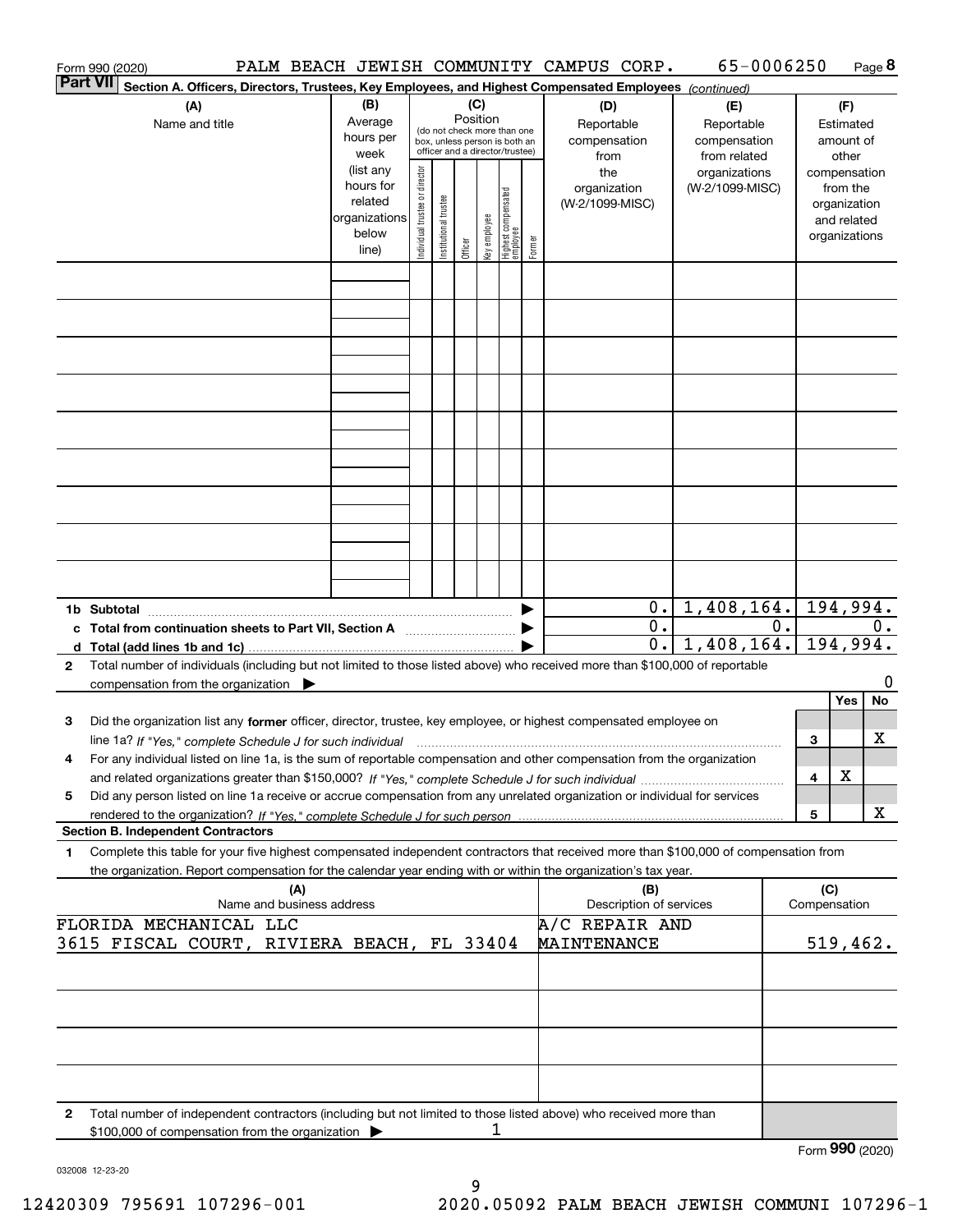|              | Form 990 (2020)                                                                                                                                                                          |                                  |                                                                      |                                |                       |          |              |                                                                                                 |        | PALM BEACH JEWISH COMMUNITY CAMPUS CORP.                                                               | 65-0006250                                       |    |     |                                                                                   | Page 8  |
|--------------|------------------------------------------------------------------------------------------------------------------------------------------------------------------------------------------|----------------------------------|----------------------------------------------------------------------|--------------------------------|-----------------------|----------|--------------|-------------------------------------------------------------------------------------------------|--------|--------------------------------------------------------------------------------------------------------|--------------------------------------------------|----|-----|-----------------------------------------------------------------------------------|---------|
| Part VII     |                                                                                                                                                                                          |                                  |                                                                      |                                |                       |          |              |                                                                                                 |        | Section A. Officers, Directors, Trustees, Key Employees, and Highest Compensated Employees (continued) |                                                  |    |     |                                                                                   |         |
|              | (A)<br>Name and title                                                                                                                                                                    |                                  | (B)<br>Average<br>hours per<br>week                                  |                                |                       | Position | (C)          | (do not check more than one<br>box, unless person is both an<br>officer and a director/trustee) |        | (D)<br>Reportable<br>compensation                                                                      | (E)<br>Reportable<br>compensation                |    |     | (F)<br>Estimated<br>amount of                                                     |         |
|              |                                                                                                                                                                                          |                                  | (list any<br>hours for<br>related<br>organizations<br>below<br>line) | Individual trustee or director | Institutional trustee | Officer  | Key employee | Highest compensated<br>employee                                                                 | Former | from<br>the<br>organization<br>(W-2/1099-MISC)                                                         | from related<br>organizations<br>(W-2/1099-MISC) |    |     | other<br>compensation<br>from the<br>organization<br>and related<br>organizations |         |
|              |                                                                                                                                                                                          |                                  |                                                                      |                                |                       |          |              |                                                                                                 |        |                                                                                                        |                                                  |    |     |                                                                                   |         |
|              |                                                                                                                                                                                          |                                  |                                                                      |                                |                       |          |              |                                                                                                 |        |                                                                                                        |                                                  |    |     |                                                                                   |         |
|              |                                                                                                                                                                                          |                                  |                                                                      |                                |                       |          |              |                                                                                                 |        |                                                                                                        |                                                  |    |     |                                                                                   |         |
|              |                                                                                                                                                                                          |                                  |                                                                      |                                |                       |          |              |                                                                                                 |        |                                                                                                        |                                                  |    |     |                                                                                   |         |
|              |                                                                                                                                                                                          |                                  |                                                                      |                                |                       |          |              |                                                                                                 |        |                                                                                                        |                                                  |    |     |                                                                                   |         |
|              |                                                                                                                                                                                          |                                  |                                                                      |                                |                       |          |              |                                                                                                 |        |                                                                                                        |                                                  |    |     |                                                                                   |         |
|              |                                                                                                                                                                                          |                                  |                                                                      |                                |                       |          |              |                                                                                                 |        |                                                                                                        |                                                  |    |     |                                                                                   |         |
|              | 1b Subtotal                                                                                                                                                                              |                                  |                                                                      |                                |                       |          |              |                                                                                                 |        | 0.1                                                                                                    | 1,408,164.                                       |    |     | 194,994.                                                                          |         |
|              | c Total from continuation sheets to Part VII, Section A <b>Constant Contact Part</b>                                                                                                     |                                  |                                                                      |                                |                       |          |              |                                                                                                 |        | $\overline{0}$ .<br>$\overline{0}$ .                                                                   | 1,408,164.                                       | 0. |     | 194,994.                                                                          | $0$ .   |
| $\mathbf{2}$ | Total number of individuals (including but not limited to those listed above) who received more than \$100,000 of reportable<br>compensation from the organization $\blacktriangleright$ |                                  |                                                                      |                                |                       |          |              |                                                                                                 |        |                                                                                                        |                                                  |    |     |                                                                                   | 0       |
| з            | Did the organization list any former officer, director, trustee, key employee, or highest compensated employee on                                                                        |                                  |                                                                      |                                |                       |          |              |                                                                                                 |        |                                                                                                        |                                                  |    | 3   | Yes                                                                               | No<br>х |
| 4            | For any individual listed on line 1a, is the sum of reportable compensation and other compensation from the organization                                                                 |                                  |                                                                      |                                |                       |          |              |                                                                                                 |        |                                                                                                        |                                                  |    | 4   | х                                                                                 |         |
| 5            | Did any person listed on line 1a receive or accrue compensation from any unrelated organization or individual for services                                                               |                                  |                                                                      |                                |                       |          |              |                                                                                                 |        |                                                                                                        |                                                  |    | 5   |                                                                                   | X       |
| 1            | <b>Section B. Independent Contractors</b><br>Complete this table for your five highest compensated independent contractors that received more than \$100,000 of compensation from        |                                  |                                                                      |                                |                       |          |              |                                                                                                 |        |                                                                                                        |                                                  |    |     |                                                                                   |         |
|              | the organization. Report compensation for the calendar year ending with or within the organization's tax year.                                                                           | (A)<br>Name and business address |                                                                      |                                |                       |          |              |                                                                                                 |        | (B)<br>Description of services                                                                         |                                                  |    | (C) | Compensation                                                                      |         |
|              | FLORIDA MECHANICAL LLC<br>3615 FISCAL COURT, RIVIERA BEACH, FL 33404                                                                                                                     |                                  |                                                                      |                                |                       |          |              |                                                                                                 |        | A/C REPAIR AND<br>MAINTENANCE                                                                          |                                                  |    |     | 519,462.                                                                          |         |
|              |                                                                                                                                                                                          |                                  |                                                                      |                                |                       |          |              |                                                                                                 |        |                                                                                                        |                                                  |    |     |                                                                                   |         |
|              |                                                                                                                                                                                          |                                  |                                                                      |                                |                       |          |              |                                                                                                 |        |                                                                                                        |                                                  |    |     |                                                                                   |         |
|              |                                                                                                                                                                                          |                                  |                                                                      |                                |                       |          |              |                                                                                                 |        |                                                                                                        |                                                  |    |     |                                                                                   |         |
| 2            | Total number of independent contractors (including but not limited to those listed above) who received more than<br>\$100,000 of compensation from the organization >                    |                                  |                                                                      |                                |                       |          | ı            |                                                                                                 |        |                                                                                                        |                                                  |    |     |                                                                                   |         |
|              |                                                                                                                                                                                          |                                  |                                                                      |                                |                       |          |              |                                                                                                 |        |                                                                                                        |                                                  |    |     | Form 990 (2020)                                                                   |         |

032008 12-23-20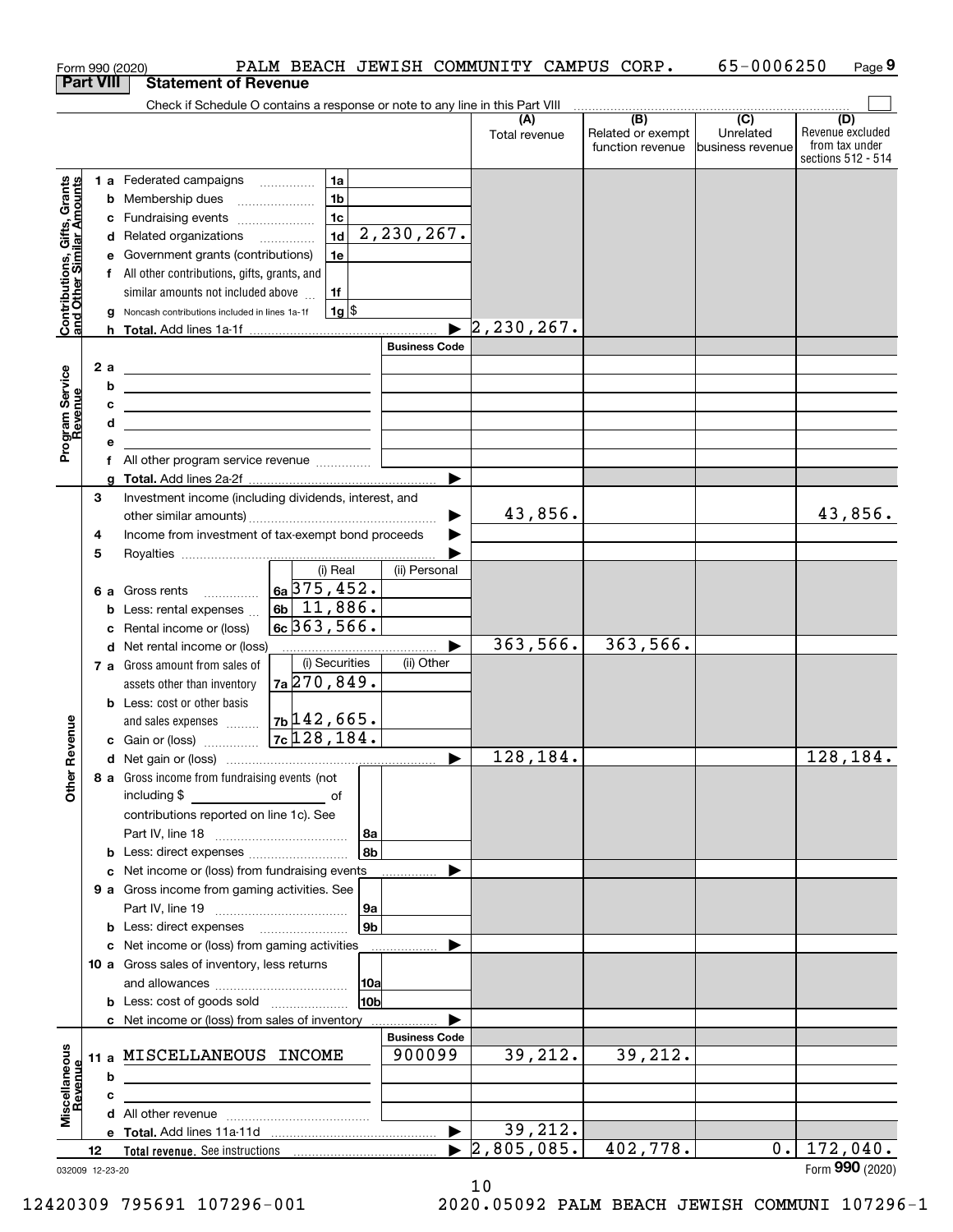|                                                           |                  |     | Form 990 (2020)                                                                                                           | PALM BEACH JEWISH COMMUNITY CAMPUS CORP.      |                      |                                  |                   | 65-0006250        | Page 9             |
|-----------------------------------------------------------|------------------|-----|---------------------------------------------------------------------------------------------------------------------------|-----------------------------------------------|----------------------|----------------------------------|-------------------|-------------------|--------------------|
|                                                           | <b>Part VIII</b> |     | <b>Statement of Revenue</b>                                                                                               |                                               |                      |                                  |                   |                   |                    |
|                                                           |                  |     | Check if Schedule O contains a response or note to any line in this Part VIII                                             |                                               |                      | (A)                              | (B)               | $\overline{C}$    | (D)                |
|                                                           |                  |     |                                                                                                                           |                                               |                      | Total revenue                    | Related or exempt | Unrelated         | Revenue excluded   |
|                                                           |                  |     |                                                                                                                           |                                               |                      |                                  | function revenue  | Ibusiness revenue | from tax under     |
|                                                           |                  |     |                                                                                                                           |                                               |                      |                                  |                   |                   | sections 512 - 514 |
| Contributions, Gifts, Grants<br>and Other Similar Amounts |                  |     | 1 a Federated campaigns                                                                                                   | 1a                                            |                      |                                  |                   |                   |                    |
|                                                           |                  |     | <b>b</b> Membership dues                                                                                                  | 1 <sub>b</sub>                                |                      |                                  |                   |                   |                    |
|                                                           |                  |     | c Fundraising events                                                                                                      | 1 <sub>c</sub>                                |                      |                                  |                   |                   |                    |
|                                                           |                  |     | d Related organizations                                                                                                   | 1d                                            | 2,230,267.           |                                  |                   |                   |                    |
|                                                           |                  |     | e Government grants (contributions)                                                                                       | 1e                                            |                      |                                  |                   |                   |                    |
|                                                           |                  |     | f All other contributions, gifts, grants, and                                                                             |                                               |                      |                                  |                   |                   |                    |
|                                                           |                  |     | similar amounts not included above                                                                                        | 1f                                            |                      |                                  |                   |                   |                    |
|                                                           |                  |     | g Noncash contributions included in lines 1a-1f                                                                           | $1g$ \$                                       |                      |                                  |                   |                   |                    |
|                                                           |                  |     |                                                                                                                           |                                               |                      | $\blacktriangleright$ 2,230,267. |                   |                   |                    |
|                                                           |                  |     |                                                                                                                           |                                               | <b>Business Code</b> |                                  |                   |                   |                    |
|                                                           |                  | 2 a |                                                                                                                           |                                               |                      |                                  |                   |                   |                    |
|                                                           |                  | b   | <u> 1989 - Johann Barbara, martin amerikan basar dan berasal dalam basa dalam basar dalam basar dalam basa dalam</u>      |                                               |                      |                                  |                   |                   |                    |
|                                                           |                  | c   | <u> 1989 - Johann Stein, mars an deutscher Stein († 1958)</u>                                                             |                                               |                      |                                  |                   |                   |                    |
|                                                           |                  | d   | <u> 1980 - Jan Barnett, fransk politiker (d. 1980)</u>                                                                    |                                               |                      |                                  |                   |                   |                    |
| Program Service<br>Revenue                                |                  | е   |                                                                                                                           |                                               |                      |                                  |                   |                   |                    |
|                                                           |                  |     | f All other program service revenue                                                                                       |                                               |                      |                                  |                   |                   |                    |
|                                                           |                  |     |                                                                                                                           |                                               |                      |                                  |                   |                   |                    |
|                                                           | З                |     | Investment income (including dividends, interest, and                                                                     |                                               |                      | 43,856.                          |                   |                   | 43,856.            |
|                                                           |                  |     |                                                                                                                           |                                               |                      |                                  |                   |                   |                    |
|                                                           | 4                |     | Income from investment of tax-exempt bond proceeds                                                                        |                                               |                      |                                  |                   |                   |                    |
|                                                           | 5                |     |                                                                                                                           | (i) Real                                      | (ii) Personal        |                                  |                   |                   |                    |
|                                                           |                  |     |                                                                                                                           |                                               |                      |                                  |                   |                   |                    |
|                                                           |                  |     | 6 a Gross rents                                                                                                           | $\vert$ 6a $\vert$ 375, 452.<br>6b $11,886$ . |                      |                                  |                   |                   |                    |
|                                                           |                  |     | <b>b</b> Less: rental expenses                                                                                            | $6c$ 363, 566.                                |                      |                                  |                   |                   |                    |
|                                                           |                  |     | c Rental income or (loss)                                                                                                 |                                               |                      | 363,566.                         | 363,566.          |                   |                    |
|                                                           |                  |     | d Net rental income or (loss)                                                                                             | (i) Securities                                | (ii) Other           |                                  |                   |                   |                    |
|                                                           |                  |     | 7 a Gross amount from sales of                                                                                            |                                               |                      |                                  |                   |                   |                    |
|                                                           |                  |     | assets other than inventory                                                                                               | $7a$ 270, 849.                                |                      |                                  |                   |                   |                    |
|                                                           |                  |     | <b>b</b> Less: cost or other basis                                                                                        |                                               |                      |                                  |                   |                   |                    |
| wenue                                                     |                  |     | and sales expenses                                                                                                        | 7b142,665.<br>$7c$ $128, 184.$                |                      |                                  |                   |                   |                    |
|                                                           |                  |     | <b>c</b> Gain or (loss)                                                                                                   |                                               |                      | 128, 184.                        |                   |                   | 128,184.           |
| Other R                                                   |                  |     |                                                                                                                           |                                               |                      |                                  |                   |                   |                    |
|                                                           |                  |     | 8 a Gross income from fundraising events (not                                                                             |                                               |                      |                                  |                   |                   |                    |
|                                                           |                  |     |                                                                                                                           |                                               |                      |                                  |                   |                   |                    |
|                                                           |                  |     | contributions reported on line 1c). See                                                                                   |                                               |                      |                                  |                   |                   |                    |
|                                                           |                  |     |                                                                                                                           | l 8a<br> 8b                                   |                      |                                  |                   |                   |                    |
|                                                           |                  |     | <b>b</b> Less: direct expenses <b>contained b</b> Less: direct expenses<br>c Net income or (loss) from fundraising events |                                               |                      |                                  |                   |                   |                    |
|                                                           |                  |     | 9 a Gross income from gaming activities. See                                                                              |                                               |                      |                                  |                   |                   |                    |
|                                                           |                  |     |                                                                                                                           | 9а                                            |                      |                                  |                   |                   |                    |
|                                                           |                  |     | <b>b</b> Less: direct expenses <b>manually</b>                                                                            | 9b                                            |                      |                                  |                   |                   |                    |
|                                                           |                  |     | c Net income or (loss) from gaming activities                                                                             |                                               |                      |                                  |                   |                   |                    |
|                                                           |                  |     | 10 a Gross sales of inventory, less returns                                                                               |                                               |                      |                                  |                   |                   |                    |
|                                                           |                  |     |                                                                                                                           | 10a                                           |                      |                                  |                   |                   |                    |
|                                                           |                  |     | <b>b</b> Less: cost of goods sold                                                                                         | 10 <sub>b</sub>                               |                      |                                  |                   |                   |                    |
|                                                           |                  |     | c Net income or (loss) from sales of inventory                                                                            |                                               |                      |                                  |                   |                   |                    |
|                                                           |                  |     |                                                                                                                           |                                               | <b>Business Code</b> |                                  |                   |                   |                    |
|                                                           |                  |     | 11 a MISCELLANEOUS INCOME                                                                                                 |                                               | 900099               | 39,212.                          | 39,212.           |                   |                    |
| Miscellaneous<br>Revenue                                  |                  | b   |                                                                                                                           |                                               |                      |                                  |                   |                   |                    |
|                                                           |                  | c   |                                                                                                                           |                                               |                      |                                  |                   |                   |                    |
|                                                           |                  |     |                                                                                                                           |                                               |                      |                                  |                   |                   |                    |
|                                                           |                  |     |                                                                                                                           |                                               |                      | 39,212.                          |                   |                   |                    |
|                                                           | 12               |     |                                                                                                                           |                                               |                      | $\blacktriangleright$ 2,805,085. | 402,778.          | 0.1               | 172,040.           |
| 032009 12-23-20                                           |                  |     |                                                                                                                           |                                               |                      |                                  |                   |                   | Form 990 (2020)    |

032009 12-23-20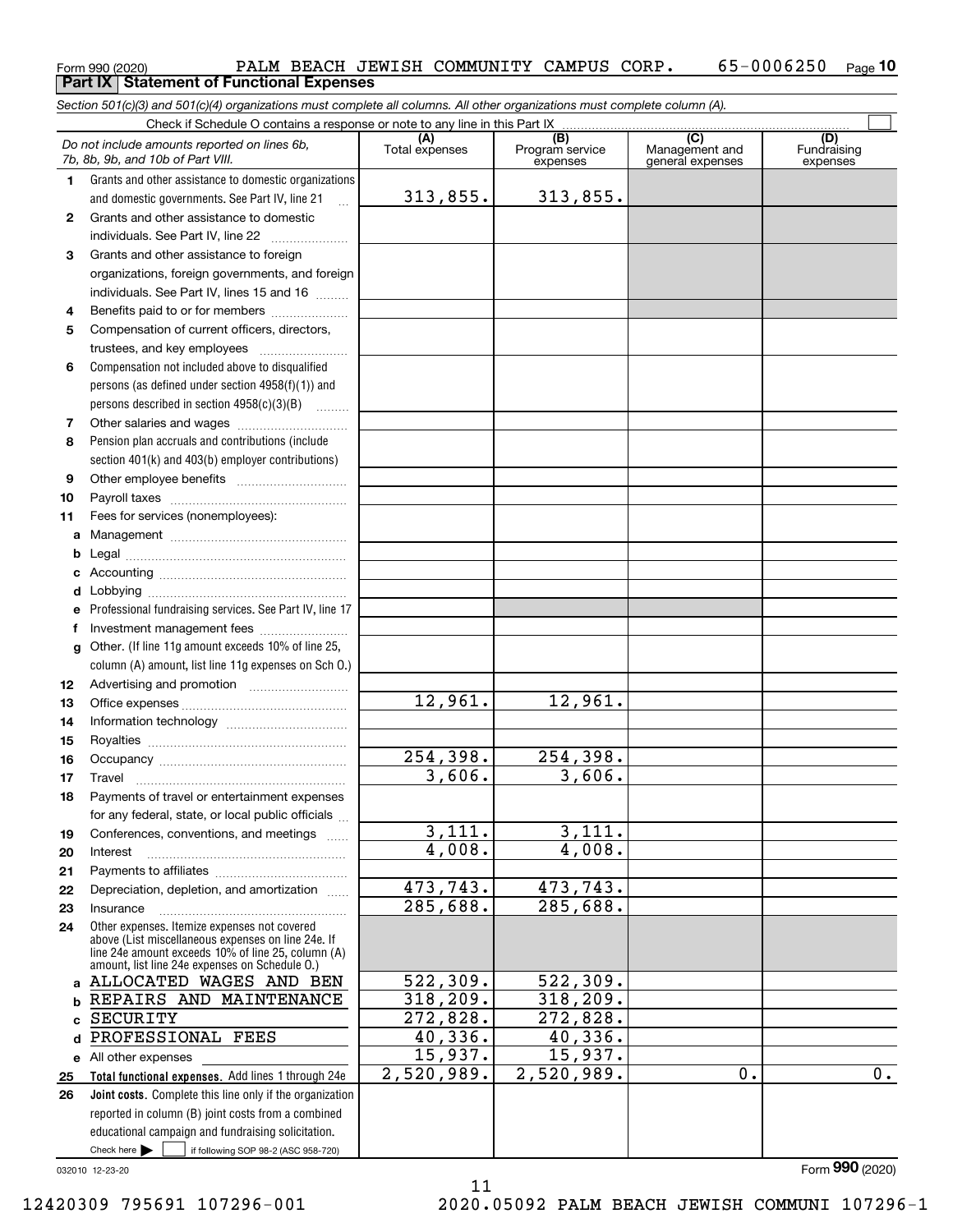#### $_{\rm Form}$ 990 (2020) PALM BEACH JEWISH COMMUNITY CAMPUS CORP $_{\rm *}$  65-0006250  $_{\rm Page}$ **10 Part IX Statement of Functional Expenses**

*Section 501(c)(3) and 501(c)(4) organizations must complete all columns. All other organizations must complete column (A).*

|          | Check if Schedule O contains a response or note to any line in this Part IX                           |                       |                                    |                                           |                                |  |  |  |  |  |
|----------|-------------------------------------------------------------------------------------------------------|-----------------------|------------------------------------|-------------------------------------------|--------------------------------|--|--|--|--|--|
|          | Do not include amounts reported on lines 6b,<br>7b, 8b, 9b, and 10b of Part VIII.                     | (A)<br>Total expenses | (B)<br>Program service<br>expenses | (C)<br>Management and<br>general expenses | (D)<br>Fundraising<br>expenses |  |  |  |  |  |
| 1.       | Grants and other assistance to domestic organizations                                                 |                       |                                    |                                           |                                |  |  |  |  |  |
|          | and domestic governments. See Part IV, line 21                                                        | 313,855.              | 313,855.                           |                                           |                                |  |  |  |  |  |
| 2        | Grants and other assistance to domestic                                                               |                       |                                    |                                           |                                |  |  |  |  |  |
|          | individuals. See Part IV, line 22                                                                     |                       |                                    |                                           |                                |  |  |  |  |  |
| 3        | Grants and other assistance to foreign                                                                |                       |                                    |                                           |                                |  |  |  |  |  |
|          | organizations, foreign governments, and foreign                                                       |                       |                                    |                                           |                                |  |  |  |  |  |
|          | individuals. See Part IV, lines 15 and 16                                                             |                       |                                    |                                           |                                |  |  |  |  |  |
| 4        | Benefits paid to or for members                                                                       |                       |                                    |                                           |                                |  |  |  |  |  |
| 5        | Compensation of current officers, directors,                                                          |                       |                                    |                                           |                                |  |  |  |  |  |
|          |                                                                                                       |                       |                                    |                                           |                                |  |  |  |  |  |
| 6        | Compensation not included above to disqualified                                                       |                       |                                    |                                           |                                |  |  |  |  |  |
|          | persons (as defined under section $4958(f)(1)$ ) and                                                  |                       |                                    |                                           |                                |  |  |  |  |  |
|          | persons described in section $4958(c)(3)(B)$                                                          |                       |                                    |                                           |                                |  |  |  |  |  |
| 7        |                                                                                                       |                       |                                    |                                           |                                |  |  |  |  |  |
| 8        | Pension plan accruals and contributions (include<br>section 401(k) and 403(b) employer contributions) |                       |                                    |                                           |                                |  |  |  |  |  |
| 9        |                                                                                                       |                       |                                    |                                           |                                |  |  |  |  |  |
| 10       |                                                                                                       |                       |                                    |                                           |                                |  |  |  |  |  |
| 11       | Fees for services (nonemployees):                                                                     |                       |                                    |                                           |                                |  |  |  |  |  |
| а        |                                                                                                       |                       |                                    |                                           |                                |  |  |  |  |  |
| b        |                                                                                                       |                       |                                    |                                           |                                |  |  |  |  |  |
|          |                                                                                                       |                       |                                    |                                           |                                |  |  |  |  |  |
|          |                                                                                                       |                       |                                    |                                           |                                |  |  |  |  |  |
| е        | Professional fundraising services. See Part IV, line 17                                               |                       |                                    |                                           |                                |  |  |  |  |  |
| f        | Investment management fees                                                                            |                       |                                    |                                           |                                |  |  |  |  |  |
| g        | Other. (If line 11g amount exceeds 10% of line 25,                                                    |                       |                                    |                                           |                                |  |  |  |  |  |
|          | column (A) amount, list line 11g expenses on Sch O.)                                                  |                       |                                    |                                           |                                |  |  |  |  |  |
| 12       |                                                                                                       |                       |                                    |                                           |                                |  |  |  |  |  |
| 13       |                                                                                                       | 12,961.               | 12,961.                            |                                           |                                |  |  |  |  |  |
| 14       |                                                                                                       |                       |                                    |                                           |                                |  |  |  |  |  |
| 15       |                                                                                                       | 254,398.              | 254,398.                           |                                           |                                |  |  |  |  |  |
| 16<br>17 | Travel                                                                                                | 3,606.                | 3,606.                             |                                           |                                |  |  |  |  |  |
| 18       | Payments of travel or entertainment expenses                                                          |                       |                                    |                                           |                                |  |  |  |  |  |
|          | for any federal, state, or local public officials                                                     |                       |                                    |                                           |                                |  |  |  |  |  |
| 19       | Conferences, conventions, and meetings                                                                | 3,111.                | 3,111.                             |                                           |                                |  |  |  |  |  |
| 20       | Interest                                                                                              | 4,008.                | 4,008.                             |                                           |                                |  |  |  |  |  |
| 21       |                                                                                                       |                       |                                    |                                           |                                |  |  |  |  |  |
| 22       | Depreciation, depletion, and amortization                                                             | 473,743.              | 473, 743.                          |                                           |                                |  |  |  |  |  |
| 23       | Insurance                                                                                             | 285,688.              | 285,688.                           |                                           |                                |  |  |  |  |  |
| 24       | Other expenses. Itemize expenses not covered<br>above (List miscellaneous expenses on line 24e. If    |                       |                                    |                                           |                                |  |  |  |  |  |
|          | line 24e amount exceeds 10% of line 25, column (A)                                                    |                       |                                    |                                           |                                |  |  |  |  |  |
|          | amount, list line 24e expenses on Schedule O.)<br>ALLOCATED WAGES AND BEN                             | 522,309.              | 522, 309.                          |                                           |                                |  |  |  |  |  |
| a<br>b   | REPAIRS AND MAINTENANCE                                                                               | 318, 209.             | 318,209.                           |                                           |                                |  |  |  |  |  |
| c        | SECURITY                                                                                              | 272,828.              | 272,828.                           |                                           |                                |  |  |  |  |  |
| d        | PROFESSIONAL FEES                                                                                     | 40,336.               | 40,336.                            |                                           |                                |  |  |  |  |  |
| е        | All other expenses                                                                                    | 15,937.               | 15,937.                            |                                           |                                |  |  |  |  |  |
| 25       | Total functional expenses. Add lines 1 through 24e                                                    | 2,520,989.            | 2,520,989.                         | 0.                                        | 0.                             |  |  |  |  |  |
| 26       | Joint costs. Complete this line only if the organization                                              |                       |                                    |                                           |                                |  |  |  |  |  |
|          | reported in column (B) joint costs from a combined                                                    |                       |                                    |                                           |                                |  |  |  |  |  |
|          | educational campaign and fundraising solicitation.                                                    |                       |                                    |                                           |                                |  |  |  |  |  |
|          | Check here $\blacktriangleright$<br>if following SOP 98-2 (ASC 958-720)                               |                       |                                    |                                           |                                |  |  |  |  |  |

11

032010 12-23-20

Form (2020) **990**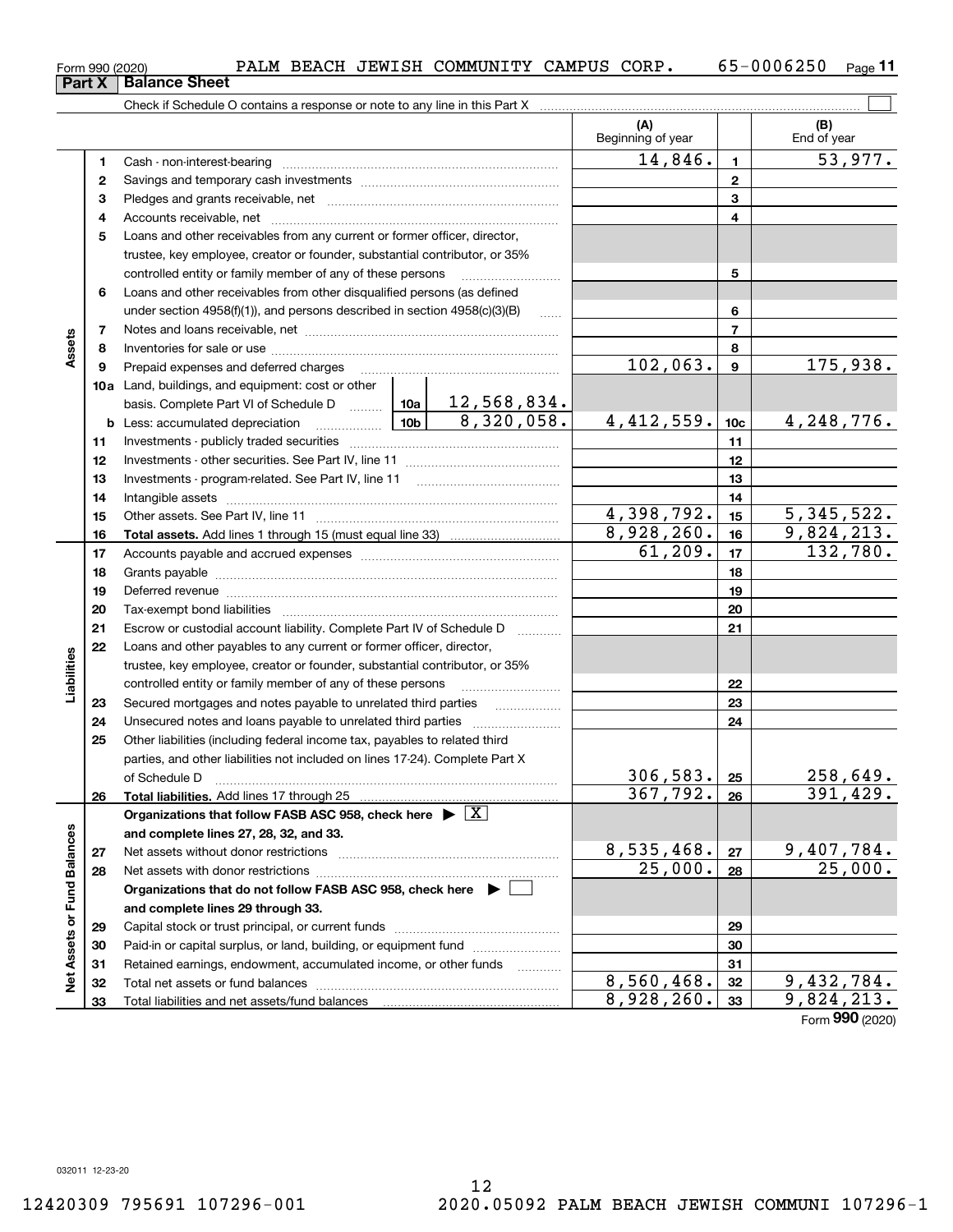**3132 33**

Total liabilities and net assets/fund balances

**313233**

|                             |    |                                                                                                                                                                                                                                |                 |                    | (A)<br>Beginning of year |                  | (B)<br>End of year |
|-----------------------------|----|--------------------------------------------------------------------------------------------------------------------------------------------------------------------------------------------------------------------------------|-----------------|--------------------|--------------------------|------------------|--------------------|
|                             | 1  | Cash - non-interest-bearing                                                                                                                                                                                                    |                 |                    | 14,846.                  | 1.               | 53,977.            |
|                             | 2  |                                                                                                                                                                                                                                |                 |                    | $\mathbf{2}$             |                  |                    |
|                             | з  |                                                                                                                                                                                                                                |                 |                    |                          | 3                |                    |
|                             | 4  |                                                                                                                                                                                                                                |                 | 4                  |                          |                  |                    |
|                             | 5  | Loans and other receivables from any current or former officer, director,                                                                                                                                                      |                 |                    |                          |                  |                    |
|                             |    | trustee, key employee, creator or founder, substantial contributor, or 35%                                                                                                                                                     |                 |                    |                          |                  |                    |
|                             |    | controlled entity or family member of any of these persons                                                                                                                                                                     |                 |                    |                          | 5                |                    |
|                             | 6  | Loans and other receivables from other disqualified persons (as defined                                                                                                                                                        |                 |                    |                          |                  |                    |
|                             |    | under section $4958(f)(1)$ , and persons described in section $4958(c)(3)(B)$                                                                                                                                                  |                 | 1.1.1.1.1          |                          | 6                |                    |
|                             | 7  |                                                                                                                                                                                                                                |                 |                    |                          | $\overline{7}$   |                    |
| Assets                      | 8  |                                                                                                                                                                                                                                |                 |                    |                          | 8                |                    |
|                             | 9  | Prepaid expenses and deferred charges                                                                                                                                                                                          |                 |                    | 102,063.                 | $\boldsymbol{9}$ | 175,938.           |
|                             |    | 10a Land, buildings, and equipment: cost or other                                                                                                                                                                              |                 |                    |                          |                  |                    |
|                             |    | basis. Complete Part VI of Schedule D  10a                                                                                                                                                                                     |                 | <u>12,568,834.</u> |                          |                  |                    |
|                             |    | <b>b</b> Less: accumulated depreciation<br>. 1                                                                                                                                                                                 | 10 <sub>b</sub> | 8,320,058.         | 4,412,559.               | 10 <sub>c</sub>  | 4,248,776.         |
|                             | 11 | Investments - publicly traded securities                                                                                                                                                                                       |                 |                    |                          | 11               |                    |
|                             | 12 |                                                                                                                                                                                                                                |                 |                    |                          | 12               |                    |
|                             | 13 |                                                                                                                                                                                                                                |                 |                    |                          | 13               |                    |
|                             | 14 | Intangible assets                                                                                                                                                                                                              |                 | 14                 |                          |                  |                    |
|                             | 15 |                                                                                                                                                                                                                                | 4,398,792.      | 15                 | 5, 345, 522.             |                  |                    |
|                             | 16 |                                                                                                                                                                                                                                |                 |                    | 8,928,260.               | 16               | 9,824,213.         |
|                             | 17 |                                                                                                                                                                                                                                |                 |                    | 61,209.                  | 17               | 132,780.           |
|                             | 18 |                                                                                                                                                                                                                                |                 |                    |                          | 18               |                    |
|                             | 19 | Deferred revenue manual contracts and contracts are all the contracts and contracts are contracted and contracts are contracted and contract are contracted and contract are contracted and contract are contracted and contra |                 |                    |                          | 19               |                    |
|                             | 20 | Tax-exempt bond liabilities                                                                                                                                                                                                    |                 |                    |                          | 20               |                    |
|                             | 21 | Escrow or custodial account liability. Complete Part IV of Schedule D                                                                                                                                                          |                 |                    |                          | 21               |                    |
|                             | 22 | Loans and other payables to any current or former officer, director,                                                                                                                                                           |                 |                    |                          |                  |                    |
| Liabilities                 |    | trustee, key employee, creator or founder, substantial contributor, or 35%                                                                                                                                                     |                 |                    |                          |                  |                    |
|                             |    | controlled entity or family member of any of these persons                                                                                                                                                                     |                 |                    |                          | 22               |                    |
|                             | 23 | Secured mortgages and notes payable to unrelated third parties                                                                                                                                                                 |                 |                    |                          | 23               |                    |
|                             | 24 | Unsecured notes and loans payable to unrelated third parties                                                                                                                                                                   |                 |                    |                          | 24               |                    |
|                             | 25 | Other liabilities (including federal income tax, payables to related third                                                                                                                                                     |                 |                    |                          |                  |                    |
|                             |    | parties, and other liabilities not included on lines 17-24). Complete Part X                                                                                                                                                   |                 |                    |                          |                  |                    |
|                             |    | of Schedule D                                                                                                                                                                                                                  |                 |                    | 306, 583.                | 25               | 258,649.           |
|                             | 26 | Total liabilities. Add lines 17 through 25                                                                                                                                                                                     |                 |                    | 367,792.                 | 26               | 391,429.           |
|                             |    | Organizations that follow FASB ASC 958, check here $\blacktriangleright \boxed{X}$                                                                                                                                             |                 |                    |                          |                  |                    |
|                             |    | and complete lines 27, 28, 32, and 33.                                                                                                                                                                                         |                 |                    |                          |                  |                    |
|                             | 27 | Net assets without donor restrictions                                                                                                                                                                                          |                 |                    | 8,535,468.               | 27               | <u>9,407,784.</u>  |
|                             | 28 | Net assets with donor restrictions                                                                                                                                                                                             |                 |                    | 25,000.                  | 28               | 25,000.            |
|                             |    | Organizations that do not follow FASB ASC 958, check here $\blacktriangleright$                                                                                                                                                |                 |                    |                          |                  |                    |
| Net Assets or Fund Balances |    | and complete lines 29 through 33.                                                                                                                                                                                              |                 |                    |                          |                  |                    |
|                             | 29 | Capital stock or trust principal, or current funds                                                                                                                                                                             |                 |                    |                          | 29               |                    |
|                             | 30 | Paid-in or capital surplus, or land, building, or equipment fund                                                                                                                                                               |                 |                    |                          | 30               |                    |
|                             | 31 | Retained earnings, endowment, accumulated income, or other funds                                                                                                                                                               |                 |                    |                          | 31               |                    |
|                             | 32 |                                                                                                                                                                                                                                |                 |                    | 8,560,468.               | 32               | <u>9,432,784.</u>  |
|                             |    |                                                                                                                                                                                                                                |                 |                    |                          |                  |                    |

 $_{\rm Form}$ 990 (2020) PALM BEACH JEWISH COMMUNITY CAMPUS CORP $_{\rm *}$  65-0006250  $_{\rm Page}$ 

Form (2020) **990**  $8,928,260.$   $33$  9,824,213.

 $\mathbb{R}^n$ 

## **Part X Balance Sheet**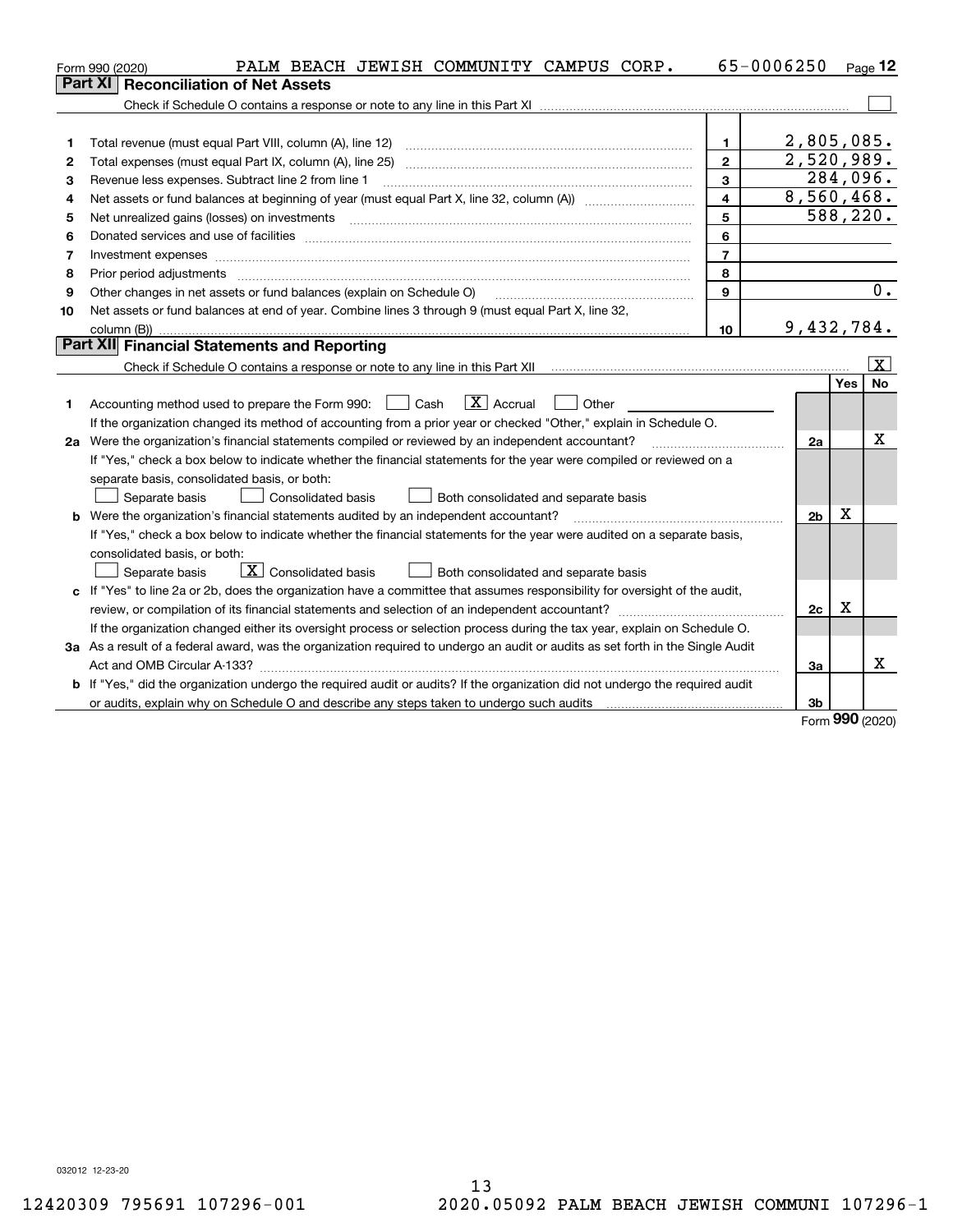|    | PALM BEACH JEWISH COMMUNITY CAMPUS CORP.<br>Form 990 (2020)                                                                                                                                                                                                                                                                                                                                                                                                                |                         | 65-0006250     |            | Page 12      |
|----|----------------------------------------------------------------------------------------------------------------------------------------------------------------------------------------------------------------------------------------------------------------------------------------------------------------------------------------------------------------------------------------------------------------------------------------------------------------------------|-------------------------|----------------|------------|--------------|
|    | <b>Reconciliation of Net Assets</b><br>Part XI                                                                                                                                                                                                                                                                                                                                                                                                                             |                         |                |            |              |
|    |                                                                                                                                                                                                                                                                                                                                                                                                                                                                            |                         |                |            |              |
|    |                                                                                                                                                                                                                                                                                                                                                                                                                                                                            |                         |                |            |              |
| 1  | Total revenue (must equal Part VIII, column (A), line 12)                                                                                                                                                                                                                                                                                                                                                                                                                  | 1.                      | 2,805,085.     |            |              |
| 2  |                                                                                                                                                                                                                                                                                                                                                                                                                                                                            | $\overline{2}$          | 2,520,989.     |            |              |
| з  | Revenue less expenses. Subtract line 2 from line 1                                                                                                                                                                                                                                                                                                                                                                                                                         | 3                       | 284,096.       |            |              |
| 4  |                                                                                                                                                                                                                                                                                                                                                                                                                                                                            | $\overline{\mathbf{A}}$ | 8,560,468.     |            |              |
| 5  | Net unrealized gains (losses) on investments<br>$\overline{a_1, \ldots, a_n, \ldots, a_n, \ldots, a_n, \ldots, a_n, \ldots, a_n, \ldots, a_n, \ldots, a_n, \ldots, a_n, \ldots, a_n, \ldots, a_n, \ldots, a_n, \ldots, a_n, \ldots, a_n, \ldots, a_n, \ldots, a_n, \ldots, a_n, \ldots, a_n, \ldots, a_n, \ldots, a_n, \ldots, a_n, \ldots, a_n, \ldots, a_n, \ldots, a_n, \ldots, a_n, \ldots, a_n, \ldots, a_n, \ldots, a_n, \ldots, a_n, \ldots, a_n, \ldots, a_n, \ld$ | 5                       | 588,220.       |            |              |
| 6  |                                                                                                                                                                                                                                                                                                                                                                                                                                                                            | 6                       |                |            |              |
| 7  |                                                                                                                                                                                                                                                                                                                                                                                                                                                                            | $\overline{7}$          |                |            |              |
| 8  | Prior period adjustments                                                                                                                                                                                                                                                                                                                                                                                                                                                   | 8                       |                |            |              |
| 9  | Other changes in net assets or fund balances (explain on Schedule O)                                                                                                                                                                                                                                                                                                                                                                                                       | 9                       |                |            | 0.           |
| 10 | Net assets or fund balances at end of year. Combine lines 3 through 9 (must equal Part X, line 32,                                                                                                                                                                                                                                                                                                                                                                         |                         |                |            |              |
|    |                                                                                                                                                                                                                                                                                                                                                                                                                                                                            | 10                      | 9,432,784.     |            |              |
|    | Part XII Financial Statements and Reporting                                                                                                                                                                                                                                                                                                                                                                                                                                |                         |                |            |              |
|    |                                                                                                                                                                                                                                                                                                                                                                                                                                                                            |                         |                |            | $\mathbf{X}$ |
|    |                                                                                                                                                                                                                                                                                                                                                                                                                                                                            |                         |                | Yes        | <b>No</b>    |
| 1. | $\boxed{\mathbf{X}}$ Accrual<br>Accounting method used to prepare the Form 990: <u>June</u> Cash<br>Other                                                                                                                                                                                                                                                                                                                                                                  |                         |                |            |              |
|    | If the organization changed its method of accounting from a prior year or checked "Other," explain in Schedule O.                                                                                                                                                                                                                                                                                                                                                          |                         |                |            |              |
|    | 2a Were the organization's financial statements compiled or reviewed by an independent accountant?                                                                                                                                                                                                                                                                                                                                                                         |                         | 2a             |            | х            |
|    | If "Yes," check a box below to indicate whether the financial statements for the year were compiled or reviewed on a                                                                                                                                                                                                                                                                                                                                                       |                         |                |            |              |
|    | separate basis, consolidated basis, or both:                                                                                                                                                                                                                                                                                                                                                                                                                               |                         |                |            |              |
|    | Separate basis<br>Consolidated basis<br>Both consolidated and separate basis                                                                                                                                                                                                                                                                                                                                                                                               |                         |                |            |              |
|    | <b>b</b> Were the organization's financial statements audited by an independent accountant?                                                                                                                                                                                                                                                                                                                                                                                |                         | 2 <sub>b</sub> | х          |              |
|    | If "Yes," check a box below to indicate whether the financial statements for the year were audited on a separate basis,                                                                                                                                                                                                                                                                                                                                                    |                         |                |            |              |
|    | consolidated basis, or both:                                                                                                                                                                                                                                                                                                                                                                                                                                               |                         |                |            |              |
|    | $\overline{X}$ Consolidated basis<br>Both consolidated and separate basis<br>Separate basis                                                                                                                                                                                                                                                                                                                                                                                |                         |                |            |              |
|    | c If "Yes" to line 2a or 2b, does the organization have a committee that assumes responsibility for oversight of the audit,                                                                                                                                                                                                                                                                                                                                                |                         |                |            |              |
|    |                                                                                                                                                                                                                                                                                                                                                                                                                                                                            |                         | 2c             | X          |              |
|    | If the organization changed either its oversight process or selection process during the tax year, explain on Schedule O.                                                                                                                                                                                                                                                                                                                                                  |                         |                |            |              |
|    | 3a As a result of a federal award, was the organization required to undergo an audit or audits as set forth in the Single Audit                                                                                                                                                                                                                                                                                                                                            |                         |                |            |              |
|    |                                                                                                                                                                                                                                                                                                                                                                                                                                                                            |                         | За             |            | x            |
|    | b If "Yes," did the organization undergo the required audit or audits? If the organization did not undergo the required audit                                                                                                                                                                                                                                                                                                                                              |                         |                |            |              |
|    |                                                                                                                                                                                                                                                                                                                                                                                                                                                                            |                         | 3b             | <b>nnn</b> |              |

Form (2020) **990**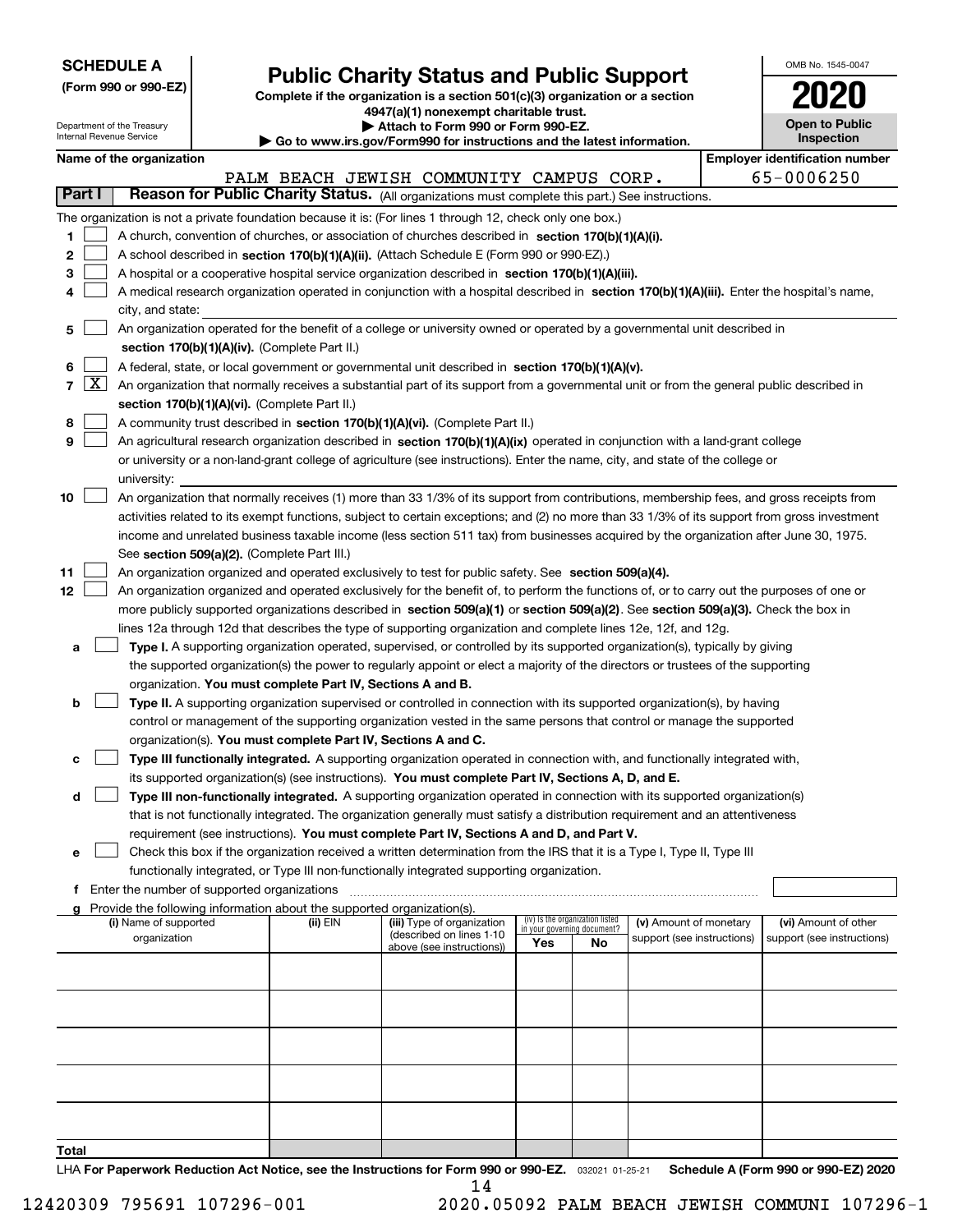| <b>SCHEDULE A</b> |
|-------------------|
|-------------------|

Department of the Treasury Internal Revenue Service

| (Form 990 or 990-EZ) |  |  |
|----------------------|--|--|
|                      |  |  |

### **Public Charity Status and Public Support**

**Complete if the organization is a section 501(c)(3) organization or a section 4947(a)(1) nonexempt charitable trust. | Attach to Form 990 or Form 990-EZ.** 

| Go to www.irs.gov/Form990 for instructions and the latest information. |  |  |
|------------------------------------------------------------------------|--|--|
|                                                                        |  |  |

| OMB No. 1545-0047                   |
|-------------------------------------|
| 2020                                |
| <b>Open to Public</b><br>Inenaction |

|                          | Name of the organization                                                                                                                     |          | $\sim$ 00 to www.irs.gov/r ormsso for msuucuons and the latest miorination. |     |                                                                |                            |  | <b>Employer identification number</b> |  |  |  |
|--------------------------|----------------------------------------------------------------------------------------------------------------------------------------------|----------|-----------------------------------------------------------------------------|-----|----------------------------------------------------------------|----------------------------|--|---------------------------------------|--|--|--|
|                          |                                                                                                                                              |          | PALM BEACH JEWISH COMMUNITY CAMPUS CORP.                                    |     |                                                                |                            |  | 65-0006250                            |  |  |  |
| Part I                   | Reason for Public Charity Status. (All organizations must complete this part.) See instructions.                                             |          |                                                                             |     |                                                                |                            |  |                                       |  |  |  |
|                          |                                                                                                                                              |          |                                                                             |     |                                                                |                            |  |                                       |  |  |  |
|                          | The organization is not a private foundation because it is: (For lines 1 through 12, check only one box.)                                    |          |                                                                             |     |                                                                |                            |  |                                       |  |  |  |
| 1.                       | A church, convention of churches, or association of churches described in section 170(b)(1)(A)(i).                                           |          |                                                                             |     |                                                                |                            |  |                                       |  |  |  |
| 2                        | A school described in section 170(b)(1)(A)(ii). (Attach Schedule E (Form 990 or 990-EZ).)                                                    |          |                                                                             |     |                                                                |                            |  |                                       |  |  |  |
| З                        | A hospital or a cooperative hospital service organization described in section 170(b)(1)(A)(iii).                                            |          |                                                                             |     |                                                                |                            |  |                                       |  |  |  |
| 4                        | A medical research organization operated in conjunction with a hospital described in section 170(b)(1)(A)(iii). Enter the hospital's name,   |          |                                                                             |     |                                                                |                            |  |                                       |  |  |  |
|                          | city, and state:                                                                                                                             |          |                                                                             |     |                                                                |                            |  |                                       |  |  |  |
| 5                        | An organization operated for the benefit of a college or university owned or operated by a governmental unit described in                    |          |                                                                             |     |                                                                |                            |  |                                       |  |  |  |
|                          | section 170(b)(1)(A)(iv). (Complete Part II.)                                                                                                |          |                                                                             |     |                                                                |                            |  |                                       |  |  |  |
| 6                        | A federal, state, or local government or governmental unit described in section 170(b)(1)(A)(v).                                             |          |                                                                             |     |                                                                |                            |  |                                       |  |  |  |
| $\lfloor x \rfloor$<br>7 | An organization that normally receives a substantial part of its support from a governmental unit or from the general public described in    |          |                                                                             |     |                                                                |                            |  |                                       |  |  |  |
|                          | section 170(b)(1)(A)(vi). (Complete Part II.)                                                                                                |          |                                                                             |     |                                                                |                            |  |                                       |  |  |  |
| 8                        | A community trust described in section 170(b)(1)(A)(vi). (Complete Part II.)                                                                 |          |                                                                             |     |                                                                |                            |  |                                       |  |  |  |
| 9                        | An agricultural research organization described in section 170(b)(1)(A)(ix) operated in conjunction with a land-grant college                |          |                                                                             |     |                                                                |                            |  |                                       |  |  |  |
|                          | or university or a non-land-grant college of agriculture (see instructions). Enter the name, city, and state of the college or               |          |                                                                             |     |                                                                |                            |  |                                       |  |  |  |
|                          | university:                                                                                                                                  |          |                                                                             |     |                                                                |                            |  |                                       |  |  |  |
| 10                       | An organization that normally receives (1) more than 33 1/3% of its support from contributions, membership fees, and gross receipts from     |          |                                                                             |     |                                                                |                            |  |                                       |  |  |  |
|                          | activities related to its exempt functions, subject to certain exceptions; and (2) no more than 33 1/3% of its support from gross investment |          |                                                                             |     |                                                                |                            |  |                                       |  |  |  |
|                          | income and unrelated business taxable income (less section 511 tax) from businesses acquired by the organization after June 30, 1975.        |          |                                                                             |     |                                                                |                            |  |                                       |  |  |  |
|                          | See section 509(a)(2). (Complete Part III.)                                                                                                  |          |                                                                             |     |                                                                |                            |  |                                       |  |  |  |
| 11                       | An organization organized and operated exclusively to test for public safety. See section 509(a)(4).                                         |          |                                                                             |     |                                                                |                            |  |                                       |  |  |  |
| 12                       | An organization organized and operated exclusively for the benefit of, to perform the functions of, or to carry out the purposes of one or   |          |                                                                             |     |                                                                |                            |  |                                       |  |  |  |
|                          | more publicly supported organizations described in section 509(a)(1) or section 509(a)(2). See section 509(a)(3). Check the box in           |          |                                                                             |     |                                                                |                            |  |                                       |  |  |  |
|                          | lines 12a through 12d that describes the type of supporting organization and complete lines 12e, 12f, and 12g.                               |          |                                                                             |     |                                                                |                            |  |                                       |  |  |  |
| а                        | Type I. A supporting organization operated, supervised, or controlled by its supported organization(s), typically by giving                  |          |                                                                             |     |                                                                |                            |  |                                       |  |  |  |
|                          | the supported organization(s) the power to regularly appoint or elect a majority of the directors or trustees of the supporting              |          |                                                                             |     |                                                                |                            |  |                                       |  |  |  |
|                          | organization. You must complete Part IV, Sections A and B.                                                                                   |          |                                                                             |     |                                                                |                            |  |                                       |  |  |  |
| b                        | Type II. A supporting organization supervised or controlled in connection with its supported organization(s), by having                      |          |                                                                             |     |                                                                |                            |  |                                       |  |  |  |
|                          | control or management of the supporting organization vested in the same persons that control or manage the supported                         |          |                                                                             |     |                                                                |                            |  |                                       |  |  |  |
|                          | organization(s). You must complete Part IV, Sections A and C.                                                                                |          |                                                                             |     |                                                                |                            |  |                                       |  |  |  |
| с                        | Type III functionally integrated. A supporting organization operated in connection with, and functionally integrated with,                   |          |                                                                             |     |                                                                |                            |  |                                       |  |  |  |
|                          | its supported organization(s) (see instructions). You must complete Part IV, Sections A, D, and E.                                           |          |                                                                             |     |                                                                |                            |  |                                       |  |  |  |
| d                        | Type III non-functionally integrated. A supporting organization operated in connection with its supported organization(s)                    |          |                                                                             |     |                                                                |                            |  |                                       |  |  |  |
|                          | that is not functionally integrated. The organization generally must satisfy a distribution requirement and an attentiveness                 |          |                                                                             |     |                                                                |                            |  |                                       |  |  |  |
|                          | requirement (see instructions). You must complete Part IV, Sections A and D, and Part V.                                                     |          |                                                                             |     |                                                                |                            |  |                                       |  |  |  |
| е                        | Check this box if the organization received a written determination from the IRS that it is a Type I, Type II, Type III                      |          |                                                                             |     |                                                                |                            |  |                                       |  |  |  |
|                          | functionally integrated, or Type III non-functionally integrated supporting organization.                                                    |          |                                                                             |     |                                                                |                            |  |                                       |  |  |  |
|                          | Enter the number of supported organizations                                                                                                  |          |                                                                             |     |                                                                |                            |  |                                       |  |  |  |
|                          | Provide the following information about the supported organization(s).                                                                       |          |                                                                             |     |                                                                |                            |  |                                       |  |  |  |
|                          | (i) Name of supported                                                                                                                        | (ii) EIN | (iii) Type of organization                                                  |     | (iv) Is the organization listed<br>in your governing document? | (v) Amount of monetary     |  | (vi) Amount of other                  |  |  |  |
|                          | organization                                                                                                                                 |          | (described on lines 1-10<br>above (see instructions))                       | Yes | No                                                             | support (see instructions) |  | support (see instructions)            |  |  |  |
|                          |                                                                                                                                              |          |                                                                             |     |                                                                |                            |  |                                       |  |  |  |
|                          |                                                                                                                                              |          |                                                                             |     |                                                                |                            |  |                                       |  |  |  |
|                          |                                                                                                                                              |          |                                                                             |     |                                                                |                            |  |                                       |  |  |  |
|                          |                                                                                                                                              |          |                                                                             |     |                                                                |                            |  |                                       |  |  |  |
|                          |                                                                                                                                              |          |                                                                             |     |                                                                |                            |  |                                       |  |  |  |
|                          |                                                                                                                                              |          |                                                                             |     |                                                                |                            |  |                                       |  |  |  |
|                          |                                                                                                                                              |          |                                                                             |     |                                                                |                            |  |                                       |  |  |  |
|                          |                                                                                                                                              |          |                                                                             |     |                                                                |                            |  |                                       |  |  |  |
|                          |                                                                                                                                              |          |                                                                             |     |                                                                |                            |  |                                       |  |  |  |
|                          |                                                                                                                                              |          |                                                                             |     |                                                                |                            |  |                                       |  |  |  |
| Total                    |                                                                                                                                              |          |                                                                             |     |                                                                |                            |  |                                       |  |  |  |
|                          |                                                                                                                                              |          |                                                                             |     |                                                                |                            |  |                                       |  |  |  |

14

LHA For Paperwork Reduction Act Notice, see the Instructions for Form 990 or 990-EZ. <sub>032021</sub> o1-25-21 Schedule A (Form 990 or 990-EZ) 2020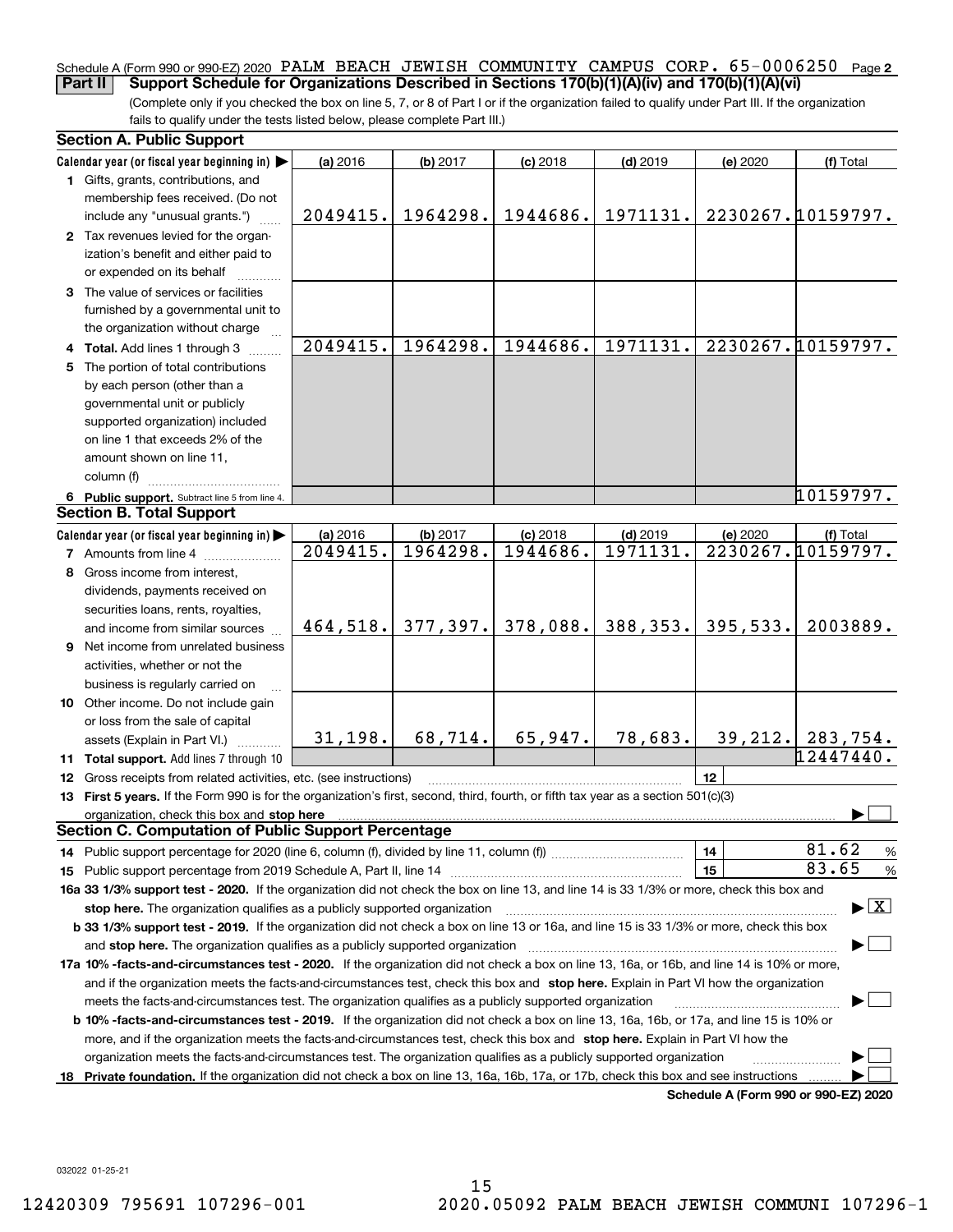#### Schedule A (Form 990 or 990-EZ) 2020 PALM BEACH JEWISH COMMUNITY CAMPUS CORP。65-0006250 <sub>Page 2</sub> **Part II** Support Schedule for Organizations Described in Sections 170(b)(1)(A)(iv) and 170(b)(1)(A)(vi)

(Complete only if you checked the box on line 5, 7, or 8 of Part I or if the organization failed to qualify under Part III. If the organization fails to qualify under the tests listed below, please complete Part III.)

| <b>Section A. Public Support</b>                                                                                                               |                      |                      |                        |                        |          |                                          |
|------------------------------------------------------------------------------------------------------------------------------------------------|----------------------|----------------------|------------------------|------------------------|----------|------------------------------------------|
| Calendar year (or fiscal year beginning in)                                                                                                    | (a) 2016             | (b) 2017             | $(c)$ 2018             | $(d)$ 2019             | (e) 2020 | (f) Total                                |
| 1 Gifts, grants, contributions, and<br>membership fees received. (Do not                                                                       |                      |                      |                        |                        |          |                                          |
| include any "unusual grants.")                                                                                                                 | 2049415.             | 1964298.             | 1944686.               | 1971131.               |          | 2230267.10159797.                        |
| 2 Tax revenues levied for the organ-<br>ization's benefit and either paid to<br>or expended on its behalf                                      |                      |                      |                        |                        |          |                                          |
| 3 The value of services or facilities<br>furnished by a governmental unit to                                                                   |                      |                      |                        |                        |          |                                          |
| the organization without charge                                                                                                                |                      |                      |                        |                        |          |                                          |
| 4 Total. Add lines 1 through 3                                                                                                                 | 2049415.             | 1964298.             | 1944686.               | 1971131.               |          | 2230267.10159797.                        |
| 5 The portion of total contributions                                                                                                           |                      |                      |                        |                        |          |                                          |
| by each person (other than a                                                                                                                   |                      |                      |                        |                        |          |                                          |
| governmental unit or publicly                                                                                                                  |                      |                      |                        |                        |          |                                          |
| supported organization) included                                                                                                               |                      |                      |                        |                        |          |                                          |
| on line 1 that exceeds 2% of the                                                                                                               |                      |                      |                        |                        |          |                                          |
| amount shown on line 11,                                                                                                                       |                      |                      |                        |                        |          |                                          |
| column (f)                                                                                                                                     |                      |                      |                        |                        |          | 10159797.                                |
| 6 Public support. Subtract line 5 from line 4.<br><b>Section B. Total Support</b>                                                              |                      |                      |                        |                        |          |                                          |
|                                                                                                                                                |                      |                      |                        |                        |          |                                          |
| Calendar year (or fiscal year beginning in)                                                                                                    | (a) 2016<br>2049415. | (b) 2017<br>1964298. | $(c)$ 2018<br>1944686. | $(d)$ 2019<br>1971131. | (e) 2020 | (f) Total<br>2230267.10159797.           |
| <b>7</b> Amounts from line 4<br>8 Gross income from interest,                                                                                  |                      |                      |                        |                        |          |                                          |
|                                                                                                                                                |                      |                      |                        |                        |          |                                          |
| dividends, payments received on                                                                                                                |                      |                      |                        |                        |          |                                          |
| securities loans, rents, royalties,<br>and income from similar sources                                                                         | 464,518.             | 377, 397.            | 378,088.               | 388,353.               | 395,533. | 2003889.                                 |
| 9 Net income from unrelated business                                                                                                           |                      |                      |                        |                        |          |                                          |
| activities, whether or not the                                                                                                                 |                      |                      |                        |                        |          |                                          |
| business is regularly carried on                                                                                                               |                      |                      |                        |                        |          |                                          |
| 10 Other income. Do not include gain                                                                                                           |                      |                      |                        |                        |          |                                          |
| or loss from the sale of capital                                                                                                               |                      |                      |                        |                        |          |                                          |
| assets (Explain in Part VI.)                                                                                                                   | 31,198.              | 68,714.              | 65,947.                | 78,683.                |          | 39, 212.   283, 754.                     |
| 11 Total support. Add lines 7 through 10                                                                                                       |                      |                      |                        |                        |          | $\overline{12447440}$ .                  |
| 12 Gross receipts from related activities, etc. (see instructions)                                                                             |                      |                      |                        |                        | 12       |                                          |
| 13 First 5 years. If the Form 990 is for the organization's first, second, third, fourth, or fifth tax year as a section 501(c)(3)             |                      |                      |                        |                        |          |                                          |
| organization, check this box and stop here                                                                                                     |                      |                      |                        |                        |          |                                          |
| <b>Section C. Computation of Public Support Percentage</b>                                                                                     |                      |                      |                        |                        |          |                                          |
| 14 Public support percentage for 2020 (line 6, column (f), divided by line 11, column (f) <i>mummumumum</i>                                    |                      |                      |                        |                        | 14       | 81.62<br>%                               |
|                                                                                                                                                |                      |                      |                        |                        | 15       | 83.65<br>%                               |
| 16a 33 1/3% support test - 2020. If the organization did not check the box on line 13, and line 14 is 33 1/3% or more, check this box and      |                      |                      |                        |                        |          |                                          |
| stop here. The organization qualifies as a publicly supported organization                                                                     |                      |                      |                        |                        |          | $\blacktriangleright$ $\boxed{\text{X}}$ |
| b 33 1/3% support test - 2019. If the organization did not check a box on line 13 or 16a, and line 15 is 33 1/3% or more, check this box       |                      |                      |                        |                        |          |                                          |
| and stop here. The organization qualifies as a publicly supported organization                                                                 |                      |                      |                        |                        |          |                                          |
| 17a 10% -facts-and-circumstances test - 2020. If the organization did not check a box on line 13, 16a, or 16b, and line 14 is 10% or more,     |                      |                      |                        |                        |          |                                          |
| and if the organization meets the facts-and-circumstances test, check this box and stop here. Explain in Part VI how the organization          |                      |                      |                        |                        |          |                                          |
| meets the facts-and-circumstances test. The organization qualifies as a publicly supported organization                                        |                      |                      |                        |                        |          |                                          |
| <b>b 10% -facts-and-circumstances test - 2019.</b> If the organization did not check a box on line 13, 16a, 16b, or 17a, and line 15 is 10% or |                      |                      |                        |                        |          |                                          |
| more, and if the organization meets the facts-and-circumstances test, check this box and stop here. Explain in Part VI how the                 |                      |                      |                        |                        |          |                                          |
| organization meets the facts-and-circumstances test. The organization qualifies as a publicly supported organization                           |                      |                      |                        |                        |          |                                          |
| 18 Private foundation. If the organization did not check a box on line 13, 16a, 16b, 17a, or 17b, check this box and see instructions          |                      |                      |                        |                        |          |                                          |
|                                                                                                                                                |                      |                      |                        |                        |          | Schedule A (Form 990 or 990-EZ) 2020     |

032022 01-25-21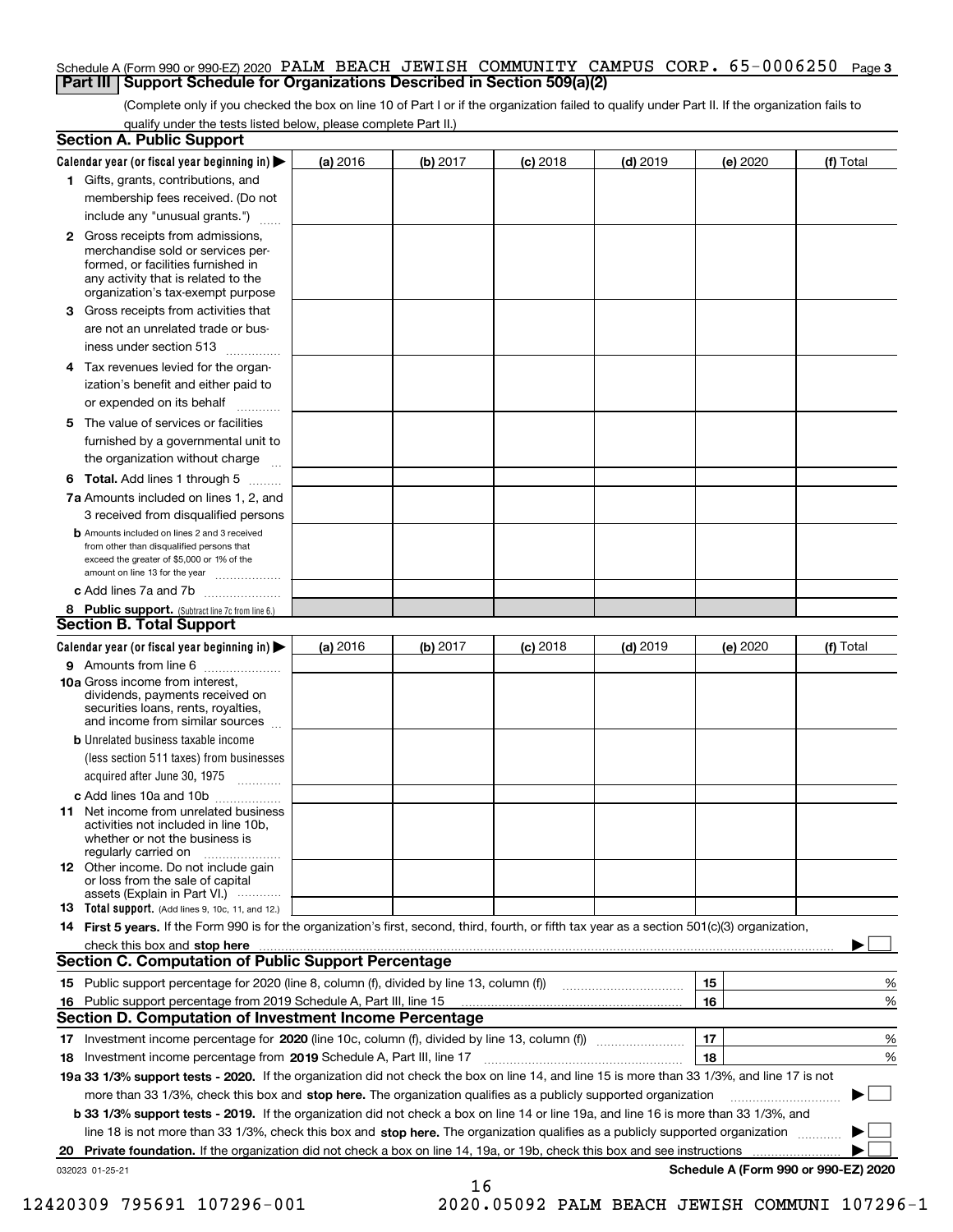#### Schedule A (Form 990 or 990-EZ) 2020 PALM BEACH JEWISH COMMUNITY CAMPUS CORP。65-0006250 <sub>Page 3</sub> **Part III Support Schedule for Organizations Described in Section 509(a)(2)**

(Complete only if you checked the box on line 10 of Part I or if the organization failed to qualify under Part II. If the organization fails to qualify under the tests listed below, please complete Part II.)

| <b>Section A. Public Support</b>                                                                                                                                                                                               |          |          |            |            |          |                                      |
|--------------------------------------------------------------------------------------------------------------------------------------------------------------------------------------------------------------------------------|----------|----------|------------|------------|----------|--------------------------------------|
| Calendar year (or fiscal year beginning in)                                                                                                                                                                                    | (a) 2016 | (b) 2017 | $(c)$ 2018 | $(d)$ 2019 | (e) 2020 | (f) Total                            |
| 1 Gifts, grants, contributions, and                                                                                                                                                                                            |          |          |            |            |          |                                      |
| membership fees received. (Do not                                                                                                                                                                                              |          |          |            |            |          |                                      |
| include any "unusual grants.")                                                                                                                                                                                                 |          |          |            |            |          |                                      |
| <b>2</b> Gross receipts from admissions,<br>merchandise sold or services per-<br>formed, or facilities furnished in<br>any activity that is related to the<br>organization's tax-exempt purpose                                |          |          |            |            |          |                                      |
| 3 Gross receipts from activities that<br>are not an unrelated trade or bus-                                                                                                                                                    |          |          |            |            |          |                                      |
| iness under section 513                                                                                                                                                                                                        |          |          |            |            |          |                                      |
| 4 Tax revenues levied for the organ-<br>ization's benefit and either paid to                                                                                                                                                   |          |          |            |            |          |                                      |
| or expended on its behalf                                                                                                                                                                                                      |          |          |            |            |          |                                      |
| 5 The value of services or facilities<br>furnished by a governmental unit to                                                                                                                                                   |          |          |            |            |          |                                      |
| the organization without charge                                                                                                                                                                                                |          |          |            |            |          |                                      |
| <b>6 Total.</b> Add lines 1 through 5                                                                                                                                                                                          |          |          |            |            |          |                                      |
| 7a Amounts included on lines 1, 2, and<br>3 received from disqualified persons                                                                                                                                                 |          |          |            |            |          |                                      |
| <b>b</b> Amounts included on lines 2 and 3 received<br>from other than disqualified persons that<br>exceed the greater of \$5,000 or 1% of the<br>amount on line 13 for the year                                               |          |          |            |            |          |                                      |
| c Add lines 7a and 7b                                                                                                                                                                                                          |          |          |            |            |          |                                      |
| 8 Public support. (Subtract line 7c from line 6.)<br><b>Section B. Total Support</b>                                                                                                                                           |          |          |            |            |          |                                      |
| Calendar year (or fiscal year beginning in)                                                                                                                                                                                    | (a) 2016 | (b) 2017 | $(c)$ 2018 | $(d)$ 2019 | (e) 2020 | (f) Total                            |
| 9 Amounts from line 6                                                                                                                                                                                                          |          |          |            |            |          |                                      |
| 10a Gross income from interest,<br>dividends, payments received on<br>securities loans, rents, royalties,<br>and income from similar sources                                                                                   |          |          |            |            |          |                                      |
| <b>b</b> Unrelated business taxable income<br>(less section 511 taxes) from businesses<br>acquired after June 30, 1975                                                                                                         |          |          |            |            |          |                                      |
| c Add lines 10a and 10b                                                                                                                                                                                                        |          |          |            |            |          |                                      |
| 11 Net income from unrelated business<br>activities not included in line 10b,<br>whether or not the business is<br>regularly carried on                                                                                        |          |          |            |            |          |                                      |
| <b>12</b> Other income. Do not include gain<br>or loss from the sale of capital<br>assets (Explain in Part VI.)                                                                                                                |          |          |            |            |          |                                      |
| <b>13 Total support.</b> (Add lines 9, 10c, 11, and 12.)                                                                                                                                                                       |          |          |            |            |          |                                      |
| 14 First 5 years. If the Form 990 is for the organization's first, second, third, fourth, or fifth tax year as a section 501(c)(3) organization,                                                                               |          |          |            |            |          |                                      |
| check this box and stop here measured and contained a state of the state of the state of the state of the state of the state of the state of the state of the state of the state of the state of the state of the state of the |          |          |            |            |          |                                      |
| Section C. Computation of Public Support Percentage                                                                                                                                                                            |          |          |            |            |          |                                      |
|                                                                                                                                                                                                                                |          |          |            |            | 15       | %                                    |
| 16 Public support percentage from 2019 Schedule A, Part III, line 15                                                                                                                                                           |          |          |            |            | 16       | %                                    |
| <b>Section D. Computation of Investment Income Percentage</b>                                                                                                                                                                  |          |          |            |            |          |                                      |
| 17 Investment income percentage for 2020 (line 10c, column (f), divided by line 13, column (f))<br>18 Investment income percentage from 2019 Schedule A, Part III, line 17                                                     |          |          |            |            | 17<br>18 | %<br>%                               |
| 19a 33 1/3% support tests - 2020. If the organization did not check the box on line 14, and line 15 is more than 33 1/3%, and line 17 is not                                                                                   |          |          |            |            |          |                                      |
| more than 33 1/3%, check this box and stop here. The organization qualifies as a publicly supported organization                                                                                                               |          |          |            |            |          |                                      |
| <b>b 33 1/3% support tests - 2019.</b> If the organization did not check a box on line 14 or line 19a, and line 16 is more than 33 1/3%, and                                                                                   |          |          |            |            |          |                                      |
| line 18 is not more than 33 1/3%, check this box and stop here. The organization qualifies as a publicly supported organization                                                                                                |          |          |            |            |          |                                      |
| 20 Private foundation. If the organization did not check a box on line 14, 19a, or 19b, check this box and see instructions                                                                                                    |          |          |            |            |          |                                      |
| 032023 01-25-21                                                                                                                                                                                                                |          | 16       |            |            |          | Schedule A (Form 990 or 990-EZ) 2020 |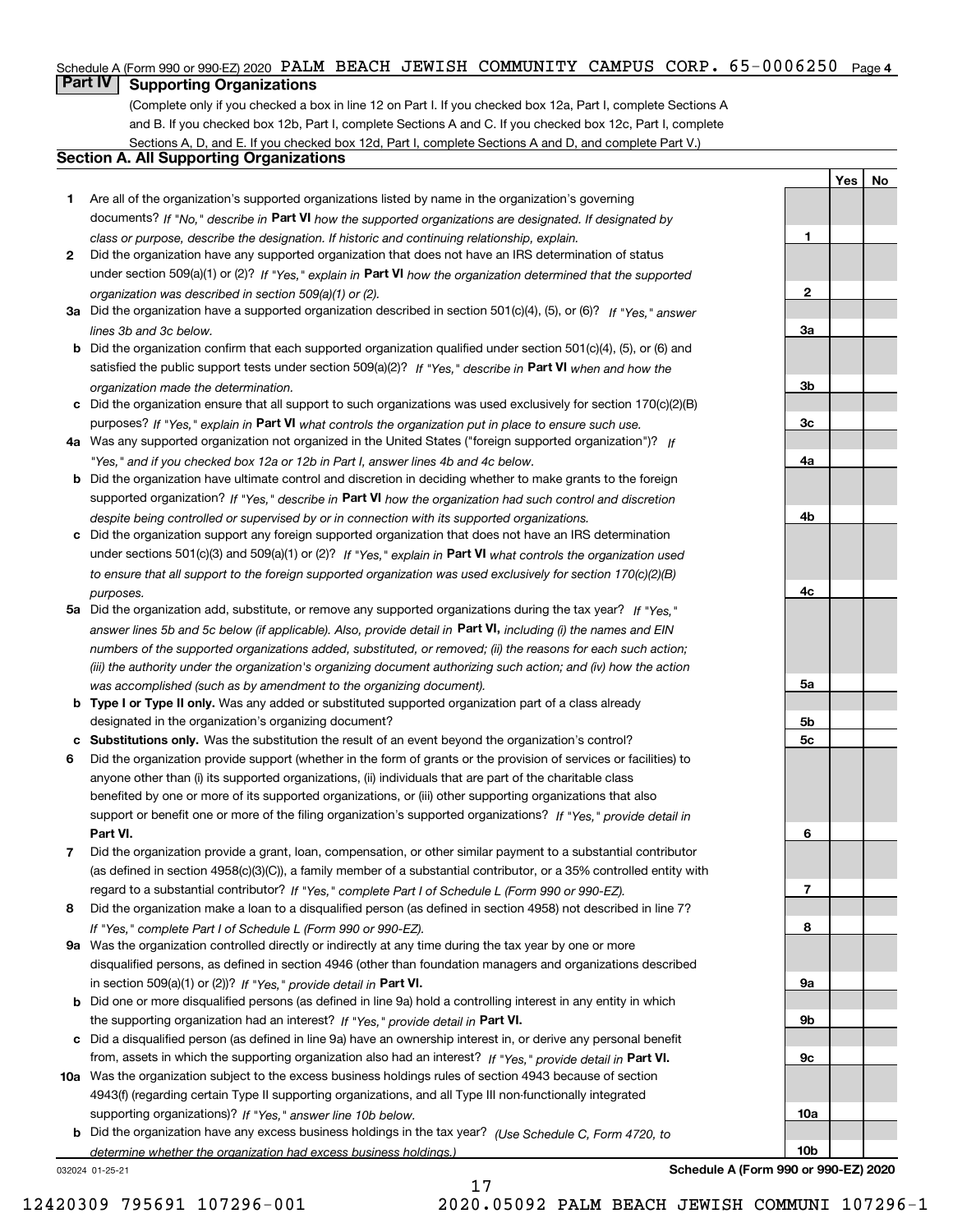#### Schedule A (Form 990 or 990-EZ) 2020 PALM BEACH JEWISH COMMUNITY CAMPUS CORP。65-0006250 <sub>Page 4</sub>

#### **Part IV Supporting Organizations**

(Complete only if you checked a box in line 12 on Part I. If you checked box 12a, Part I, complete Sections A and B. If you checked box 12b, Part I, complete Sections A and C. If you checked box 12c, Part I, complete Sections A, D, and E. If you checked box 12d, Part I, complete Sections A and D, and complete Part V.)

#### **Section A. All Supporting Organizations**

- **1** Are all of the organization's supported organizations listed by name in the organization's governing documents? If "No," describe in **Part VI** how the supported organizations are designated. If designated by *class or purpose, describe the designation. If historic and continuing relationship, explain.*
- **2** Did the organization have any supported organization that does not have an IRS determination of status under section 509(a)(1) or (2)? If "Yes," explain in Part VI how the organization determined that the supported *organization was described in section 509(a)(1) or (2).*
- **3a** Did the organization have a supported organization described in section 501(c)(4), (5), or (6)? If "Yes," answer *lines 3b and 3c below.*
- **b** Did the organization confirm that each supported organization qualified under section 501(c)(4), (5), or (6) and satisfied the public support tests under section 509(a)(2)? If "Yes," describe in **Part VI** when and how the *organization made the determination.*
- **c**Did the organization ensure that all support to such organizations was used exclusively for section 170(c)(2)(B) purposes? If "Yes," explain in **Part VI** what controls the organization put in place to ensure such use.
- **4a***If* Was any supported organization not organized in the United States ("foreign supported organization")? *"Yes," and if you checked box 12a or 12b in Part I, answer lines 4b and 4c below.*
- **b** Did the organization have ultimate control and discretion in deciding whether to make grants to the foreign supported organization? If "Yes," describe in **Part VI** how the organization had such control and discretion *despite being controlled or supervised by or in connection with its supported organizations.*
- **c** Did the organization support any foreign supported organization that does not have an IRS determination under sections 501(c)(3) and 509(a)(1) or (2)? If "Yes," explain in **Part VI** what controls the organization used *to ensure that all support to the foreign supported organization was used exclusively for section 170(c)(2)(B) purposes.*
- **5a** Did the organization add, substitute, or remove any supported organizations during the tax year? If "Yes," answer lines 5b and 5c below (if applicable). Also, provide detail in **Part VI,** including (i) the names and EIN *numbers of the supported organizations added, substituted, or removed; (ii) the reasons for each such action; (iii) the authority under the organization's organizing document authorizing such action; and (iv) how the action was accomplished (such as by amendment to the organizing document).*
- **b** Type I or Type II only. Was any added or substituted supported organization part of a class already designated in the organization's organizing document?
- **cSubstitutions only.**  Was the substitution the result of an event beyond the organization's control?
- **6** Did the organization provide support (whether in the form of grants or the provision of services or facilities) to **Part VI.** *If "Yes," provide detail in* support or benefit one or more of the filing organization's supported organizations? anyone other than (i) its supported organizations, (ii) individuals that are part of the charitable class benefited by one or more of its supported organizations, or (iii) other supporting organizations that also
- **7**Did the organization provide a grant, loan, compensation, or other similar payment to a substantial contributor *If "Yes," complete Part I of Schedule L (Form 990 or 990-EZ).* regard to a substantial contributor? (as defined in section 4958(c)(3)(C)), a family member of a substantial contributor, or a 35% controlled entity with
- **8** Did the organization make a loan to a disqualified person (as defined in section 4958) not described in line 7? *If "Yes," complete Part I of Schedule L (Form 990 or 990-EZ).*
- **9a** Was the organization controlled directly or indirectly at any time during the tax year by one or more in section 509(a)(1) or (2))? If "Yes," *provide detail in* <code>Part VI.</code> disqualified persons, as defined in section 4946 (other than foundation managers and organizations described
- **b** Did one or more disqualified persons (as defined in line 9a) hold a controlling interest in any entity in which the supporting organization had an interest? If "Yes," provide detail in P**art VI**.
- **c**Did a disqualified person (as defined in line 9a) have an ownership interest in, or derive any personal benefit from, assets in which the supporting organization also had an interest? If "Yes," provide detail in P**art VI.**
- **10a** Was the organization subject to the excess business holdings rules of section 4943 because of section supporting organizations)? If "Yes," answer line 10b below. 4943(f) (regarding certain Type II supporting organizations, and all Type III non-functionally integrated
- **b** Did the organization have any excess business holdings in the tax year? (Use Schedule C, Form 4720, to *determine whether the organization had excess business holdings.)*

17

032024 01-25-21

**Schedule A (Form 990 or 990-EZ) 2020**

**YesNo**

**1**

**2**

**3a**

**3b**

**3c**

**4a**

**4b**

**4c**

**5a**

**5b5c**

**6**

**7**

**8**

**9a**

**9b**

**9c**

**10a**

**10b**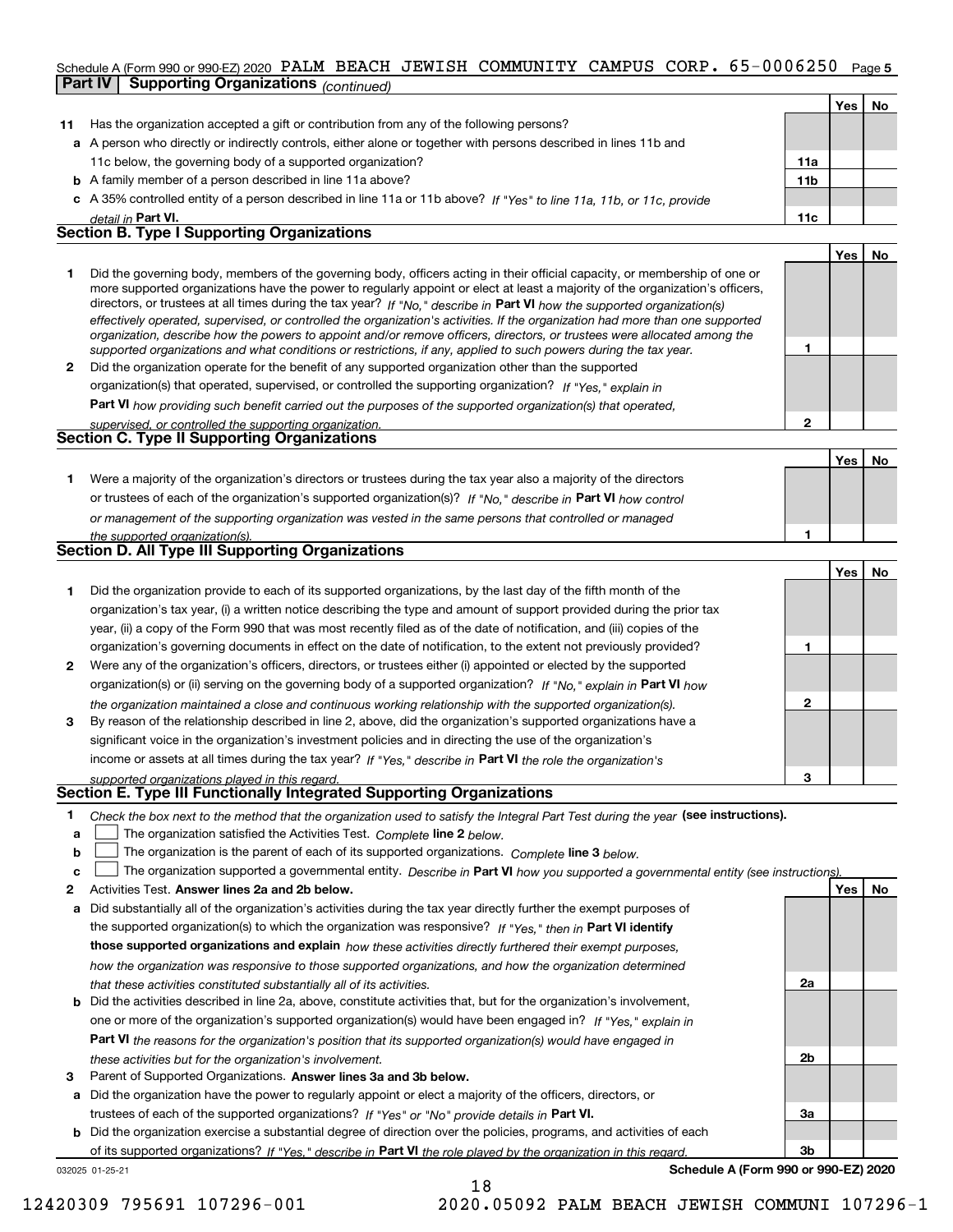#### Schedule A (Form 990 or 990-EZ) 2020 PALM BEACH JEWISH COMMUNITY CAMPUS CORP。65-0006250 Page 5 **Part IV Supporting Organizations** *(continued)*

|              |                                                                                                                                                                                                                                                                                                                                                                                                                                                                                                                                                                                                                                                                                                                                                                                                                                                                                                                                                                                                                                                                                                                                                                        |                 | Yes | No.       |
|--------------|------------------------------------------------------------------------------------------------------------------------------------------------------------------------------------------------------------------------------------------------------------------------------------------------------------------------------------------------------------------------------------------------------------------------------------------------------------------------------------------------------------------------------------------------------------------------------------------------------------------------------------------------------------------------------------------------------------------------------------------------------------------------------------------------------------------------------------------------------------------------------------------------------------------------------------------------------------------------------------------------------------------------------------------------------------------------------------------------------------------------------------------------------------------------|-----------------|-----|-----------|
| 11           | Has the organization accepted a gift or contribution from any of the following persons?                                                                                                                                                                                                                                                                                                                                                                                                                                                                                                                                                                                                                                                                                                                                                                                                                                                                                                                                                                                                                                                                                |                 |     |           |
|              | a A person who directly or indirectly controls, either alone or together with persons described in lines 11b and                                                                                                                                                                                                                                                                                                                                                                                                                                                                                                                                                                                                                                                                                                                                                                                                                                                                                                                                                                                                                                                       |                 |     |           |
|              | 11c below, the governing body of a supported organization?                                                                                                                                                                                                                                                                                                                                                                                                                                                                                                                                                                                                                                                                                                                                                                                                                                                                                                                                                                                                                                                                                                             | 11a             |     |           |
|              | <b>b</b> A family member of a person described in line 11a above?                                                                                                                                                                                                                                                                                                                                                                                                                                                                                                                                                                                                                                                                                                                                                                                                                                                                                                                                                                                                                                                                                                      | 11 <sub>b</sub> |     |           |
|              | c A 35% controlled entity of a person described in line 11a or 11b above? If "Yes" to line 11a, 11b, or 11c, provide                                                                                                                                                                                                                                                                                                                                                                                                                                                                                                                                                                                                                                                                                                                                                                                                                                                                                                                                                                                                                                                   |                 |     |           |
|              | detail in Part VI.                                                                                                                                                                                                                                                                                                                                                                                                                                                                                                                                                                                                                                                                                                                                                                                                                                                                                                                                                                                                                                                                                                                                                     | 11c             |     |           |
|              | <b>Section B. Type I Supporting Organizations</b>                                                                                                                                                                                                                                                                                                                                                                                                                                                                                                                                                                                                                                                                                                                                                                                                                                                                                                                                                                                                                                                                                                                      |                 |     |           |
|              |                                                                                                                                                                                                                                                                                                                                                                                                                                                                                                                                                                                                                                                                                                                                                                                                                                                                                                                                                                                                                                                                                                                                                                        |                 | Yes | <b>No</b> |
| $\mathbf{2}$ | Did the governing body, members of the governing body, officers acting in their official capacity, or membership of one or<br>more supported organizations have the power to regularly appoint or elect at least a majority of the organization's officers,<br>directors, or trustees at all times during the tax year? If "No," describe in Part VI how the supported organization(s)<br>effectively operated, supervised, or controlled the organization's activities. If the organization had more than one supported<br>organization, describe how the powers to appoint and/or remove officers, directors, or trustees were allocated among the<br>supported organizations and what conditions or restrictions, if any, applied to such powers during the tax year.<br>Did the organization operate for the benefit of any supported organization other than the supported<br>organization(s) that operated, supervised, or controlled the supporting organization? If "Yes," explain in<br>Part VI how providing such benefit carried out the purposes of the supported organization(s) that operated,<br>supervised, or controlled the supporting organization. | $\mathfrak{p}$  |     |           |
|              | <b>Section C. Type II Supporting Organizations</b>                                                                                                                                                                                                                                                                                                                                                                                                                                                                                                                                                                                                                                                                                                                                                                                                                                                                                                                                                                                                                                                                                                                     |                 |     |           |

**1**or trustees of each of the organization's supported organization(s)? If "No," describe in **Part VI** how control **1***or management of the supporting organization was vested in the same persons that controlled or managed the supported organization(s).* Were a majority of the organization's directors or trustees during the tax year also a majority of the directors

|   | Section D. All Type III Supporting Organizations                                                                       |              |       |    |
|---|------------------------------------------------------------------------------------------------------------------------|--------------|-------|----|
|   |                                                                                                                        |              | Yes l | No |
|   | Did the organization provide to each of its supported organizations, by the last day of the fifth month of the         |              |       |    |
|   | organization's tax year, (i) a written notice describing the type and amount of support provided during the prior tax  |              |       |    |
|   | year, (ii) a copy of the Form 990 that was most recently filed as of the date of notification, and (iii) copies of the |              |       |    |
|   | organization's governing documents in effect on the date of notification, to the extent not previously provided?       |              |       |    |
| 2 | Were any of the organization's officers, directors, or trustees either (i) appointed or elected by the supported       |              |       |    |
|   | organization(s) or (ii) serving on the governing body of a supported organization? If "No," explain in Part VI how     |              |       |    |
|   | the organization maintained a close and continuous working relationship with the supported organization(s).            | $\mathbf{2}$ |       |    |
| 3 | By reason of the relationship described in line 2, above, did the organization's supported organizations have a        |              |       |    |
|   | significant voice in the organization's investment policies and in directing the use of the organization's             |              |       |    |
|   | income or assets at all times during the tax year? If "Yes." describe in Part VI the role the organization's           |              |       |    |
|   | supported organizations played in this regard                                                                          | з            |       |    |

### *supported organizations played in this regard.* **Section E. Type III Functionally Integrated Supporting Organizations**

- **1**Check the box next to the method that the organization used to satisfy the Integral Part Test during the year (see instructions).
- **alinupy** The organization satisfied the Activities Test. Complete line 2 below.
- **b**The organization is the parent of each of its supported organizations. *Complete* line 3 *below.*  $\mathcal{L}^{\text{max}}$

|  |  |  |  | c $\Box$ The organization supported a governmental entity. Describe in Part VI how you supported a governmental entity (see instructions) |
|--|--|--|--|-------------------------------------------------------------------------------------------------------------------------------------------|
|--|--|--|--|-------------------------------------------------------------------------------------------------------------------------------------------|

18

- **2Answer lines 2a and 2b below. Yes No** Activities Test.
- **a** Did substantially all of the organization's activities during the tax year directly further the exempt purposes of the supported organization(s) to which the organization was responsive? If "Yes," then in **Part VI identify those supported organizations and explain**  *how these activities directly furthered their exempt purposes, how the organization was responsive to those supported organizations, and how the organization determined that these activities constituted substantially all of its activities.*
- **b** Did the activities described in line 2a, above, constitute activities that, but for the organization's involvement, **Part VI**  *the reasons for the organization's position that its supported organization(s) would have engaged in* one or more of the organization's supported organization(s) would have been engaged in? If "Yes," e*xplain in these activities but for the organization's involvement.*
- **3** Parent of Supported Organizations. Answer lines 3a and 3b below.

**a** Did the organization have the power to regularly appoint or elect a majority of the officers, directors, or trustees of each of the supported organizations? If "Yes" or "No" provide details in **Part VI.** 

**b** Did the organization exercise a substantial degree of direction over the policies, programs, and activities of each of its supported organizations? If "Yes," describe in Part VI the role played by the organization in this regard.

032025 01-25-21

**Schedule A (Form 990 or 990-EZ) 2020**

**2a**

**2b**

**3a**

**3b**

**Yes No**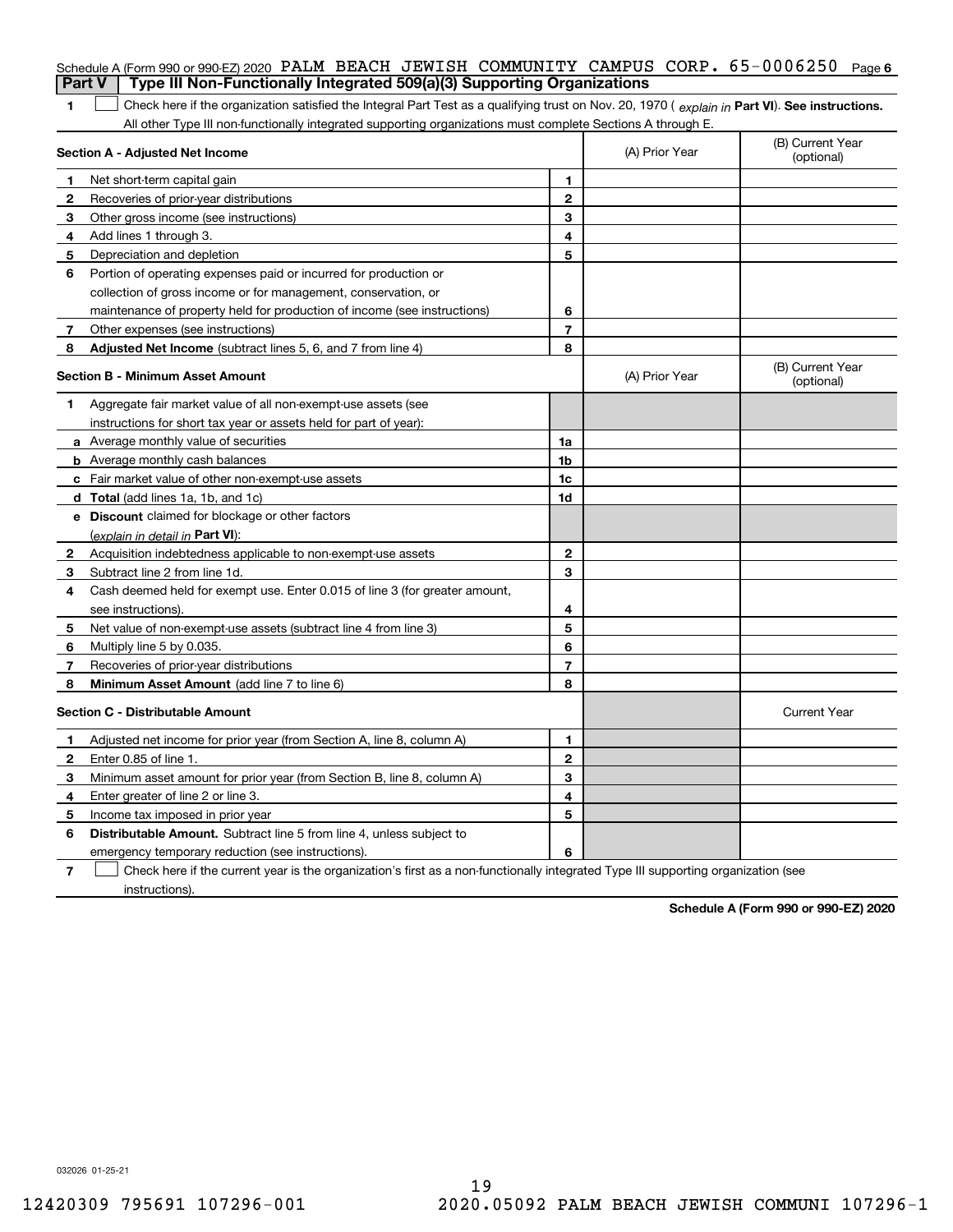| <b>Part V</b>  | Schedule A (Form 990 or 990-EZ) 2020 PALM BEACH JEWISH COMMUNITY CAMPUS CORP. 65-0006250<br>Type III Non-Functionally Integrated 509(a)(3) Supporting Organizations                                                                                           |                         |                | Page 6                         |
|----------------|---------------------------------------------------------------------------------------------------------------------------------------------------------------------------------------------------------------------------------------------------------------|-------------------------|----------------|--------------------------------|
|                |                                                                                                                                                                                                                                                               |                         |                |                                |
| 1              | Check here if the organization satisfied the Integral Part Test as a qualifying trust on Nov. 20, 1970 (explain in Part VI). See instructions.<br>All other Type III non-functionally integrated supporting organizations must complete Sections A through E. |                         |                |                                |
|                | Section A - Adjusted Net Income                                                                                                                                                                                                                               |                         | (A) Prior Year | (B) Current Year<br>(optional) |
| 1              | Net short-term capital gain                                                                                                                                                                                                                                   | 1.                      |                |                                |
| 2              | Recoveries of prior-year distributions                                                                                                                                                                                                                        | $\overline{2}$          |                |                                |
| З              | Other gross income (see instructions)                                                                                                                                                                                                                         | 3                       |                |                                |
| 4              | Add lines 1 through 3.                                                                                                                                                                                                                                        | 4                       |                |                                |
| 5              | Depreciation and depletion                                                                                                                                                                                                                                    | 5                       |                |                                |
| 6              | Portion of operating expenses paid or incurred for production or                                                                                                                                                                                              |                         |                |                                |
|                | collection of gross income or for management, conservation, or                                                                                                                                                                                                |                         |                |                                |
|                | maintenance of property held for production of income (see instructions)                                                                                                                                                                                      | 6                       |                |                                |
| $7^{\circ}$    | Other expenses (see instructions)                                                                                                                                                                                                                             | 7                       |                |                                |
| 8              | Adjusted Net Income (subtract lines 5, 6, and 7 from line 4)                                                                                                                                                                                                  | 8                       |                |                                |
|                | <b>Section B - Minimum Asset Amount</b>                                                                                                                                                                                                                       |                         | (A) Prior Year | (B) Current Year<br>(optional) |
| 1              | Aggregate fair market value of all non-exempt-use assets (see                                                                                                                                                                                                 |                         |                |                                |
|                | instructions for short tax year or assets held for part of year):                                                                                                                                                                                             |                         |                |                                |
|                | <b>a</b> Average monthly value of securities                                                                                                                                                                                                                  | 1a                      |                |                                |
|                | <b>b</b> Average monthly cash balances                                                                                                                                                                                                                        | 1b                      |                |                                |
|                | c Fair market value of other non-exempt-use assets                                                                                                                                                                                                            | 1c                      |                |                                |
|                | d Total (add lines 1a, 1b, and 1c)                                                                                                                                                                                                                            | 1d                      |                |                                |
|                | e Discount claimed for blockage or other factors                                                                                                                                                                                                              |                         |                |                                |
|                | (explain in detail in Part VI):                                                                                                                                                                                                                               |                         |                |                                |
| 2              | Acquisition indebtedness applicable to non-exempt-use assets                                                                                                                                                                                                  | $\mathbf{2}$            |                |                                |
| 3              | Subtract line 2 from line 1d.                                                                                                                                                                                                                                 | 3                       |                |                                |
| 4              | Cash deemed held for exempt use. Enter 0.015 of line 3 (for greater amount,                                                                                                                                                                                   |                         |                |                                |
|                | see instructions).                                                                                                                                                                                                                                            | 4                       |                |                                |
| 5              | Net value of non-exempt-use assets (subtract line 4 from line 3)                                                                                                                                                                                              | 5                       |                |                                |
| 6              | Multiply line 5 by 0.035.                                                                                                                                                                                                                                     | 6                       |                |                                |
| 7              | Recoveries of prior-year distributions                                                                                                                                                                                                                        | $\overline{\mathbf{r}}$ |                |                                |
| 8              | Minimum Asset Amount (add line 7 to line 6)                                                                                                                                                                                                                   | 8                       |                |                                |
|                | <b>Section C - Distributable Amount</b>                                                                                                                                                                                                                       |                         |                | <b>Current Year</b>            |
|                | Adjusted net income for prior year (from Section A, line 8, column A)                                                                                                                                                                                         | 1                       |                |                                |
|                | Enter 0.85 of line 1.                                                                                                                                                                                                                                         | 2                       |                |                                |
| 3              | Minimum asset amount for prior year (from Section B, line 8, column A)                                                                                                                                                                                        | 3                       |                |                                |
| 4              | Enter greater of line 2 or line 3.                                                                                                                                                                                                                            | 4                       |                |                                |
| 5              | Income tax imposed in prior year                                                                                                                                                                                                                              | 5                       |                |                                |
| 6              | <b>Distributable Amount.</b> Subtract line 5 from line 4, unless subject to                                                                                                                                                                                   |                         |                |                                |
|                | emergency temporary reduction (see instructions).                                                                                                                                                                                                             | 6                       |                |                                |
| $\overline{7}$ | Check here if the current year is the organization's first as a non-functionally integrated Type III supporting organization (see                                                                                                                             |                         |                |                                |

instructions).

**Schedule A (Form 990 or 990-EZ) 2020**

032026 01-25-21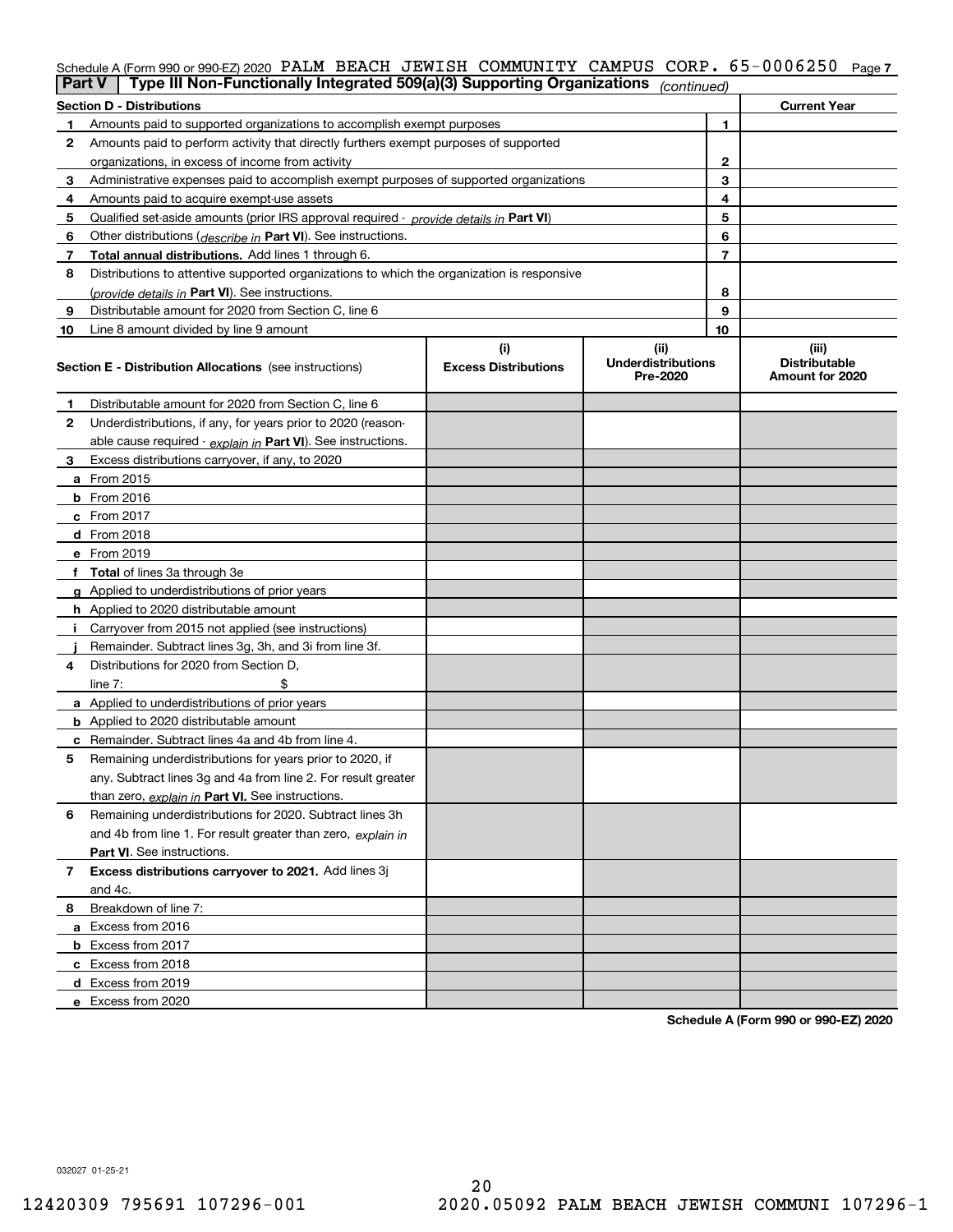#### Schedule A (Form 990 or 990-EZ) 2020 PALM BEACH JEWISH COMMUNITY CAMPUS CORP。65-0006250 <sub>Page 7</sub>

|    | Type III Non-Functionally Integrated 509(a)(3) Supporting Organizations<br>Part V          |                             | (continued)                           |                                         |
|----|--------------------------------------------------------------------------------------------|-----------------------------|---------------------------------------|-----------------------------------------|
|    | <b>Section D - Distributions</b>                                                           |                             |                                       | <b>Current Year</b>                     |
|    | Amounts paid to supported organizations to accomplish exempt purposes                      |                             | 1                                     |                                         |
| 2  | Amounts paid to perform activity that directly furthers exempt purposes of supported       |                             |                                       |                                         |
|    | organizations, in excess of income from activity                                           | 2                           |                                       |                                         |
| 3  | Administrative expenses paid to accomplish exempt purposes of supported organizations      | 3                           |                                       |                                         |
| 4  | Amounts paid to acquire exempt-use assets                                                  |                             | 4                                     |                                         |
| 5  | Qualified set aside amounts (prior IRS approval required - provide details in Part VI)     |                             | 5                                     |                                         |
| 6  | Other distributions ( <i>describe in</i> Part VI). See instructions.                       |                             | 6                                     |                                         |
| 7  | Total annual distributions. Add lines 1 through 6.                                         |                             | 7                                     |                                         |
| 8  | Distributions to attentive supported organizations to which the organization is responsive |                             |                                       |                                         |
|    | (provide details in Part VI). See instructions.                                            |                             | 8                                     |                                         |
| 9  | Distributable amount for 2020 from Section C, line 6                                       |                             | 9                                     |                                         |
| 10 | Line 8 amount divided by line 9 amount                                                     |                             | 10                                    |                                         |
|    |                                                                                            | (i)                         | (ii)                                  | (iii)                                   |
|    | <b>Section E - Distribution Allocations</b> (see instructions)                             | <b>Excess Distributions</b> | <b>Underdistributions</b><br>Pre-2020 | <b>Distributable</b><br>Amount for 2020 |
| 1  | Distributable amount for 2020 from Section C, line 6                                       |                             |                                       |                                         |
| 2  | Underdistributions, if any, for years prior to 2020 (reason-                               |                             |                                       |                                         |
|    | able cause required - explain in Part VI). See instructions.                               |                             |                                       |                                         |
| 3  | Excess distributions carryover, if any, to 2020                                            |                             |                                       |                                         |
|    | a From 2015                                                                                |                             |                                       |                                         |
|    | $b$ From 2016                                                                              |                             |                                       |                                         |
|    | $c$ From 2017                                                                              |                             |                                       |                                         |
|    | <b>d</b> From 2018                                                                         |                             |                                       |                                         |
|    | e From 2019                                                                                |                             |                                       |                                         |
|    | f Total of lines 3a through 3e                                                             |                             |                                       |                                         |
|    | g Applied to underdistributions of prior years                                             |                             |                                       |                                         |
|    | <b>h</b> Applied to 2020 distributable amount                                              |                             |                                       |                                         |
|    | Carryover from 2015 not applied (see instructions)                                         |                             |                                       |                                         |
|    | Remainder. Subtract lines 3g, 3h, and 3i from line 3f.                                     |                             |                                       |                                         |
| 4  | Distributions for 2020 from Section D.                                                     |                             |                                       |                                         |
|    | line $7:$                                                                                  |                             |                                       |                                         |
|    | a Applied to underdistributions of prior years                                             |                             |                                       |                                         |
|    | <b>b</b> Applied to 2020 distributable amount                                              |                             |                                       |                                         |
|    | <b>c</b> Remainder. Subtract lines 4a and 4b from line 4.                                  |                             |                                       |                                         |
| 5  | Remaining underdistributions for years prior to 2020, if                                   |                             |                                       |                                         |
|    | any. Subtract lines 3g and 4a from line 2. For result greater                              |                             |                                       |                                         |
|    | than zero, explain in Part VI. See instructions.                                           |                             |                                       |                                         |
| 6  | Remaining underdistributions for 2020. Subtract lines 3h                                   |                             |                                       |                                         |
|    | and 4b from line 1. For result greater than zero, explain in                               |                             |                                       |                                         |
|    | <b>Part VI.</b> See instructions.                                                          |                             |                                       |                                         |
| 7  | Excess distributions carryover to 2021. Add lines 3j                                       |                             |                                       |                                         |
|    | and 4c.                                                                                    |                             |                                       |                                         |
| 8  | Breakdown of line 7:                                                                       |                             |                                       |                                         |
|    | a Excess from 2016                                                                         |                             |                                       |                                         |
|    | <b>b</b> Excess from 2017                                                                  |                             |                                       |                                         |
|    | c Excess from 2018                                                                         |                             |                                       |                                         |
|    | d Excess from 2019                                                                         |                             |                                       |                                         |
|    | e Excess from 2020                                                                         |                             |                                       |                                         |

**Schedule A (Form 990 or 990-EZ) 2020**

032027 01-25-21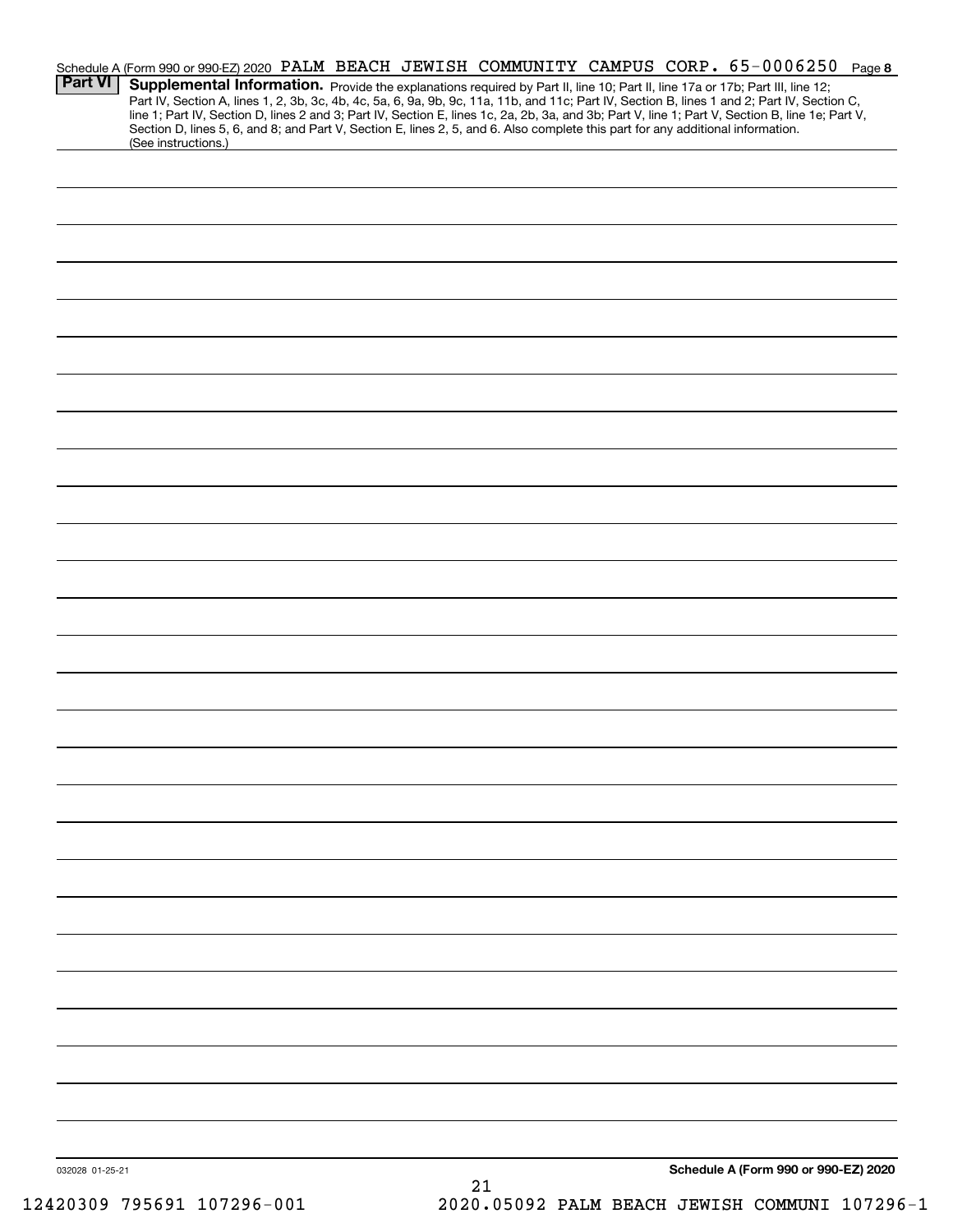| <b>Part VI</b>  | Schedule A (Form 990 or 990-EZ) 2020 PALM BEACH JEWISH COMMUNITY CAMPUS CORP. 65-0006250 Page 8<br>Supplemental Information. Provide the explanations required by Part II, line 10; Part II, line 17a or 17b; Part III, line 12;<br>Part IV, Section A, lines 1, 2, 3b, 3c, 4b, 4c, 5a, 6, 9a, 9b, 9c, 11a, 11b, and 11c; Part IV, Section B, lines 1 and 2; Part IV, Section C,<br>line 1; Part IV, Section D, lines 2 and 3; Part IV, Section E, lines 1c, 2a, 2b, 3a, and 3b; Part V, line 1; Part V, Section B, line 1e; Part V,<br>Section D, lines 5, 6, and 8; and Part V, Section E, lines 2, 5, and 6. Also complete this part for any additional information. |  |    |  |                                      |  |
|-----------------|-------------------------------------------------------------------------------------------------------------------------------------------------------------------------------------------------------------------------------------------------------------------------------------------------------------------------------------------------------------------------------------------------------------------------------------------------------------------------------------------------------------------------------------------------------------------------------------------------------------------------------------------------------------------------|--|----|--|--------------------------------------|--|
|                 | (See instructions.)                                                                                                                                                                                                                                                                                                                                                                                                                                                                                                                                                                                                                                                     |  |    |  |                                      |  |
|                 |                                                                                                                                                                                                                                                                                                                                                                                                                                                                                                                                                                                                                                                                         |  |    |  |                                      |  |
|                 |                                                                                                                                                                                                                                                                                                                                                                                                                                                                                                                                                                                                                                                                         |  |    |  |                                      |  |
|                 |                                                                                                                                                                                                                                                                                                                                                                                                                                                                                                                                                                                                                                                                         |  |    |  |                                      |  |
|                 |                                                                                                                                                                                                                                                                                                                                                                                                                                                                                                                                                                                                                                                                         |  |    |  |                                      |  |
|                 |                                                                                                                                                                                                                                                                                                                                                                                                                                                                                                                                                                                                                                                                         |  |    |  |                                      |  |
|                 |                                                                                                                                                                                                                                                                                                                                                                                                                                                                                                                                                                                                                                                                         |  |    |  |                                      |  |
|                 |                                                                                                                                                                                                                                                                                                                                                                                                                                                                                                                                                                                                                                                                         |  |    |  |                                      |  |
|                 |                                                                                                                                                                                                                                                                                                                                                                                                                                                                                                                                                                                                                                                                         |  |    |  |                                      |  |
|                 |                                                                                                                                                                                                                                                                                                                                                                                                                                                                                                                                                                                                                                                                         |  |    |  |                                      |  |
|                 |                                                                                                                                                                                                                                                                                                                                                                                                                                                                                                                                                                                                                                                                         |  |    |  |                                      |  |
|                 |                                                                                                                                                                                                                                                                                                                                                                                                                                                                                                                                                                                                                                                                         |  |    |  |                                      |  |
|                 |                                                                                                                                                                                                                                                                                                                                                                                                                                                                                                                                                                                                                                                                         |  |    |  |                                      |  |
|                 |                                                                                                                                                                                                                                                                                                                                                                                                                                                                                                                                                                                                                                                                         |  |    |  |                                      |  |
|                 |                                                                                                                                                                                                                                                                                                                                                                                                                                                                                                                                                                                                                                                                         |  |    |  |                                      |  |
|                 |                                                                                                                                                                                                                                                                                                                                                                                                                                                                                                                                                                                                                                                                         |  |    |  |                                      |  |
|                 |                                                                                                                                                                                                                                                                                                                                                                                                                                                                                                                                                                                                                                                                         |  |    |  |                                      |  |
|                 |                                                                                                                                                                                                                                                                                                                                                                                                                                                                                                                                                                                                                                                                         |  |    |  |                                      |  |
|                 |                                                                                                                                                                                                                                                                                                                                                                                                                                                                                                                                                                                                                                                                         |  |    |  |                                      |  |
|                 |                                                                                                                                                                                                                                                                                                                                                                                                                                                                                                                                                                                                                                                                         |  |    |  |                                      |  |
|                 |                                                                                                                                                                                                                                                                                                                                                                                                                                                                                                                                                                                                                                                                         |  |    |  |                                      |  |
|                 |                                                                                                                                                                                                                                                                                                                                                                                                                                                                                                                                                                                                                                                                         |  |    |  |                                      |  |
|                 |                                                                                                                                                                                                                                                                                                                                                                                                                                                                                                                                                                                                                                                                         |  |    |  |                                      |  |
|                 |                                                                                                                                                                                                                                                                                                                                                                                                                                                                                                                                                                                                                                                                         |  |    |  |                                      |  |
|                 |                                                                                                                                                                                                                                                                                                                                                                                                                                                                                                                                                                                                                                                                         |  |    |  |                                      |  |
|                 |                                                                                                                                                                                                                                                                                                                                                                                                                                                                                                                                                                                                                                                                         |  |    |  |                                      |  |
|                 |                                                                                                                                                                                                                                                                                                                                                                                                                                                                                                                                                                                                                                                                         |  |    |  |                                      |  |
|                 |                                                                                                                                                                                                                                                                                                                                                                                                                                                                                                                                                                                                                                                                         |  |    |  |                                      |  |
|                 |                                                                                                                                                                                                                                                                                                                                                                                                                                                                                                                                                                                                                                                                         |  |    |  |                                      |  |
|                 |                                                                                                                                                                                                                                                                                                                                                                                                                                                                                                                                                                                                                                                                         |  |    |  |                                      |  |
| 032028 01-25-21 |                                                                                                                                                                                                                                                                                                                                                                                                                                                                                                                                                                                                                                                                         |  | 21 |  | Schedule A (Form 990 or 990-EZ) 2020 |  |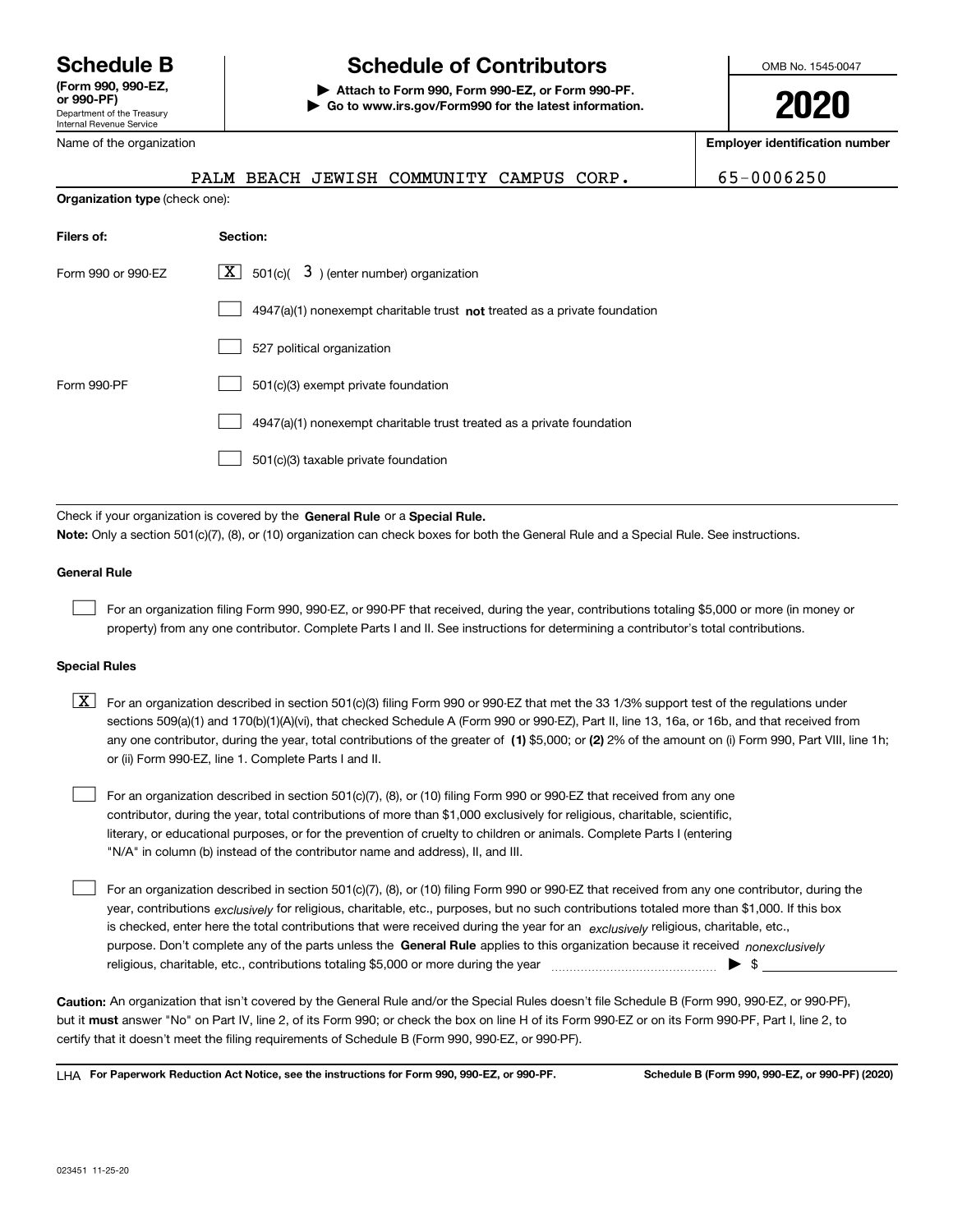Department of the Treasury Internal Revenue Service **(Form 990, 990-EZ, or 990-PF)** Name of the organization

**Organization type** (check one):

### **Schedule B Schedule of Contributors**

**| Attach to Form 990, Form 990-EZ, or Form 990-PF. | Go to www.irs.gov/Form990 for the latest information.** OMB No. 1545-0047

**2020**

**Employer identification number**

|  | PALM BEACH JEWISH COMMUNITY CAMPUS CORP. |  | 65-0006250 |
|--|------------------------------------------|--|------------|
|  |                                          |  |            |

| Filers of:         | Section:                                                                    |
|--------------------|-----------------------------------------------------------------------------|
| Form 990 or 990-EZ | $\lfloor X \rfloor$ 501(c)(<br>$3$ ) (enter number) organization            |
|                    | $4947(a)(1)$ nonexempt charitable trust not treated as a private foundation |
|                    | 527 political organization                                                  |
| Form 990-PF        | 501(c)(3) exempt private foundation                                         |
|                    | 4947(a)(1) nonexempt charitable trust treated as a private foundation       |
|                    | 501(c)(3) taxable private foundation                                        |

Check if your organization is covered by the **General Rule** or a **Special Rule. Note:**  Only a section 501(c)(7), (8), or (10) organization can check boxes for both the General Rule and a Special Rule. See instructions.

#### **General Rule**

 $\mathcal{L}^{\text{max}}$ 

For an organization filing Form 990, 990-EZ, or 990-PF that received, during the year, contributions totaling \$5,000 or more (in money or property) from any one contributor. Complete Parts I and II. See instructions for determining a contributor's total contributions.

#### **Special Rules**

any one contributor, during the year, total contributions of the greater of  $\,$  (1) \$5,000; or **(2)** 2% of the amount on (i) Form 990, Part VIII, line 1h;  $\boxed{\textbf{X}}$  For an organization described in section 501(c)(3) filing Form 990 or 990-EZ that met the 33 1/3% support test of the regulations under sections 509(a)(1) and 170(b)(1)(A)(vi), that checked Schedule A (Form 990 or 990-EZ), Part II, line 13, 16a, or 16b, and that received from or (ii) Form 990-EZ, line 1. Complete Parts I and II.

For an organization described in section 501(c)(7), (8), or (10) filing Form 990 or 990-EZ that received from any one contributor, during the year, total contributions of more than \$1,000 exclusively for religious, charitable, scientific, literary, or educational purposes, or for the prevention of cruelty to children or animals. Complete Parts I (entering "N/A" in column (b) instead of the contributor name and address), II, and III.  $\mathcal{L}^{\text{max}}$ 

purpose. Don't complete any of the parts unless the **General Rule** applies to this organization because it received *nonexclusively* year, contributions <sub>exclusively</sub> for religious, charitable, etc., purposes, but no such contributions totaled more than \$1,000. If this box is checked, enter here the total contributions that were received during the year for an  $\;$ exclusively religious, charitable, etc., For an organization described in section 501(c)(7), (8), or (10) filing Form 990 or 990-EZ that received from any one contributor, during the religious, charitable, etc., contributions totaling \$5,000 or more during the year  $\Box$ — $\Box$   $\Box$  $\mathcal{L}^{\text{max}}$ 

**Caution:**  An organization that isn't covered by the General Rule and/or the Special Rules doesn't file Schedule B (Form 990, 990-EZ, or 990-PF),  **must** but it answer "No" on Part IV, line 2, of its Form 990; or check the box on line H of its Form 990-EZ or on its Form 990-PF, Part I, line 2, to certify that it doesn't meet the filing requirements of Schedule B (Form 990, 990-EZ, or 990-PF).

**For Paperwork Reduction Act Notice, see the instructions for Form 990, 990-EZ, or 990-PF. Schedule B (Form 990, 990-EZ, or 990-PF) (2020)** LHA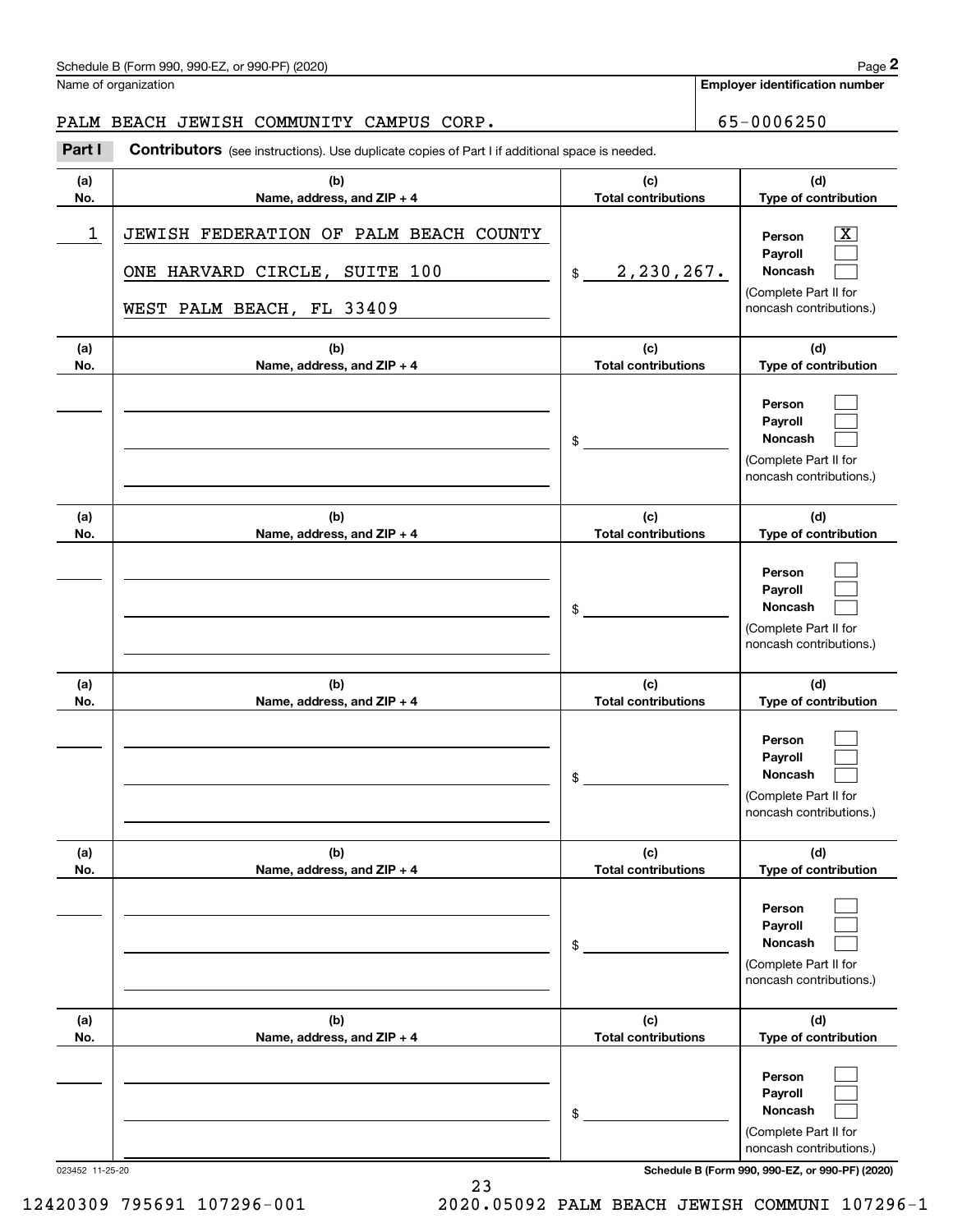Name of organization

**Employer identification number**

#### PALM BEACH JEWISH COMMUNITY CAMPUS CORP.  $\vert$  65-0006250

**(a)No.(b)Name, address, and ZIP + 4 (c)Total contributions (d)Type of contribution PersonPayrollNoncash (a)No.(b)Name, address, and ZIP + 4 (c)Total contributions (d)Type of contribution PersonPayrollNoncash (a)No.(b)Name, address, and ZIP + 4 (c)Total contributions (d)Type of contribution PersonPayrollNoncash (a) No.(b)Name, address, and ZIP + 4 (c) Total contributions (d) Type of contribution PersonPayrollNoncash(a) No.(b)Name, address, and ZIP + 4 (c) Total contributions (d) Type of contribution PersonPayrollNoncash(a) No.(b)Name, address, and ZIP + 4 (c)Total contributions (d)Type of contribution PersonPayrollNoncash Contributors** (see instructions). Use duplicate copies of Part I if additional space is needed. \$(Complete Part II for noncash contributions.) \$(Complete Part II for noncash contributions.) \$(Complete Part II for noncash contributions.) \$(Complete Part II for noncash contributions.) \$(Complete Part II for noncash contributions.) \$(Complete Part II for noncash contributions.) Chedule B (Form 990, 990-EZ, or 990-PF) (2020)<br> **2Part I 2Part I CONTENT COMMUNITY CAMPUS CORP.**<br> **2Part I Contributors** (see instructions). Use duplicate copies of Part I if additional space is needed.  $\lceil \text{X} \rceil$  $\mathcal{L}^{\text{max}}$  $\mathcal{L}^{\text{max}}$  $\mathcal{L}^{\text{max}}$  $\mathcal{L}^{\text{max}}$  $\mathcal{L}^{\text{max}}$  $\mathcal{L}^{\text{max}}$  $\mathcal{L}^{\text{max}}$  $\mathcal{L}^{\text{max}}$  $\mathcal{L}^{\text{max}}$  $\mathcal{L}^{\text{max}}$  $\mathcal{L}^{\text{max}}$  $\mathcal{L}^{\text{max}}$  $\mathcal{L}^{\text{max}}$  $\mathcal{L}^{\text{max}}$  $\mathcal{L}^{\text{max}}$  $\mathcal{L}^{\text{max}}$  $\mathcal{L}^{\text{max}}$ 1 X JEWISH FEDERATION OF PALM BEACH COUNTY 2,230,267. ONE HARVARD CIRCLE, SUITE 100 WEST PALM BEACH, FL 33409

023452 11-25-20 **Schedule B (Form 990, 990-EZ, or 990-PF) (2020)**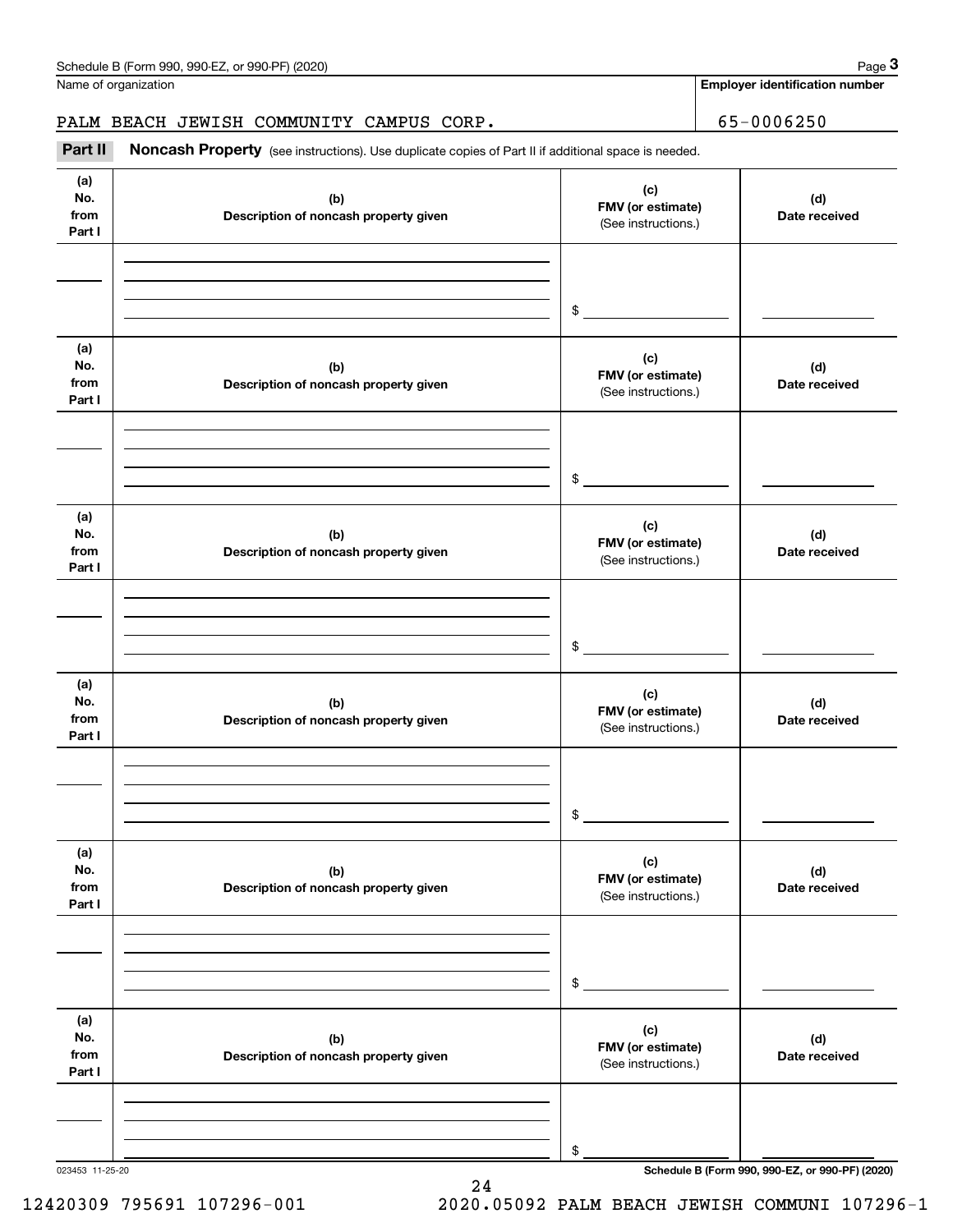Name of organization

**Employer identification number**

#### PALM BEACH JEWISH COMMUNITY CAMPUS CORP. | 65-0006250

Chedule B (Form 990, 990-EZ, or 990-PF) (2020)<br>
lame of organization<br> **3PALM BEACH JEWISH COMMUNITY CAMPUS CORP.**<br> **Part II Noncash Property** (see instructions). Use duplicate copies of Part II if additional space is nee

| (a)             |                                              | (c)                 |                                                 |
|-----------------|----------------------------------------------|---------------------|-------------------------------------------------|
| No.<br>from     | (b)                                          | FMV (or estimate)   | (d)<br>Date received                            |
| Part I          | Description of noncash property given        | (See instructions.) |                                                 |
|                 |                                              |                     |                                                 |
|                 |                                              |                     |                                                 |
|                 |                                              |                     |                                                 |
|                 |                                              | $\frac{1}{2}$       |                                                 |
|                 |                                              |                     |                                                 |
| (a)             |                                              | (c)                 |                                                 |
| No.<br>from     | (b)<br>Description of noncash property given | FMV (or estimate)   | (d)<br>Date received                            |
| Part I          |                                              | (See instructions.) |                                                 |
|                 |                                              |                     |                                                 |
|                 |                                              |                     |                                                 |
|                 |                                              |                     |                                                 |
|                 |                                              | $\frac{1}{2}$       |                                                 |
|                 |                                              |                     |                                                 |
| (a)             |                                              | (c)                 |                                                 |
| No.<br>from     | (b)                                          | FMV (or estimate)   | (d)                                             |
| Part I          | Description of noncash property given        | (See instructions.) | Date received                                   |
|                 |                                              |                     |                                                 |
|                 |                                              |                     |                                                 |
|                 |                                              |                     |                                                 |
|                 |                                              | $\frac{1}{2}$       |                                                 |
|                 |                                              |                     |                                                 |
| (a)             |                                              | (c)                 |                                                 |
| No.<br>from     | (b)                                          | FMV (or estimate)   | (d)                                             |
| Part I          | Description of noncash property given        | (See instructions.) | Date received                                   |
|                 |                                              |                     |                                                 |
|                 |                                              |                     |                                                 |
|                 |                                              |                     |                                                 |
|                 |                                              | $\sim$              |                                                 |
|                 |                                              |                     |                                                 |
| (a)             |                                              | (c)                 |                                                 |
| No.<br>from     | (b)                                          | FMV (or estimate)   | (d)<br>Date received                            |
| Part I          | Description of noncash property given        | (See instructions.) |                                                 |
|                 |                                              |                     |                                                 |
|                 |                                              |                     |                                                 |
|                 |                                              |                     |                                                 |
|                 |                                              | \$                  |                                                 |
|                 |                                              |                     |                                                 |
| (a)             |                                              | (c)                 |                                                 |
| No.             | (b)                                          | FMV (or estimate)   | (d)                                             |
| from<br>Part I  | Description of noncash property given        | (See instructions.) | Date received                                   |
|                 |                                              |                     |                                                 |
|                 |                                              |                     |                                                 |
|                 |                                              |                     |                                                 |
|                 |                                              | \$                  |                                                 |
| 023453 11-25-20 |                                              |                     | Schedule B (Form 990, 990-EZ, or 990-PF) (2020) |

12420309 795691 107296-001 2020.05092 PALM BEACH JEWISH COMMUNI 107296-1

24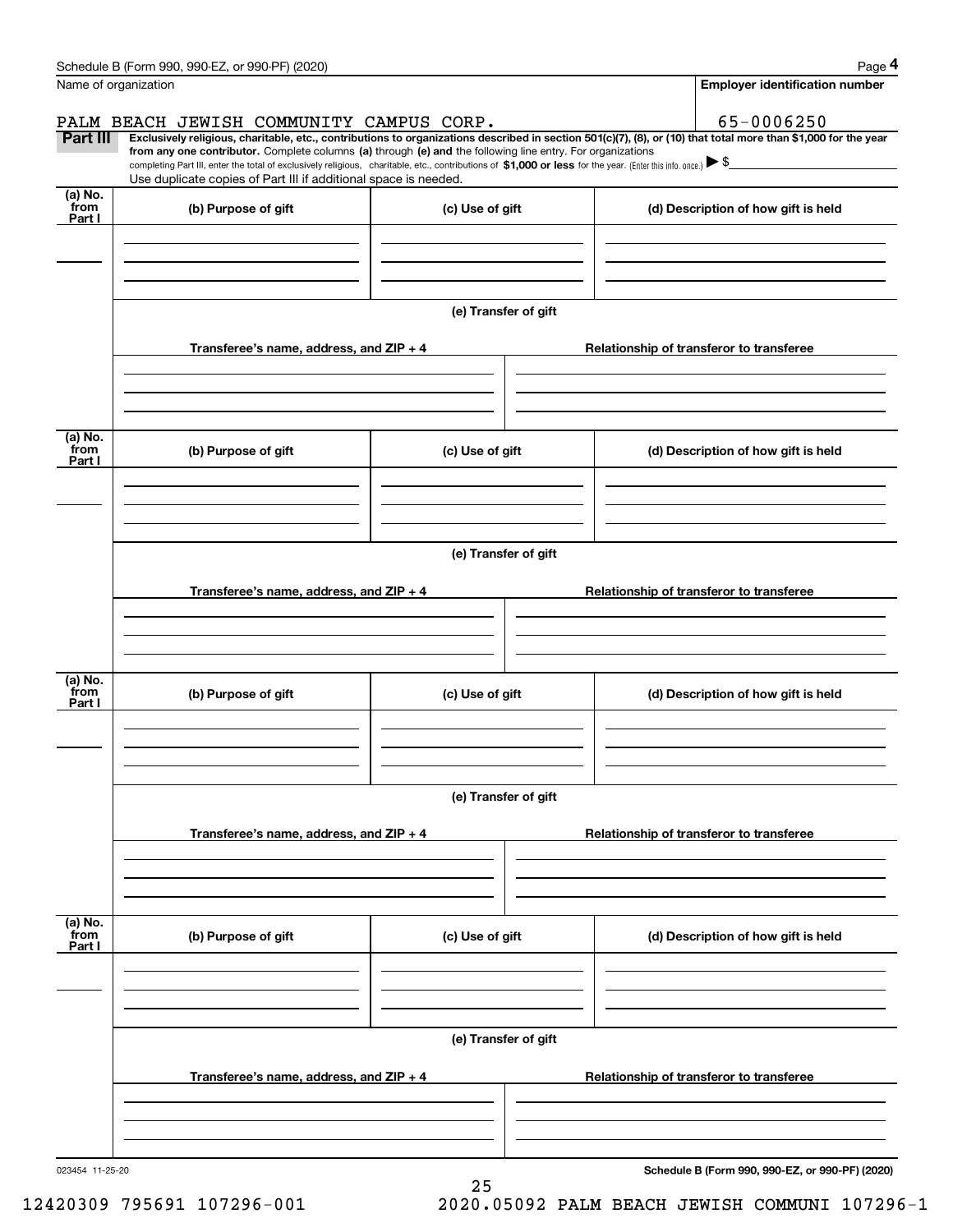|                      | Schedule B (Form 990, 990-EZ, or 990-PF) (2020)                                                                                                                                                                                                                              |                      |                                          |  | Page 4                                          |  |  |  |
|----------------------|------------------------------------------------------------------------------------------------------------------------------------------------------------------------------------------------------------------------------------------------------------------------------|----------------------|------------------------------------------|--|-------------------------------------------------|--|--|--|
| Name of organization |                                                                                                                                                                                                                                                                              |                      |                                          |  | <b>Employer identification number</b>           |  |  |  |
|                      | PALM BEACH JEWISH COMMUNITY CAMPUS CORP.                                                                                                                                                                                                                                     |                      |                                          |  | 65-0006250                                      |  |  |  |
| Part III             | Exclusively religious, charitable, etc., contributions to organizations described in section 501(c)(7), (8), or (10) that total more than \$1,000 for the year<br>from any one contributor. Complete columns (a) through (e) and the following line entry. For organizations |                      |                                          |  |                                                 |  |  |  |
|                      | completing Part III, enter the total of exclusively religious, charitable, etc., contributions of \$1,000 or less for the year. (Enter this info. once.) $\blacktriangleright$ \$                                                                                            |                      |                                          |  |                                                 |  |  |  |
| (a) No.              | Use duplicate copies of Part III if additional space is needed.                                                                                                                                                                                                              |                      |                                          |  |                                                 |  |  |  |
| from<br>Part I       | (b) Purpose of gift                                                                                                                                                                                                                                                          | (c) Use of gift      |                                          |  | (d) Description of how gift is held             |  |  |  |
|                      |                                                                                                                                                                                                                                                                              |                      |                                          |  |                                                 |  |  |  |
|                      |                                                                                                                                                                                                                                                                              |                      |                                          |  |                                                 |  |  |  |
|                      |                                                                                                                                                                                                                                                                              |                      |                                          |  |                                                 |  |  |  |
|                      |                                                                                                                                                                                                                                                                              | (e) Transfer of gift |                                          |  |                                                 |  |  |  |
|                      | Transferee's name, address, and ZIP + 4                                                                                                                                                                                                                                      |                      |                                          |  | Relationship of transferor to transferee        |  |  |  |
|                      |                                                                                                                                                                                                                                                                              |                      |                                          |  |                                                 |  |  |  |
|                      |                                                                                                                                                                                                                                                                              |                      |                                          |  |                                                 |  |  |  |
|                      |                                                                                                                                                                                                                                                                              |                      |                                          |  |                                                 |  |  |  |
| (a) No.<br>from      | (b) Purpose of gift                                                                                                                                                                                                                                                          | (c) Use of gift      |                                          |  | (d) Description of how gift is held             |  |  |  |
| Part I               |                                                                                                                                                                                                                                                                              |                      |                                          |  |                                                 |  |  |  |
|                      |                                                                                                                                                                                                                                                                              |                      |                                          |  |                                                 |  |  |  |
|                      |                                                                                                                                                                                                                                                                              |                      |                                          |  |                                                 |  |  |  |
|                      | (e) Transfer of gift                                                                                                                                                                                                                                                         |                      |                                          |  |                                                 |  |  |  |
|                      |                                                                                                                                                                                                                                                                              |                      |                                          |  |                                                 |  |  |  |
|                      | Transferee's name, address, and ZIP + 4                                                                                                                                                                                                                                      |                      |                                          |  | Relationship of transferor to transferee        |  |  |  |
|                      |                                                                                                                                                                                                                                                                              |                      |                                          |  |                                                 |  |  |  |
|                      |                                                                                                                                                                                                                                                                              |                      |                                          |  |                                                 |  |  |  |
| (a) No.              |                                                                                                                                                                                                                                                                              |                      |                                          |  |                                                 |  |  |  |
| from<br>Part I       | (b) Purpose of gift                                                                                                                                                                                                                                                          | (c) Use of gift      |                                          |  | (d) Description of how gift is held             |  |  |  |
|                      |                                                                                                                                                                                                                                                                              |                      |                                          |  |                                                 |  |  |  |
|                      |                                                                                                                                                                                                                                                                              |                      |                                          |  |                                                 |  |  |  |
|                      |                                                                                                                                                                                                                                                                              |                      |                                          |  |                                                 |  |  |  |
|                      | (e) Transfer of gift                                                                                                                                                                                                                                                         |                      |                                          |  |                                                 |  |  |  |
|                      | Transferee's name, address, and $ZIP + 4$                                                                                                                                                                                                                                    |                      | Relationship of transferor to transferee |  |                                                 |  |  |  |
|                      |                                                                                                                                                                                                                                                                              |                      |                                          |  |                                                 |  |  |  |
|                      |                                                                                                                                                                                                                                                                              |                      |                                          |  |                                                 |  |  |  |
|                      |                                                                                                                                                                                                                                                                              |                      |                                          |  |                                                 |  |  |  |
| (a) No.<br>from      | (b) Purpose of gift                                                                                                                                                                                                                                                          | (c) Use of gift      |                                          |  | (d) Description of how gift is held             |  |  |  |
| Part I               |                                                                                                                                                                                                                                                                              |                      |                                          |  |                                                 |  |  |  |
|                      |                                                                                                                                                                                                                                                                              |                      |                                          |  |                                                 |  |  |  |
|                      |                                                                                                                                                                                                                                                                              |                      |                                          |  |                                                 |  |  |  |
|                      |                                                                                                                                                                                                                                                                              | (e) Transfer of gift |                                          |  |                                                 |  |  |  |
|                      |                                                                                                                                                                                                                                                                              |                      |                                          |  |                                                 |  |  |  |
|                      | Transferee's name, address, and $ZIP + 4$                                                                                                                                                                                                                                    |                      |                                          |  | Relationship of transferor to transferee        |  |  |  |
|                      |                                                                                                                                                                                                                                                                              |                      |                                          |  |                                                 |  |  |  |
|                      |                                                                                                                                                                                                                                                                              |                      |                                          |  |                                                 |  |  |  |
| 023454 11-25-20      |                                                                                                                                                                                                                                                                              |                      |                                          |  | Schedule B (Form 990, 990-EZ, or 990-PF) (2020) |  |  |  |

25

**Schedule B (Form 990, 990-EZ, or 990-PF) (2020)**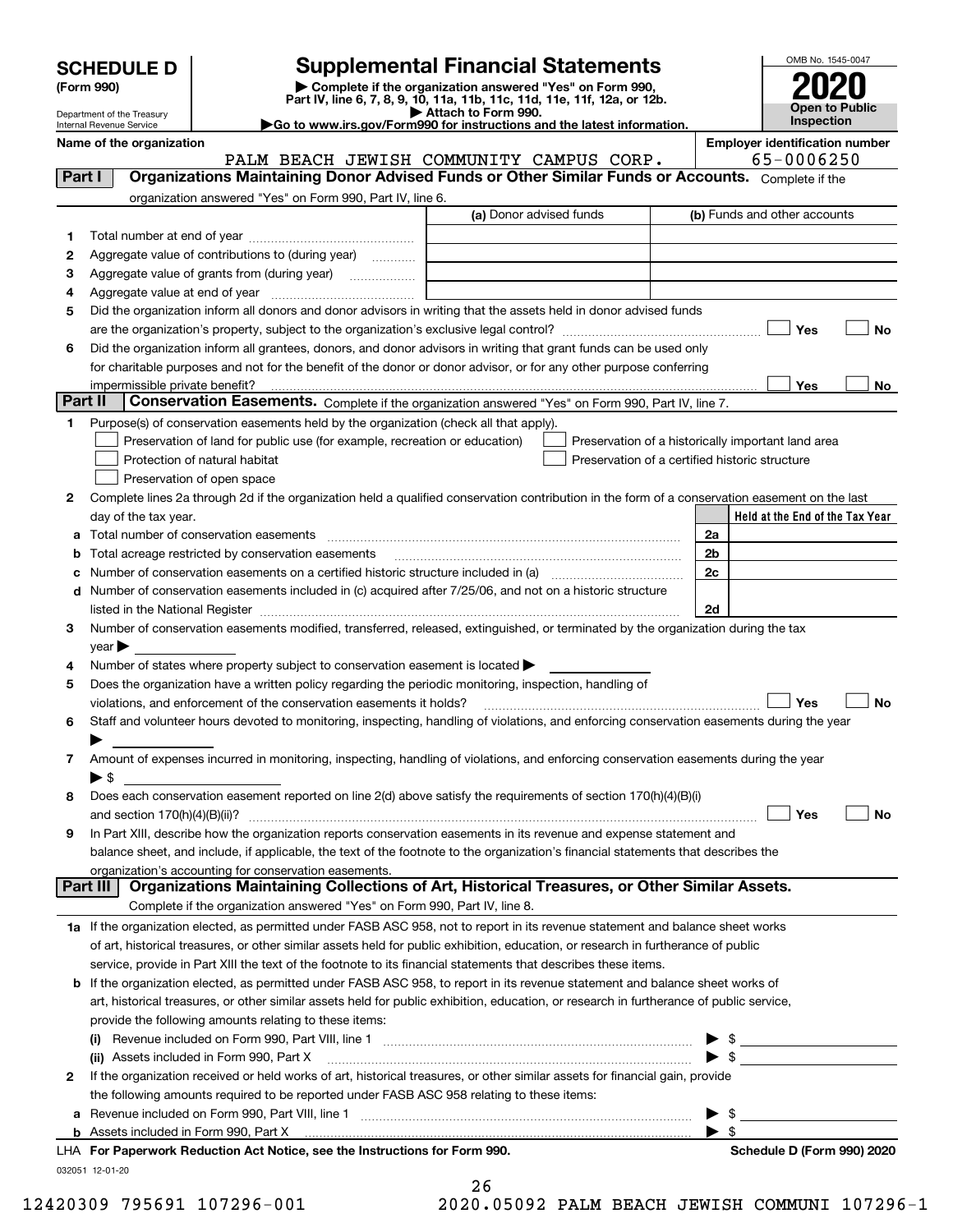| <b>SCHEDULE D</b> |  |
|-------------------|--|
|-------------------|--|

Department of the Treasury Internal Revenue Service

| (Form 990) |  |
|------------|--|
|------------|--|

### **SCHEDULE D Supplemental Financial Statements**

(Form 990)<br>
Pepartment of the Treasury<br>
Department of the Treasury<br>
Department of the Treasury<br>
Department of the Treasury<br> **Co to www.irs.gov/Form990 for instructions and the latest information.**<br> **Co to www.irs.gov/Form9** 

|--|



|         | Name of the organization<br>PALM BEACH JEWISH COMMUNITY CAMPUS CORP.                                                                                                                                                                                                                                                                                               |    |                          | <b>Employer identification number</b><br>65-0006250 |           |
|---------|--------------------------------------------------------------------------------------------------------------------------------------------------------------------------------------------------------------------------------------------------------------------------------------------------------------------------------------------------------------------|----|--------------------------|-----------------------------------------------------|-----------|
| Part I  | Organizations Maintaining Donor Advised Funds or Other Similar Funds or Accounts. Complete if the                                                                                                                                                                                                                                                                  |    |                          |                                                     |           |
|         | organization answered "Yes" on Form 990, Part IV, line 6.                                                                                                                                                                                                                                                                                                          |    |                          |                                                     |           |
|         | (a) Donor advised funds                                                                                                                                                                                                                                                                                                                                            |    |                          | (b) Funds and other accounts                        |           |
| 1       |                                                                                                                                                                                                                                                                                                                                                                    |    |                          |                                                     |           |
| 2       | Aggregate value of contributions to (during year)                                                                                                                                                                                                                                                                                                                  |    |                          |                                                     |           |
| 3       |                                                                                                                                                                                                                                                                                                                                                                    |    |                          |                                                     |           |
| 4       |                                                                                                                                                                                                                                                                                                                                                                    |    |                          |                                                     |           |
| 5       | Did the organization inform all donors and donor advisors in writing that the assets held in donor advised funds                                                                                                                                                                                                                                                   |    |                          |                                                     |           |
|         |                                                                                                                                                                                                                                                                                                                                                                    |    |                          | Yes                                                 | <b>No</b> |
| 6       | Did the organization inform all grantees, donors, and donor advisors in writing that grant funds can be used only                                                                                                                                                                                                                                                  |    |                          |                                                     |           |
|         | for charitable purposes and not for the benefit of the donor or donor advisor, or for any other purpose conferring                                                                                                                                                                                                                                                 |    |                          |                                                     |           |
|         |                                                                                                                                                                                                                                                                                                                                                                    |    |                          | Yes                                                 | No        |
| Part II | Conservation Easements. Complete if the organization answered "Yes" on Form 990, Part IV, line 7.                                                                                                                                                                                                                                                                  |    |                          |                                                     |           |
| 1       | Purpose(s) of conservation easements held by the organization (check all that apply).                                                                                                                                                                                                                                                                              |    |                          |                                                     |           |
|         | Preservation of land for public use (for example, recreation or education)<br>Preservation of a historically important land area                                                                                                                                                                                                                                   |    |                          |                                                     |           |
|         | Protection of natural habitat<br>Preservation of a certified historic structure                                                                                                                                                                                                                                                                                    |    |                          |                                                     |           |
|         | Preservation of open space                                                                                                                                                                                                                                                                                                                                         |    |                          |                                                     |           |
| 2       | Complete lines 2a through 2d if the organization held a qualified conservation contribution in the form of a conservation easement on the last                                                                                                                                                                                                                     |    |                          |                                                     |           |
|         | day of the tax year.                                                                                                                                                                                                                                                                                                                                               |    |                          | Held at the End of the Tax Year                     |           |
| a       | Total number of conservation easements                                                                                                                                                                                                                                                                                                                             | 2a |                          |                                                     |           |
| b       | Total acreage restricted by conservation easements                                                                                                                                                                                                                                                                                                                 | 2c | 2b                       |                                                     |           |
| c       | d Number of conservation easements included in (c) acquired after 7/25/06, and not on a historic structure                                                                                                                                                                                                                                                         |    |                          |                                                     |           |
|         |                                                                                                                                                                                                                                                                                                                                                                    |    | 2d                       |                                                     |           |
| з       | listed in the National Register [1,1,2000] [1,2000] [1,2000] [1,2000] [1,2000] [1,2000] [1,2000] [1,2000] [1,2000] [1,2000] [1,2000] [1,2000] [1,2000] [1,2000] [1,2000] [1,2000] [1,2000] [1,2000] [1,2000] [1,2000] [1,2000]<br>Number of conservation easements modified, transferred, released, extinguished, or terminated by the organization during the tax |    |                          |                                                     |           |
|         | $year \blacktriangleright$                                                                                                                                                                                                                                                                                                                                         |    |                          |                                                     |           |
| 4       | Number of states where property subject to conservation easement is located >                                                                                                                                                                                                                                                                                      |    |                          |                                                     |           |
| 5       | Does the organization have a written policy regarding the periodic monitoring, inspection, handling of                                                                                                                                                                                                                                                             |    |                          |                                                     |           |
|         | violations, and enforcement of the conservation easements it holds?                                                                                                                                                                                                                                                                                                |    |                          | Yes                                                 | <b>No</b> |
| 6       | Staff and volunteer hours devoted to monitoring, inspecting, handling of violations, and enforcing conservation easements during the year                                                                                                                                                                                                                          |    |                          |                                                     |           |
|         |                                                                                                                                                                                                                                                                                                                                                                    |    |                          |                                                     |           |
| 7       | Amount of expenses incurred in monitoring, inspecting, handling of violations, and enforcing conservation easements during the year                                                                                                                                                                                                                                |    |                          |                                                     |           |
|         | ▶ \$                                                                                                                                                                                                                                                                                                                                                               |    |                          |                                                     |           |
| 8       | Does each conservation easement reported on line 2(d) above satisfy the requirements of section 170(h)(4)(B)(i)                                                                                                                                                                                                                                                    |    |                          |                                                     |           |
|         |                                                                                                                                                                                                                                                                                                                                                                    |    |                          | Yes                                                 | <b>No</b> |
|         | In Part XIII, describe how the organization reports conservation easements in its revenue and expense statement and                                                                                                                                                                                                                                                |    |                          |                                                     |           |
|         | balance sheet, and include, if applicable, the text of the footnote to the organization's financial statements that describes the                                                                                                                                                                                                                                  |    |                          |                                                     |           |
|         | organization's accounting for conservation easements.                                                                                                                                                                                                                                                                                                              |    |                          |                                                     |           |
|         | Organizations Maintaining Collections of Art, Historical Treasures, or Other Similar Assets.<br>Part III                                                                                                                                                                                                                                                           |    |                          |                                                     |           |
|         | Complete if the organization answered "Yes" on Form 990, Part IV, line 8.                                                                                                                                                                                                                                                                                          |    |                          |                                                     |           |
|         | 1a If the organization elected, as permitted under FASB ASC 958, not to report in its revenue statement and balance sheet works                                                                                                                                                                                                                                    |    |                          |                                                     |           |
|         | of art, historical treasures, or other similar assets held for public exhibition, education, or research in furtherance of public                                                                                                                                                                                                                                  |    |                          |                                                     |           |
|         | service, provide in Part XIII the text of the footnote to its financial statements that describes these items.                                                                                                                                                                                                                                                     |    |                          |                                                     |           |
|         | <b>b</b> If the organization elected, as permitted under FASB ASC 958, to report in its revenue statement and balance sheet works of                                                                                                                                                                                                                               |    |                          |                                                     |           |
|         | art, historical treasures, or other similar assets held for public exhibition, education, or research in furtherance of public service,                                                                                                                                                                                                                            |    |                          |                                                     |           |
|         | provide the following amounts relating to these items:                                                                                                                                                                                                                                                                                                             |    |                          |                                                     |           |
|         | (ii) Assets included in Form 990, Part X                                                                                                                                                                                                                                                                                                                           |    |                          | $\triangleright$ \$<br>$\blacktriangleright$ \$     |           |
| 2       | If the organization received or held works of art, historical treasures, or other similar assets for financial gain, provide                                                                                                                                                                                                                                       |    |                          |                                                     |           |
|         | the following amounts required to be reported under FASB ASC 958 relating to these items:                                                                                                                                                                                                                                                                          |    |                          |                                                     |           |
|         | a Revenue included on Form 990, Part VIII, line 1 [2000] [2000] [2000] [2000] [2000] [2000] [2000] [2000] [2000                                                                                                                                                                                                                                                    |    | $\blacktriangleright$ \$ |                                                     |           |
|         |                                                                                                                                                                                                                                                                                                                                                                    |    | $\blacktriangleright$ \$ |                                                     |           |
|         | LHA For Paperwork Reduction Act Notice, see the Instructions for Form 990.                                                                                                                                                                                                                                                                                         |    |                          | Schedule D (Form 990) 2020                          |           |
|         | 032051 12-01-20                                                                                                                                                                                                                                                                                                                                                    |    |                          |                                                     |           |

| 26      |  |        |  |
|---------|--|--------|--|
| $\circ$ |  | 0.500c |  |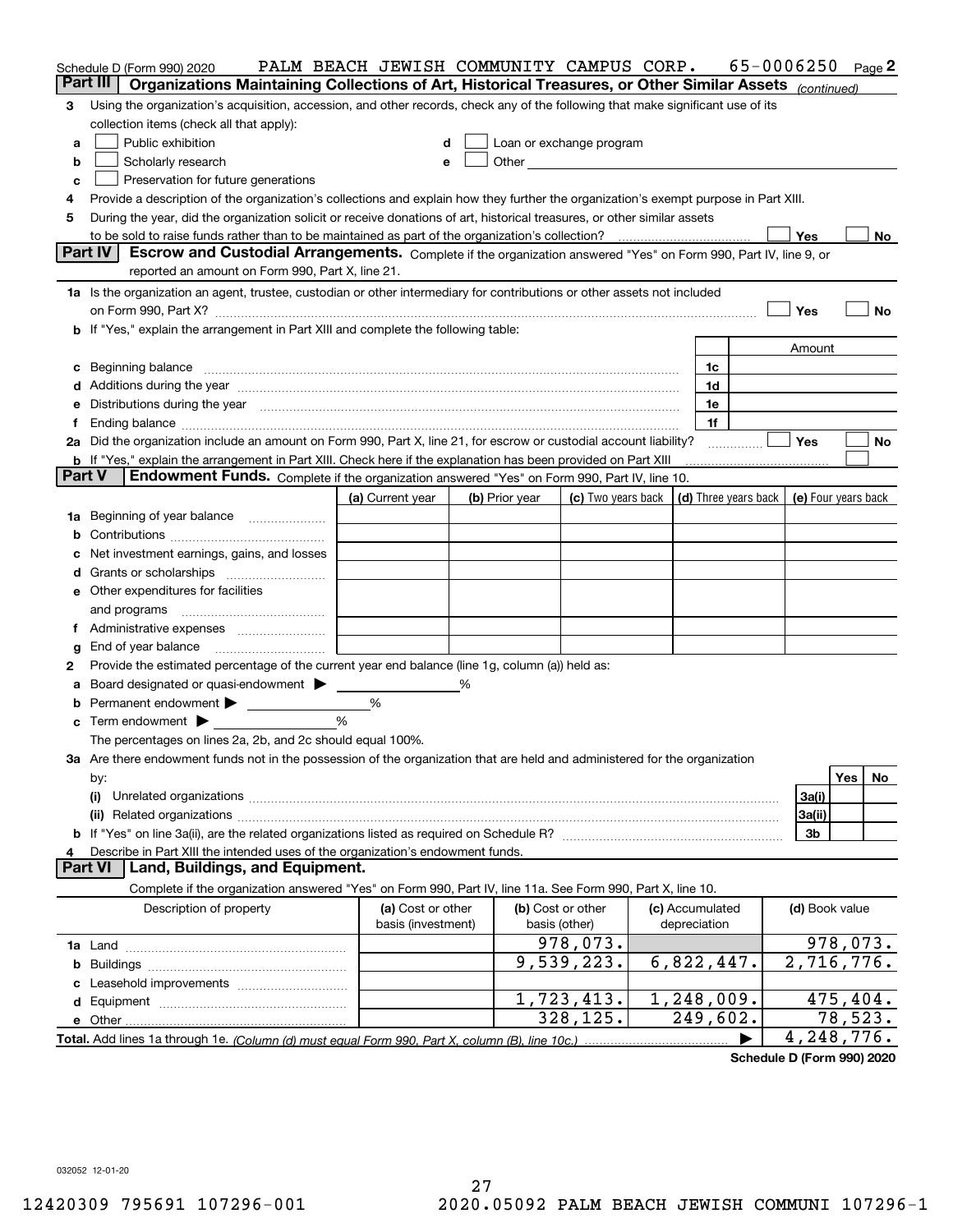| Part III<br>Organizations Maintaining Collections of Art, Historical Treasures, or Other Similar Assets (continued)<br>Using the organization's acquisition, accession, and other records, check any of the following that make significant use of its<br>3<br>collection items (check all that apply):<br>Public exhibition<br>Loan or exchange program<br>d<br>а<br>Other and the control of the control of the control of the control of the control of the control of the control of the control of the control of the control of the control of the control of the control of the control of th<br>Scholarly research<br>b<br>e<br>Preservation for future generations<br>c<br>Provide a description of the organization's collections and explain how they further the organization's exempt purpose in Part XIII.<br>4<br>During the year, did the organization solicit or receive donations of art, historical treasures, or other similar assets<br>5<br>Yes<br>Part IV<br>Escrow and Custodial Arrangements. Complete if the organization answered "Yes" on Form 990, Part IV, line 9, or<br>reported an amount on Form 990, Part X, line 21.<br>1a Is the organization an agent, trustee, custodian or other intermediary for contributions or other assets not included<br>Yes<br>No<br><b>b</b> If "Yes," explain the arrangement in Part XIII and complete the following table:<br>Amount<br>1c<br>c Beginning balance measurements and the contract of the contract of the contract of the contract of the contract of the contract of the contract of the contract of the contract of the contract of the contract of the contr<br>1d<br>e Distributions during the year manufactured and continuum and contained and the year manufactured and contained and the year manufactured and contained and contained and contained and contained and contained and contained<br>1e<br>1f<br>2a Did the organization include an amount on Form 990, Part X, line 21, for escrow or custodial account liability?<br><b>Yes</b><br>No<br><b>b</b> If "Yes," explain the arrangement in Part XIII. Check here if the explanation has been provided on Part XIII<br><b>Part V</b><br>Endowment Funds. Complete if the organization answered "Yes" on Form 990, Part IV, line 10.<br>(c) Two years back $\vert$ (d) Three years back $\vert$ (e) Four years back<br>(a) Current year<br>(b) Prior year<br>1a Beginning of year balance<br>b<br>Net investment earnings, gains, and losses<br>c<br><b>e</b> Other expenditures for facilities<br>End of year balance<br>g<br>Provide the estimated percentage of the current year end balance (line 1g, column (a)) held as:<br>2<br>Board designated or quasi-endowment > _____<br>℅<br>а<br><b>b</b> Permanent endowment <b>D</b><br>%<br>$\%$<br>$\mathbf c$ Term endowment $\blacktriangleright$<br>The percentages on lines 2a, 2b, and 2c should equal 100%.<br>3a Are there endowment funds not in the possession of the organization that are held and administered for the organization<br>Yes  <br>No<br>by:<br>3a(i)<br>(i)<br>3a(ii)<br>3b<br>Describe in Part XIII the intended uses of the organization's endowment funds.<br>4<br>Land, Buildings, and Equipment.<br><b>Part VI</b><br>Complete if the organization answered "Yes" on Form 990, Part IV, line 11a. See Form 990, Part X, line 10.<br>Description of property<br>(a) Cost or other<br>(b) Cost or other<br>(c) Accumulated<br>(d) Book value<br>basis (investment)<br>depreciation<br>basis (other)<br>978,073.<br>9,539,223.<br>6,822,447.<br>1,248,009.<br>1,723,413.<br>78,523.<br>328, 125.<br>249,602.<br>4, 248, 776. | Schedule D (Form 990) 2020 | PALM BEACH JEWISH COMMUNITY CAMPUS CORP. |  |  | 65-0006250 |  | Page 2 |
|---------------------------------------------------------------------------------------------------------------------------------------------------------------------------------------------------------------------------------------------------------------------------------------------------------------------------------------------------------------------------------------------------------------------------------------------------------------------------------------------------------------------------------------------------------------------------------------------------------------------------------------------------------------------------------------------------------------------------------------------------------------------------------------------------------------------------------------------------------------------------------------------------------------------------------------------------------------------------------------------------------------------------------------------------------------------------------------------------------------------------------------------------------------------------------------------------------------------------------------------------------------------------------------------------------------------------------------------------------------------------------------------------------------------------------------------------------------------------------------------------------------------------------------------------------------------------------------------------------------------------------------------------------------------------------------------------------------------------------------------------------------------------------------------------------------------------------------------------------------------------------------------------------------------------------------------------------------------------------------------------------------------------------------------------------------------------------------------------------------------------------------------------------------------------------------------------------------------------------------------------------------------------------------------------------------------------------------------------------------------------------------------------------------------------------------------------------------------------------------------------------------------------------------------------------------------------------------------------------------------------------------------------------------------------------------------------------------------------------------------------------------------------------------------------------------------------------------------------------------------------------------------------------------------------------------------------------------------------------------------------------------------------------------------------------------------------------------------------------------------------------------------------------------------------------------------------------------------------------------------------------------------------------------------------------------------------------------------------------------------------------------------------------------------------------------------------------------------------------------------------------------------------------------------------------------------------------------------------------------------------------------------------------------|----------------------------|------------------------------------------|--|--|------------|--|--------|
| No l<br>978,073.<br>2,716,776.<br>475,404.                                                                                                                                                                                                                                                                                                                                                                                                                                                                                                                                                                                                                                                                                                                                                                                                                                                                                                                                                                                                                                                                                                                                                                                                                                                                                                                                                                                                                                                                                                                                                                                                                                                                                                                                                                                                                                                                                                                                                                                                                                                                                                                                                                                                                                                                                                                                                                                                                                                                                                                                                                                                                                                                                                                                                                                                                                                                                                                                                                                                                                                                                                                                                                                                                                                                                                                                                                                                                                                                                                                                                                                                                    |                            |                                          |  |  |            |  |        |
|                                                                                                                                                                                                                                                                                                                                                                                                                                                                                                                                                                                                                                                                                                                                                                                                                                                                                                                                                                                                                                                                                                                                                                                                                                                                                                                                                                                                                                                                                                                                                                                                                                                                                                                                                                                                                                                                                                                                                                                                                                                                                                                                                                                                                                                                                                                                                                                                                                                                                                                                                                                                                                                                                                                                                                                                                                                                                                                                                                                                                                                                                                                                                                                                                                                                                                                                                                                                                                                                                                                                                                                                                                                               |                            |                                          |  |  |            |  |        |
|                                                                                                                                                                                                                                                                                                                                                                                                                                                                                                                                                                                                                                                                                                                                                                                                                                                                                                                                                                                                                                                                                                                                                                                                                                                                                                                                                                                                                                                                                                                                                                                                                                                                                                                                                                                                                                                                                                                                                                                                                                                                                                                                                                                                                                                                                                                                                                                                                                                                                                                                                                                                                                                                                                                                                                                                                                                                                                                                                                                                                                                                                                                                                                                                                                                                                                                                                                                                                                                                                                                                                                                                                                                               |                            |                                          |  |  |            |  |        |
|                                                                                                                                                                                                                                                                                                                                                                                                                                                                                                                                                                                                                                                                                                                                                                                                                                                                                                                                                                                                                                                                                                                                                                                                                                                                                                                                                                                                                                                                                                                                                                                                                                                                                                                                                                                                                                                                                                                                                                                                                                                                                                                                                                                                                                                                                                                                                                                                                                                                                                                                                                                                                                                                                                                                                                                                                                                                                                                                                                                                                                                                                                                                                                                                                                                                                                                                                                                                                                                                                                                                                                                                                                                               |                            |                                          |  |  |            |  |        |
|                                                                                                                                                                                                                                                                                                                                                                                                                                                                                                                                                                                                                                                                                                                                                                                                                                                                                                                                                                                                                                                                                                                                                                                                                                                                                                                                                                                                                                                                                                                                                                                                                                                                                                                                                                                                                                                                                                                                                                                                                                                                                                                                                                                                                                                                                                                                                                                                                                                                                                                                                                                                                                                                                                                                                                                                                                                                                                                                                                                                                                                                                                                                                                                                                                                                                                                                                                                                                                                                                                                                                                                                                                                               |                            |                                          |  |  |            |  |        |
|                                                                                                                                                                                                                                                                                                                                                                                                                                                                                                                                                                                                                                                                                                                                                                                                                                                                                                                                                                                                                                                                                                                                                                                                                                                                                                                                                                                                                                                                                                                                                                                                                                                                                                                                                                                                                                                                                                                                                                                                                                                                                                                                                                                                                                                                                                                                                                                                                                                                                                                                                                                                                                                                                                                                                                                                                                                                                                                                                                                                                                                                                                                                                                                                                                                                                                                                                                                                                                                                                                                                                                                                                                                               |                            |                                          |  |  |            |  |        |
|                                                                                                                                                                                                                                                                                                                                                                                                                                                                                                                                                                                                                                                                                                                                                                                                                                                                                                                                                                                                                                                                                                                                                                                                                                                                                                                                                                                                                                                                                                                                                                                                                                                                                                                                                                                                                                                                                                                                                                                                                                                                                                                                                                                                                                                                                                                                                                                                                                                                                                                                                                                                                                                                                                                                                                                                                                                                                                                                                                                                                                                                                                                                                                                                                                                                                                                                                                                                                                                                                                                                                                                                                                                               |                            |                                          |  |  |            |  |        |
|                                                                                                                                                                                                                                                                                                                                                                                                                                                                                                                                                                                                                                                                                                                                                                                                                                                                                                                                                                                                                                                                                                                                                                                                                                                                                                                                                                                                                                                                                                                                                                                                                                                                                                                                                                                                                                                                                                                                                                                                                                                                                                                                                                                                                                                                                                                                                                                                                                                                                                                                                                                                                                                                                                                                                                                                                                                                                                                                                                                                                                                                                                                                                                                                                                                                                                                                                                                                                                                                                                                                                                                                                                                               |                            |                                          |  |  |            |  |        |
|                                                                                                                                                                                                                                                                                                                                                                                                                                                                                                                                                                                                                                                                                                                                                                                                                                                                                                                                                                                                                                                                                                                                                                                                                                                                                                                                                                                                                                                                                                                                                                                                                                                                                                                                                                                                                                                                                                                                                                                                                                                                                                                                                                                                                                                                                                                                                                                                                                                                                                                                                                                                                                                                                                                                                                                                                                                                                                                                                                                                                                                                                                                                                                                                                                                                                                                                                                                                                                                                                                                                                                                                                                                               |                            |                                          |  |  |            |  |        |
|                                                                                                                                                                                                                                                                                                                                                                                                                                                                                                                                                                                                                                                                                                                                                                                                                                                                                                                                                                                                                                                                                                                                                                                                                                                                                                                                                                                                                                                                                                                                                                                                                                                                                                                                                                                                                                                                                                                                                                                                                                                                                                                                                                                                                                                                                                                                                                                                                                                                                                                                                                                                                                                                                                                                                                                                                                                                                                                                                                                                                                                                                                                                                                                                                                                                                                                                                                                                                                                                                                                                                                                                                                                               |                            |                                          |  |  |            |  |        |
|                                                                                                                                                                                                                                                                                                                                                                                                                                                                                                                                                                                                                                                                                                                                                                                                                                                                                                                                                                                                                                                                                                                                                                                                                                                                                                                                                                                                                                                                                                                                                                                                                                                                                                                                                                                                                                                                                                                                                                                                                                                                                                                                                                                                                                                                                                                                                                                                                                                                                                                                                                                                                                                                                                                                                                                                                                                                                                                                                                                                                                                                                                                                                                                                                                                                                                                                                                                                                                                                                                                                                                                                                                                               |                            |                                          |  |  |            |  |        |
|                                                                                                                                                                                                                                                                                                                                                                                                                                                                                                                                                                                                                                                                                                                                                                                                                                                                                                                                                                                                                                                                                                                                                                                                                                                                                                                                                                                                                                                                                                                                                                                                                                                                                                                                                                                                                                                                                                                                                                                                                                                                                                                                                                                                                                                                                                                                                                                                                                                                                                                                                                                                                                                                                                                                                                                                                                                                                                                                                                                                                                                                                                                                                                                                                                                                                                                                                                                                                                                                                                                                                                                                                                                               |                            |                                          |  |  |            |  |        |
|                                                                                                                                                                                                                                                                                                                                                                                                                                                                                                                                                                                                                                                                                                                                                                                                                                                                                                                                                                                                                                                                                                                                                                                                                                                                                                                                                                                                                                                                                                                                                                                                                                                                                                                                                                                                                                                                                                                                                                                                                                                                                                                                                                                                                                                                                                                                                                                                                                                                                                                                                                                                                                                                                                                                                                                                                                                                                                                                                                                                                                                                                                                                                                                                                                                                                                                                                                                                                                                                                                                                                                                                                                                               |                            |                                          |  |  |            |  |        |
|                                                                                                                                                                                                                                                                                                                                                                                                                                                                                                                                                                                                                                                                                                                                                                                                                                                                                                                                                                                                                                                                                                                                                                                                                                                                                                                                                                                                                                                                                                                                                                                                                                                                                                                                                                                                                                                                                                                                                                                                                                                                                                                                                                                                                                                                                                                                                                                                                                                                                                                                                                                                                                                                                                                                                                                                                                                                                                                                                                                                                                                                                                                                                                                                                                                                                                                                                                                                                                                                                                                                                                                                                                                               |                            |                                          |  |  |            |  |        |
|                                                                                                                                                                                                                                                                                                                                                                                                                                                                                                                                                                                                                                                                                                                                                                                                                                                                                                                                                                                                                                                                                                                                                                                                                                                                                                                                                                                                                                                                                                                                                                                                                                                                                                                                                                                                                                                                                                                                                                                                                                                                                                                                                                                                                                                                                                                                                                                                                                                                                                                                                                                                                                                                                                                                                                                                                                                                                                                                                                                                                                                                                                                                                                                                                                                                                                                                                                                                                                                                                                                                                                                                                                                               |                            |                                          |  |  |            |  |        |
|                                                                                                                                                                                                                                                                                                                                                                                                                                                                                                                                                                                                                                                                                                                                                                                                                                                                                                                                                                                                                                                                                                                                                                                                                                                                                                                                                                                                                                                                                                                                                                                                                                                                                                                                                                                                                                                                                                                                                                                                                                                                                                                                                                                                                                                                                                                                                                                                                                                                                                                                                                                                                                                                                                                                                                                                                                                                                                                                                                                                                                                                                                                                                                                                                                                                                                                                                                                                                                                                                                                                                                                                                                                               |                            |                                          |  |  |            |  |        |
|                                                                                                                                                                                                                                                                                                                                                                                                                                                                                                                                                                                                                                                                                                                                                                                                                                                                                                                                                                                                                                                                                                                                                                                                                                                                                                                                                                                                                                                                                                                                                                                                                                                                                                                                                                                                                                                                                                                                                                                                                                                                                                                                                                                                                                                                                                                                                                                                                                                                                                                                                                                                                                                                                                                                                                                                                                                                                                                                                                                                                                                                                                                                                                                                                                                                                                                                                                                                                                                                                                                                                                                                                                                               |                            |                                          |  |  |            |  |        |
|                                                                                                                                                                                                                                                                                                                                                                                                                                                                                                                                                                                                                                                                                                                                                                                                                                                                                                                                                                                                                                                                                                                                                                                                                                                                                                                                                                                                                                                                                                                                                                                                                                                                                                                                                                                                                                                                                                                                                                                                                                                                                                                                                                                                                                                                                                                                                                                                                                                                                                                                                                                                                                                                                                                                                                                                                                                                                                                                                                                                                                                                                                                                                                                                                                                                                                                                                                                                                                                                                                                                                                                                                                                               |                            |                                          |  |  |            |  |        |
|                                                                                                                                                                                                                                                                                                                                                                                                                                                                                                                                                                                                                                                                                                                                                                                                                                                                                                                                                                                                                                                                                                                                                                                                                                                                                                                                                                                                                                                                                                                                                                                                                                                                                                                                                                                                                                                                                                                                                                                                                                                                                                                                                                                                                                                                                                                                                                                                                                                                                                                                                                                                                                                                                                                                                                                                                                                                                                                                                                                                                                                                                                                                                                                                                                                                                                                                                                                                                                                                                                                                                                                                                                                               |                            |                                          |  |  |            |  |        |
|                                                                                                                                                                                                                                                                                                                                                                                                                                                                                                                                                                                                                                                                                                                                                                                                                                                                                                                                                                                                                                                                                                                                                                                                                                                                                                                                                                                                                                                                                                                                                                                                                                                                                                                                                                                                                                                                                                                                                                                                                                                                                                                                                                                                                                                                                                                                                                                                                                                                                                                                                                                                                                                                                                                                                                                                                                                                                                                                                                                                                                                                                                                                                                                                                                                                                                                                                                                                                                                                                                                                                                                                                                                               |                            |                                          |  |  |            |  |        |
|                                                                                                                                                                                                                                                                                                                                                                                                                                                                                                                                                                                                                                                                                                                                                                                                                                                                                                                                                                                                                                                                                                                                                                                                                                                                                                                                                                                                                                                                                                                                                                                                                                                                                                                                                                                                                                                                                                                                                                                                                                                                                                                                                                                                                                                                                                                                                                                                                                                                                                                                                                                                                                                                                                                                                                                                                                                                                                                                                                                                                                                                                                                                                                                                                                                                                                                                                                                                                                                                                                                                                                                                                                                               |                            |                                          |  |  |            |  |        |
|                                                                                                                                                                                                                                                                                                                                                                                                                                                                                                                                                                                                                                                                                                                                                                                                                                                                                                                                                                                                                                                                                                                                                                                                                                                                                                                                                                                                                                                                                                                                                                                                                                                                                                                                                                                                                                                                                                                                                                                                                                                                                                                                                                                                                                                                                                                                                                                                                                                                                                                                                                                                                                                                                                                                                                                                                                                                                                                                                                                                                                                                                                                                                                                                                                                                                                                                                                                                                                                                                                                                                                                                                                                               |                            |                                          |  |  |            |  |        |
|                                                                                                                                                                                                                                                                                                                                                                                                                                                                                                                                                                                                                                                                                                                                                                                                                                                                                                                                                                                                                                                                                                                                                                                                                                                                                                                                                                                                                                                                                                                                                                                                                                                                                                                                                                                                                                                                                                                                                                                                                                                                                                                                                                                                                                                                                                                                                                                                                                                                                                                                                                                                                                                                                                                                                                                                                                                                                                                                                                                                                                                                                                                                                                                                                                                                                                                                                                                                                                                                                                                                                                                                                                                               |                            |                                          |  |  |            |  |        |
|                                                                                                                                                                                                                                                                                                                                                                                                                                                                                                                                                                                                                                                                                                                                                                                                                                                                                                                                                                                                                                                                                                                                                                                                                                                                                                                                                                                                                                                                                                                                                                                                                                                                                                                                                                                                                                                                                                                                                                                                                                                                                                                                                                                                                                                                                                                                                                                                                                                                                                                                                                                                                                                                                                                                                                                                                                                                                                                                                                                                                                                                                                                                                                                                                                                                                                                                                                                                                                                                                                                                                                                                                                                               |                            |                                          |  |  |            |  |        |
|                                                                                                                                                                                                                                                                                                                                                                                                                                                                                                                                                                                                                                                                                                                                                                                                                                                                                                                                                                                                                                                                                                                                                                                                                                                                                                                                                                                                                                                                                                                                                                                                                                                                                                                                                                                                                                                                                                                                                                                                                                                                                                                                                                                                                                                                                                                                                                                                                                                                                                                                                                                                                                                                                                                                                                                                                                                                                                                                                                                                                                                                                                                                                                                                                                                                                                                                                                                                                                                                                                                                                                                                                                                               |                            |                                          |  |  |            |  |        |
|                                                                                                                                                                                                                                                                                                                                                                                                                                                                                                                                                                                                                                                                                                                                                                                                                                                                                                                                                                                                                                                                                                                                                                                                                                                                                                                                                                                                                                                                                                                                                                                                                                                                                                                                                                                                                                                                                                                                                                                                                                                                                                                                                                                                                                                                                                                                                                                                                                                                                                                                                                                                                                                                                                                                                                                                                                                                                                                                                                                                                                                                                                                                                                                                                                                                                                                                                                                                                                                                                                                                                                                                                                                               |                            |                                          |  |  |            |  |        |
|                                                                                                                                                                                                                                                                                                                                                                                                                                                                                                                                                                                                                                                                                                                                                                                                                                                                                                                                                                                                                                                                                                                                                                                                                                                                                                                                                                                                                                                                                                                                                                                                                                                                                                                                                                                                                                                                                                                                                                                                                                                                                                                                                                                                                                                                                                                                                                                                                                                                                                                                                                                                                                                                                                                                                                                                                                                                                                                                                                                                                                                                                                                                                                                                                                                                                                                                                                                                                                                                                                                                                                                                                                                               |                            |                                          |  |  |            |  |        |
|                                                                                                                                                                                                                                                                                                                                                                                                                                                                                                                                                                                                                                                                                                                                                                                                                                                                                                                                                                                                                                                                                                                                                                                                                                                                                                                                                                                                                                                                                                                                                                                                                                                                                                                                                                                                                                                                                                                                                                                                                                                                                                                                                                                                                                                                                                                                                                                                                                                                                                                                                                                                                                                                                                                                                                                                                                                                                                                                                                                                                                                                                                                                                                                                                                                                                                                                                                                                                                                                                                                                                                                                                                                               |                            |                                          |  |  |            |  |        |
|                                                                                                                                                                                                                                                                                                                                                                                                                                                                                                                                                                                                                                                                                                                                                                                                                                                                                                                                                                                                                                                                                                                                                                                                                                                                                                                                                                                                                                                                                                                                                                                                                                                                                                                                                                                                                                                                                                                                                                                                                                                                                                                                                                                                                                                                                                                                                                                                                                                                                                                                                                                                                                                                                                                                                                                                                                                                                                                                                                                                                                                                                                                                                                                                                                                                                                                                                                                                                                                                                                                                                                                                                                                               |                            |                                          |  |  |            |  |        |
|                                                                                                                                                                                                                                                                                                                                                                                                                                                                                                                                                                                                                                                                                                                                                                                                                                                                                                                                                                                                                                                                                                                                                                                                                                                                                                                                                                                                                                                                                                                                                                                                                                                                                                                                                                                                                                                                                                                                                                                                                                                                                                                                                                                                                                                                                                                                                                                                                                                                                                                                                                                                                                                                                                                                                                                                                                                                                                                                                                                                                                                                                                                                                                                                                                                                                                                                                                                                                                                                                                                                                                                                                                                               |                            |                                          |  |  |            |  |        |
|                                                                                                                                                                                                                                                                                                                                                                                                                                                                                                                                                                                                                                                                                                                                                                                                                                                                                                                                                                                                                                                                                                                                                                                                                                                                                                                                                                                                                                                                                                                                                                                                                                                                                                                                                                                                                                                                                                                                                                                                                                                                                                                                                                                                                                                                                                                                                                                                                                                                                                                                                                                                                                                                                                                                                                                                                                                                                                                                                                                                                                                                                                                                                                                                                                                                                                                                                                                                                                                                                                                                                                                                                                                               |                            |                                          |  |  |            |  |        |
|                                                                                                                                                                                                                                                                                                                                                                                                                                                                                                                                                                                                                                                                                                                                                                                                                                                                                                                                                                                                                                                                                                                                                                                                                                                                                                                                                                                                                                                                                                                                                                                                                                                                                                                                                                                                                                                                                                                                                                                                                                                                                                                                                                                                                                                                                                                                                                                                                                                                                                                                                                                                                                                                                                                                                                                                                                                                                                                                                                                                                                                                                                                                                                                                                                                                                                                                                                                                                                                                                                                                                                                                                                                               |                            |                                          |  |  |            |  |        |
|                                                                                                                                                                                                                                                                                                                                                                                                                                                                                                                                                                                                                                                                                                                                                                                                                                                                                                                                                                                                                                                                                                                                                                                                                                                                                                                                                                                                                                                                                                                                                                                                                                                                                                                                                                                                                                                                                                                                                                                                                                                                                                                                                                                                                                                                                                                                                                                                                                                                                                                                                                                                                                                                                                                                                                                                                                                                                                                                                                                                                                                                                                                                                                                                                                                                                                                                                                                                                                                                                                                                                                                                                                                               |                            |                                          |  |  |            |  |        |
|                                                                                                                                                                                                                                                                                                                                                                                                                                                                                                                                                                                                                                                                                                                                                                                                                                                                                                                                                                                                                                                                                                                                                                                                                                                                                                                                                                                                                                                                                                                                                                                                                                                                                                                                                                                                                                                                                                                                                                                                                                                                                                                                                                                                                                                                                                                                                                                                                                                                                                                                                                                                                                                                                                                                                                                                                                                                                                                                                                                                                                                                                                                                                                                                                                                                                                                                                                                                                                                                                                                                                                                                                                                               |                            |                                          |  |  |            |  |        |
|                                                                                                                                                                                                                                                                                                                                                                                                                                                                                                                                                                                                                                                                                                                                                                                                                                                                                                                                                                                                                                                                                                                                                                                                                                                                                                                                                                                                                                                                                                                                                                                                                                                                                                                                                                                                                                                                                                                                                                                                                                                                                                                                                                                                                                                                                                                                                                                                                                                                                                                                                                                                                                                                                                                                                                                                                                                                                                                                                                                                                                                                                                                                                                                                                                                                                                                                                                                                                                                                                                                                                                                                                                                               |                            |                                          |  |  |            |  |        |
|                                                                                                                                                                                                                                                                                                                                                                                                                                                                                                                                                                                                                                                                                                                                                                                                                                                                                                                                                                                                                                                                                                                                                                                                                                                                                                                                                                                                                                                                                                                                                                                                                                                                                                                                                                                                                                                                                                                                                                                                                                                                                                                                                                                                                                                                                                                                                                                                                                                                                                                                                                                                                                                                                                                                                                                                                                                                                                                                                                                                                                                                                                                                                                                                                                                                                                                                                                                                                                                                                                                                                                                                                                                               |                            |                                          |  |  |            |  |        |
|                                                                                                                                                                                                                                                                                                                                                                                                                                                                                                                                                                                                                                                                                                                                                                                                                                                                                                                                                                                                                                                                                                                                                                                                                                                                                                                                                                                                                                                                                                                                                                                                                                                                                                                                                                                                                                                                                                                                                                                                                                                                                                                                                                                                                                                                                                                                                                                                                                                                                                                                                                                                                                                                                                                                                                                                                                                                                                                                                                                                                                                                                                                                                                                                                                                                                                                                                                                                                                                                                                                                                                                                                                                               |                            |                                          |  |  |            |  |        |
|                                                                                                                                                                                                                                                                                                                                                                                                                                                                                                                                                                                                                                                                                                                                                                                                                                                                                                                                                                                                                                                                                                                                                                                                                                                                                                                                                                                                                                                                                                                                                                                                                                                                                                                                                                                                                                                                                                                                                                                                                                                                                                                                                                                                                                                                                                                                                                                                                                                                                                                                                                                                                                                                                                                                                                                                                                                                                                                                                                                                                                                                                                                                                                                                                                                                                                                                                                                                                                                                                                                                                                                                                                                               |                            |                                          |  |  |            |  |        |
|                                                                                                                                                                                                                                                                                                                                                                                                                                                                                                                                                                                                                                                                                                                                                                                                                                                                                                                                                                                                                                                                                                                                                                                                                                                                                                                                                                                                                                                                                                                                                                                                                                                                                                                                                                                                                                                                                                                                                                                                                                                                                                                                                                                                                                                                                                                                                                                                                                                                                                                                                                                                                                                                                                                                                                                                                                                                                                                                                                                                                                                                                                                                                                                                                                                                                                                                                                                                                                                                                                                                                                                                                                                               |                            |                                          |  |  |            |  |        |
|                                                                                                                                                                                                                                                                                                                                                                                                                                                                                                                                                                                                                                                                                                                                                                                                                                                                                                                                                                                                                                                                                                                                                                                                                                                                                                                                                                                                                                                                                                                                                                                                                                                                                                                                                                                                                                                                                                                                                                                                                                                                                                                                                                                                                                                                                                                                                                                                                                                                                                                                                                                                                                                                                                                                                                                                                                                                                                                                                                                                                                                                                                                                                                                                                                                                                                                                                                                                                                                                                                                                                                                                                                                               |                            |                                          |  |  |            |  |        |
|                                                                                                                                                                                                                                                                                                                                                                                                                                                                                                                                                                                                                                                                                                                                                                                                                                                                                                                                                                                                                                                                                                                                                                                                                                                                                                                                                                                                                                                                                                                                                                                                                                                                                                                                                                                                                                                                                                                                                                                                                                                                                                                                                                                                                                                                                                                                                                                                                                                                                                                                                                                                                                                                                                                                                                                                                                                                                                                                                                                                                                                                                                                                                                                                                                                                                                                                                                                                                                                                                                                                                                                                                                                               |                            |                                          |  |  |            |  |        |
|                                                                                                                                                                                                                                                                                                                                                                                                                                                                                                                                                                                                                                                                                                                                                                                                                                                                                                                                                                                                                                                                                                                                                                                                                                                                                                                                                                                                                                                                                                                                                                                                                                                                                                                                                                                                                                                                                                                                                                                                                                                                                                                                                                                                                                                                                                                                                                                                                                                                                                                                                                                                                                                                                                                                                                                                                                                                                                                                                                                                                                                                                                                                                                                                                                                                                                                                                                                                                                                                                                                                                                                                                                                               |                            |                                          |  |  |            |  |        |
|                                                                                                                                                                                                                                                                                                                                                                                                                                                                                                                                                                                                                                                                                                                                                                                                                                                                                                                                                                                                                                                                                                                                                                                                                                                                                                                                                                                                                                                                                                                                                                                                                                                                                                                                                                                                                                                                                                                                                                                                                                                                                                                                                                                                                                                                                                                                                                                                                                                                                                                                                                                                                                                                                                                                                                                                                                                                                                                                                                                                                                                                                                                                                                                                                                                                                                                                                                                                                                                                                                                                                                                                                                                               |                            |                                          |  |  |            |  |        |
|                                                                                                                                                                                                                                                                                                                                                                                                                                                                                                                                                                                                                                                                                                                                                                                                                                                                                                                                                                                                                                                                                                                                                                                                                                                                                                                                                                                                                                                                                                                                                                                                                                                                                                                                                                                                                                                                                                                                                                                                                                                                                                                                                                                                                                                                                                                                                                                                                                                                                                                                                                                                                                                                                                                                                                                                                                                                                                                                                                                                                                                                                                                                                                                                                                                                                                                                                                                                                                                                                                                                                                                                                                                               |                            |                                          |  |  |            |  |        |
|                                                                                                                                                                                                                                                                                                                                                                                                                                                                                                                                                                                                                                                                                                                                                                                                                                                                                                                                                                                                                                                                                                                                                                                                                                                                                                                                                                                                                                                                                                                                                                                                                                                                                                                                                                                                                                                                                                                                                                                                                                                                                                                                                                                                                                                                                                                                                                                                                                                                                                                                                                                                                                                                                                                                                                                                                                                                                                                                                                                                                                                                                                                                                                                                                                                                                                                                                                                                                                                                                                                                                                                                                                                               |                            |                                          |  |  |            |  |        |
|                                                                                                                                                                                                                                                                                                                                                                                                                                                                                                                                                                                                                                                                                                                                                                                                                                                                                                                                                                                                                                                                                                                                                                                                                                                                                                                                                                                                                                                                                                                                                                                                                                                                                                                                                                                                                                                                                                                                                                                                                                                                                                                                                                                                                                                                                                                                                                                                                                                                                                                                                                                                                                                                                                                                                                                                                                                                                                                                                                                                                                                                                                                                                                                                                                                                                                                                                                                                                                                                                                                                                                                                                                                               |                            |                                          |  |  |            |  |        |
|                                                                                                                                                                                                                                                                                                                                                                                                                                                                                                                                                                                                                                                                                                                                                                                                                                                                                                                                                                                                                                                                                                                                                                                                                                                                                                                                                                                                                                                                                                                                                                                                                                                                                                                                                                                                                                                                                                                                                                                                                                                                                                                                                                                                                                                                                                                                                                                                                                                                                                                                                                                                                                                                                                                                                                                                                                                                                                                                                                                                                                                                                                                                                                                                                                                                                                                                                                                                                                                                                                                                                                                                                                                               |                            |                                          |  |  |            |  |        |
|                                                                                                                                                                                                                                                                                                                                                                                                                                                                                                                                                                                                                                                                                                                                                                                                                                                                                                                                                                                                                                                                                                                                                                                                                                                                                                                                                                                                                                                                                                                                                                                                                                                                                                                                                                                                                                                                                                                                                                                                                                                                                                                                                                                                                                                                                                                                                                                                                                                                                                                                                                                                                                                                                                                                                                                                                                                                                                                                                                                                                                                                                                                                                                                                                                                                                                                                                                                                                                                                                                                                                                                                                                                               |                            |                                          |  |  |            |  |        |
|                                                                                                                                                                                                                                                                                                                                                                                                                                                                                                                                                                                                                                                                                                                                                                                                                                                                                                                                                                                                                                                                                                                                                                                                                                                                                                                                                                                                                                                                                                                                                                                                                                                                                                                                                                                                                                                                                                                                                                                                                                                                                                                                                                                                                                                                                                                                                                                                                                                                                                                                                                                                                                                                                                                                                                                                                                                                                                                                                                                                                                                                                                                                                                                                                                                                                                                                                                                                                                                                                                                                                                                                                                                               |                            |                                          |  |  |            |  |        |
|                                                                                                                                                                                                                                                                                                                                                                                                                                                                                                                                                                                                                                                                                                                                                                                                                                                                                                                                                                                                                                                                                                                                                                                                                                                                                                                                                                                                                                                                                                                                                                                                                                                                                                                                                                                                                                                                                                                                                                                                                                                                                                                                                                                                                                                                                                                                                                                                                                                                                                                                                                                                                                                                                                                                                                                                                                                                                                                                                                                                                                                                                                                                                                                                                                                                                                                                                                                                                                                                                                                                                                                                                                                               |                            |                                          |  |  |            |  |        |

**Schedule D (Form 990) 2020**

032052 12-01-20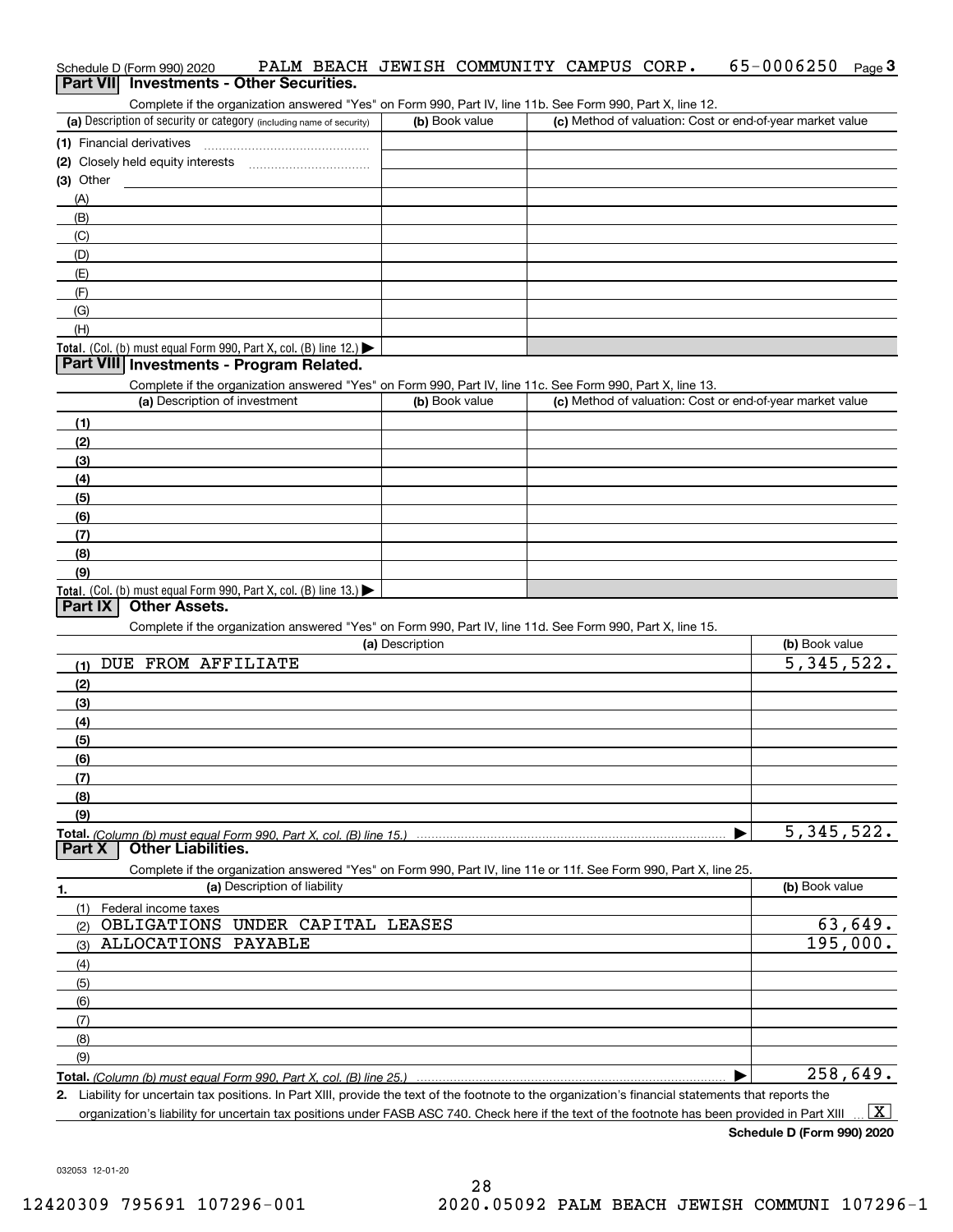#### Schedule D (Form 990) 2020 PALM BEACH JEWISH COMMUNITY CAMPUS CORP **.** 65-0 0 0 6 250 <sub>Page</sub> 3<br>| **Part VII** | Investments - Other Securities.  $65-0006250$  Page 3

Complete if the organization answered "Yes" on Form 990, Part IV, line 11b. See Form 990, Part X, line 12.

| (a) Description of security or category (including name of security)                   | (b) Book value | (c) Method of valuation: Cost or end-of-year market value |
|----------------------------------------------------------------------------------------|----------------|-----------------------------------------------------------|
| (1) Financial derivatives                                                              |                |                                                           |
| (2) Closely held equity interests                                                      |                |                                                           |
| $(3)$ Other                                                                            |                |                                                           |
| (A)                                                                                    |                |                                                           |
| (B)                                                                                    |                |                                                           |
| (C)                                                                                    |                |                                                           |
| (D)                                                                                    |                |                                                           |
| (E)                                                                                    |                |                                                           |
| (F)                                                                                    |                |                                                           |
| (G)                                                                                    |                |                                                           |
| (H)                                                                                    |                |                                                           |
| Total. (Col. (b) must equal Form 990, Part X, col. (B) line 12.) $\blacktriangleright$ |                |                                                           |

#### **Part VIII Investments - Program Related.**

Complete if the organization answered "Yes" on Form 990, Part IV, line 11c. See Form 990, Part X, line 13.

| (a) Description of investment                                       | (b) Book value | (c) Method of valuation: Cost or end-of-year market value |
|---------------------------------------------------------------------|----------------|-----------------------------------------------------------|
| (1)                                                                 |                |                                                           |
| (2)                                                                 |                |                                                           |
| $\frac{1}{2}$                                                       |                |                                                           |
| (4)                                                                 |                |                                                           |
| $\left(5\right)$                                                    |                |                                                           |
| (6)                                                                 |                |                                                           |
| (7)                                                                 |                |                                                           |
| (8)                                                                 |                |                                                           |
| (9)                                                                 |                |                                                           |
| Total. (Col. (b) must equal Form 990, Part X, col. (B) line $13.$ ) |                |                                                           |

#### **Part IX Other Assets.**

Complete if the organization answered "Yes" on Form 990, Part IV, line 11d. See Form 990, Part X, line 15.

| (a) Description                                                                                                   | (b) Book value |
|-------------------------------------------------------------------------------------------------------------------|----------------|
| FROM AFFILIATE<br>DUE<br>(1)                                                                                      | 5,345,522.     |
| (2)                                                                                                               |                |
| (3)                                                                                                               |                |
| (4)                                                                                                               |                |
| (5)                                                                                                               |                |
| (6)                                                                                                               |                |
| (7)                                                                                                               |                |
| (8)                                                                                                               |                |
| (9)                                                                                                               |                |
|                                                                                                                   | 5, 345, 522.   |
| <b>Other Liabilities.</b><br>Part X                                                                               |                |
| Complete if the organization answered "Yes" on Form 990, Part IV, line 11e or 11f. See Form 990, Part X, line 25. |                |
| (a) Description of liability<br>1.                                                                                | (b) Book value |
| Federal income taxes<br>(1)                                                                                       |                |
| OBLIGATIONS<br>CAPITAL LEASES<br>UNDER<br>(2)                                                                     | 63,649.        |
| <b>ALLOCATIONS</b><br>PAYABLE<br>(3)                                                                              | 195,000.       |
| (4)                                                                                                               |                |
| (5)                                                                                                               |                |
| (6)                                                                                                               |                |
| (7)                                                                                                               |                |
| (8)                                                                                                               |                |
| (9)                                                                                                               |                |
|                                                                                                                   | 258,649.       |

**2.** Liability for uncertain tax positions. In Part XIII, provide the text of the footnote to the organization's financial statements that reports the organization's liability for uncertain tax positions under FASB ASC 740. Check here if the text of the footnote has been provided in Part XIII  $\boxed{\text{X}}$ 

**Schedule D (Form 990) 2020**

032053 12-01-20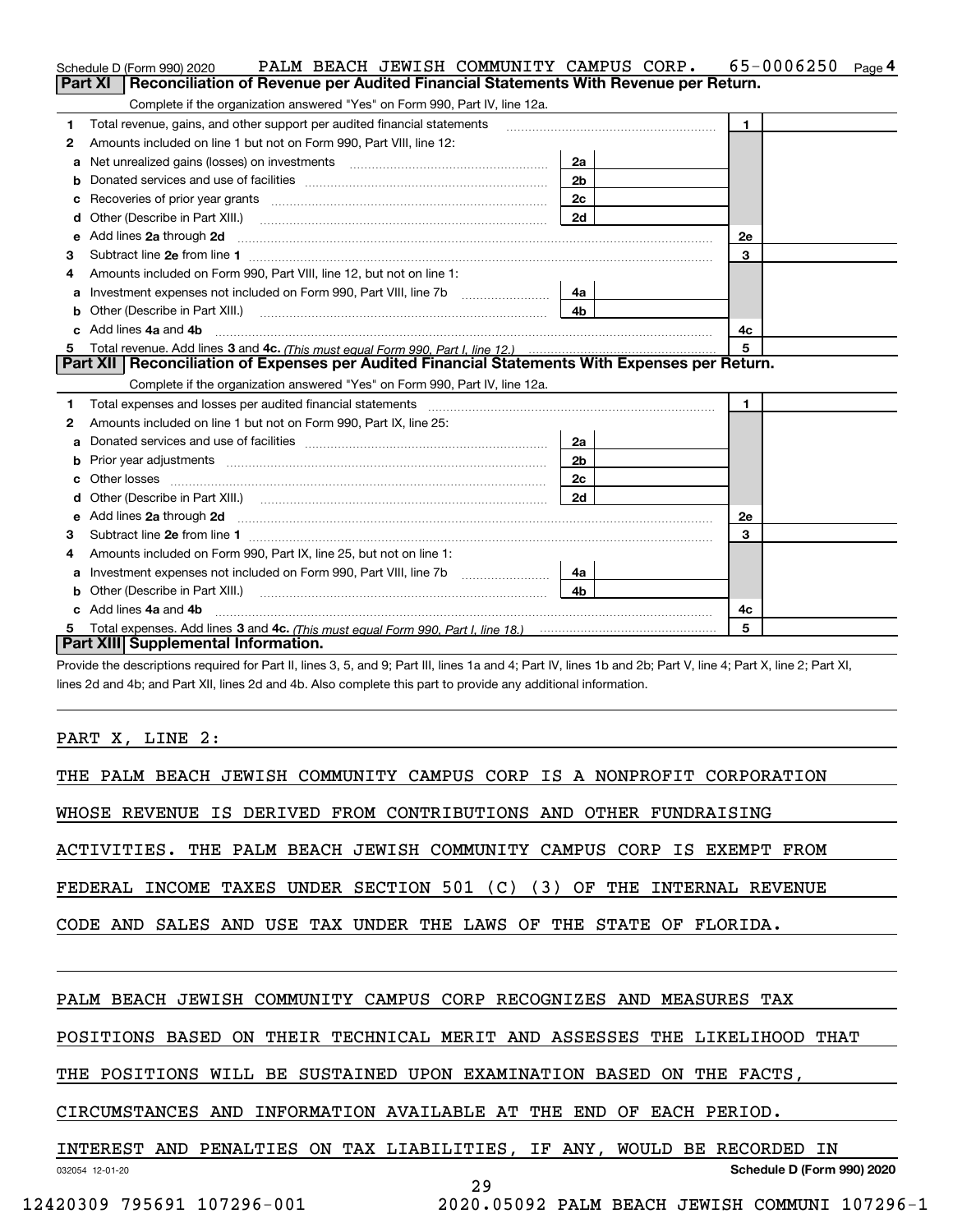|   | PALM BEACH JEWISH COMMUNITY CAMPUS CORP.<br>Schedule D (Form 990) 2020                                                                                                                                                                                                                                  |                | 65-0006250<br>Page 4 |
|---|---------------------------------------------------------------------------------------------------------------------------------------------------------------------------------------------------------------------------------------------------------------------------------------------------------|----------------|----------------------|
|   | Reconciliation of Revenue per Audited Financial Statements With Revenue per Return.<br>Part XI                                                                                                                                                                                                          |                |                      |
|   | Complete if the organization answered "Yes" on Form 990, Part IV, line 12a.                                                                                                                                                                                                                             |                |                      |
| 1 | Total revenue, gains, and other support per audited financial statements                                                                                                                                                                                                                                |                | $\mathbf{1}$         |
| 2 | Amounts included on line 1 but not on Form 990, Part VIII, line 12:                                                                                                                                                                                                                                     |                |                      |
| a | Net unrealized gains (losses) on investments [11] matter contracts and the unrealized gains (losses) on investments                                                                                                                                                                                     | 2a             |                      |
| b |                                                                                                                                                                                                                                                                                                         | 2 <sub>b</sub> |                      |
|   | Recoveries of prior year grants <i>manual content of the series</i> of prior year grants                                                                                                                                                                                                                | 2 <sub>c</sub> |                      |
| d | Other (Describe in Part XIII.) <b>Construction Contract Construction</b> Chern Construction Construction Construction                                                                                                                                                                                   | 2d             |                      |
| е | Add lines 2a through 2d                                                                                                                                                                                                                                                                                 |                | 2e                   |
| 3 |                                                                                                                                                                                                                                                                                                         |                | 3                    |
| 4 | Amounts included on Form 990, Part VIII, line 12, but not on line 1:                                                                                                                                                                                                                                    |                |                      |
| a |                                                                                                                                                                                                                                                                                                         | 4a             |                      |
|   |                                                                                                                                                                                                                                                                                                         | 4 <sub>b</sub> |                      |
|   | Add lines 4a and 4b                                                                                                                                                                                                                                                                                     |                | 4c                   |
| 5 |                                                                                                                                                                                                                                                                                                         |                | 5                    |
|   | Part XII   Reconciliation of Expenses per Audited Financial Statements With Expenses per Return.                                                                                                                                                                                                        |                |                      |
|   | Complete if the organization answered "Yes" on Form 990, Part IV, line 12a.                                                                                                                                                                                                                             |                |                      |
| 1 | Total expenses and losses per audited financial statements [11] [12] manuscription control expenses and losses per audited financial statements [12] [12] manuscription of the statements [12] manuscription of the statements                                                                          |                | $\mathbf{1}$         |
| 2 | Amounts included on line 1 but not on Form 990, Part IX, line 25:                                                                                                                                                                                                                                       |                |                      |
| а |                                                                                                                                                                                                                                                                                                         | 2a             |                      |
| b |                                                                                                                                                                                                                                                                                                         | 2 <sub>b</sub> |                      |
| c | Other losses                                                                                                                                                                                                                                                                                            | 2c             |                      |
|   |                                                                                                                                                                                                                                                                                                         | 2d             |                      |
| е |                                                                                                                                                                                                                                                                                                         |                | 2e                   |
| з |                                                                                                                                                                                                                                                                                                         |                | 3                    |
|   | Amounts included on Form 990, Part IX, line 25, but not on line 1:                                                                                                                                                                                                                                      |                |                      |
| a | Investment expenses not included on Form 990, Part VIII, line 7b [100] [100] [100] [100] [100] [100] [100] [10                                                                                                                                                                                          | 4a             |                      |
| b | Other (Describe in Part XIII.) <b>Construction Contract Construction</b> Chemistry Chemistry Chemistry Chemistry Chemistry                                                                                                                                                                              | 4 <sub>b</sub> |                      |
|   | Add lines 4a and 4b                                                                                                                                                                                                                                                                                     |                | 4с                   |
| 5 |                                                                                                                                                                                                                                                                                                         |                | 5                    |
|   | Part XIII Supplemental Information.                                                                                                                                                                                                                                                                     |                |                      |
|   | $\mathcal{L}$ , and $\mathcal{L}$ , and $\mathcal{L}$ , and $\mathcal{L}$ , and $\mathcal{L}$ , and $\mathcal{L}$ , and $\mathcal{L}$ , and $\mathcal{L}$ , and $\mathcal{L}$ , and $\mathcal{L}$ , and $\mathcal{L}$ , and $\mathcal{L}$ , and $\mathcal{L}$ , and $\mathcal{L}$ , and $\mathcal{L}$ , |                |                      |

Provide the descriptions required for Part II, lines 3, 5, and 9; Part III, lines 1a and 4; Part IV, lines 1b and 2b; Part V, line 4; Part X, line 2; Part XI, lines 2d and 4b; and Part XII, lines 2d and 4b. Also complete this part to provide any additional information.

#### PART X, LINE 2:

| THE PALM BEACH JEWISH COMMUNITY CAMPUS CORP IS A NONPROFIT CORPORATION    |
|---------------------------------------------------------------------------|
| IS DERIVED FROM CONTRIBUTIONS AND OTHER FUNDRAISING<br>WHOSE REVENUE      |
| ACTIVITIES. THE PALM BEACH JEWISH COMMUNITY CAMPUS CORP IS EXEMPT FROM    |
| FEDERAL INCOME TAXES UNDER SECTION 501 (C) (3) OF THE INTERNAL REVENUE    |
| CODE AND SALES AND USE TAX UNDER THE LAWS OF THE STATE OF FLORIDA.        |
|                                                                           |
| PALM BEACH JEWISH COMMUNITY CAMPUS CORP RECOGNIZES AND MEASURES TAX       |
| POSITIONS BASED ON THEIR TECHNICAL MERIT AND ASSESSES THE LIKELIHOOD THAT |
| THE POSITIONS WILL BE SUSTAINED UPON EXAMINATION BASED ON THE FACTS,      |
| CIRCUMSTANCES AND INFORMATION AVAILABLE AT THE END OF EACH PERIOD.        |
| INTEREST AND PENALTIES ON TAX LIABILITIES, IF ANY, WOULD BE RECORDED IN   |
| Schedule D (Form 990) 2020<br>032054 12-01-20                             |

29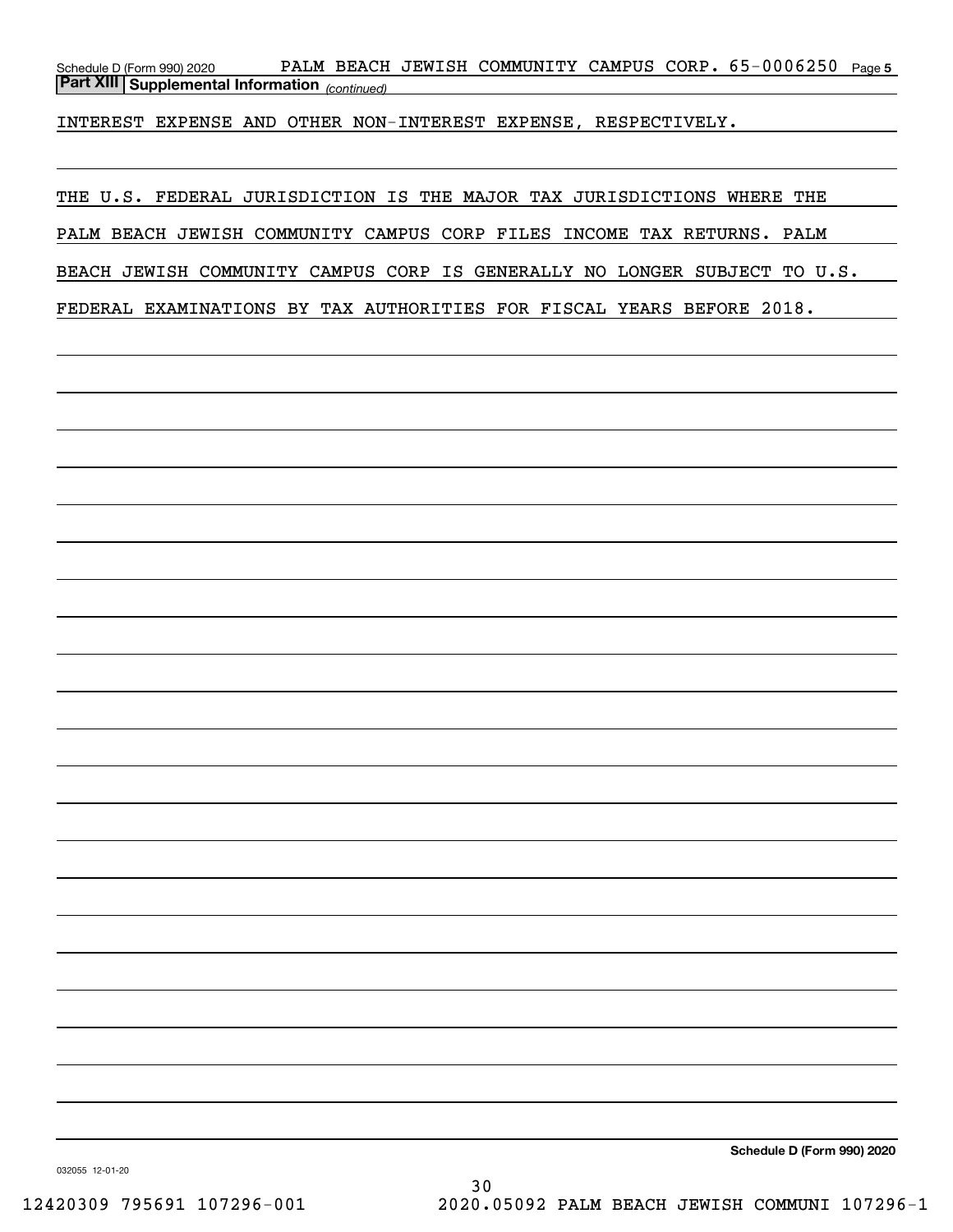Schedule D (Form 990) 2020 PALM BEACH JEWISH COMMUNITY CAMPUS CORP 。65-0006250 <sub>Page 5</sub> *(continued)* **Part XIII Supplemental Information** 

INTEREST EXPENSE AND OTHER NON-INTEREST EXPENSE, RESPECTIVELY.

THE U.S. FEDERAL JURISDICTION IS THE MAJOR TAX JURISDICTIONS WHERE THE PALM BEACH JEWISH COMMUNITY CAMPUS CORP FILES INCOME TAX RETURNS. PALM BEACH JEWISH COMMUNITY CAMPUS CORP IS GENERALLY NO LONGER SUBJECT TO U.S. FEDERAL EXAMINATIONS BY TAX AUTHORITIES FOR FISCAL YEARS BEFORE 2018.

**Schedule D (Form 990) 2020**

032055 12-01-20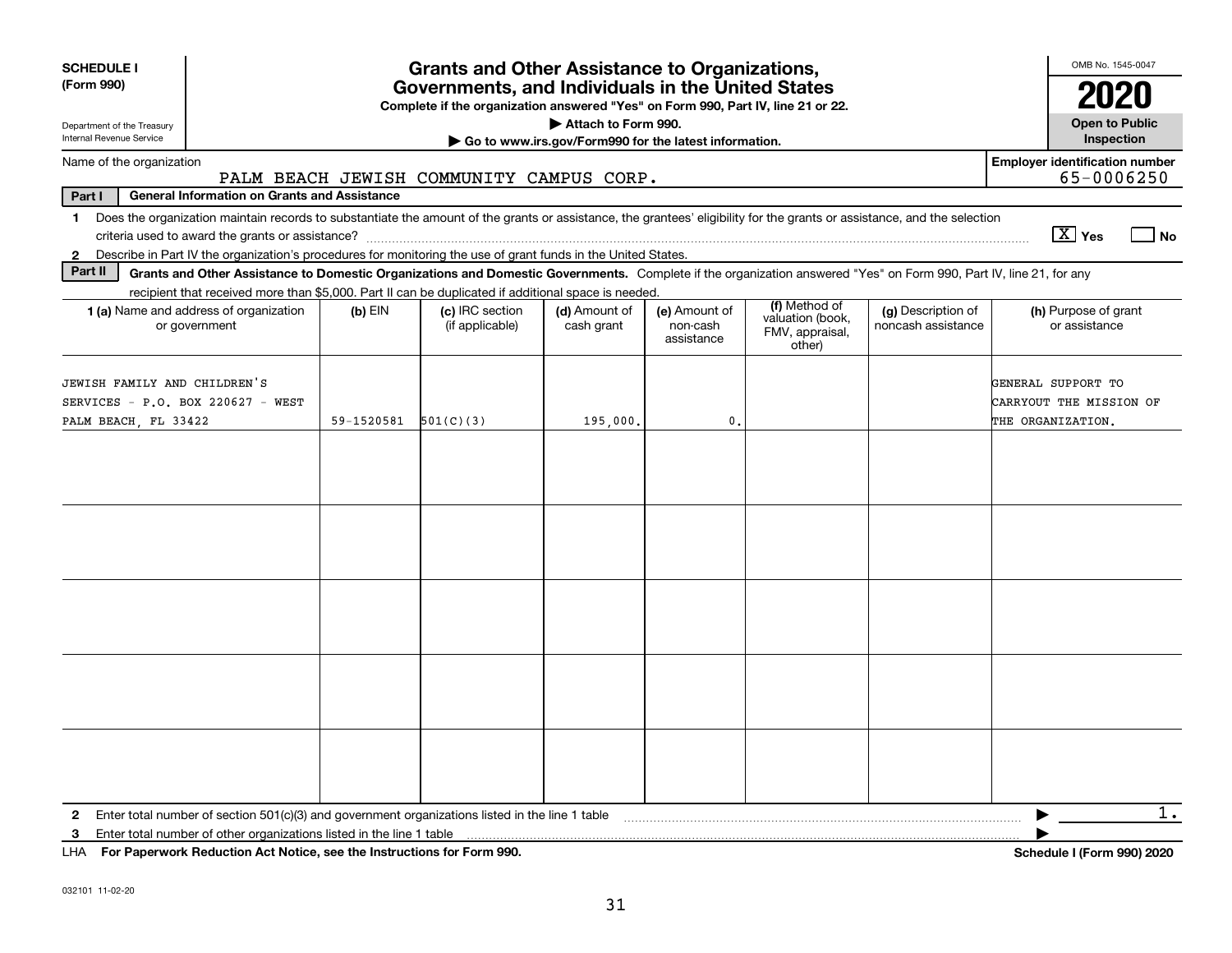| <b>SCHEDULE I</b><br>(Form 990)                                                                                                                                                                                                                                               |            | <b>Grants and Other Assistance to Organizations,</b><br>Governments, and Individuals in the United States |                                                       |                                         |                                                                |                                          | OMB No. 1545-0047                                                  |
|-------------------------------------------------------------------------------------------------------------------------------------------------------------------------------------------------------------------------------------------------------------------------------|------------|-----------------------------------------------------------------------------------------------------------|-------------------------------------------------------|-----------------------------------------|----------------------------------------------------------------|------------------------------------------|--------------------------------------------------------------------|
| Department of the Treasury                                                                                                                                                                                                                                                    |            | Complete if the organization answered "Yes" on Form 990, Part IV, line 21 or 22.                          | Attach to Form 990.                                   |                                         |                                                                |                                          | 2020<br><b>Open to Public</b>                                      |
| Internal Revenue Service                                                                                                                                                                                                                                                      |            |                                                                                                           | Go to www.irs.gov/Form990 for the latest information. |                                         |                                                                |                                          | Inspection                                                         |
| Name of the organization                                                                                                                                                                                                                                                      |            | PALM BEACH JEWISH COMMUNITY CAMPUS CORP.                                                                  |                                                       |                                         |                                                                |                                          | <b>Employer identification number</b><br>65-0006250                |
| Part I<br><b>General Information on Grants and Assistance</b>                                                                                                                                                                                                                 |            |                                                                                                           |                                                       |                                         |                                                                |                                          |                                                                    |
| Does the organization maintain records to substantiate the amount of the grants or assistance, the grantees' eligibility for the grants or assistance, and the selection<br>1.                                                                                                |            |                                                                                                           |                                                       |                                         |                                                                |                                          | $\boxed{\text{X}}$ Yes<br>  No                                     |
| Describe in Part IV the organization's procedures for monitoring the use of grant funds in the United States.<br>$\mathbf{2}$<br>Part II                                                                                                                                      |            |                                                                                                           |                                                       |                                         |                                                                |                                          |                                                                    |
| Grants and Other Assistance to Domestic Organizations and Domestic Governments. Complete if the organization answered "Yes" on Form 990, Part IV, line 21, for any<br>recipient that received more than \$5,000. Part II can be duplicated if additional space is needed.     |            |                                                                                                           |                                                       |                                         |                                                                |                                          |                                                                    |
| 1 (a) Name and address of organization<br>or government                                                                                                                                                                                                                       | $(b)$ EIN  | (c) IRC section<br>(if applicable)                                                                        | (d) Amount of<br>cash grant                           | (e) Amount of<br>non-cash<br>assistance | (f) Method of<br>valuation (book,<br>FMV, appraisal,<br>other) | (g) Description of<br>noncash assistance | (h) Purpose of grant<br>or assistance                              |
| JEWISH FAMILY AND CHILDREN'S<br>SERVICES - P.O. BOX 220627 - WEST<br>PALM BEACH, FL 33422                                                                                                                                                                                     | 59-1520581 | 501(C)(3)                                                                                                 | 195,000,                                              | $\mathbf{0}$                            |                                                                |                                          | GENERAL SUPPORT TO<br>CARRYOUT THE MISSION OF<br>THE ORGANIZATION. |
|                                                                                                                                                                                                                                                                               |            |                                                                                                           |                                                       |                                         |                                                                |                                          |                                                                    |
|                                                                                                                                                                                                                                                                               |            |                                                                                                           |                                                       |                                         |                                                                |                                          |                                                                    |
|                                                                                                                                                                                                                                                                               |            |                                                                                                           |                                                       |                                         |                                                                |                                          |                                                                    |
|                                                                                                                                                                                                                                                                               |            |                                                                                                           |                                                       |                                         |                                                                |                                          |                                                                    |
|                                                                                                                                                                                                                                                                               |            |                                                                                                           |                                                       |                                         |                                                                |                                          |                                                                    |
| Enter total number of section 501(c)(3) and government organizations listed in the line 1 table<br>$\mathbf{2}$<br>Enter total number of other organizations listed in the line 1 table<br>3<br>For Paperwork Reduction Act Notice, see the Instructions for Form 990.<br>LHA |            |                                                                                                           |                                                       |                                         |                                                                |                                          | $1$ .<br>Schedule I (Form 990) 2020                                |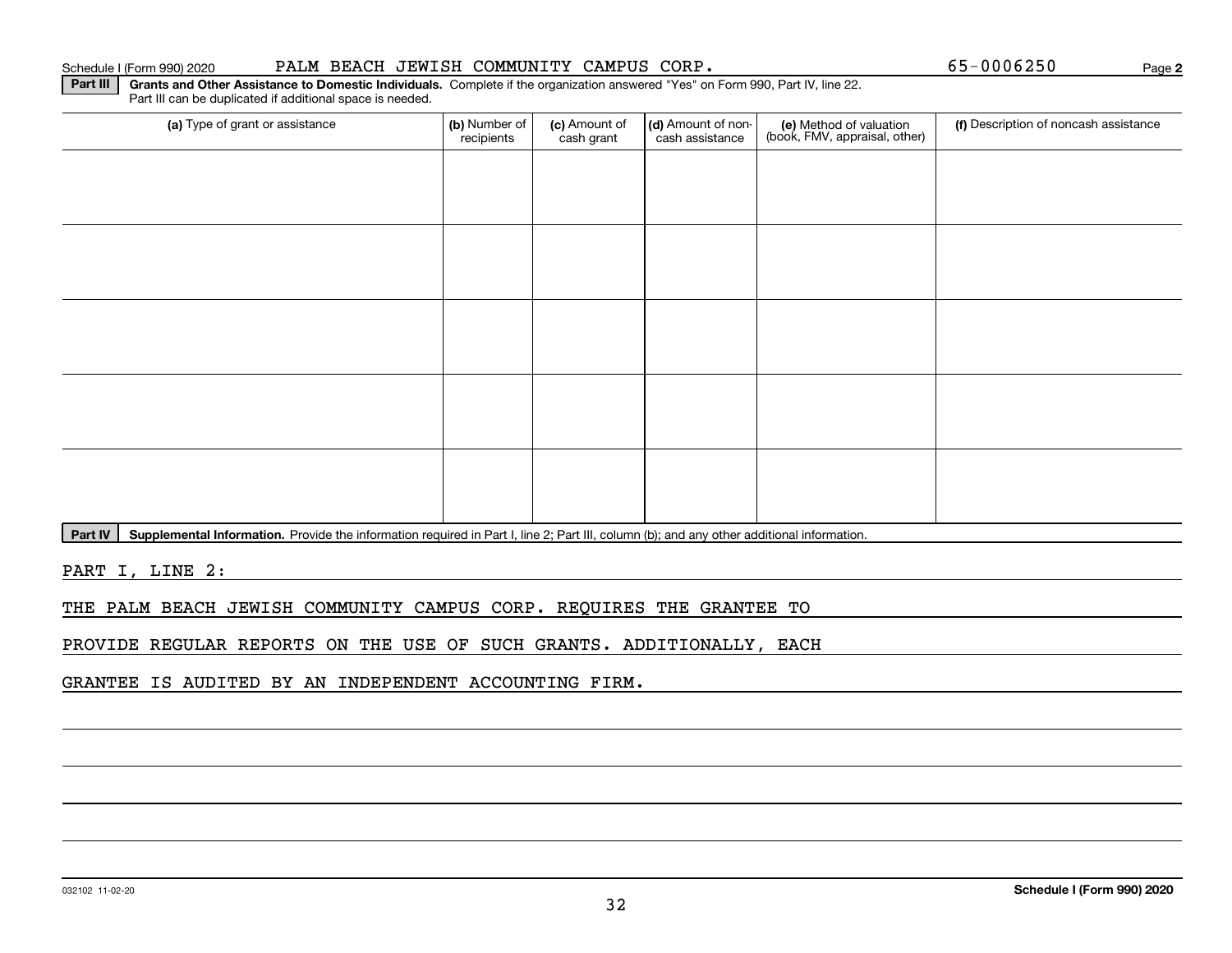#### Schedule I (Form 990) 2020 PALM BEACH JEWISH COMMUNITY CAMPUS CORP 。 65-0006250 Page

**2**

**Part III | Grants and Other Assistance to Domestic Individuals. Complete if the organization answered "Yes" on Form 990, Part IV, line 22.** Part III can be duplicated if additional space is needed.

| (a) Type of grant or assistance | (b) Number of<br>recipients | (c) Amount of<br>cash grant | (d) Amount of non-<br>cash assistance | (e) Method of valuation<br>(book, FMV, appraisal, other) | (f) Description of noncash assistance |
|---------------------------------|-----------------------------|-----------------------------|---------------------------------------|----------------------------------------------------------|---------------------------------------|
|                                 |                             |                             |                                       |                                                          |                                       |
|                                 |                             |                             |                                       |                                                          |                                       |
|                                 |                             |                             |                                       |                                                          |                                       |
|                                 |                             |                             |                                       |                                                          |                                       |
|                                 |                             |                             |                                       |                                                          |                                       |
|                                 |                             |                             |                                       |                                                          |                                       |
|                                 |                             |                             |                                       |                                                          |                                       |
|                                 |                             |                             |                                       |                                                          |                                       |
|                                 |                             |                             |                                       |                                                          |                                       |
|                                 |                             |                             |                                       |                                                          |                                       |

Part IV | Supplemental Information. Provide the information required in Part I, line 2; Part III, column (b); and any other additional information.

PART I, LINE 2:

THE PALM BEACH JEWISH COMMUNITY CAMPUS CORP. REQUIRES THE GRANTEE TO

PROVIDE REGULAR REPORTS ON THE USE OF SUCH GRANTS. ADDITIONALLY, EACH

GRANTEE IS AUDITED BY AN INDEPENDENT ACCOUNTING FIRM.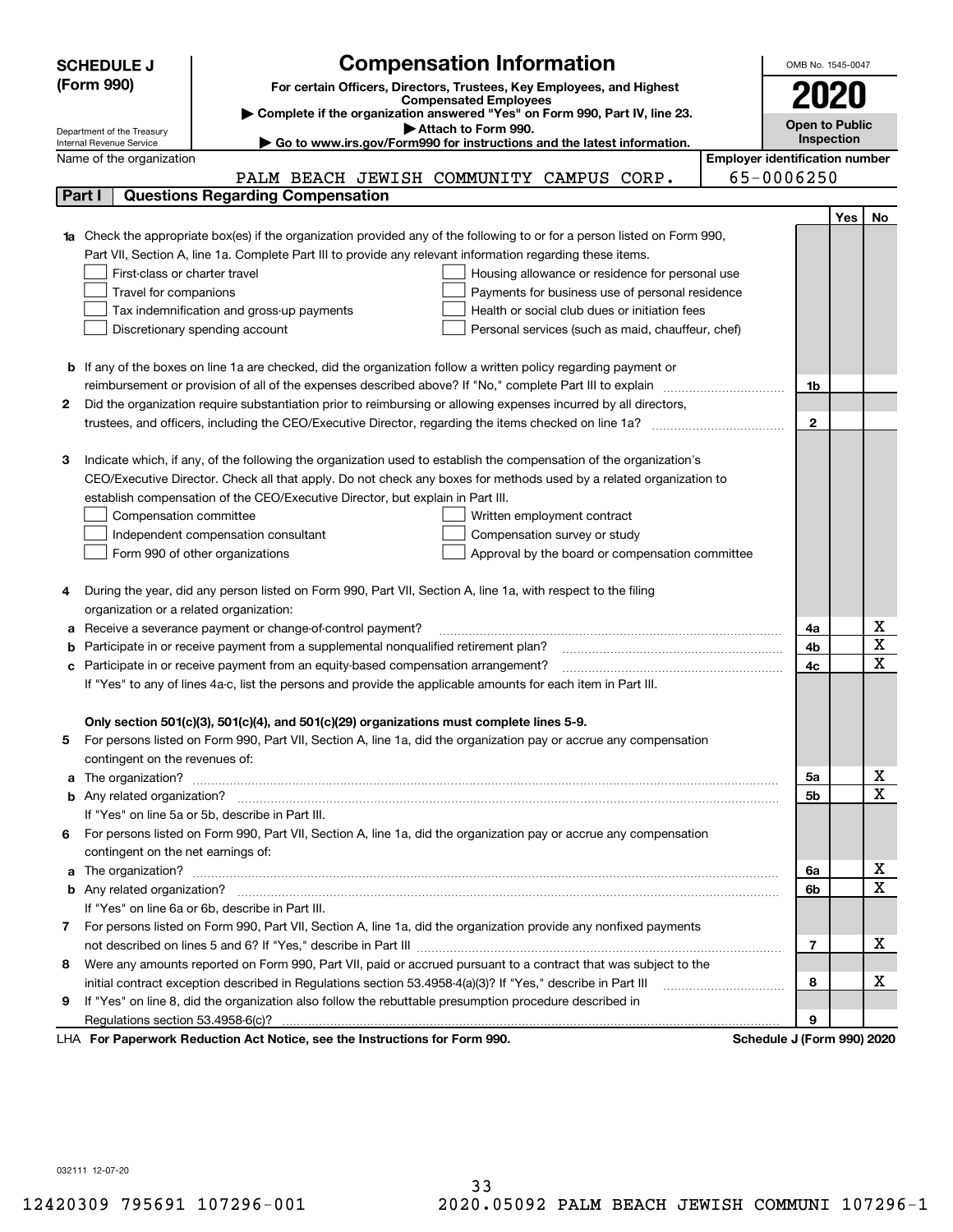|        | <b>Compensation Information</b><br><b>SCHEDULE J</b>                                                                                                    |              | OMB No. 1545-0047     |                         |  |  |  |
|--------|---------------------------------------------------------------------------------------------------------------------------------------------------------|--------------|-----------------------|-------------------------|--|--|--|
|        | (Form 990)<br>For certain Officers, Directors, Trustees, Key Employees, and Highest                                                                     |              |                       |                         |  |  |  |
|        | <b>Compensated Employees</b>                                                                                                                            |              | 2020                  |                         |  |  |  |
|        | Complete if the organization answered "Yes" on Form 990, Part IV, line 23.                                                                              |              | <b>Open to Public</b> |                         |  |  |  |
|        | Attach to Form 990.<br>Department of the Treasury<br>Go to www.irs.gov/Form990 for instructions and the latest information.<br>Internal Revenue Service |              | <b>Inspection</b>     |                         |  |  |  |
|        | <b>Employer identification number</b><br>Name of the organization                                                                                       |              |                       |                         |  |  |  |
|        | PALM BEACH JEWISH COMMUNITY CAMPUS CORP.                                                                                                                | 65-0006250   |                       |                         |  |  |  |
| Part I | <b>Questions Regarding Compensation</b>                                                                                                                 |              |                       |                         |  |  |  |
|        |                                                                                                                                                         |              | Yes                   | No                      |  |  |  |
|        | <b>1a</b> Check the appropriate box(es) if the organization provided any of the following to or for a person listed on Form 990,                        |              |                       |                         |  |  |  |
|        | Part VII, Section A, line 1a. Complete Part III to provide any relevant information regarding these items.                                              |              |                       |                         |  |  |  |
|        | First-class or charter travel<br>Housing allowance or residence for personal use                                                                        |              |                       |                         |  |  |  |
|        | Travel for companions<br>Payments for business use of personal residence                                                                                |              |                       |                         |  |  |  |
|        | Health or social club dues or initiation fees<br>Tax indemnification and gross-up payments                                                              |              |                       |                         |  |  |  |
|        | Discretionary spending account<br>Personal services (such as maid, chauffeur, chef)                                                                     |              |                       |                         |  |  |  |
|        |                                                                                                                                                         |              |                       |                         |  |  |  |
|        | <b>b</b> If any of the boxes on line 1a are checked, did the organization follow a written policy regarding payment or                                  |              |                       |                         |  |  |  |
|        | reimbursement or provision of all of the expenses described above? If "No," complete Part III to explain                                                | 1b           |                       |                         |  |  |  |
| 2      | Did the organization require substantiation prior to reimbursing or allowing expenses incurred by all directors,                                        |              |                       |                         |  |  |  |
|        |                                                                                                                                                         | $\mathbf{2}$ |                       |                         |  |  |  |
|        |                                                                                                                                                         |              |                       |                         |  |  |  |
| З      | Indicate which, if any, of the following the organization used to establish the compensation of the organization's                                      |              |                       |                         |  |  |  |
|        | CEO/Executive Director. Check all that apply. Do not check any boxes for methods used by a related organization to                                      |              |                       |                         |  |  |  |
|        | establish compensation of the CEO/Executive Director, but explain in Part III.                                                                          |              |                       |                         |  |  |  |
|        | Compensation committee<br>Written employment contract                                                                                                   |              |                       |                         |  |  |  |
|        | Compensation survey or study<br>Independent compensation consultant                                                                                     |              |                       |                         |  |  |  |
|        | Form 990 of other organizations<br>Approval by the board or compensation committee                                                                      |              |                       |                         |  |  |  |
|        |                                                                                                                                                         |              |                       |                         |  |  |  |
|        | During the year, did any person listed on Form 990, Part VII, Section A, line 1a, with respect to the filing                                            |              |                       |                         |  |  |  |
|        | organization or a related organization:                                                                                                                 |              |                       |                         |  |  |  |
| а      | Receive a severance payment or change-of-control payment?                                                                                               | 4a           |                       | х                       |  |  |  |
| b      | Participate in or receive payment from a supplemental nonqualified retirement plan?                                                                     | 4b           |                       | $\overline{\texttt{x}}$ |  |  |  |
| с      | Participate in or receive payment from an equity-based compensation arrangement?                                                                        | 4c           |                       | $\overline{\text{x}}$   |  |  |  |
|        | If "Yes" to any of lines 4a-c, list the persons and provide the applicable amounts for each item in Part III.                                           |              |                       |                         |  |  |  |
|        |                                                                                                                                                         |              |                       |                         |  |  |  |
|        | Only section 501(c)(3), 501(c)(4), and 501(c)(29) organizations must complete lines 5-9.                                                                |              |                       |                         |  |  |  |
|        | For persons listed on Form 990, Part VII, Section A, line 1a, did the organization pay or accrue any compensation                                       |              |                       |                         |  |  |  |
|        | contingent on the revenues of:                                                                                                                          |              |                       |                         |  |  |  |
| a      |                                                                                                                                                         | 5а           |                       | x                       |  |  |  |
|        |                                                                                                                                                         | <b>5b</b>    |                       | $\overline{\text{x}}$   |  |  |  |
|        | If "Yes" on line 5a or 5b, describe in Part III.                                                                                                        |              |                       |                         |  |  |  |
| 6.     | For persons listed on Form 990, Part VII, Section A, line 1a, did the organization pay or accrue any compensation                                       |              |                       |                         |  |  |  |
|        | contingent on the net earnings of:                                                                                                                      |              |                       |                         |  |  |  |
| a      |                                                                                                                                                         | 6a           |                       | x                       |  |  |  |
|        |                                                                                                                                                         | 6b           |                       | $\overline{\text{x}}$   |  |  |  |
|        | If "Yes" on line 6a or 6b, describe in Part III.                                                                                                        |              |                       |                         |  |  |  |
|        | 7 For persons listed on Form 990, Part VII, Section A, line 1a, did the organization provide any nonfixed payments                                      |              |                       |                         |  |  |  |
|        |                                                                                                                                                         | 7            |                       | х                       |  |  |  |
| 8      | Were any amounts reported on Form 990, Part VII, paid or accrued pursuant to a contract that was subject to the                                         |              |                       |                         |  |  |  |
|        | initial contract exception described in Regulations section 53.4958-4(a)(3)? If "Yes," describe in Part III                                             | 8            |                       | x                       |  |  |  |
| 9      | If "Yes" on line 8, did the organization also follow the rebuttable presumption procedure described in                                                  |              |                       |                         |  |  |  |
|        |                                                                                                                                                         | 9            |                       |                         |  |  |  |
|        | sucely Deduction Act Nation, and the Instructions for Form 000<br><b>Cohodule I</b> (Found                                                              |              |                       |                         |  |  |  |

LHA For Paperwork Reduction Act Notice, see the Instructions for Form 990. Schedule J (Form 990) 2020

032111 12-07-20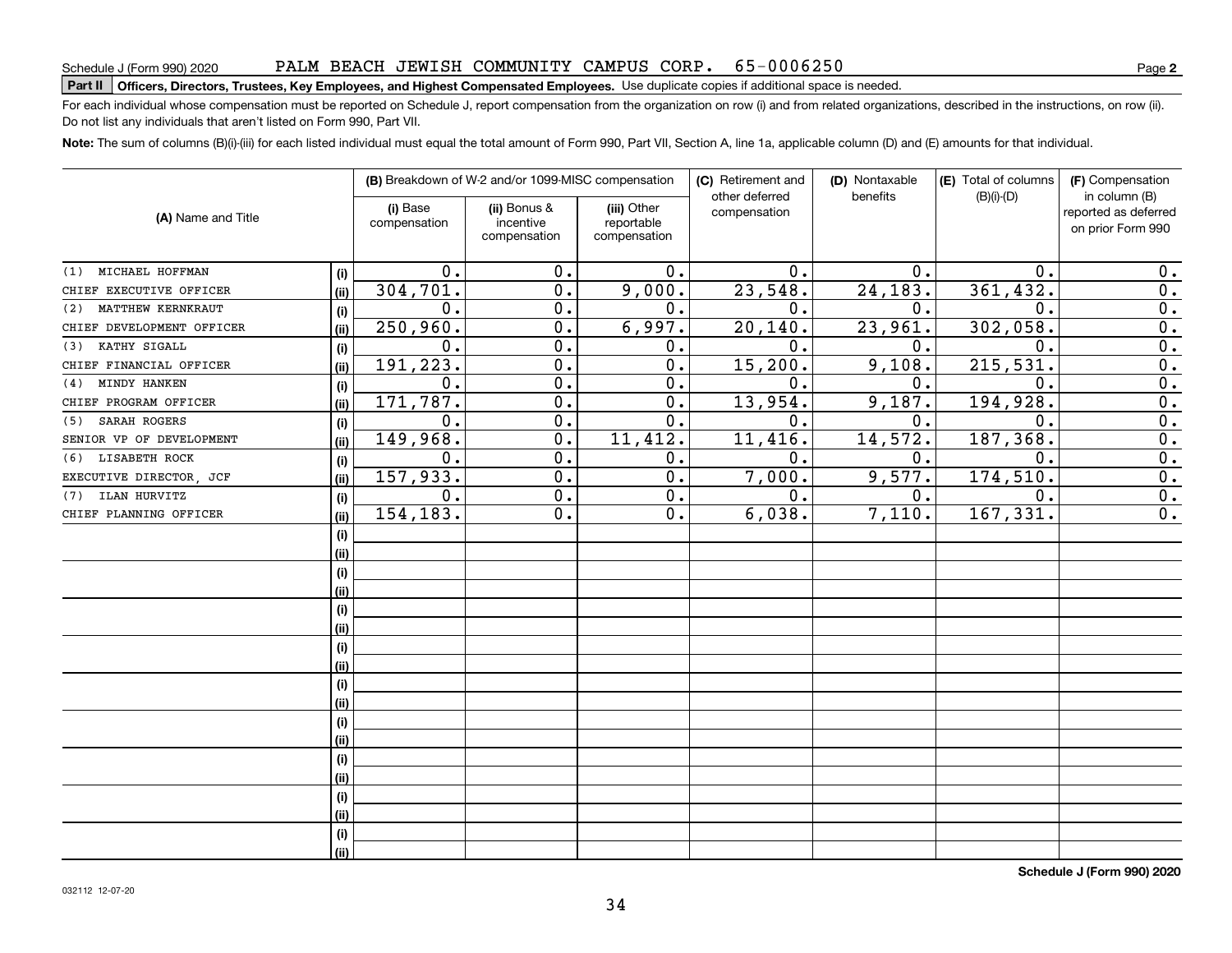#### PALM BEACH JEWISH COMMUNITY CAMPUS CORP. 65-0006250

### Schedule J (Form 990) 2020 PALM BEACH J EWLSH COMMUNTTY CAMPUS CORP • 65 – 0 0 0 6 2 5 0<br>Part II | Officers, Directors, Trustees, Key Employees, and Highest Compensated Employees. Use dup

For each individual whose compensation must be reported on Schedule J, report compensation from the organization on row (i) and from related organizations, described in the instructions, on row (ii). Do not list any individuals that aren't listed on Form 990, Part VII.

**Note:**  The sum of columns (B)(i)-(iii) for each listed individual must equal the total amount of Form 990, Part VII, Section A, line 1a, applicable column (D) and (E) amounts for that individual.

|                           |      |                          | (B) Breakdown of W-2 and/or 1099-MISC compensation |                                           | (C) Retirement and             | (D) Nontaxable | (E) Total of columns | (F) Compensation                                           |
|---------------------------|------|--------------------------|----------------------------------------------------|-------------------------------------------|--------------------------------|----------------|----------------------|------------------------------------------------------------|
| (A) Name and Title        |      | (i) Base<br>compensation | (ii) Bonus &<br>incentive<br>compensation          | (iii) Other<br>reportable<br>compensation | other deferred<br>compensation | benefits       | $(B)(i)-(D)$         | in column (B)<br>reported as deferred<br>on prior Form 990 |
|                           |      |                          |                                                    |                                           |                                |                |                      |                                                            |
| MICHAEL HOFFMAN<br>(1)    | (i)  | $\mathbf 0$ .            | 0.                                                 | 0.                                        | $\mathbf 0$ .                  | $\mathbf 0$ .  | $\mathbf 0$ .        | 0.                                                         |
| CHIEF EXECUTIVE OFFICER   | (ii) | 304,701.                 | 0.                                                 | 9,000.                                    | 23,548.                        | 24,183.        | 361,432.             | $\overline{0}$ .                                           |
| MATTHEW KERNKRAUT<br>(2)  | (i)  | 0.                       | 0.                                                 | 0.                                        | 0.                             | 0.             | $\mathbf 0$ .        | $\overline{0}$ .                                           |
| CHIEF DEVELOPMENT OFFICER | (i)  | 250,960.                 | 0.                                                 | 6,997.                                    | 20, 140.                       | 23,961.        | 302,058.             | $\overline{0}$ .                                           |
| KATHY SIGALL<br>(3)       | (i)  | $\mathbf 0$ .            | 0.                                                 | 0.                                        | 0.                             | 0.             | $\mathbf 0$ .        | $\overline{0}$ .                                           |
| CHIEF FINANCIAL OFFICER   | (i)  | 191,223.                 | 0.                                                 | 0.                                        | 15,200.                        | 9,108.         | 215,531              | $\overline{0}$ .                                           |
| MINDY HANKEN<br>(4)       | (i)  | $\mathbf 0$ .            | 0.                                                 | 0.                                        | 0.                             | 0.             | $\mathbf 0$ .        | 0.                                                         |
| CHIEF PROGRAM OFFICER     | (ii) | 171,787.                 | 0.                                                 | 0.                                        | 13,954.                        | 9,187.         | 194,928              | 0.                                                         |
| SARAH ROGERS<br>(5)       | (i)  | 0.                       | $\overline{0}$ .                                   | $\overline{0}$ .                          | 0.                             | 0.             | $\mathbf 0$ .        | $\overline{0}$ .                                           |
| SENIOR VP OF DEVELOPMENT  | (ii) | 149,968.                 | $\overline{0}$ .                                   | 11,412.                                   | 11,416.                        | 14,572.        | 187,368.             | $\overline{0}$ .                                           |
| LISABETH ROCK<br>(6)      | (i)  | 0.                       | $\overline{0}$ .                                   | 0.                                        | 0.                             | 0.             | $\mathbf 0$ .        | $\overline{0}$ .                                           |
| EXECUTIVE DIRECTOR, JCF   | (ii) | 157,933.                 | $\overline{0}$ .                                   | $\overline{0}$ .                          | 7,000.                         | 9,577.         | 174,510              | 0.                                                         |
| ILAN HURVITZ<br>(7)       | (i)  | 0.                       | $\overline{0}$ .                                   | $\overline{0}$ .                          | $\overline{0}$ .               | 0.             | $\mathbf 0$ .        | $\overline{0}$ .                                           |
| CHIEF PLANNING OFFICER    | (ii) | 154,183.                 | 0.                                                 | 0.                                        | 6,038.                         | 7,110.         | 167,331              | $\overline{0}$ .                                           |
|                           | (i)  |                          |                                                    |                                           |                                |                |                      |                                                            |
|                           | (i)  |                          |                                                    |                                           |                                |                |                      |                                                            |
|                           | (i)  |                          |                                                    |                                           |                                |                |                      |                                                            |
|                           | (i)  |                          |                                                    |                                           |                                |                |                      |                                                            |
|                           | (i)  |                          |                                                    |                                           |                                |                |                      |                                                            |
|                           | (i)  |                          |                                                    |                                           |                                |                |                      |                                                            |
|                           | (i)  |                          |                                                    |                                           |                                |                |                      |                                                            |
|                           | (ii) |                          |                                                    |                                           |                                |                |                      |                                                            |
|                           | (i)  |                          |                                                    |                                           |                                |                |                      |                                                            |
|                           | (ii) |                          |                                                    |                                           |                                |                |                      |                                                            |
|                           | (i)  |                          |                                                    |                                           |                                |                |                      |                                                            |
|                           | (ii) |                          |                                                    |                                           |                                |                |                      |                                                            |
|                           | (i)  |                          |                                                    |                                           |                                |                |                      |                                                            |
|                           | (ii) |                          |                                                    |                                           |                                |                |                      |                                                            |
|                           | (i)  |                          |                                                    |                                           |                                |                |                      |                                                            |
|                           | (i)  |                          |                                                    |                                           |                                |                |                      |                                                            |
|                           | (i)  |                          |                                                    |                                           |                                |                |                      |                                                            |
|                           | (ii) |                          |                                                    |                                           |                                |                |                      |                                                            |
|                           |      |                          |                                                    |                                           |                                |                |                      |                                                            |

**Schedule J (Form 990) 2020**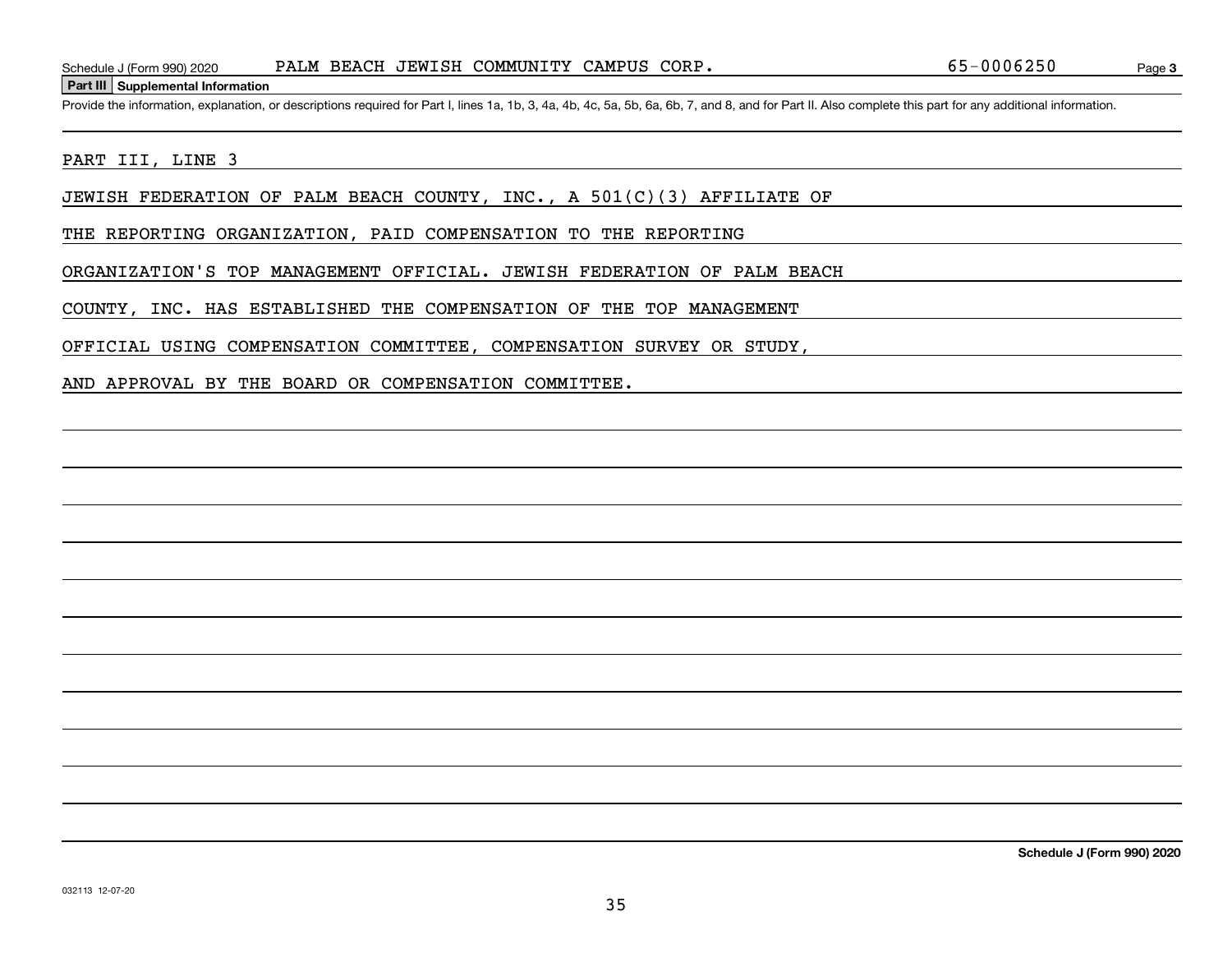#### **Part III Supplemental Information**

Schedule J (Form 990) 2020 PALM BEACH JEWISH COMMUNITY CAMPUS CORP.<br>Part III Supplemental Information<br>Provide the information, explanation, or descriptions required for Part I, lines 1a, 1b, 3, 4a, 4b, 4c, 5a, 5b, 6a, 6b,

#### PART III, LINE 3

JEWISH FEDERATION OF PALM BEACH COUNTY, INC., A 501(C)(3) AFFILIATE OF

THE REPORTING ORGANIZATION, PAID COMPENSATION TO THE REPORTING

ORGANIZATION'S TOP MANAGEMENT OFFICIAL. JEWISH FEDERATION OF PALM BEACH

COUNTY, INC. HAS ESTABLISHED THE COMPENSATION OF THE TOP MANAGEMENT

OFFICIAL USING COMPENSATION COMMITTEE, COMPENSATION SURVEY OR STUDY,

AND APPROVAL BY THE BOARD OR COMPENSATION COMMITTEE.

**Schedule J (Form 990) 2020**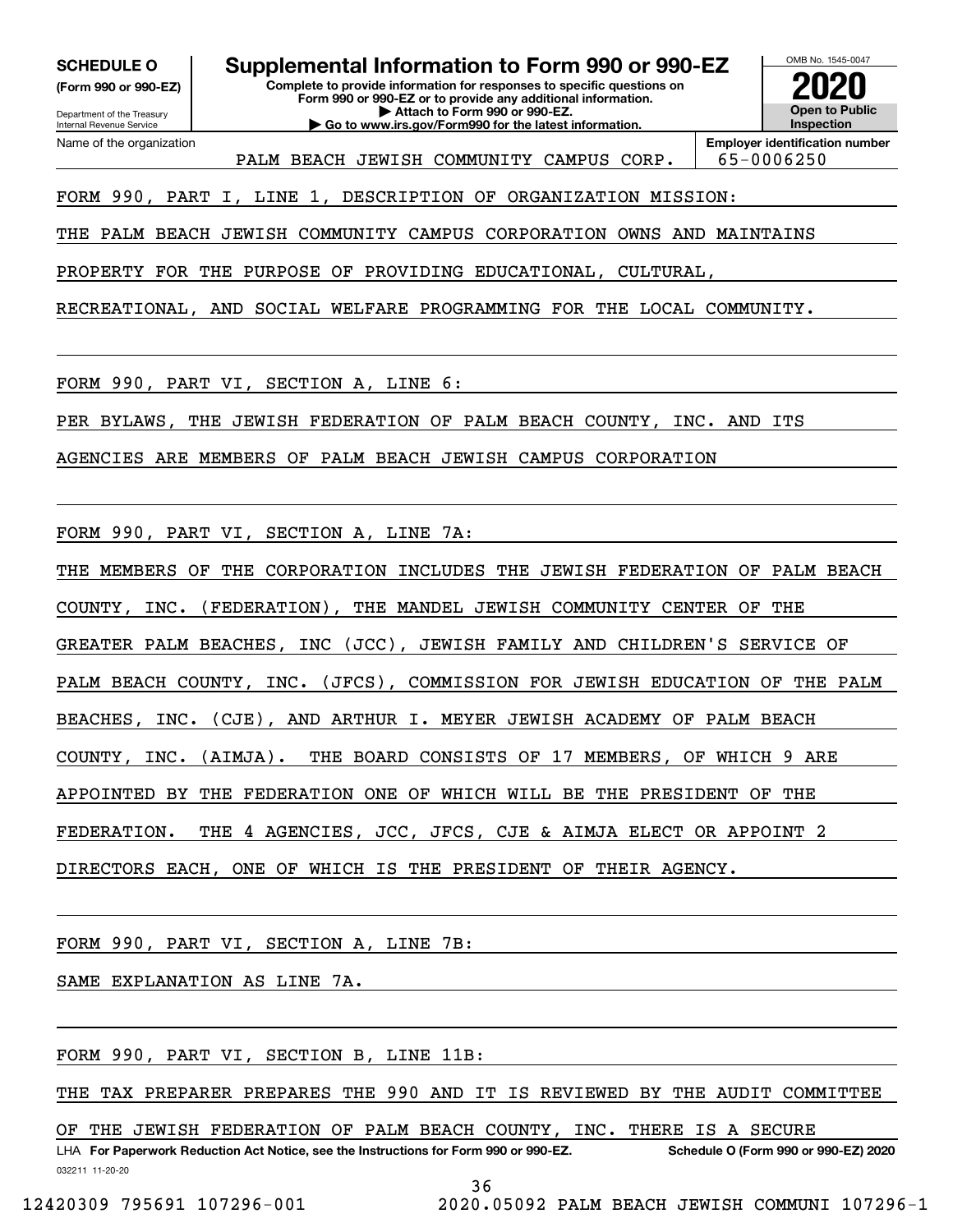**(Form 990 or 990-EZ)**

Department of the Treasury Internal Revenue Service Name of the organization

**SCHEDULE O Supplemental Information to Form 990 or 990-EZ**

**Complete to provide information for responses to specific questions on Form 990 or 990-EZ or to provide any additional information. | Attach to Form 990 or 990-EZ. | Go to www.irs.gov/Form990 for the latest information.**



**Employer identification number** PALM BEACH JEWISH COMMUNITY CAMPUS CORP. | 65-0006250

FORM 990, PART I, LINE 1, DESCRIPTION OF ORGANIZATION MISSION:

THE PALM BEACH JEWISH COMMUNITY CAMPUS CORPORATION OWNS AND MAINTAINS

PROPERTY FOR THE PURPOSE OF PROVIDING EDUCATIONAL, CULTURAL,

RECREATIONAL, AND SOCIAL WELFARE PROGRAMMING FOR THE LOCAL COMMUNITY.

FORM 990, PART VI, SECTION A, LINE 6:

PER BYLAWS, THE JEWISH FEDERATION OF PALM BEACH COUNTY, INC. AND ITS

AGENCIES ARE MEMBERS OF PALM BEACH JEWISH CAMPUS CORPORATION

FORM 990, PART VI, SECTION A, LINE 7A:

THE MEMBERS OF THE CORPORATION INCLUDES THE JEWISH FEDERATION OF PALM BEACH

COUNTY, INC. (FEDERATION), THE MANDEL JEWISH COMMUNITY CENTER OF THE

GREATER PALM BEACHES, INC (JCC), JEWISH FAMILY AND CHILDREN'S SERVICE OF

PALM BEACH COUNTY, INC. (JFCS), COMMISSION FOR JEWISH EDUCATION OF THE PALM

BEACHES, INC. (CJE), AND ARTHUR I. MEYER JEWISH ACADEMY OF PALM BEACH

COUNTY, INC. (AIMJA). THE BOARD CONSISTS OF 17 MEMBERS, OF WHICH 9 ARE

APPOINTED BY THE FEDERATION ONE OF WHICH WILL BE THE PRESIDENT OF THE

FEDERATION. THE 4 AGENCIES, JCC, JFCS, CJE & AIMJA ELECT OR APPOINT 2

DIRECTORS EACH, ONE OF WHICH IS THE PRESIDENT OF THEIR AGENCY.

FORM 990, PART VI, SECTION A, LINE 7B:

SAME EXPLANATION AS LINE 7A.

FORM 990, PART VI, SECTION B, LINE 11B:

THE TAX PREPARER PREPARES THE 990 AND IT IS REVIEWED BY THE AUDIT COMMITTEE

OF THE JEWISH FEDERATION OF PALM BEACH COUNTY, INC. THERE IS A SECURE

032211 11-20-20 LHA For Paperwork Reduction Act Notice, see the Instructions for Form 990 or 990-EZ. Schedule O (Form 990 or 990-EZ) 2020

36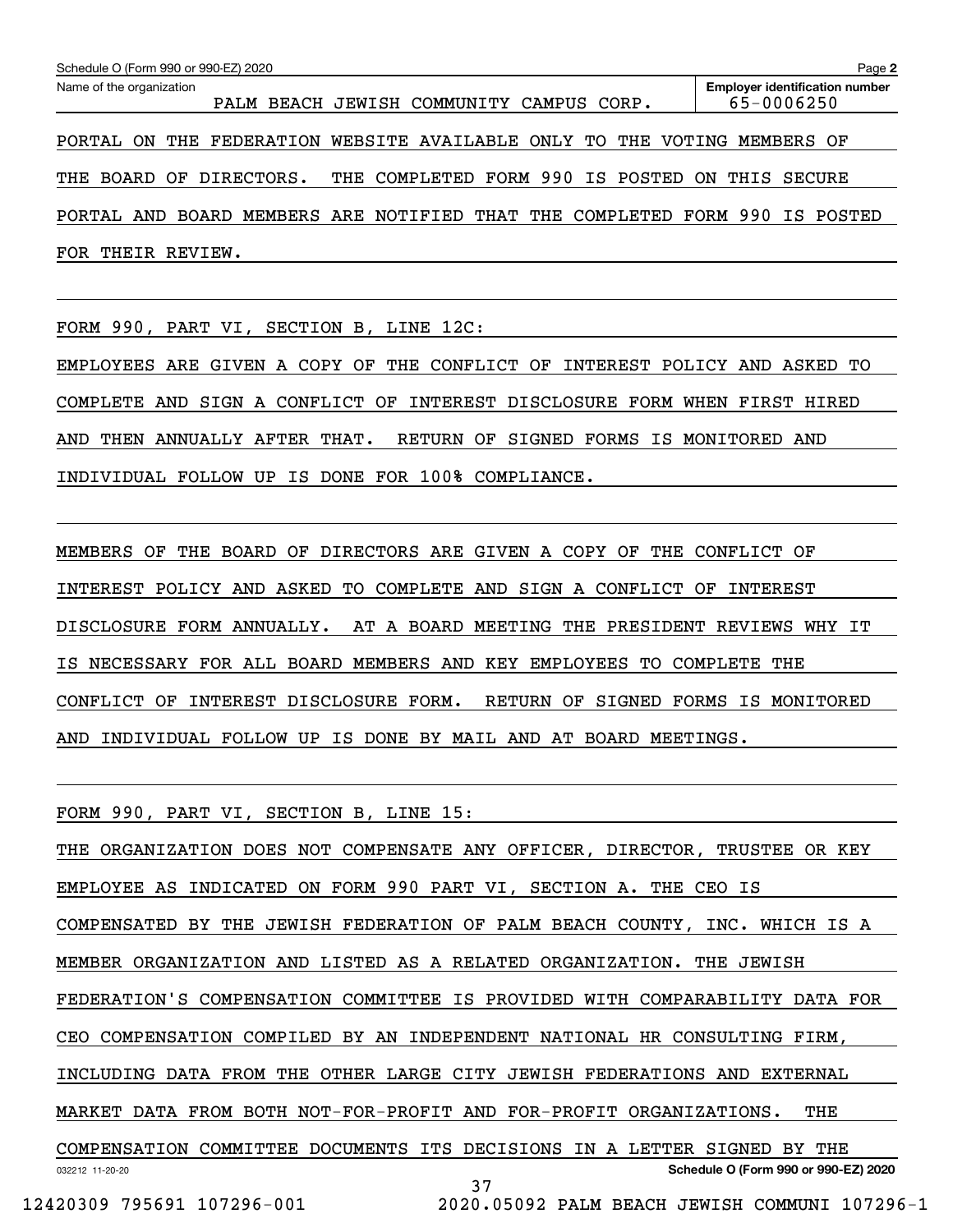| Schedule O (Form 990 or 990-EZ) 2020<br>Page 2                                 |                                                     |  |  |  |  |  |  |  |  |
|--------------------------------------------------------------------------------|-----------------------------------------------------|--|--|--|--|--|--|--|--|
| Name of the organization<br>BEACH JEWISH COMMUNITY<br>CAMPUS CORP.<br>PALM     | <b>Employer identification number</b><br>65-0006250 |  |  |  |  |  |  |  |  |
| THE FEDERATION WEBSITE AVAILABLE ONLY TO THE VOTING MEMBERS OF<br>PORTAL<br>0N |                                                     |  |  |  |  |  |  |  |  |
| THE COMPLETED FORM 990 IS POSTED ON<br>DIRECTORS.<br>THE<br><b>BOARD</b><br>OF | THIS SECURE                                         |  |  |  |  |  |  |  |  |
| MEMBERS ARE NOTIFIED THAT<br>THE COMPLETED<br>BOARD<br>AND<br>PORTAL           | FORM 990 IS POSTED                                  |  |  |  |  |  |  |  |  |
| FOR<br>THEIR<br>REVIEW.                                                        |                                                     |  |  |  |  |  |  |  |  |

FORM 990, PART VI, SECTION B, LINE 12C:

EMPLOYEES ARE GIVEN A COPY OF THE CONFLICT OF INTEREST POLICY AND ASKED TO COMPLETE AND SIGN A CONFLICT OF INTEREST DISCLOSURE FORM WHEN FIRST HIRED AND THEN ANNUALLY AFTER THAT. RETURN OF SIGNED FORMS IS MONITORED AND INDIVIDUAL FOLLOW UP IS DONE FOR 100% COMPLIANCE.

MEMBERS OF THE BOARD OF DIRECTORS ARE GIVEN A COPY OF THE CONFLICT OF INTEREST POLICY AND ASKED TO COMPLETE AND SIGN A CONFLICT OF INTEREST DISCLOSURE FORM ANNUALLY. AT A BOARD MEETING THE PRESIDENT REVIEWS WHY IT IS NECESSARY FOR ALL BOARD MEMBERS AND KEY EMPLOYEES TO COMPLETE THE CONFLICT OF INTEREST DISCLOSURE FORM. RETURN OF SIGNED FORMS IS MONITORED AND INDIVIDUAL FOLLOW UP IS DONE BY MAIL AND AT BOARD MEETINGS.

FORM 990, PART VI, SECTION B, LINE 15:

032212 11-20-20 **Schedule O (Form 990 or 990-EZ) 2020** THE ORGANIZATION DOES NOT COMPENSATE ANY OFFICER, DIRECTOR, TRUSTEE OR KEY EMPLOYEE AS INDICATED ON FORM 990 PART VI, SECTION A. THE CEO IS COMPENSATED BY THE JEWISH FEDERATION OF PALM BEACH COUNTY, INC. WHICH IS A MEMBER ORGANIZATION AND LISTED AS A RELATED ORGANIZATION. THE JEWISH FEDERATION'S COMPENSATION COMMITTEE IS PROVIDED WITH COMPARABILITY DATA FOR CEO COMPENSATION COMPILED BY AN INDEPENDENT NATIONAL HR CONSULTING FIRM, INCLUDING DATA FROM THE OTHER LARGE CITY JEWISH FEDERATIONS AND EXTERNAL MARKET DATA FROM BOTH NOT-FOR-PROFIT AND FOR-PROFIT ORGANIZATIONS. THE COMPENSATION COMMITTEE DOCUMENTS ITS DECISIONS IN A LETTER SIGNED BY THE 37

```
 12420309 795691 107296-001 2020.05092 PALM BEACH JEWISH COMMUNI 107296-1
```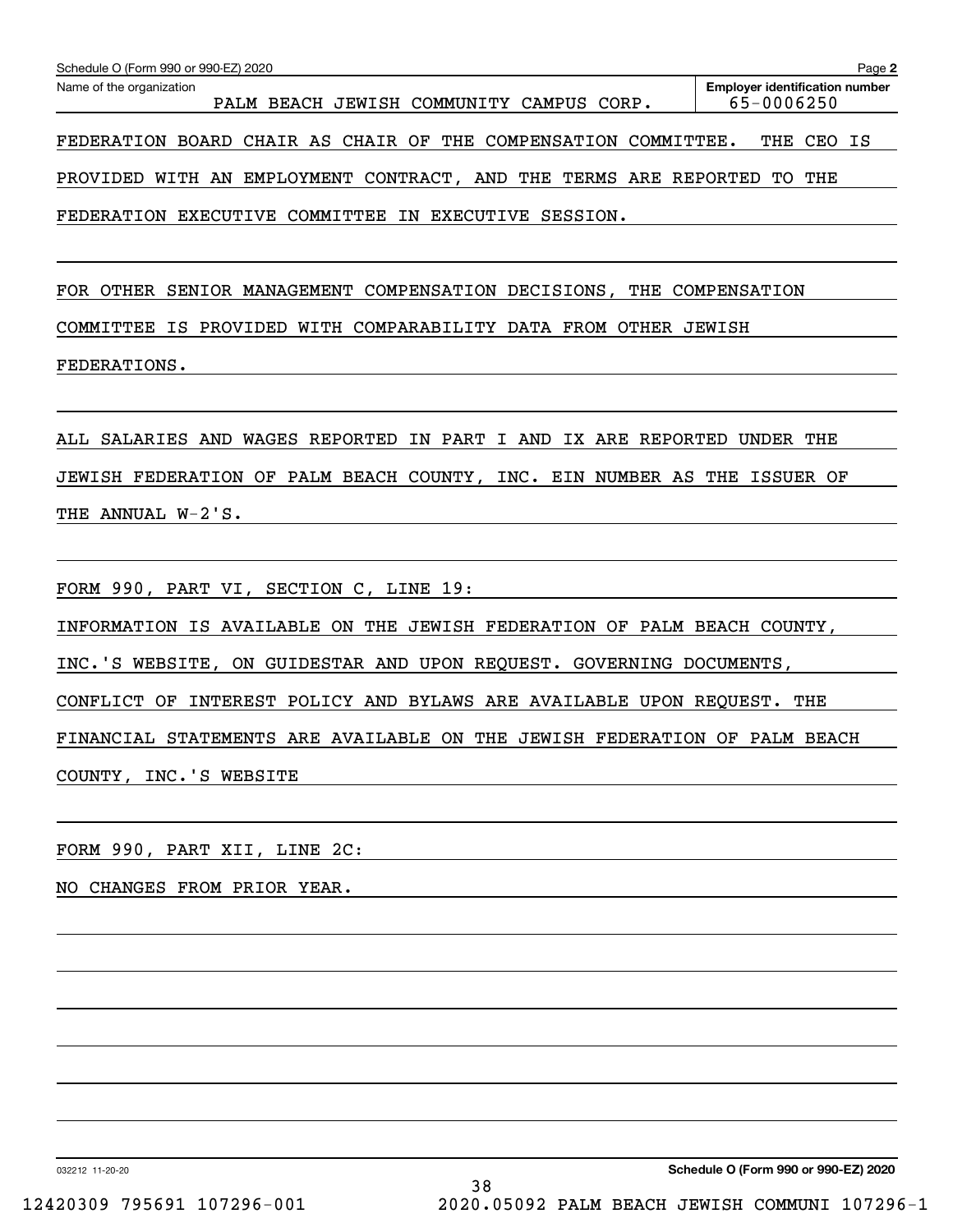| Schedule O (Form 990 or 990-EZ) 2020                                       | Page 2                                              |
|----------------------------------------------------------------------------|-----------------------------------------------------|
| Name of the organization<br>BEACH JEWISH COMMUNITY<br>CAMPUS CORP.<br>PALM | <b>Employer identification number</b><br>65-0006250 |
| FEDERATION BOARD CHAIR AS CHAIR OF THE COMPENSATION COMMITTEE.             | THE<br>CEO<br>IS                                    |
| WITH AN EMPLOYMENT CONTRACT, AND THE<br>TERMS ARE REPORTED<br>PROVIDED     | THE<br>TO                                           |
| EXECUTIVE COMMITTEE IN EXECUTIVE<br>FEDERATION<br>SESSION.                 |                                                     |
| MANAGEMENT COMPENSATION DECISIONS,<br>OTHER<br><b>FOR</b><br>SENIOR        | THE COMPENSATION                                    |

COMMITTEE IS PROVIDED WITH COMPARABILITY DATA FROM OTHER JEWISH

FEDERATIONS.

ALL SALARIES AND WAGES REPORTED IN PART I AND IX ARE REPORTED UNDER THE JEWISH FEDERATION OF PALM BEACH COUNTY, INC. EIN NUMBER AS THE ISSUER OF THE ANNUAL W-2'S.

FORM 990, PART VI, SECTION C, LINE 19:

INFORMATION IS AVAILABLE ON THE JEWISH FEDERATION OF PALM BEACH COUNTY,

INC.'S WEBSITE, ON GUIDESTAR AND UPON REQUEST. GOVERNING DOCUMENTS,

CONFLICT OF INTEREST POLICY AND BYLAWS ARE AVAILABLE UPON REQUEST. THE

FINANCIAL STATEMENTS ARE AVAILABLE ON THE JEWISH FEDERATION OF PALM BEACH

COUNTY, INC.'S WEBSITE

FORM 990, PART XII, LINE 2C:

NO CHANGES FROM PRIOR YEAR.

032212 11-20-20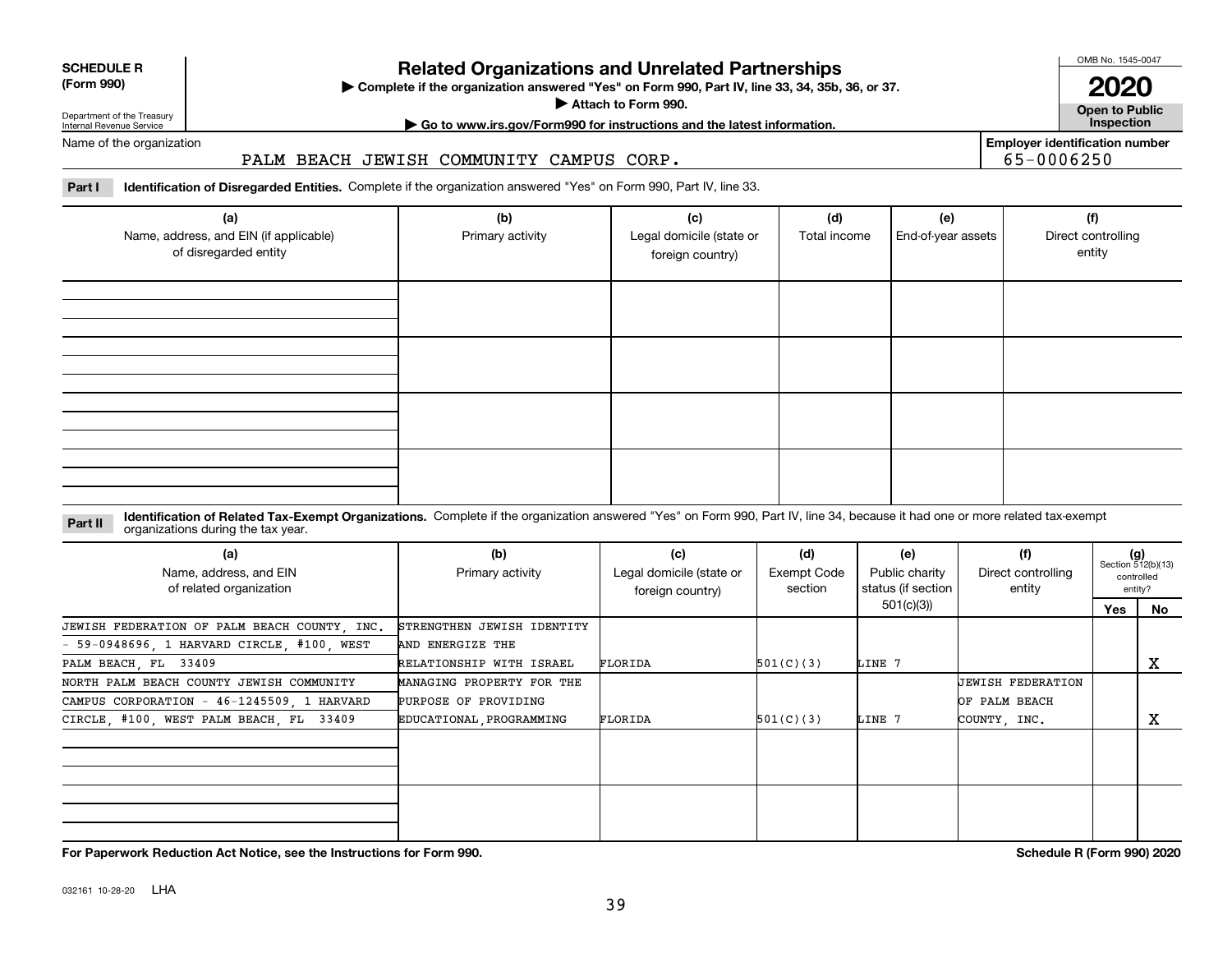**For Paperwork Reduction Act Notice, see the Instructions for Form 990. Schedule R (Form 990) 2020**

#### **Related Organizations and Unrelated Partnerships**

**Complete if the organization answered "Yes" on Form 990, Part IV, line 33, 34, 35b, 36, or 37.** |

**Attach to Form 990.**  |

**| Go to www.irs.gov/Form990 for instructions and the latest information. Inspection**

**(Form 990)**

#### Department of the Treasury Internal Revenue Service Name of the organization

**SCHEDULE R**

#### PALM BEACH JEWISH COMMUNITY CAMPUS CORP.

#### **Part I Identification of Disregarded Entities.**  Complete if the organization answered "Yes" on Form 990, Part IV, line 33.

| (a)<br>Name, address, and EIN (if applicable)<br>of disregarded entity | (b)<br>Primary activity | (c)<br>Legal domicile (state or<br>foreign country) | (d)<br>Total income | (e)<br>End-of-year assets | (f)<br>Direct controlling<br>entity |
|------------------------------------------------------------------------|-------------------------|-----------------------------------------------------|---------------------|---------------------------|-------------------------------------|
|                                                                        |                         |                                                     |                     |                           |                                     |
|                                                                        |                         |                                                     |                     |                           |                                     |
|                                                                        |                         |                                                     |                     |                           |                                     |
|                                                                        |                         |                                                     |                     |                           |                                     |

#### **Identification of Related Tax-Exempt Organizations.** Complete if the organization answered "Yes" on Form 990, Part IV, line 34, because it had one or more related tax-exempt **Part II** organizations during the tax year.

| (a)<br>Name, address, and EIN<br>of related organization | (b)<br>Primary activity    | (c)<br>Legal domicile (state or<br>foreign country) | (d)<br>Exempt Code<br>section | (e)<br>Public charity<br>status (if section | (f)<br>Direct controlling<br>entity |     | $(g)$<br>Section 512(b)(13)<br>controlled<br>entity? |
|----------------------------------------------------------|----------------------------|-----------------------------------------------------|-------------------------------|---------------------------------------------|-------------------------------------|-----|------------------------------------------------------|
|                                                          |                            |                                                     |                               | 501(c)(3))                                  |                                     | Yes | No                                                   |
| JEWISH FEDERATION OF PALM BEACH COUNTY, INC.             | STRENGTHEN JEWISH IDENTITY |                                                     |                               |                                             |                                     |     |                                                      |
| $-59-0948696$ , 1 HARVARD CIRCLE, #100, WEST             | AND ENERGIZE THE           |                                                     |                               |                                             |                                     |     |                                                      |
| PALM BEACH, FL 33409                                     | RELATIONSHIP WITH ISRAEL   | FLORIDA                                             | 501(C)(3)                     | LINE 7                                      |                                     |     | х                                                    |
| NORTH PALM BEACH COUNTY JEWISH COMMUNITY                 | MANAGING PROPERTY FOR THE  |                                                     |                               |                                             | UEWISH FEDERATION                   |     |                                                      |
| CAMPUS CORPORATION - 46-1245509, 1 HARVARD               | PURPOSE OF PROVIDING       |                                                     |                               |                                             | OF PALM BEACH                       |     |                                                      |
| CIRCLE, #100, WEST PALM BEACH, FL 33409                  | EDUCATIONAL PROGRAMMING    | FLORIDA                                             | 501(C)(3)                     | LINE 7                                      | COUNTY, INC.                        |     | x                                                    |
|                                                          |                            |                                                     |                               |                                             |                                     |     |                                                      |
|                                                          |                            |                                                     |                               |                                             |                                     |     |                                                      |
|                                                          |                            |                                                     |                               |                                             |                                     |     |                                                      |
|                                                          |                            |                                                     |                               |                                             |                                     |     |                                                      |
|                                                          |                            |                                                     |                               |                                             |                                     |     |                                                      |
|                                                          |                            |                                                     |                               |                                             |                                     |     |                                                      |

**Employer identification number** 65-0006250

OMB No. 1545-0047

**Open to Public 2020**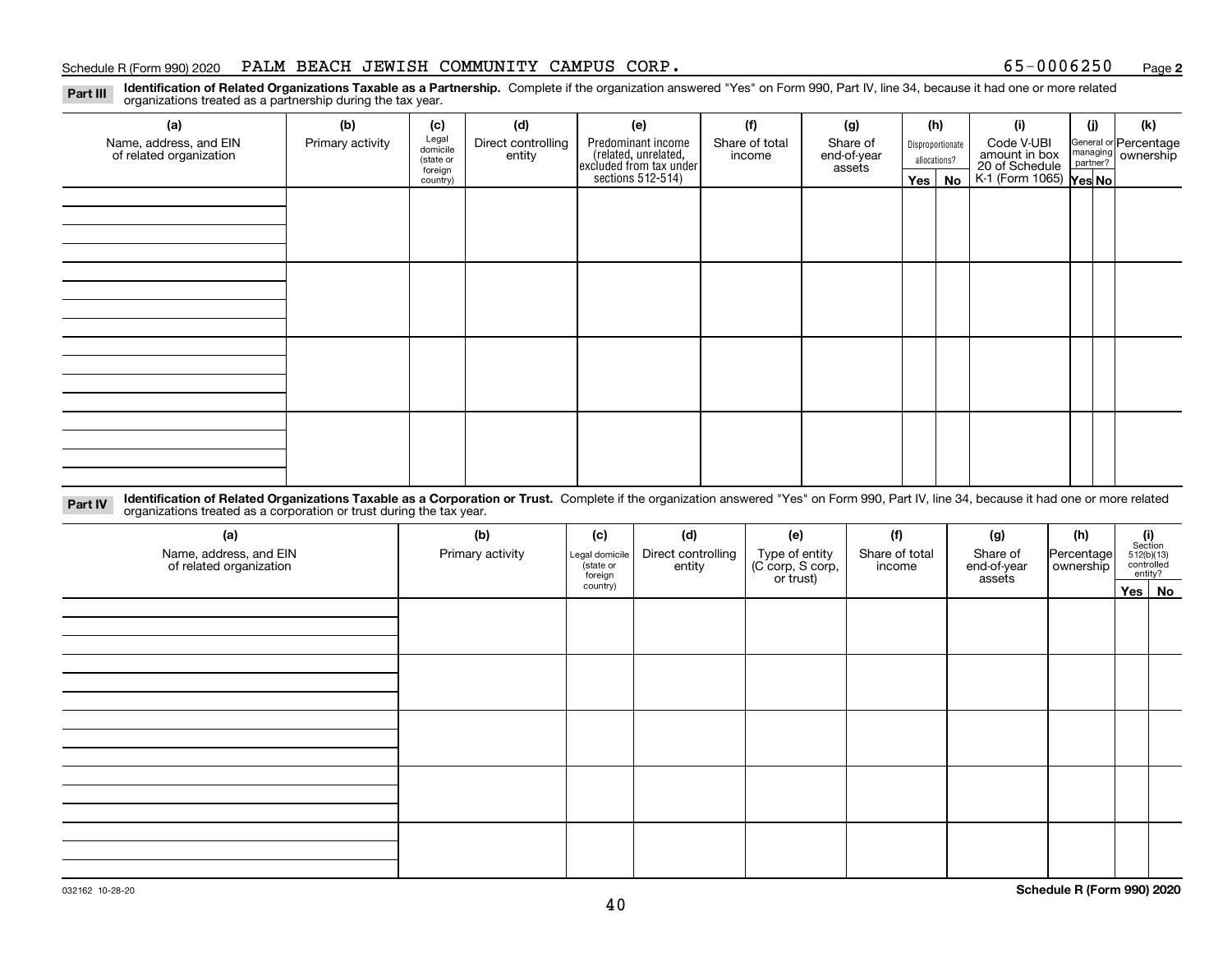#### Schedule R (Form 990) 2020 PALM BEACH JEWISH COMMUNITY CAMPUS CORP 。 65-0 0 0 6 2 5 0 <sub>Page</sub>

**2**

**Identification of Related Organizations Taxable as a Partnership.** Complete if the organization answered "Yes" on Form 990, Part IV, line 34, because it had one or more related **Part III** organizations treated as a partnership during the tax year.

| (a)                                               | (b)              | (c)                  | (d)                          | (e)                                                                 | (f)                      | (g)                     |         | (h)              | (i)                                      | (j) | (k)                                                       |
|---------------------------------------------------|------------------|----------------------|------------------------------|---------------------------------------------------------------------|--------------------------|-------------------------|---------|------------------|------------------------------------------|-----|-----------------------------------------------------------|
| Name, address, and EIN<br>of related organization | Primary activity | Legal<br>domicile    | Direct controlling<br>entity | Predominant income                                                  | Share of total<br>income | Share of<br>end-of-year |         | Disproportionate | Code V-UBI<br>amount in box              |     | General or Percentage<br>managing<br>partner?<br>partner? |
|                                                   |                  | (state or<br>foreign |                              |                                                                     |                          | assets                  |         | allocations?     |                                          |     |                                                           |
|                                                   |                  | country)             |                              | related, unrelated,<br>excluded from tax under<br>sections 512-514) |                          |                         | Yes $ $ | No               | 20 of Schedule<br>K-1 (Form 1065) Yes No |     |                                                           |
|                                                   |                  |                      |                              |                                                                     |                          |                         |         |                  |                                          |     |                                                           |
|                                                   |                  |                      |                              |                                                                     |                          |                         |         |                  |                                          |     |                                                           |
|                                                   |                  |                      |                              |                                                                     |                          |                         |         |                  |                                          |     |                                                           |
|                                                   |                  |                      |                              |                                                                     |                          |                         |         |                  |                                          |     |                                                           |
|                                                   |                  |                      |                              |                                                                     |                          |                         |         |                  |                                          |     |                                                           |
|                                                   |                  |                      |                              |                                                                     |                          |                         |         |                  |                                          |     |                                                           |
|                                                   |                  |                      |                              |                                                                     |                          |                         |         |                  |                                          |     |                                                           |
|                                                   |                  |                      |                              |                                                                     |                          |                         |         |                  |                                          |     |                                                           |
|                                                   |                  |                      |                              |                                                                     |                          |                         |         |                  |                                          |     |                                                           |
|                                                   |                  |                      |                              |                                                                     |                          |                         |         |                  |                                          |     |                                                           |
|                                                   |                  |                      |                              |                                                                     |                          |                         |         |                  |                                          |     |                                                           |
|                                                   |                  |                      |                              |                                                                     |                          |                         |         |                  |                                          |     |                                                           |
|                                                   |                  |                      |                              |                                                                     |                          |                         |         |                  |                                          |     |                                                           |
|                                                   |                  |                      |                              |                                                                     |                          |                         |         |                  |                                          |     |                                                           |
|                                                   |                  |                      |                              |                                                                     |                          |                         |         |                  |                                          |     |                                                           |
|                                                   |                  |                      |                              |                                                                     |                          |                         |         |                  |                                          |     |                                                           |
|                                                   |                  |                      |                              |                                                                     |                          |                         |         |                  |                                          |     |                                                           |

**Identification of Related Organizations Taxable as a Corporation or Trust.** Complete if the organization answered "Yes" on Form 990, Part IV, line 34, because it had one or more related **Part IV** organizations treated as a corporation or trust during the tax year.

| (a)<br>Name, address, and EIN<br>of related organization | (b)<br>Primary activity | (c)<br>Legal domicile<br>state or<br>foreign | (d)<br>Direct controlling<br>entity | (e)<br>Type of entity<br>(C corp, S corp,<br>or trust) | (f)<br>Share of total<br>income | (g)<br>Share of<br>end-of-year<br>assets | (h)<br>Percentage<br>ownership | (i)<br>Section<br>$512(b)(13)$<br>controlled | entity? |
|----------------------------------------------------------|-------------------------|----------------------------------------------|-------------------------------------|--------------------------------------------------------|---------------------------------|------------------------------------------|--------------------------------|----------------------------------------------|---------|
|                                                          |                         | country)                                     |                                     |                                                        |                                 |                                          |                                |                                              | Yes No  |
|                                                          |                         |                                              |                                     |                                                        |                                 |                                          |                                |                                              |         |
|                                                          |                         |                                              |                                     |                                                        |                                 |                                          |                                |                                              |         |
|                                                          |                         |                                              |                                     |                                                        |                                 |                                          |                                |                                              |         |
|                                                          |                         |                                              |                                     |                                                        |                                 |                                          |                                |                                              |         |
|                                                          |                         |                                              |                                     |                                                        |                                 |                                          |                                |                                              |         |
|                                                          |                         |                                              |                                     |                                                        |                                 |                                          |                                |                                              |         |
|                                                          |                         |                                              |                                     |                                                        |                                 |                                          |                                |                                              |         |
|                                                          |                         |                                              |                                     |                                                        |                                 |                                          |                                |                                              |         |
|                                                          |                         |                                              |                                     |                                                        |                                 |                                          |                                |                                              |         |
|                                                          |                         |                                              |                                     |                                                        |                                 |                                          |                                |                                              |         |
|                                                          |                         |                                              |                                     |                                                        |                                 |                                          |                                |                                              |         |
|                                                          |                         |                                              |                                     |                                                        |                                 |                                          |                                |                                              |         |
|                                                          |                         |                                              |                                     |                                                        |                                 |                                          |                                |                                              |         |
|                                                          |                         |                                              |                                     |                                                        |                                 |                                          |                                |                                              |         |
|                                                          |                         |                                              |                                     |                                                        |                                 |                                          |                                |                                              |         |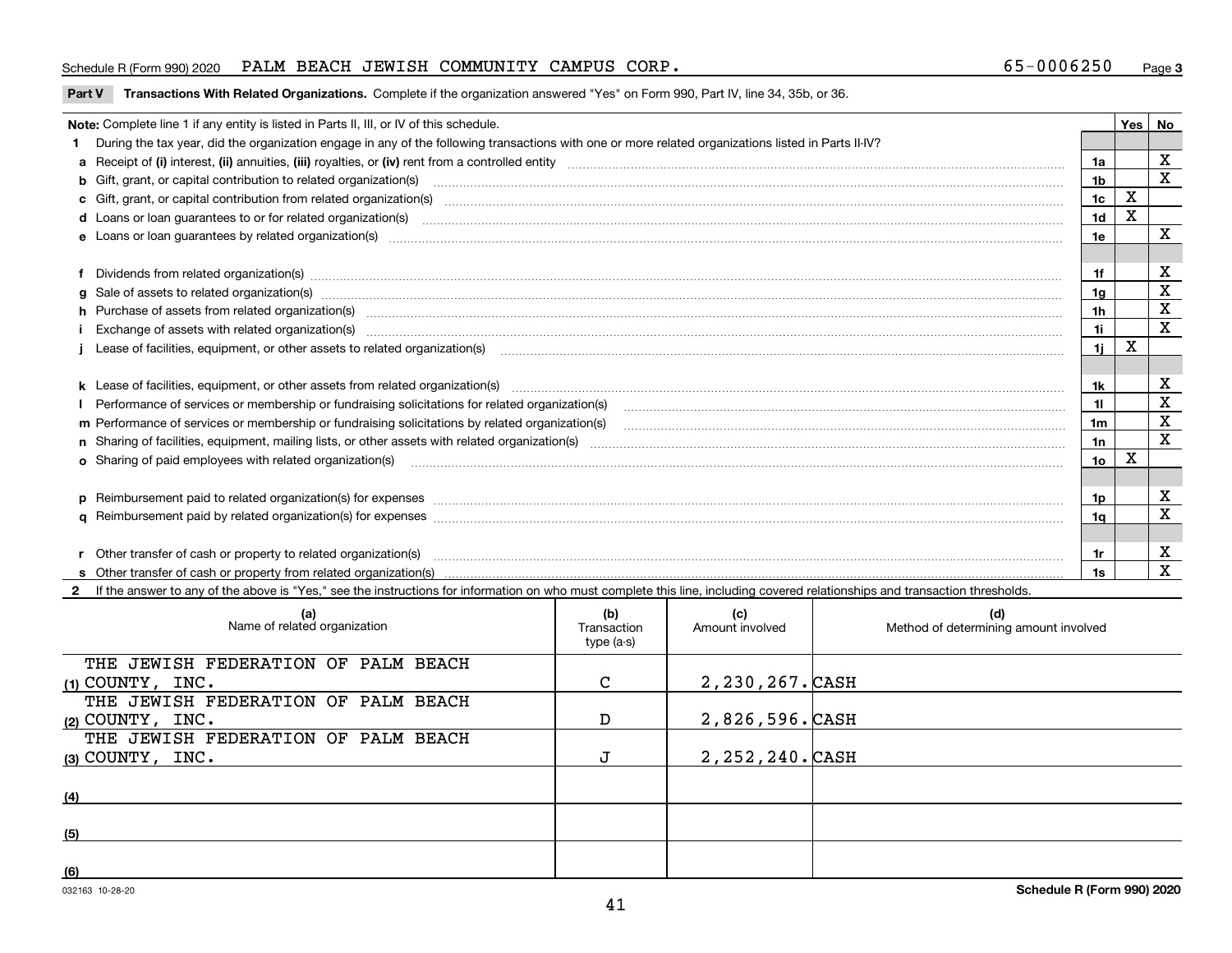#### Schedule R (Form 990) 2020 PALM BEACH JEWISH COMMUNITY CAMPUS CORP 。 65-0 0 0 6 2 5 0 <sub>Page</sub>

#### **Part V** T**ransactions With Related Organizations.** Complete if the organization answered "Yes" on Form 990, Part IV, line 34, 35b, or 36.

| Note: Complete line 1 if any entity is listed in Parts II, III, or IV of this schedule. |                                                                                                                                                                                                                                |     |   |             |
|-----------------------------------------------------------------------------------------|--------------------------------------------------------------------------------------------------------------------------------------------------------------------------------------------------------------------------------|-----|---|-------------|
|                                                                                         | During the tax year, did the organization engage in any of the following transactions with one or more related organizations listed in Parts II-IV?                                                                            |     |   |             |
|                                                                                         |                                                                                                                                                                                                                                | 1a  |   | х           |
|                                                                                         | b Gift, grant, or capital contribution to related organization(s) manufactured contains and contribution to related organization(s)                                                                                            | 1b  |   | X           |
|                                                                                         | c Gift, grant, or capital contribution from related organization(s) material contents and contribution from related organization(s) material contents and content of the content of the content of content of content of conte | 1c  | X |             |
|                                                                                         |                                                                                                                                                                                                                                | 1d  | X |             |
|                                                                                         |                                                                                                                                                                                                                                | 1e  |   | x           |
|                                                                                         |                                                                                                                                                                                                                                |     |   |             |
|                                                                                         | Dividends from related organization(s) CONSECTED MAGNETIC CONSECTED MAGNETIC CONSECTED MAGNETIC CONSECTED MAGNETIC CONSECTED MAGNETIC CONSECTED MAGNETIC CONSECTED MAGNETIC CONSECTED MAGNETIC CONSECTED MAGNETIC CONSECTED MA | 1f  |   | X           |
|                                                                                         | g Sale of assets to related organization(s) www.assettion.com/www.assettion.com/www.assettion.com/www.assettion.com/www.assettion.com/www.assettion.com/www.assettion.com/www.assettion.com/www.assettion.com/www.assettion.co | 1g  |   | $\mathbf X$ |
|                                                                                         | h Purchase of assets from related organization(s) manufactured and content to the content of the content of the content of the content of the content of the content of the content of the content of the content of the conte | 1h  |   | X           |
|                                                                                         |                                                                                                                                                                                                                                | 11  |   | $\mathbf X$ |
|                                                                                         | Lease of facilities, equipment, or other assets to related organization(s) использованно полезательно положенно положения с тем и положения с тем и положения с тем и положения и положения и положения и положения с тем и по | 11  | X |             |
|                                                                                         |                                                                                                                                                                                                                                |     |   |             |
|                                                                                         |                                                                                                                                                                                                                                | 1k  |   | х           |
|                                                                                         | Performance of services or membership or fundraising solicitations for related organization(s)                                                                                                                                 | 11  |   | $\mathbf X$ |
|                                                                                         |                                                                                                                                                                                                                                | 1m  |   | $\mathbf X$ |
|                                                                                         |                                                                                                                                                                                                                                | 1n  |   | X           |
|                                                                                         | <b>o</b> Sharing of paid employees with related organization(s)                                                                                                                                                                | 1о  | X |             |
|                                                                                         |                                                                                                                                                                                                                                |     |   |             |
|                                                                                         | p Reimbursement paid to related organization(s) for expenses [111] production in the content of the content of the content of the content of the content of the content of the content of the content of the content of the co | 1p. |   | х           |
|                                                                                         |                                                                                                                                                                                                                                | 1q  |   | X           |
|                                                                                         |                                                                                                                                                                                                                                |     |   |             |
|                                                                                         | r Other transfer of cash or property to related organization(s)                                                                                                                                                                | 1r  |   | X           |
|                                                                                         |                                                                                                                                                                                                                                | 1s. |   | X           |

**2**If the answer to any of the above is "Yes," see the instructions for information on who must complete this line, including covered relationships and transaction thresholds.

| (a)<br>Name of related organization | (b)<br>Transaction<br>type (a-s) | (c)<br>Amount involved | (d)<br>Method of determining amount involved |
|-------------------------------------|----------------------------------|------------------------|----------------------------------------------|
| THE JEWISH FEDERATION OF PALM BEACH |                                  |                        |                                              |
| $(1)$ COUNTY, INC.                  | C                                | 2,230,267. CASH        |                                              |
| THE JEWISH FEDERATION OF PALM BEACH |                                  |                        |                                              |
| (2) COUNTY, $INC.$                  | D                                | 2,826,596.CASH         |                                              |
| THE JEWISH FEDERATION OF PALM BEACH |                                  |                        |                                              |
| $(3)$ COUNTY, INC.                  | J                                | 2, 252, 240. CASH      |                                              |
|                                     |                                  |                        |                                              |
| (4)                                 |                                  |                        |                                              |
|                                     |                                  |                        |                                              |
| (5)                                 |                                  |                        |                                              |
|                                     |                                  |                        |                                              |
| (6)                                 |                                  |                        |                                              |

 $\overline{\phantom{a}}$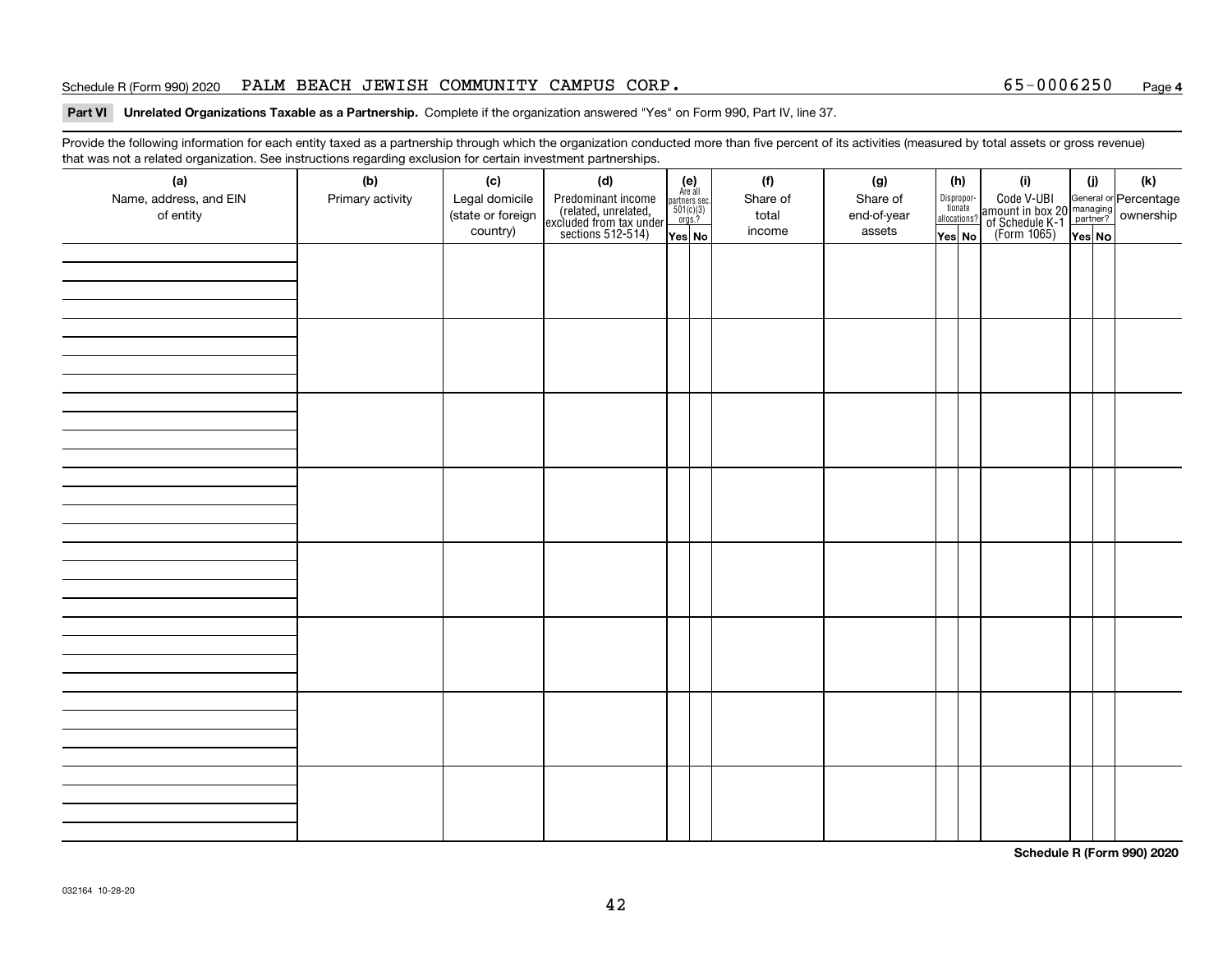#### Schedule R (Form 990) 2020 PALM BEACH JEWISH COMMUNITY CAMPUS CORP 。 65-0 0 0 6 2 5 0 <sub>Page</sub>

#### **4**

#### **Part VI Unrelated Organizations Taxable as a Partnership. Complete if the organization answered "Yes" on Form 990, Part IV, line 37.**

Provide the following information for each entity taxed as a partnership through which the organization conducted more than five percent of its activities (measured by total assets or gross revenue) that was not a related organization. See instructions regarding exclusion for certain investment partnerships.

| ັ<br>(a)<br>Name, address, and EIN<br>of entity | ັ<br>ັ<br>(b)<br>Primary activity | (c)<br>Legal domicile<br>(state or foreign<br>country) | (d)<br>Predominant income<br>(related, unrelated,<br>excluded from tax under<br>sections 512-514) | (e)<br>Are all<br>$\begin{array}{c}\n\text{partners} \sec.\n\\ \n501(c)(3)\n\\ \n0rgs.?\n\end{array}$ | (f)<br>Share of<br>total<br>income | (g)<br>Share of<br>end-of-year<br>assets | (h)<br>Dispropor-<br>tionate<br>allocations? | (i)<br>Code V-UBI<br>amount in box 20 managing<br>of Schedule K-1<br>(Form 1065)<br>$\overline{Yes}$ No | (i)    | (k) |
|-------------------------------------------------|-----------------------------------|--------------------------------------------------------|---------------------------------------------------------------------------------------------------|-------------------------------------------------------------------------------------------------------|------------------------------------|------------------------------------------|----------------------------------------------|---------------------------------------------------------------------------------------------------------|--------|-----|
|                                                 |                                   |                                                        |                                                                                                   | Yes No                                                                                                |                                    |                                          | Yes No                                       |                                                                                                         | Yes No |     |
|                                                 |                                   |                                                        |                                                                                                   |                                                                                                       |                                    |                                          |                                              |                                                                                                         |        |     |
|                                                 |                                   |                                                        |                                                                                                   |                                                                                                       |                                    |                                          |                                              |                                                                                                         |        |     |
|                                                 |                                   |                                                        |                                                                                                   |                                                                                                       |                                    |                                          |                                              |                                                                                                         |        |     |
|                                                 |                                   |                                                        |                                                                                                   |                                                                                                       |                                    |                                          |                                              |                                                                                                         |        |     |
|                                                 |                                   |                                                        |                                                                                                   |                                                                                                       |                                    |                                          |                                              |                                                                                                         |        |     |
|                                                 |                                   |                                                        |                                                                                                   |                                                                                                       |                                    |                                          |                                              |                                                                                                         |        |     |
|                                                 |                                   |                                                        |                                                                                                   |                                                                                                       |                                    |                                          |                                              |                                                                                                         |        |     |
|                                                 |                                   |                                                        |                                                                                                   |                                                                                                       |                                    |                                          |                                              |                                                                                                         |        |     |

**Schedule R (Form 990) 2020**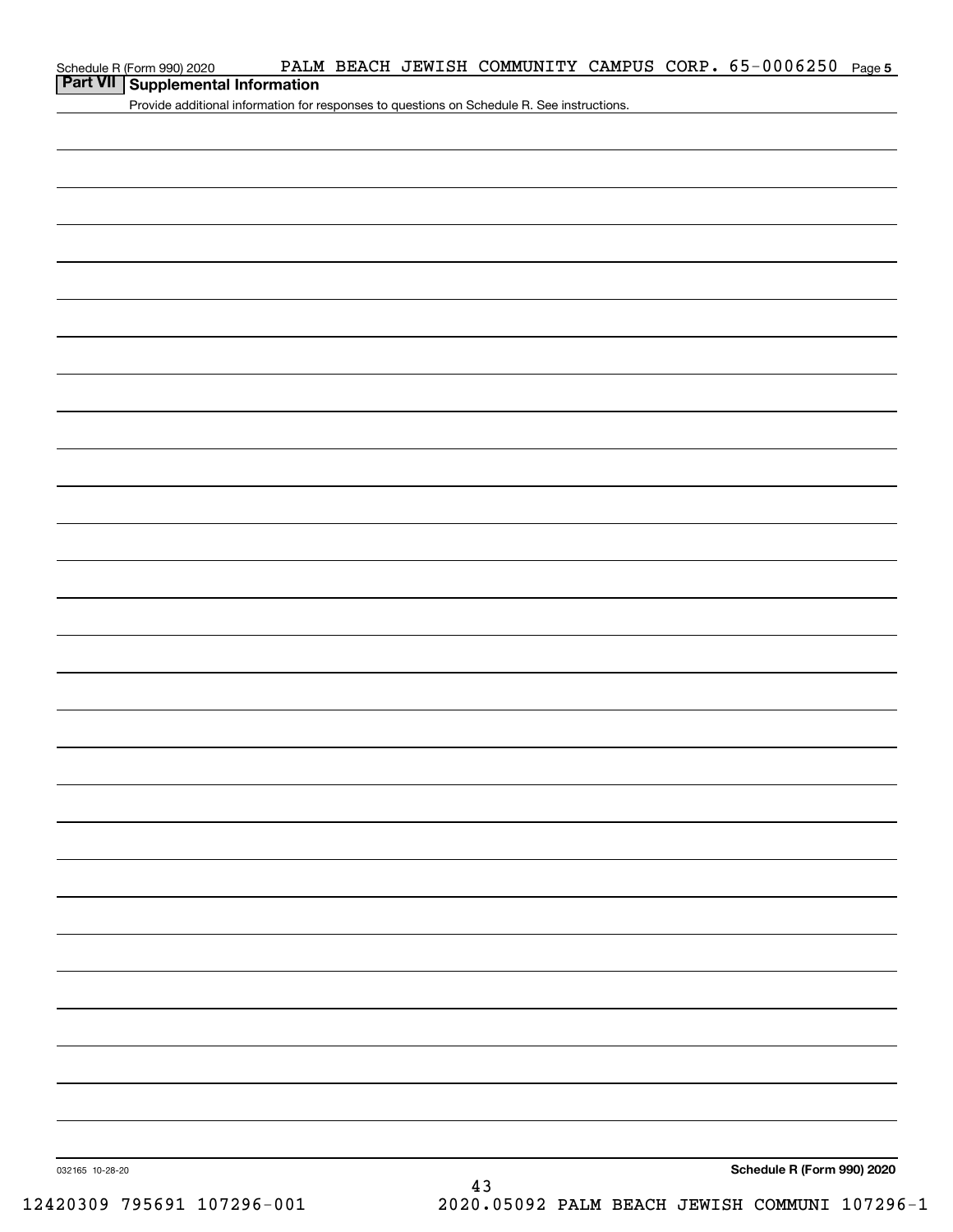| Schedule R (Form 990) 2020 |  |
|----------------------------|--|
|                            |  |

### **Part VII Supplemental Information**

Provide additional information for responses to questions on Schedule R. See instructions.

**Schedule R (Form 990) 2020**

032165 10-28-20